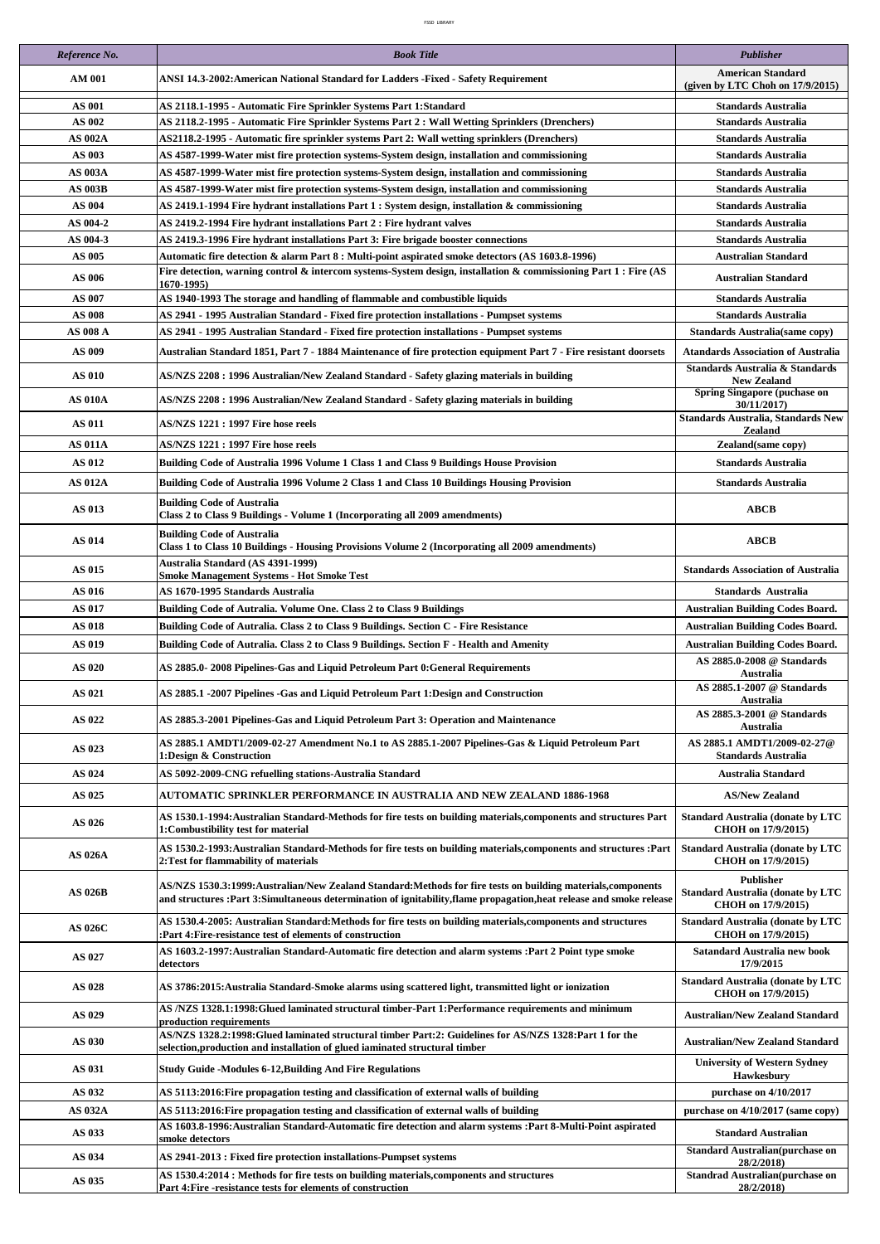| Reference No.            | <b>Book Title</b>                                                                                                                                                                                                                   | Publisher                                                                   |
|--------------------------|-------------------------------------------------------------------------------------------------------------------------------------------------------------------------------------------------------------------------------------|-----------------------------------------------------------------------------|
| <b>AM 001</b>            | ANSI 14.3-2002:American National Standard for Ladders -Fixed - Safety Requirement                                                                                                                                                   | <b>American Standard</b><br>(given by LTC Choh on $17/9/2015$ )             |
| <b>AS 001</b>            | AS 2118.1-1995 - Automatic Fire Sprinkler Systems Part 1:Standard                                                                                                                                                                   | <b>Standards Australia</b>                                                  |
| AS 002                   | AS 2118.2-1995 - Automatic Fire Sprinkler Systems Part 2 : Wall Wetting Sprinklers (Drenchers)                                                                                                                                      | <b>Standards Australia</b>                                                  |
| AS 002A                  | AS2118.2-1995 - Automatic fire sprinkler systems Part 2: Wall wetting sprinklers (Drenchers)                                                                                                                                        | <b>Standards Australia</b>                                                  |
| AS 003<br><b>AS 003A</b> | AS 4587-1999-Water mist fire protection systems-System design, installation and commissioning                                                                                                                                       | <b>Standards Australia</b><br><b>Standards Australia</b>                    |
| AS 003B                  | AS 4587-1999-Water mist fire protection systems-System design, installation and commissioning<br>AS 4587-1999-Water mist fire protection systems-System design, installation and commissioning                                      | <b>Standards Australia</b>                                                  |
| <b>AS 004</b>            | AS 2419.1-1994 Fire hydrant installations Part 1 : System design, installation & commissioning                                                                                                                                      | <b>Standards Australia</b>                                                  |
| AS 004-2                 | AS 2419.2-1994 Fire hydrant installations Part 2 : Fire hydrant valves                                                                                                                                                              | Standards Australia                                                         |
| AS 004-3                 | AS 2419.3-1996 Fire hydrant installations Part 3: Fire brigade booster connections                                                                                                                                                  | <b>Standards Australia</b>                                                  |
| <b>AS 005</b>            | Automatic fire detection & alarm Part 8 : Multi-point aspirated smoke detectors (AS 1603.8-1996)                                                                                                                                    | <b>Australian Standard</b>                                                  |
| <b>AS 006</b>            | Fire detection, warning control & intercom systems-System design, installation & commissioning Part 1 : Fire (AS<br>1670-1995)                                                                                                      | <b>Australian Standard</b>                                                  |
| <b>AS 007</b>            | AS 1940-1993 The storage and handling of flammable and combustible liquids                                                                                                                                                          | <b>Standards Australia</b>                                                  |
| <b>AS 008</b>            | AS 2941 - 1995 Australian Standard - Fixed fire protection installations - Pumpset systems                                                                                                                                          | <b>Standards Australia</b>                                                  |
| <b>AS 008 A</b>          | AS 2941 - 1995 Australian Standard - Fixed fire protection installations - Pumpset systems                                                                                                                                          | <b>Standards Australia (same copy)</b>                                      |
| AS 009                   | Australian Standard 1851, Part 7 - 1884 Maintenance of fire protection equipment Part 7 - Fire resistant doorsets                                                                                                                   | Atandards Association of Australia                                          |
| <b>AS 010</b>            | AS/NZS 2208 : 1996 Australian/New Zealand Standard - Safety glazing materials in building                                                                                                                                           | Standards Australia & Standards<br><b>New Zealand</b>                       |
| <b>AS 010A</b>           | AS/NZS 2208 : 1996 Australian/New Zealand Standard - Safety glazing materials in building                                                                                                                                           | <b>Spring Singapore (puchase on</b><br>30/11/2017)                          |
| <b>AS 011</b>            | AS/NZS 1221 : 1997 Fire hose reels                                                                                                                                                                                                  | <b>Standards Australia, Standards New</b><br>Zealand                        |
| AS 011A                  | AS/NZS 1221: 1997 Fire hose reels                                                                                                                                                                                                   | Zealand(same copy)                                                          |
| <b>AS 012</b>            | Building Code of Australia 1996 Volume 1 Class 1 and Class 9 Buildings House Provision                                                                                                                                              | <b>Standards Australia</b>                                                  |
| AS 012A                  | Building Code of Australia 1996 Volume 2 Class 1 and Class 10 Buildings Housing Provision                                                                                                                                           | <b>Standards Australia</b>                                                  |
| <b>AS 013</b>            | <b>Building Code of Australia</b><br>Class 2 to Class 9 Buildings - Volume 1 (Incorporating all 2009 amendments)                                                                                                                    | ABCB                                                                        |
| <b>AS 014</b>            | <b>Building Code of Australia</b><br>Class 1 to Class 10 Buildings - Housing Provisions Volume 2 (Incorporating all 2009 amendments)                                                                                                | <b>ABCB</b>                                                                 |
| <b>AS 015</b>            | Australia Standard (AS 4391-1999)<br>Smoke Management Systems - Hot Smoke Test                                                                                                                                                      | <b>Standards Association of Australia</b>                                   |
| AS 016                   | AS 1670-1995 Standards Australia                                                                                                                                                                                                    | Standards Australia                                                         |
| <b>AS 017</b>            | Building Code of Autralia. Volume One. Class 2 to Class 9 Buildings                                                                                                                                                                 | <b>Australian Building Codes Board.</b>                                     |
| <b>AS 018</b>            | Building Code of Autralia. Class 2 to Class 9 Buildings. Section C - Fire Resistance                                                                                                                                                | <b>Australian Building Codes Board.</b>                                     |
| AS 019                   | Building Code of Autralia. Class 2 to Class 9 Buildings. Section F - Health and Amenity                                                                                                                                             | <b>Australian Building Codes Board.</b>                                     |
| AS 020                   | AS 2885.0-2008 Pipelines-Gas and Liquid Petroleum Part 0:General Requirements                                                                                                                                                       | AS 2885.0-2008 @ Standards<br>Australia                                     |
| AS 021                   | AS 2885.1 -2007 Pipelines -Gas and Liquid Petroleum Part 1:Design and Construction                                                                                                                                                  | AS 2885.1-2007 @ Standards<br>Australia                                     |
| AS 022                   | AS 2885.3-2001 Pipelines-Gas and Liquid Petroleum Part 3: Operation and Maintenance                                                                                                                                                 | AS 2885.3-2001 @ Standards<br>Australia                                     |
| AS 023                   | AS 2885.1 AMDT1/2009-02-27 Amendment No.1 to AS 2885.1-2007 Pipelines-Gas & Liquid Petroleum Part<br>1:Design & Construction                                                                                                        | AS 2885.1 AMDT1/2009-02-27@<br><b>Standards Australia</b>                   |
| AS 024                   | AS 5092-2009-CNG refuelling stations-Australia Standard                                                                                                                                                                             | Australia Standard                                                          |
| AS 025                   | AUTOMATIC SPRINKLER PERFORMANCE IN AUSTRALIA AND NEW ZEALAND 1886-1968                                                                                                                                                              | <b>AS/New Zealand</b>                                                       |
|                          |                                                                                                                                                                                                                                     |                                                                             |
| AS 026                   | AS 1530.1-1994:Australian Standard-Methods for fire tests on building materials,components and structures Part<br>1: Combustibility test for material                                                                               | <b>Standard Australia (donate by LTC</b><br>CHOH on 17/9/2015)              |
| <b>AS 026A</b>           | AS 1530.2-1993:Australian Standard-Methods for fire tests on building materials,components and structures :Part<br>2: Test for flammability of materials                                                                            | <b>Standard Australia (donate by LTC</b><br>CHOH on 17/9/2015)              |
| AS 026B                  | AS/NZS 1530.3:1999: Australian/New Zealand Standard: Methods for fire tests on building materials, components<br>and structures :Part 3:Simultaneous determination of ignitability,flame propagation,heat release and smoke release | Publisher<br><b>Standard Australia (donate by LTC</b><br>CHOH on 17/9/2015) |
| <b>AS 026C</b>           | AS 1530.4-2005: Australian Standard:Methods for fire tests on building materials,components and structures<br>:Part 4:Fire-resistance test of elements of construction                                                              | <b>Standard Australia (donate by LTC</b><br>CHOH on 17/9/2015)              |
| AS 027                   | AS 1603.2-1997:Australian Standard-Automatic fire detection and alarm systems :Part 2 Point type smoke<br>detectors                                                                                                                 | Satandard Australia new book<br>17/9/2015                                   |
| <b>AS 028</b>            | AS 3786:2015:Australia Standard-Smoke alarms using scattered light, transmitted light or ionization                                                                                                                                 | <b>Standard Australia (donate by LTC</b><br>CHOH on 17/9/2015)              |
| AS 029                   | AS /NZS 1328.1:1998:Glued laminated structural timber-Part 1:Performance requirements and minimum<br>production requirements                                                                                                        | <b>Australian/New Zealand Standard</b>                                      |
| <b>AS 030</b>            | AS/NZS 1328.2:1998:Glued laminated structural timber Part:2: Guidelines for AS/NZS 1328:Part 1 for the<br>selection,production and installation of glued iaminated structural timber                                                | <b>Australian/New Zealand Standard</b>                                      |
| AS 031                   | <b>Study Guide -Modules 6-12, Building And Fire Regulations</b>                                                                                                                                                                     | <b>University of Western Sydney</b><br><b>Hawkesbury</b>                    |
| AS 032                   | AS 5113:2016:Fire propagation testing and classification of external walls of building                                                                                                                                              | purchase on 4/10/2017                                                       |
| <b>AS 032A</b>           | AS 5113:2016:Fire propagation testing and classification of external walls of building                                                                                                                                              | purchase on 4/10/2017 (same copy)                                           |
| AS 033                   | AS 1603.8-1996:Australian Standard-Automatic fire detection and alarm systems :Part 8-Multi-Point aspirated<br>smoke detectors                                                                                                      | <b>Standard Australian</b>                                                  |
| AS 034                   | AS 2941-2013 : Fixed fire protection installations-Pumpset systems                                                                                                                                                                  | <b>Standard Australian (purchase on</b><br>28/2/2018)                       |
| AS 035                   | AS 1530.4:2014 : Methods for fire tests on building materials, components and structures<br>Part 4: Fire - resistance tests for elements of construction                                                                            | <b>Standrad Australian (purchase on</b><br>28/2/2018)                       |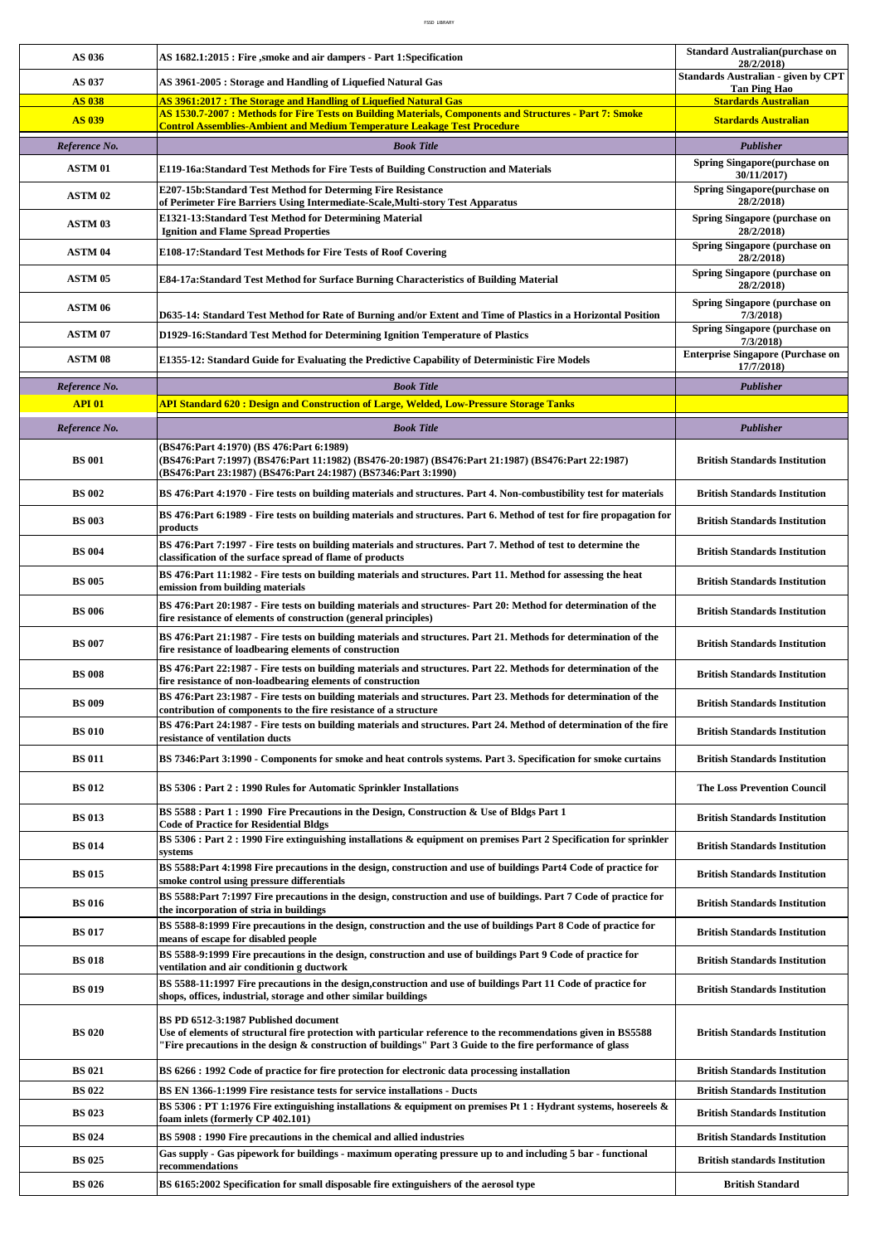| AS 036             | AS 1682.1:2015 : Fire , smoke and air dampers - Part 1: Specification                                                                                                                                                                                                | <b>Standard Australian (purchase on</b><br>28/2/2018)             |
|--------------------|----------------------------------------------------------------------------------------------------------------------------------------------------------------------------------------------------------------------------------------------------------------------|-------------------------------------------------------------------|
| AS 037             | AS 3961-2005 : Storage and Handling of Liquefied Natural Gas                                                                                                                                                                                                         | <b>Standards Australian - given by CPT</b><br><b>Tan Ping Hao</b> |
| <b>AS 038</b>      | <b>AS 3961:2017 : The Storage and Handling of Liquefied Natural Gas</b>                                                                                                                                                                                              | <b>Stardards Australian</b>                                       |
| <b>AS 039</b>      | AS 1530.7-2007 : Methods for Fire Tests on Building Materials, Components and Structures - Part 7: Smoke<br><u> Control Assemblies-Ambient and Medium Temperature Leakage Test Procedure</u>                                                                         | <b>Stardards Australian</b>                                       |
| Reference No.      | <b>Book Title</b>                                                                                                                                                                                                                                                    | Publisher                                                         |
| <b>ASTM01</b>      | E119-16a:Standard Test Methods for Fire Tests of Building Construction and Materials                                                                                                                                                                                 | <b>Spring Singapore(purchase on</b><br>30/11/2017)                |
| ASTM <sub>02</sub> | E207-15b:Standard Test Method for Determing Fire Resistance<br>of Perimeter Fire Barriers Using Intermediate-Scale,Multi-story Test Apparatus                                                                                                                        | Spring Singapore(purchase on<br>28/2/2018)                        |
| ASTM <sub>03</sub> | E1321-13:Standard Test Method for Determining Material<br><b>Ignition and Flame Spread Properties</b>                                                                                                                                                                | Spring Singapore (purchase on<br>28/2/2018)                       |
| <b>ASTM 04</b>     | E108-17:Standard Test Methods for Fire Tests of Roof Covering                                                                                                                                                                                                        | Spring Singapore (purchase on<br>28/2/2018)                       |
| <b>ASTM 05</b>     | E84-17a:Standard Test Method for Surface Burning Characteristics of Building Material                                                                                                                                                                                | Spring Singapore (purchase on<br>28/2/2018)                       |
| ASTM <sub>06</sub> | D635-14: Standard Test Method for Rate of Burning and/or Extent and Time of Plastics in a Horizontal Position                                                                                                                                                        | Spring Singapore (purchase on<br>7/3/2018                         |
| ASTM <sub>07</sub> | D1929-16:Standard Test Method for Determining Ignition Temperature of Plastics                                                                                                                                                                                       | Spring Singapore (purchase on<br>7/3/2018)                        |
| ASTM <sub>08</sub> | E1355-12: Standard Guide for Evaluating the Predictive Capability of Deterministic Fire Models                                                                                                                                                                       | <b>Enterprise Singapore (Purchase on</b><br>17/7/2018)            |
| Reference No.      | <b>Book Title</b>                                                                                                                                                                                                                                                    | Publisher                                                         |
| <b>API 01</b>      | API Standard 620 : Design and Construction of Large, Welded, Low-Pressure Storage Tanks                                                                                                                                                                              |                                                                   |
| Reference No.      | <b>Book Title</b>                                                                                                                                                                                                                                                    | Publisher                                                         |
| <b>BS 001</b>      | (BS476:Part 4:1970) (BS 476:Part 6:1989)<br>(BS476:Part 7:1997) (BS476:Part 11:1982) (BS476-20:1987) (BS476:Part 21:1987) (BS476:Part 22:1987)<br>(BS476:Part 23:1987) (BS476:Part 24:1987) (BS7346:Part 3:1990)                                                     | <b>British Standards Institution</b>                              |
| <b>BS 002</b>      | BS 476:Part 4:1970 - Fire tests on building materials and structures. Part 4. Non-combustibility test for materials                                                                                                                                                  | <b>British Standards Institution</b>                              |
| <b>BS 003</b>      | BS 476:Part 6:1989 - Fire tests on building materials and structures. Part 6. Method of test for fire propagation for<br>products                                                                                                                                    | <b>British Standards Institution</b>                              |
| <b>BS 004</b>      | BS 476:Part 7:1997 - Fire tests on building materials and structures. Part 7. Method of test to determine the<br>classification of the surface spread of flame of products                                                                                           | <b>British Standards Institution</b>                              |
| <b>BS 005</b>      | BS 476:Part 11:1982 - Fire tests on building materials and structures. Part 11. Method for assessing the heat<br>emission from building materials                                                                                                                    | <b>British Standards Institution</b>                              |
| <b>BS 006</b>      | BS 476:Part 20:1987 - Fire tests on building materials and structures- Part 20: Method for determination of the<br>fire resistance of elements of construction (general principles)                                                                                  | <b>British Standards Institution</b>                              |
| <b>BS 007</b>      | BS 476:Part 21:1987 - Fire tests on building materials and structures. Part 21. Methods for determination of the<br>fire resistance of loadbearing elements of construction                                                                                          | <b>British Standards Institution</b>                              |
| <b>BS 008</b>      | BS 476:Part 22:1987 - Fire tests on building materials and structures. Part 22. Methods for determination of the<br>fire resistance of non-loadbearing elements of construction                                                                                      | <b>British Standards Institution</b>                              |
| <b>BS 009</b>      | BS 476:Part 23:1987 - Fire tests on building materials and structures. Part 23. Methods for determination of the<br>contribution of components to the fire resistance of a structure                                                                                 | <b>British Standards Institution</b>                              |
| <b>BS 010</b>      | BS 476:Part 24:1987 - Fire tests on building materials and structures. Part 24. Method of determination of the fire<br>resistance of ventilation ducts                                                                                                               | <b>British Standards Institution</b>                              |
| <b>BS 011</b>      | BS 7346:Part 3:1990 - Components for smoke and heat controls systems. Part 3. Specification for smoke curtains                                                                                                                                                       | <b>British Standards Institution</b>                              |
| <b>BS 012</b>      | BS 5306 : Part 2 : 1990 Rules for Automatic Sprinkler Installations                                                                                                                                                                                                  | <b>The Loss Prevention Council</b>                                |
| <b>BS 013</b>      | BS 5588 : Part 1 : 1990 Fire Precautions in the Design, Construction & Use of Bldgs Part 1                                                                                                                                                                           | <b>British Standards Institution</b>                              |
| <b>BS</b> 014      | <b>Code of Practice for Residential Bldgs</b><br>BS 5306 : Part 2 : 1990 Fire extinguishing installations & equipment on premises Part 2 Specification for sprinkler                                                                                                 | <b>British Standards Institution</b>                              |
| <b>BS 015</b>      | systems<br>BS 5588:Part 4:1998 Fire precautions in the design, construction and use of buildings Part4 Code of practice for                                                                                                                                          | <b>British Standards Institution</b>                              |
| <b>BS 016</b>      | smoke control using pressure differentials<br>BS 5588:Part 7:1997 Fire precautions in the design, construction and use of buildings. Part 7 Code of practice for                                                                                                     | <b>British Standards Institution</b>                              |
| <b>BS 017</b>      | the incorporation of stria in buildings<br>BS 5588-8:1999 Fire precautions in the design, construction and the use of buildings Part 8 Code of practice for                                                                                                          | <b>British Standards Institution</b>                              |
|                    | means of escape for disabled people<br>BS 5588-9:1999 Fire precautions in the design, construction and use of buildings Part 9 Code of practice for                                                                                                                  |                                                                   |
| <b>BS 018</b>      | ventilation and air conditionin g ductwork                                                                                                                                                                                                                           | <b>British Standards Institution</b>                              |
| <b>BS 019</b>      | BS 5588-11:1997 Fire precautions in the design,construction and use of buildings Part 11 Code of practice for<br>shops, offices, industrial, storage and other similar buildings                                                                                     | <b>British Standards Institution</b>                              |
| <b>BS 020</b>      | BS PD 6512-3:1987 Published document<br>Use of elements of structural fire protection with particular reference to the recommendations given in BS5588<br>'Fire precautions in the design & construction of buildings" Part 3 Guide to the fire performance of glass | <b>British Standards Institution</b>                              |
| <b>BS 021</b>      | BS 6266 : 1992 Code of practice for fire protection for electronic data processing installation                                                                                                                                                                      | <b>British Standards Institution</b>                              |
| <b>BS 022</b>      | BS EN 1366-1:1999 Fire resistance tests for service installations - Ducts                                                                                                                                                                                            | <b>British Standards Institution</b>                              |
| <b>BS 023</b>      | BS 5306 : PT 1:1976 Fire extinguishing installations & equipment on premises Pt 1 : Hydrant systems, hosereels &<br>foam inlets (formerly CP 402.101)                                                                                                                | <b>British Standards Institution</b>                              |
| <b>BS 024</b>      | BS 5908 : 1990 Fire precautions in the chemical and allied industries                                                                                                                                                                                                | <b>British Standards Institution</b>                              |
| <b>BS 025</b>      | Gas supply - Gas pipework for buildings - maximum operating pressure up to and including 5 bar - functional<br>recommendations                                                                                                                                       | <b>British standards Institution</b>                              |
| <b>BS 026</b>      | BS 6165:2002 Specification for small disposable fire extinguishers of the aerosol type                                                                                                                                                                               | <b>British Standard</b>                                           |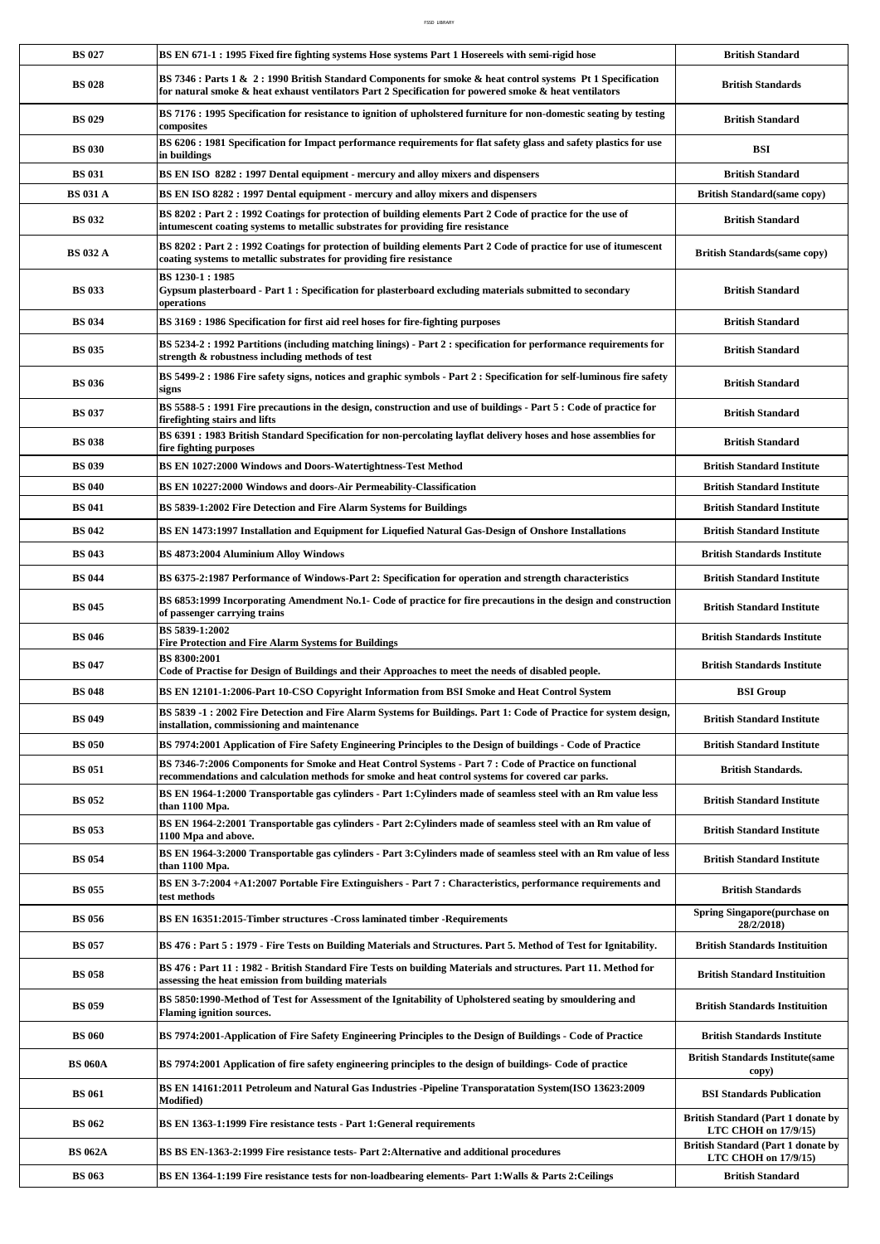| <b>BS 027</b>   | BS EN 671-1 : 1995 Fixed fire fighting systems Hose systems Part 1 Hosereels with semi-rigid hose                                                                                                                            | <b>British Standard</b>                                              |
|-----------------|------------------------------------------------------------------------------------------------------------------------------------------------------------------------------------------------------------------------------|----------------------------------------------------------------------|
| <b>BS 028</b>   | BS 7346 : Parts 1 & 2 : 1990 British Standard Components for smoke & heat control systems Pt 1 Specification<br>for natural smoke $\&$ heat exhaust ventilators Part 2 Specification for powered smoke $\&$ heat ventilators | <b>British Standards</b>                                             |
| <b>BS 029</b>   | BS 7176 : 1995 Specification for resistance to ignition of upholstered furniture for non-domestic seating by testing<br>composites                                                                                           | <b>British Standard</b>                                              |
| <b>BS 030</b>   | BS 6206 : 1981 Specification for Impact performance requirements for flat safety glass and safety plastics for use<br>in buildings                                                                                           | <b>BSI</b>                                                           |
| <b>BS 031</b>   | BS EN ISO 8282 : 1997 Dental equipment - mercury and alloy mixers and dispensers                                                                                                                                             | <b>British Standard</b>                                              |
| <b>BS 031 A</b> | BS EN ISO 8282 : 1997 Dental equipment - mercury and alloy mixers and dispensers                                                                                                                                             | <b>British Standard (same copy)</b>                                  |
| <b>BS 032</b>   | BS 8202 : Part 2 : 1992 Coatings for protection of building elements Part 2 Code of practice for the use of<br>intumescent coating systems to metallic substrates for providing fire resistance                              | <b>British Standard</b>                                              |
| <b>BS 032 A</b> | BS 8202 : Part 2 : 1992 Coatings for protection of building elements Part 2 Code of practice for use of itumescent<br>coating systems to metallic substrates for providing fire resistance                                   | <b>British Standards(same copy)</b>                                  |
| <b>BS 033</b>   | BS 1230-1:1985<br>Gypsum plasterboard - Part 1 : Specification for plasterboard excluding materials submitted to secondary<br>operations                                                                                     | <b>British Standard</b>                                              |
| <b>BS 034</b>   | BS 3169 : 1986 Specification for first aid reel hoses for fire-fighting purposes                                                                                                                                             | <b>British Standard</b>                                              |
| <b>BS 035</b>   | BS 5234-2 : 1992 Partitions (including matching linings) - Part 2 : specification for performance requirements for<br>strength & robustness including methods of test                                                        | <b>British Standard</b>                                              |
| <b>BS 036</b>   | BS 5499-2 : 1986 Fire safety signs, notices and graphic symbols - Part 2 : Specification for self-luminous fire safety<br>signs                                                                                              | <b>British Standard</b>                                              |
| <b>BS 037</b>   | BS 5588-5 : 1991 Fire precautions in the design, construction and use of buildings - Part 5 : Code of practice for<br>firefighting stairs and lifts                                                                          | <b>British Standard</b>                                              |
| <b>BS 038</b>   | BS 6391: 1983 British Standard Specification for non-percolating layflat delivery hoses and hose assemblies for<br>fire fighting purposes                                                                                    | <b>British Standard</b>                                              |
| <b>BS 039</b>   | BS EN 1027:2000 Windows and Doors-Watertightness-Test Method                                                                                                                                                                 | <b>British Standard Institute</b>                                    |
| <b>BS 040</b>   | BS EN 10227:2000 Windows and doors-Air Permeability-Classification                                                                                                                                                           | <b>British Standard Institute</b>                                    |
| <b>BS 041</b>   | BS 5839-1:2002 Fire Detection and Fire Alarm Systems for Buildings                                                                                                                                                           | <b>British Standard Institute</b>                                    |
| <b>BS 042</b>   | BS EN 1473:1997 Installation and Equipment for Liquefied Natural Gas-Design of Onshore Installations                                                                                                                         | <b>British Standard Institute</b>                                    |
| <b>BS 043</b>   | BS 4873:2004 Aluminium Alloy Windows                                                                                                                                                                                         | <b>British Standards Institute</b>                                   |
| <b>BS 044</b>   | BS 6375-2:1987 Performance of Windows-Part 2: Specification for operation and strength characteristics                                                                                                                       | <b>British Standard Institute</b>                                    |
| <b>BS 045</b>   | BS 6853:1999 Incorporating Amendment No.1- Code of practice for fire precautions in the design and construction<br>of passenger carrying trains                                                                              | <b>British Standard Institute</b>                                    |
| <b>BS 046</b>   | BS 5839-1:2002<br>Fire Protection and Fire Alarm Systems for Buildings                                                                                                                                                       | <b>British Standards Institute</b>                                   |
| <b>BS 047</b>   | BS 8300:2001<br>Code of Practise for Design of Buildings and their Approaches to meet the needs of disabled people.                                                                                                          | <b>British Standards Institute</b>                                   |
| <b>BS 048</b>   | BS EN 12101-1:2006-Part 10-CSO Copyright Information from BSI Smoke and Heat Control System                                                                                                                                  | <b>BSI</b> Group                                                     |
| <b>BS 049</b>   | BS 5839 -1 : 2002 Fire Detection and Fire Alarm Systems for Buildings. Part 1: Code of Practice for system design,<br>installation, commissioning and maintenance                                                            | <b>British Standard Institute</b>                                    |
| <b>BS 050</b>   | BS 7974:2001 Application of Fire Safety Engineering Principles to the Design of buildings - Code of Practice                                                                                                                 | <b>British Standard Institute</b>                                    |
| <b>BS 051</b>   | BS 7346-7:2006 Components for Smoke and Heat Control Systems - Part 7 : Code of Practice on functional<br>recommendations and calculation methods for smoke and heat control systems for covered car parks.                  | <b>British Standards.</b>                                            |
| <b>BS 052</b>   | BS EN 1964-1:2000 Transportable gas cylinders - Part 1: Cylinders made of seamless steel with an Rm value less<br>than 1100 Mpa.                                                                                             | <b>British Standard Institute</b>                                    |
| <b>BS 053</b>   | BS EN 1964-2:2001 Transportable gas cylinders - Part 2: Cylinders made of seamless steel with an Rm value of<br>1100 Mpa and above.                                                                                          | <b>British Standard Institute</b>                                    |
| <b>BS 054</b>   | BS EN 1964-3:2000 Transportable gas cylinders - Part 3: Cylinders made of seamless steel with an Rm value of less<br>than 1100 Mpa.                                                                                          | <b>British Standard Institute</b>                                    |
| <b>BS 055</b>   | BS EN 3-7:2004 +A1:2007 Portable Fire Extinguishers - Part 7 : Characteristics, performance requirements and<br>test methods                                                                                                 | <b>British Standards</b>                                             |
| <b>BS 056</b>   | BS EN 16351:2015-Timber structures -Cross laminated timber -Requirements                                                                                                                                                     | <b>Spring Singapore (purchase on</b><br>28/2/2018)                   |
| <b>BS 057</b>   | BS 476 : Part 5 : 1979 - Fire Tests on Building Materials and Structures. Part 5. Method of Test for Ignitability.                                                                                                           | <b>British Standards Instituition</b>                                |
| <b>BS 058</b>   | BS 476 : Part 11 : 1982 - British Standard Fire Tests on building Materials and structures. Part 11. Method for<br>assessing the heat emission from building materials                                                       | <b>British Standard Instituition</b>                                 |
| <b>BS 059</b>   | BS 5850:1990-Method of Test for Assessment of the Ignitability of Upholstered seating by smouldering and<br><b>Flaming ignition sources.</b>                                                                                 | <b>British Standards Instituition</b>                                |
| <b>BS 060</b>   | BS 7974:2001-Application of Fire Safety Engineering Principles to the Design of Buildings - Code of Practice                                                                                                                 | <b>British Standards Institute</b>                                   |
| <b>BS 060A</b>  | BS 7974:2001 Application of fire safety engineering principles to the design of buildings- Code of practice                                                                                                                  | <b>British Standards Institute (same</b><br>copy)                    |
| <b>BS 061</b>   | BS EN 14161:2011 Petroleum and Natural Gas Industries -Pipeline Transporatation System(ISO 13623:2009<br>Modified)                                                                                                           | <b>BSI Standards Publication</b>                                     |
| <b>BS 062</b>   | BS EN 1363-1:1999 Fire resistance tests - Part 1: General requirements                                                                                                                                                       | <b>British Standard (Part 1 donate by</b><br>LTC CHOH on $17/9/15$ ) |
| <b>BS 062A</b>  | BS BS EN-1363-2:1999 Fire resistance tests- Part 2: Alternative and additional procedures                                                                                                                                    | <b>British Standard (Part 1 donate by</b><br>LTC CHOH on 17/9/15)    |
| <b>BS 063</b>   | BS EN 1364-1:199 Fire resistance tests for non-loadbearing elements- Part 1: Walls & Parts 2: Ceilings                                                                                                                       | <b>British Standard</b>                                              |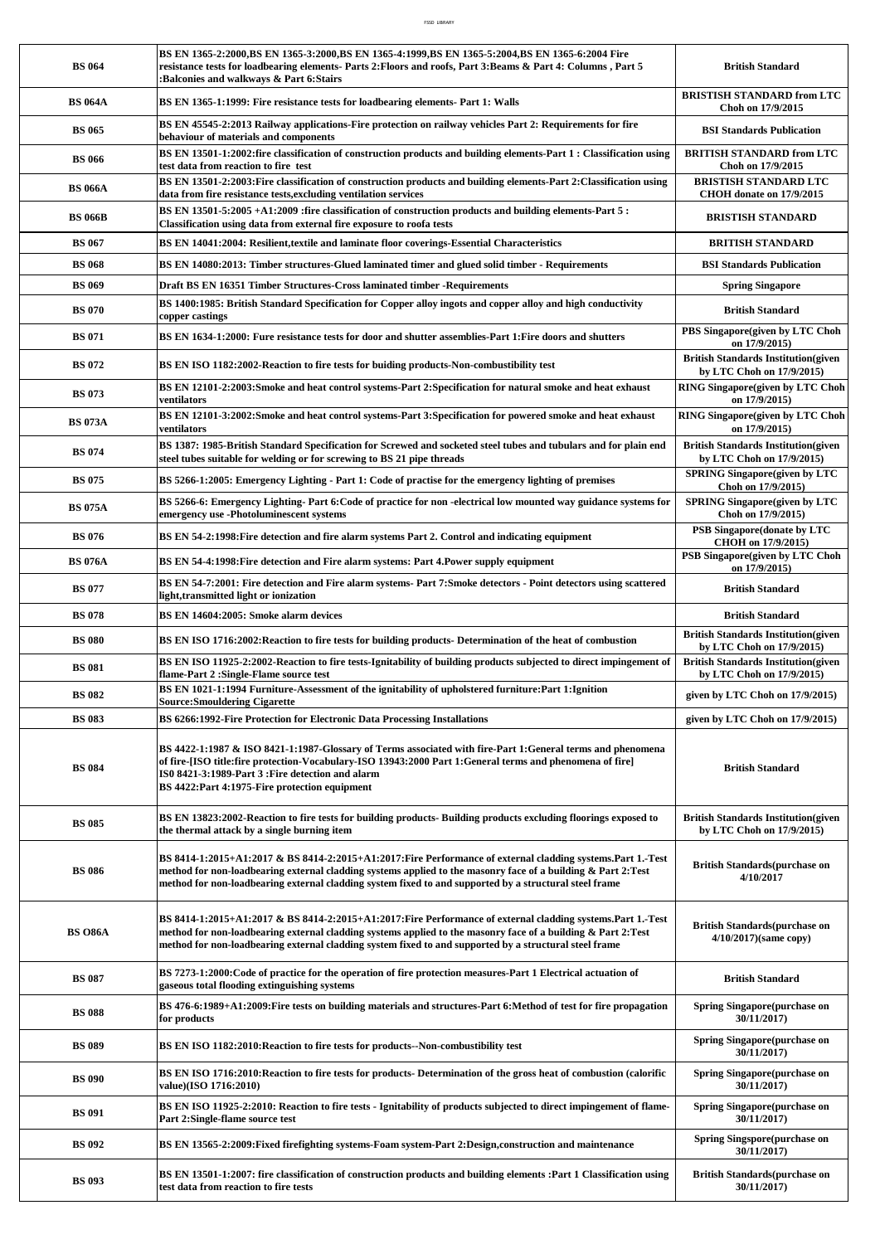| <b>BS 064</b>                  | BS EN 1365-2:2000,BS EN 1365-3:2000,BS EN 1365-4:1999,BS EN 1365-5:2004,BS EN 1365-6:2004 Fire<br>resistance tests for loadbearing elements- Parts 2:Floors and roofs, Part 3:Beams & Part 4: Columns , Part 5<br>Balconies and walkways & Part 6:Stairs:                                                                            | <b>British Standard</b>                                                 |
|--------------------------------|--------------------------------------------------------------------------------------------------------------------------------------------------------------------------------------------------------------------------------------------------------------------------------------------------------------------------------------|-------------------------------------------------------------------------|
| <b>BS 064A</b>                 | BS EN 1365-1:1999: Fire resistance tests for loadbearing elements- Part 1: Walls                                                                                                                                                                                                                                                     | <b>BRISTISH STANDARD from LTC</b><br>Choh on 17/9/2015                  |
| <b>BS 065</b>                  | BS EN 45545-2:2013 Railway applications-Fire protection on railway vehicles Part 2: Requirements for fire<br>behaviour of materials and components                                                                                                                                                                                   | <b>BSI Standards Publication</b>                                        |
| <b>BS 066</b>                  | BS EN 13501-1:2002:fire classification of construction products and building elements-Part 1 : Classification using<br>test data from reaction to fire test                                                                                                                                                                          | <b>BRITISH STANDARD from LTC</b><br>Choh on 17/9/2015                   |
| <b>BS 066A</b>                 | BS EN 13501-2:2003: Fire classification of construction products and building elements-Part 2: Classification using                                                                                                                                                                                                                  | <b>BRISTISH STANDARD LTC</b><br>CHOH donate on 17/9/2015                |
| <b>BS 066B</b>                 | data from fire resistance tests, excluding ventilation services<br>15 BS EN 13501-5:2005 +A1:2009 :fire classification of construction products and building elements-Part                                                                                                                                                           | <b>BRISTISH STANDARD</b>                                                |
|                                | Classification using data from external fire exposure to roofa tests                                                                                                                                                                                                                                                                 |                                                                         |
| <b>BS 067</b><br><b>BS 068</b> | BS EN 14041:2004: Resilient,textile and laminate floor coverings-Essential Characteristics<br>BS EN 14080:2013: Timber structures-Glued laminated timer and glued solid timber - Requirements                                                                                                                                        | <b>BRITISH STANDARD</b><br><b>BSI Standards Publication</b>             |
| <b>BS 069</b>                  | Draft BS EN 16351 Timber Structures-Cross laminated timber - Requirements                                                                                                                                                                                                                                                            | <b>Spring Singapore</b>                                                 |
| <b>BS 070</b>                  | BS 1400:1985: British Standard Specification for Copper alloy ingots and copper alloy and high conductivity                                                                                                                                                                                                                          | <b>British Standard</b>                                                 |
|                                | copper castings                                                                                                                                                                                                                                                                                                                      | PBS Singapore(given by LTC Choh                                         |
| <b>BS 071</b>                  | BS EN 1634-1:2000: Fure resistance tests for door and shutter assemblies-Part 1: Fire doors and shutters                                                                                                                                                                                                                             | on 17/9/2015)                                                           |
| <b>BS 072</b>                  | BS EN ISO 1182:2002-Reaction to fire tests for buiding products-Non-combustibility test                                                                                                                                                                                                                                              | <b>British Standards Institution(given</b><br>by LTC Choh on 17/9/2015) |
| <b>BS 073</b>                  | BS EN 12101-2:2003:Smoke and heat control systems-Part 2:Specification for natural smoke and heat exhaust<br>ventilators                                                                                                                                                                                                             | <b>RING Singapore(given by LTC Choh</b><br>on 17/9/2015)                |
| <b>BS 073A</b>                 | BS EN 12101-3:2002:Smoke and heat control systems-Part 3:Specification for powered smoke and heat exhaust<br>ventilators                                                                                                                                                                                                             | RING Singapore(given by LTC Choh<br>on 17/9/2015)                       |
| <b>BS 074</b>                  | BS 1387: 1985-British Standard Specification for Screwed and socketed steel tubes and tubulars and for plain end<br>steel tubes suitable for welding or for screwing to BS 21 pipe threads                                                                                                                                           | <b>British Standards Institution(given</b><br>by LTC Choh on 17/9/2015) |
| <b>BS 075</b>                  | BS 5266-1:2005: Emergency Lighting - Part 1: Code of practise for the emergency lighting of premises                                                                                                                                                                                                                                 | <b>SPRING Singapore(given by LTC</b><br>Choh on 17/9/2015)              |
| <b>BS 075A</b>                 | BS 5266-6: Emergency Lighting-Part 6:Code of practice for non-electrical low mounted way guidance systems for<br>emergency use -Photoluminescent systems                                                                                                                                                                             | <b>SPRING Singapore(given by LTC</b><br>Choh on 17/9/2015)              |
| <b>BS 076</b>                  | BS EN 54-2:1998: Fire detection and fire alarm systems Part 2. Control and indicating equipment                                                                                                                                                                                                                                      | <b>PSB Singapore(donate by LTC</b><br>CHOH on 17/9/2015)                |
| <b>BS 076A</b>                 | BS EN 54-4:1998:Fire detection and Fire alarm systems: Part 4.Power supply equipment                                                                                                                                                                                                                                                 | <b>PSB Singapore(given by LTC Choh</b><br>on 17/9/2015)                 |
| <b>BS 077</b>                  | BS EN 54-7:2001: Fire detection and Fire alarm systems- Part 7:Smoke detectors - Point detectors using scattered<br>light, transmitted light or ionization                                                                                                                                                                           | <b>British Standard</b>                                                 |
| <b>BS 078</b>                  | BS EN 14604:2005: Smoke alarm devices                                                                                                                                                                                                                                                                                                | <b>British Standard</b>                                                 |
| <b>BS 080</b>                  | BS EN ISO 1716:2002: Reaction to fire tests for building products- Determination of the heat of combustion                                                                                                                                                                                                                           | <b>British Standards Institution given</b><br>by LTC Choh on 17/9/2015) |
| <b>BS 081</b>                  | BS EN ISO 11925-2:2002-Reaction to fire tests-Ignitability of building products subjected to direct impingement of<br>flame-Part 2: Single-Flame source test                                                                                                                                                                         | <b>British Standards Institution(given</b><br>by LTC Choh on 17/9/2015) |
| <b>BS 082</b>                  | BS EN 1021-1:1994 Furniture-Assessment of the ignitability of upholstered furniture: Part 1: Ignition<br><b>Source: Smouldering Cigarette</b>                                                                                                                                                                                        | given by LTC Choh on 17/9/2015)                                         |
| <b>BS 083</b>                  | BS 6266:1992-Fire Protection for Electronic Data Processing Installations                                                                                                                                                                                                                                                            | given by LTC Choh on 17/9/2015)                                         |
| <b>BS 084</b>                  | BS 4422-1:1987 & ISO 8421-1:1987-Glossary of Terms associated with fire-Part 1:General terms and phenomena<br>of fire-IISO title: fire protection-Vocabulary-ISO 13943:2000 Part 1: General terms and phenomena of fire]<br>IS0 8421-3:1989-Part 3 :Fire detection and alarm<br>BS 4422:Part 4:1975-Fire protection equipment        | <b>British Standard</b>                                                 |
| <b>BS 085</b>                  | BS EN 13823:2002-Reaction to fire tests for building products- Building products excluding floorings exposed to<br>the thermal attack by a single burning item                                                                                                                                                                       | <b>British Standards Institution given</b><br>by LTC Choh on 17/9/2015) |
| <b>BS 086</b>                  | BS 8414-1:2015+A1:2017 & BS 8414-2:2015+A1:2017:Fire Performance of external cladding systems.Part 1.-Test<br>method for non-loadbearing external cladding systems applied to the masonry face of a building & Part 2:Test<br>method for non-loadbearing external cladding system fixed to and supported by a structural steel frame | <b>British Standards (purchase on</b><br>4/10/2017                      |
| <b>BS O86A</b>                 | BS 8414-1:2015+A1:2017 & BS 8414-2:2015+A1:2017:Fire Performance of external cladding systems.Part 1.-Test<br>method for non-loadbearing external cladding systems applied to the masonry face of a building & Part 2:Test<br>method for non-loadbearing external cladding system fixed to and supported by a structural steel frame | <b>British Standards (purchase on</b><br>4/10/2017)(same copy)          |
| <b>BS 087</b>                  | BS 7273-1:2000:Code of practice for the operation of fire protection measures-Part 1 Electrical actuation of<br>gaseous total flooding extinguishing systems                                                                                                                                                                         | <b>British Standard</b>                                                 |
| <b>BS 088</b>                  | BS 476-6:1989+A1:2009:Fire tests on building materials and structures-Part 6:Method of test for fire propagation<br>for products                                                                                                                                                                                                     | <b>Spring Singapore(purchase on</b><br>30/11/2017)                      |
| <b>BS 089</b>                  | BS EN ISO 1182:2010: Reaction to fire tests for products--Non-combustibility test                                                                                                                                                                                                                                                    | <b>Spring Singapore(purchase on</b><br>30/11/2017)                      |
| <b>BS 090</b>                  | BS EN ISO 1716:2010:Reaction to fire tests for products- Determination of the gross heat of combustion (calorific<br>value)(ISO 1716:2010)                                                                                                                                                                                           | <b>Spring Singapore(purchase on</b><br>30/11/2017)                      |
| <b>BS 091</b>                  | BS EN ISO 11925-2:2010: Reaction to fire tests - Ignitability of products subjected to direct impingement of flame-<br>Part 2:Single-flame source test                                                                                                                                                                               | <b>Spring Singapore(purchase on</b><br>30/11/2017)                      |
| <b>BS 092</b>                  | BS EN 13565-2:2009: Fixed firefighting systems-Foam system-Part 2: Design, construction and maintenance                                                                                                                                                                                                                              | <b>Spring Singspore(purchase on</b><br>30/11/2017)                      |
| <b>BS 093</b>                  | BS EN 13501-1:2007: fire classification of construction products and building elements :Part 1 Classification using<br>test data from reaction to fire tests                                                                                                                                                                         | <b>British Standards (purchase on</b><br>30/11/2017)                    |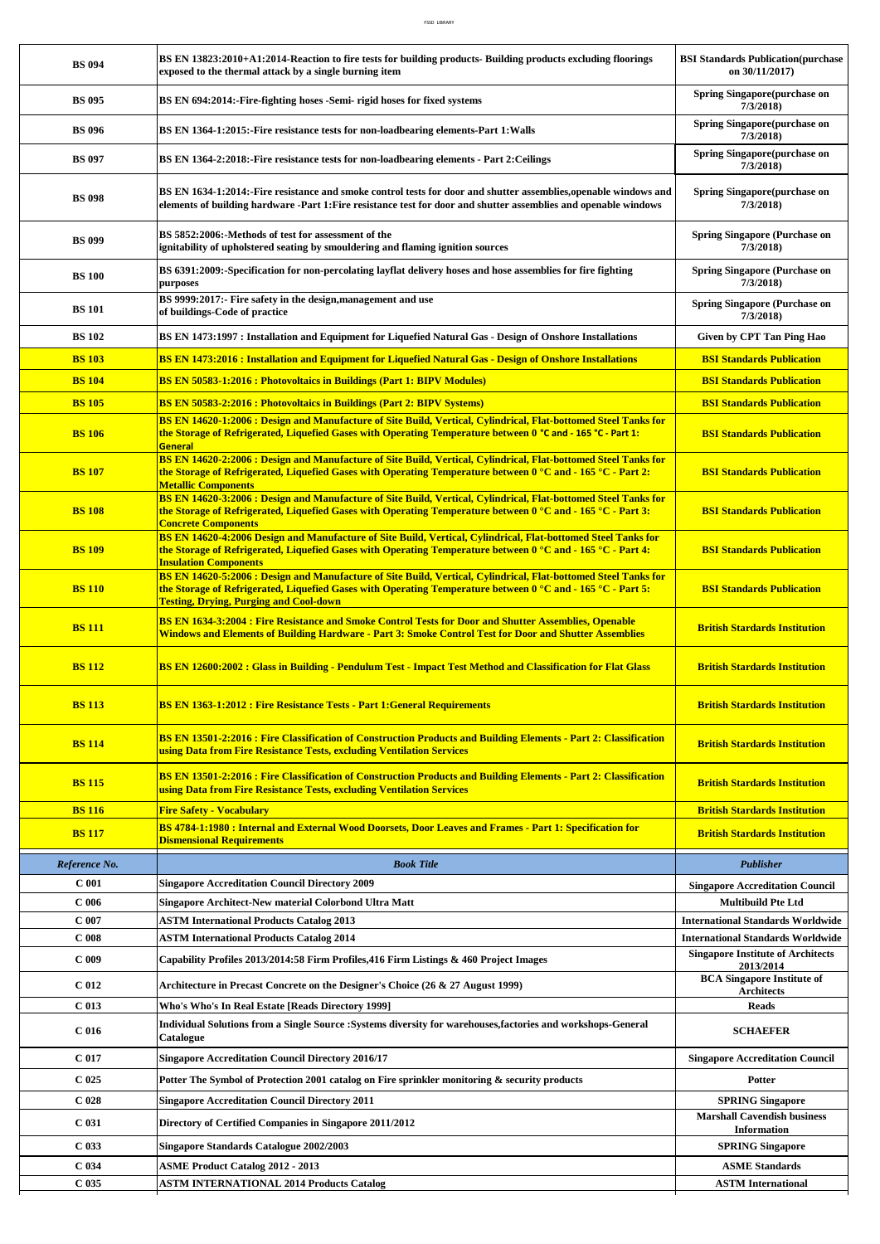| <b>BS 094</b>                        | BS EN 13823:2010+A1:2014-Reaction to fire tests for building products-Building products excluding floorings<br>exposed to the thermal attack by a single burning item                                                                                                                          | <b>BSI Standards Publication(purchase</b><br>on 30/11/2017)   |
|--------------------------------------|------------------------------------------------------------------------------------------------------------------------------------------------------------------------------------------------------------------------------------------------------------------------------------------------|---------------------------------------------------------------|
| <b>BS 095</b>                        | BS EN 694:2014:-Fire-fighting hoses -Semi-rigid hoses for fixed systems                                                                                                                                                                                                                        | <b>Spring Singapore(purchase on</b><br>7/3/2018               |
| <b>BS 096</b>                        | BS EN 1364-1:2015:-Fire resistance tests for non-loadbearing elements-Part 1: Walls                                                                                                                                                                                                            | <b>Spring Singapore(purchase on</b><br>7/3/2018               |
| <b>BS 097</b>                        | BS EN 1364-2:2018:-Fire resistance tests for non-loadbearing elements - Part 2: Ceilings                                                                                                                                                                                                       | <b>Spring Singapore(purchase on</b><br>7/3/2018               |
| <b>BS 098</b>                        | BS EN 1634-1:2014:-Fire resistance and smoke control tests for door and shutter assemblies, openable windows and<br>elements of building hardware -Part 1: Fire resistance test for door and shutter assemblies and openable windows                                                           | <b>Spring Singapore(purchase on</b><br>7/3/2018               |
| <b>BS 099</b>                        | BS 5852:2006:-Methods of test for assessment of the<br>ignitability of upholstered seating by smouldering and flaming ignition sources                                                                                                                                                         | <b>Spring Singapore (Purchase on</b><br>7/3/2018              |
| <b>BS 100</b>                        | BS 6391:2009:-Specification for non-percolating layflat delivery hoses and hose assemblies for fire fighting<br>purposes                                                                                                                                                                       | <b>Spring Singapore (Purchase on</b><br>7/3/2018              |
| <b>BS</b> 101                        | BS 9999:2017:- Fire safety in the design, management and use<br>of buildings-Code of practice                                                                                                                                                                                                  | <b>Spring Singapore (Purchase on</b><br>7/3/2018              |
| <b>BS 102</b>                        | BS EN 1473:1997 : Installation and Equipment for Liquefied Natural Gas - Design of Onshore Installations                                                                                                                                                                                       | Given by CPT Tan Ping Hao                                     |
| <b>BS 103</b>                        | <b>BS EN 1473:2016 : Installation and Equipment for Liquefied Natural Gas - Design of Onshore Installations</b>                                                                                                                                                                                | <b>BSI Standards Publication</b>                              |
| <b>BS</b> 104                        | <b>BS EN 50583-1:2016 : Photovoltaics in Buildings (Part 1: BIPV Modules)</b>                                                                                                                                                                                                                  | <b>BSI Standards Publication</b>                              |
| <b>BS</b> 105                        | <b>BS EN 50583-2:2016 : Photovoltaics in Buildings (Part 2: BIPV Systems)</b>                                                                                                                                                                                                                  | <b>BSI Standards Publication</b>                              |
|                                      | BS EN 14620-1:2006 : Design and Manufacture of Site Build, Vertical, Cylindrical, Flat-bottomed Steel Tanks for                                                                                                                                                                                |                                                               |
| <b>BS 106</b>                        | the Storage of Refrigerated, Liquefied Gases with Operating Temperature between 0 °C and - 165 °C - Part 1:<br><b>General</b>                                                                                                                                                                  | <b>BSI Standards Publication</b>                              |
| <b>BS</b> 107                        | BS EN 14620-2:2006 : Design and Manufacture of Site Build, Vertical, Cylindrical, Flat-bottomed Steel Tanks for<br>the Storage of Refrigerated, Liquefied Gases with Operating Temperature between 0 $^{\circ} \text{C}$ and - 165 $^{\circ} \text{C}$ - Part 2:<br><b>Metallic Components</b> | <b>BSI Standards Publication</b>                              |
| <b>BS 108</b>                        | BS EN 14620-3:2006 : Design and Manufacture of Site Build, Vertical, Cylindrical, Flat-bottomed Steel Tanks for<br>the Storage of Refrigerated, Liquefied Gases with Operating Temperature between 0 °C and - 165 °C - Part 3:<br><b>Concrete Components</b>                                   | <b>BSI Standards Publication</b>                              |
| <b>BS 109</b>                        | BS EN 14620-4:2006 Design and Manufacture of Site Build, Vertical, Cylindrical, Flat-bottomed Steel Tanks for<br>the Storage of Refrigerated, Liquefied Gases with Operating Temperature between 0 °C and - 165 °C - Part 4:<br><b>Insulation Components</b>                                   | <b>BSI Standards Publication</b>                              |
| <b>BS 110</b>                        | BS EN 14620-5:2006 : Design and Manufacture of Site Build, Vertical, Cylindrical, Flat-bottomed Steel Tanks for<br>the Storage of Refrigerated, Liquefied Gases with Operating Temperature between 0 °C and - 165 °C - Part 5:<br><b>Testing, Drying, Purging and Cool-down</b>                | <b>BSI Standards Publication</b>                              |
| <b>BS</b> 111                        | BS EN 1634-3:2004 : Fire Resistance and Smoke Control Tests for Door and Shutter Assemblies, Openable<br>Windows and Elements of Building Hardware - Part 3: Smoke Control Test for Door and Shutter Assemblies                                                                                | <b>British Stardards Institution</b>                          |
| <b>BS 112</b>                        | BS EN 12600:2002 : Glass in Building - Pendulum Test - Impact Test Method and Classification for Flat Glass                                                                                                                                                                                    | <b>British Stardards Institution</b>                          |
| <b>BS 113</b>                        | <b>BS EN 1363-1:2012 : Fire Resistance Tests - Part 1: General Requirements</b>                                                                                                                                                                                                                | <b>British Stardards Institution</b>                          |
| <b>BS</b> 114                        | BS EN 13501-2:2016 : Fire Classification of Construction Products and Building Elements - Part 2: Classification<br><u>using Data from Fire Resistance Tests, excluding Ventilation Services</u>                                                                                               | <b>British Stardards Institution</b>                          |
| <b>BS 115</b>                        | BS EN 13501-2:2016 : Fire Classification of Construction Products and Building Elements - Part 2: Classification<br>using Data from Fire Resistance Tests, excluding Ventilation Services                                                                                                      | <b>British Stardards Institution</b>                          |
| <b>BS</b> 116                        | <b>Fire Safety - Vocabulary</b>                                                                                                                                                                                                                                                                | <b>British Stardards Institution</b>                          |
| <b>BS</b> 117                        | BS 4784-1:1980 : Internal and External Wood Doorsets, Door Leaves and Frames - Part 1: Specification for<br><b>Dismensional Requirements</b>                                                                                                                                                   | <b>British Stardards Institution</b>                          |
| Reference No.                        | <b>Book Title</b>                                                                                                                                                                                                                                                                              | Publisher                                                     |
| C <sub>001</sub>                     | <b>Singapore Accreditation Council Directory 2009</b>                                                                                                                                                                                                                                          | <b>Singapore Accreditation Council</b>                        |
| C <sub>006</sub>                     | <b>Singapore Architect-New material Colorbond Ultra Matt</b>                                                                                                                                                                                                                                   | <b>Multibuild Pte Ltd</b>                                     |
| $C$ 007                              | <b>ASTM International Products Catalog 2013</b>                                                                                                                                                                                                                                                | <b>International Standards Worldwide</b>                      |
| $C$ 008                              | <b>ASTM International Products Catalog 2014</b>                                                                                                                                                                                                                                                | <b>International Standards Worldwide</b>                      |
|                                      |                                                                                                                                                                                                                                                                                                |                                                               |
| $C$ 009                              | Capability Profiles 2013/2014:58 Firm Profiles,416 Firm Listings & 460 Project Images                                                                                                                                                                                                          | <b>Singapore Institute of Architects</b>                      |
|                                      |                                                                                                                                                                                                                                                                                                | 2013/2014<br><b>BCA Singapore Institute of</b>                |
| C <sub>012</sub><br>C <sub>013</sub> | Architecture in Precast Concrete on the Designer's Choice (26 & 27 August 1999)                                                                                                                                                                                                                | <b>Architects</b><br><b>Reads</b>                             |
| C <sub>016</sub>                     | Who's Who's In Real Estate [Reads Directory 1999]<br>Individual Solutions from a Single Source :Systems diversity for warehouses,factories and workshops-General<br>Catalogue                                                                                                                  | <b>SCHAEFER</b>                                               |
| C <sub>017</sub>                     | <b>Singapore Accreditation Council Directory 2016/17</b>                                                                                                                                                                                                                                       | <b>Singapore Accreditation Council</b>                        |
| C <sub>025</sub>                     | Potter The Symbol of Protection 2001 catalog on Fire sprinkler monitoring & security products                                                                                                                                                                                                  | Potter                                                        |
|                                      |                                                                                                                                                                                                                                                                                                |                                                               |
| C <sub>028</sub><br>C <sub>031</sub> | <b>Singapore Accreditation Council Directory 2011</b><br>Directory of Certified Companies in Singapore 2011/2012                                                                                                                                                                               | <b>SPRING Singapore</b><br><b>Marshall Cavendish business</b> |
|                                      |                                                                                                                                                                                                                                                                                                | <b>Information</b>                                            |
| C <sub>033</sub><br>C <sub>034</sub> | <b>Singapore Standards Catalogue 2002/2003</b><br><b>ASME Product Catalog 2012 - 2013</b>                                                                                                                                                                                                      | <b>SPRING Singapore</b><br><b>ASME Standards</b>              |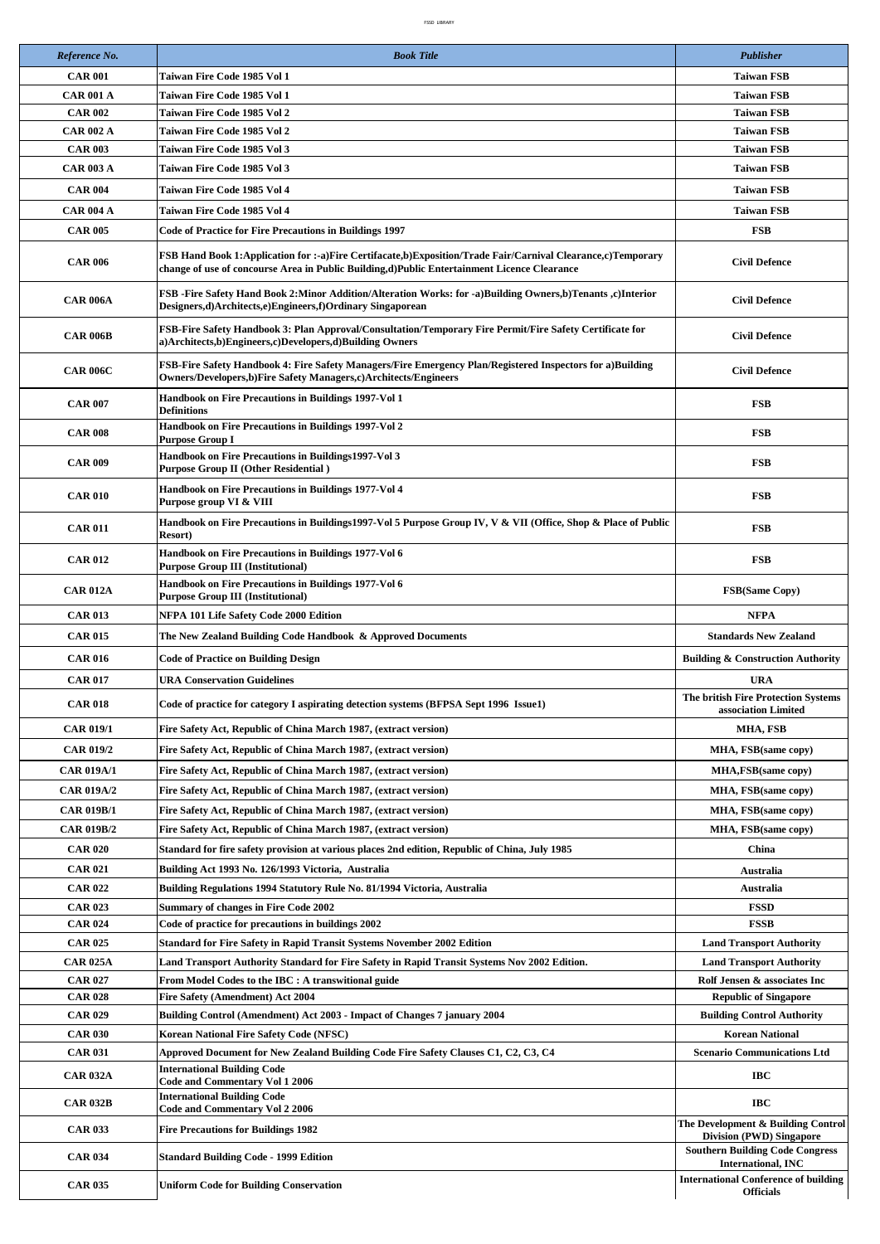| ٧ |
|---|
|   |

| Reference No.     | <b>Book Title</b>                                                                                                                                                                                          | Publisher                                                             |
|-------------------|------------------------------------------------------------------------------------------------------------------------------------------------------------------------------------------------------------|-----------------------------------------------------------------------|
| <b>CAR 001</b>    | Taiwan Fire Code 1985 Vol 1                                                                                                                                                                                | <b>Taiwan FSB</b>                                                     |
| <b>CAR 001 A</b>  | Taiwan Fire Code 1985 Vol 1                                                                                                                                                                                | <b>Taiwan FSB</b>                                                     |
| <b>CAR 002</b>    | Taiwan Fire Code 1985 Vol 2                                                                                                                                                                                | <b>Taiwan FSB</b>                                                     |
| <b>CAR 002 A</b>  | Taiwan Fire Code 1985 Vol 2                                                                                                                                                                                | <b>Taiwan FSB</b>                                                     |
| <b>CAR 003</b>    | Taiwan Fire Code 1985 Vol 3                                                                                                                                                                                | <b>Taiwan FSB</b>                                                     |
| <b>CAR 003 A</b>  | Taiwan Fire Code 1985 Vol 3                                                                                                                                                                                | <b>Taiwan FSB</b>                                                     |
| <b>CAR 004</b>    | Taiwan Fire Code 1985 Vol 4                                                                                                                                                                                | <b>Taiwan FSB</b>                                                     |
| <b>CAR 004 A</b>  | Taiwan Fire Code 1985 Vol 4                                                                                                                                                                                | <b>Taiwan FSB</b>                                                     |
| <b>CAR 005</b>    | <b>Code of Practice for Fire Precautions in Buildings 1997</b>                                                                                                                                             | FSB                                                                   |
| <b>CAR 006</b>    | FSB Hand Book 1:Application for :-a)Fire Certifacate,b)Exposition/Trade Fair/Carnival Clearance,c)Temporary<br>change of use of concourse Area in Public Building,d)Public Entertainment Licence Clearance | <b>Civil Defence</b>                                                  |
| <b>CAR 006A</b>   | FSB -Fire Safety Hand Book 2:Minor Addition/Alteration Works: for -a)Building Owners,b)Tenants ,c)Interior<br>Designers,d)Architects,e)Engineers,f)Ordinary Singaporean                                    | <b>Civil Defence</b>                                                  |
| <b>CAR 006B</b>   | FSB-Fire Safety Handbook 3: Plan Approval/Consultation/Temporary Fire Permit/Fire Safety Certificate for<br>a)Architects,b)Engineers,c)Developers,d)Building Owners                                        | <b>Civil Defence</b>                                                  |
| <b>CAR 006C</b>   | FSB-Fire Safety Handbook 4: Fire Safety Managers/Fire Emergency Plan/Registered Inspectors for a)Building<br>Owners/Developers,b)Fire Safety Managers,c)Architects/Engineers                               | <b>Civil Defence</b>                                                  |
| <b>CAR 007</b>    | <b>Handbook on Fire Precautions in Buildings 1997-Vol 1</b><br><b>Definitions</b>                                                                                                                          | <b>FSB</b>                                                            |
| <b>CAR 008</b>    | Handbook on Fire Precautions in Buildings 1997-Vol 2<br>Purpose Group I                                                                                                                                    | FSB                                                                   |
| <b>CAR 009</b>    | Handbook on Fire Precautions in Buildings1997-Vol 3<br><b>Purpose Group II (Other Residential)</b>                                                                                                         | FSB                                                                   |
| <b>CAR 010</b>    | <b>Handbook on Fire Precautions in Buildings 1977-Vol 4</b><br>Purpose group VI & VIII                                                                                                                     | FSB                                                                   |
| <b>CAR 011</b>    | Handbook on Fire Precautions in Buildings1997-Vol 5 Purpose Group IV, V & VII (Office, Shop & Place of Public<br><b>Resort</b> )                                                                           | FSB                                                                   |
| <b>CAR 012</b>    | Handbook on Fire Precautions in Buildings 1977-Vol 6<br><b>Purpose Group III (Institutional)</b>                                                                                                           | FSB                                                                   |
| <b>CAR 012A</b>   | Handbook on Fire Precautions in Buildings 1977-Vol 6<br><b>Purpose Group III (Institutional)</b>                                                                                                           | <b>FSB(Same Copy)</b>                                                 |
| <b>CAR 013</b>    | NFPA 101 Life Safety Code 2000 Edition                                                                                                                                                                     | <b>NFPA</b>                                                           |
| <b>CAR 015</b>    | The New Zealand Building Code Handbook & Approved Documents                                                                                                                                                | <b>Standards New Zealand</b>                                          |
| <b>CAR 016</b>    | <b>Code of Practice on Building Design</b>                                                                                                                                                                 | <b>Building &amp; Construction Authority</b>                          |
| <b>CAR 017</b>    | <b>URA Conservation Guidelines</b>                                                                                                                                                                         | <b>URA</b>                                                            |
| <b>CAR 018</b>    | Code of practice for category I aspirating detection systems (BFPSA Sept 1996 Issue1)                                                                                                                      | The british Fire Protection Systems<br>association Limited            |
| <b>CAR 019/1</b>  | Fire Safety Act, Republic of China March 1987, (extract version)                                                                                                                                           | MHA, FSB                                                              |
| <b>CAR 019/2</b>  | Fire Safety Act, Republic of China March 1987, (extract version)                                                                                                                                           | MHA, FSB(same copy)                                                   |
| <b>CAR 019A/1</b> | Fire Safety Act, Republic of China March 1987, (extract version)                                                                                                                                           | <b>MHA,FSB</b> (same copy)                                            |
| <b>CAR 019A/2</b> | Fire Safety Act, Republic of China March 1987, (extract version)                                                                                                                                           | MHA, FSB(same copy)                                                   |
| <b>CAR 019B/1</b> | Fire Safety Act, Republic of China March 1987, (extract version)                                                                                                                                           | MHA, FSB(same copy)                                                   |
| <b>CAR 019B/2</b> | Fire Safety Act, Republic of China March 1987, (extract version)                                                                                                                                           | MHA, FSB(same copy)                                                   |
| <b>CAR 020</b>    | Standard for fire safety provision at various places 2nd edition, Republic of China, July 1985                                                                                                             | China                                                                 |
| <b>CAR 021</b>    | Building Act 1993 No. 126/1993 Victoria, Australia                                                                                                                                                         | Australia                                                             |
| <b>CAR 022</b>    | Building Regulations 1994 Statutory Rule No. 81/1994 Victoria, Australia                                                                                                                                   | Australia                                                             |
| <b>CAR 023</b>    | Summary of changes in Fire Code 2002                                                                                                                                                                       | <b>FSSD</b>                                                           |
| <b>CAR 024</b>    | Code of practice for precautions in buildings 2002                                                                                                                                                         | <b>FSSB</b>                                                           |
| <b>CAR 025</b>    | <b>Standard for Fire Safety in Rapid Transit Systems November 2002 Edition</b>                                                                                                                             | <b>Land Transport Authority</b>                                       |
| <b>CAR 025A</b>   | Land Transport Authority Standard for Fire Safety in Rapid Transit Systems Nov 2002 Edition.                                                                                                               | <b>Land Transport Authority</b>                                       |
| <b>CAR 027</b>    | From Model Codes to the IBC : A transwitional guide                                                                                                                                                        | Rolf Jensen & associates Inc                                          |
| <b>CAR 028</b>    | Fire Safety (Amendment) Act 2004                                                                                                                                                                           | <b>Republic of Singapore</b>                                          |
| <b>CAR 029</b>    | <b>Building Control (Amendment) Act 2003 - Impact of Changes 7 january 2004</b>                                                                                                                            | <b>Building Control Authority</b>                                     |
| <b>CAR 030</b>    | Korean National Fire Safety Code (NFSC)                                                                                                                                                                    | <b>Korean National</b>                                                |
| <b>CAR 031</b>    | Approved Document for New Zealand Building Code Fire Safety Clauses C1, C2, C3, C4                                                                                                                         | <b>Scenario Communications Ltd</b>                                    |
| <b>CAR 032A</b>   | <b>International Building Code</b><br><b>Code and Commentary Vol 1 2006</b><br><b>International Building Code</b>                                                                                          | <b>IBC</b>                                                            |
| <b>CAR 032B</b>   | <b>Code and Commentary Vol 2 2006</b>                                                                                                                                                                      | <b>IBC</b>                                                            |
| <b>CAR 033</b>    | <b>Fire Precautions for Buildings 1982</b>                                                                                                                                                                 | The Development & Building Control<br><b>Division (PWD) Singapore</b> |
| <b>CAR 034</b>    | <b>Standard Building Code - 1999 Edition</b>                                                                                                                                                               | <b>Southern Building Code Congress</b><br><b>International, INC</b>   |
| <b>CAR 035</b>    | <b>Uniform Code for Building Conservation</b>                                                                                                                                                              | <b>International Conference of building</b><br><b>Officials</b>       |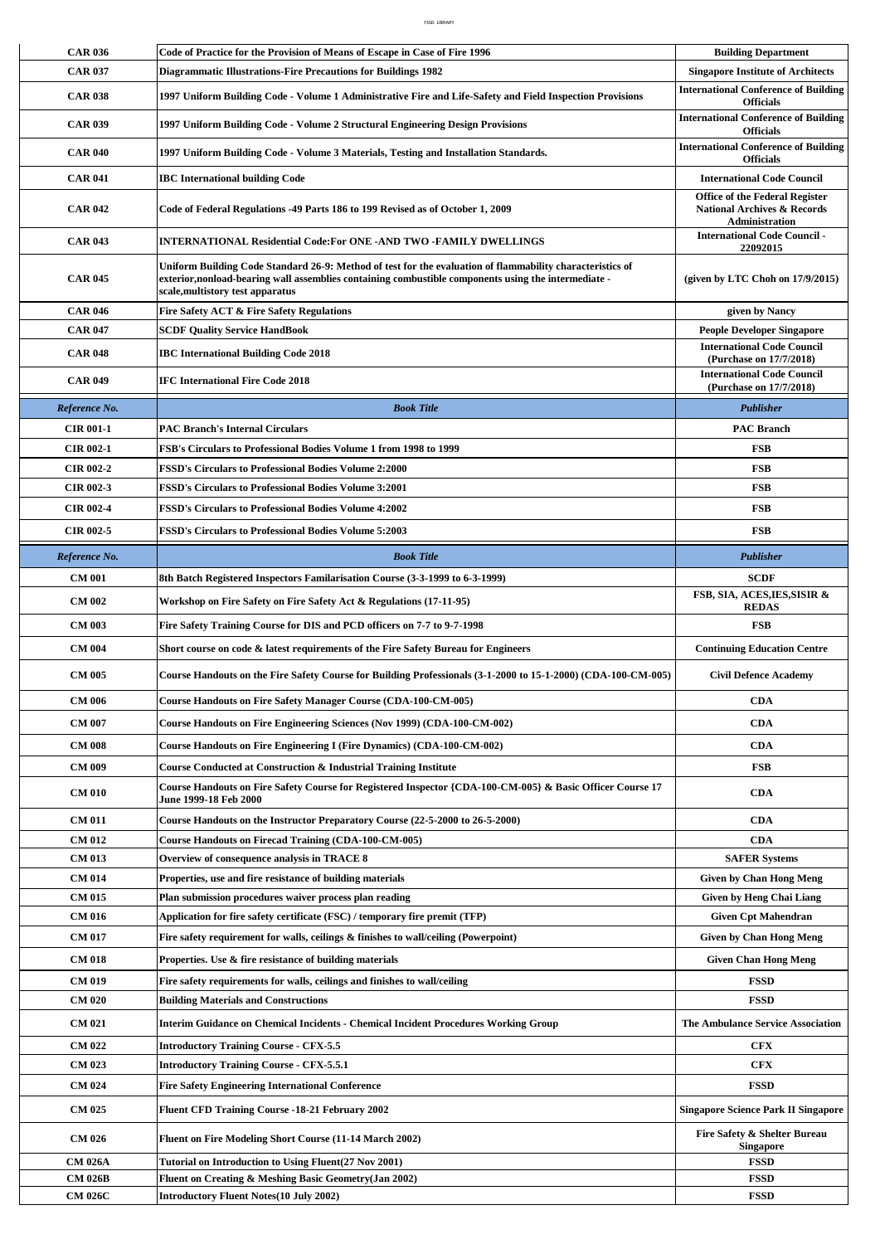| <b>CAR 036</b>   | Code of Practice for the Provision of Means of Escape in Case of Fire 1996                                                                                                                                                                            | <b>Building Department</b>                                                                        |
|------------------|-------------------------------------------------------------------------------------------------------------------------------------------------------------------------------------------------------------------------------------------------------|---------------------------------------------------------------------------------------------------|
| <b>CAR 037</b>   | <b>Diagrammatic Illustrations-Fire Precautions for Buildings 1982</b>                                                                                                                                                                                 | <b>Singapore Institute of Architects</b>                                                          |
| <b>CAR 038</b>   | 1997 Uniform Building Code - Volume 1 Administrative Fire and Life-Safety and Field Inspection Provisions                                                                                                                                             | <b>International Conference of Building</b><br><b>Officials</b>                                   |
| <b>CAR 039</b>   | 1997 Uniform Building Code - Volume 2 Structural Engineering Design Provisions                                                                                                                                                                        | <b>International Conference of Building</b><br><b>Officials</b>                                   |
| <b>CAR 040</b>   | 1997 Uniform Building Code - Volume 3 Materials, Testing and Installation Standards.                                                                                                                                                                  | <b>International Conference of Building</b><br><b>Officials</b>                                   |
| <b>CAR 041</b>   | <b>IBC</b> International building Code                                                                                                                                                                                                                | <b>International Code Council</b>                                                                 |
| <b>CAR 042</b>   | Code of Federal Regulations -49 Parts 186 to 199 Revised as of October 1, 2009                                                                                                                                                                        | <b>Office of the Federal Register</b><br><b>National Archives &amp; Records</b><br>Administration |
| <b>CAR 043</b>   | <b>INTERNATIONAL Residential Code:For ONE -AND TWO -FAMILY DWELLINGS</b>                                                                                                                                                                              | <b>International Code Council -</b><br>22092015                                                   |
| <b>CAR 045</b>   | Uniform Building Code Standard 26-9: Method of test for the evaluation of flammability characteristics of<br>exterior, nonload-bearing wall assemblies containing combustible components using the intermediate -<br>scale, multistory test apparatus | (given by LTC Choh on $17/9/2015$ )                                                               |
| <b>CAR 046</b>   | Fire Safety ACT & Fire Safety Regulations                                                                                                                                                                                                             | given by Nancy                                                                                    |
| <b>CAR 047</b>   | <b>SCDF Quality Service HandBook</b>                                                                                                                                                                                                                  | <b>People Developer Singapore</b>                                                                 |
| <b>CAR 048</b>   | <b>IBC International Building Code 2018</b>                                                                                                                                                                                                           | <b>International Code Council</b><br>(Purchase on 17/7/2018)                                      |
| <b>CAR 049</b>   | <b>IFC International Fire Code 2018</b>                                                                                                                                                                                                               | <b>International Code Council</b><br>(Purchase on 17/7/2018)                                      |
| Reference No.    | <b>Book Title</b>                                                                                                                                                                                                                                     | Publisher                                                                                         |
| <b>CIR 001-1</b> | <b>PAC Branch's Internal Circulars</b>                                                                                                                                                                                                                | <b>PAC Branch</b>                                                                                 |
| <b>CIR 002-1</b> | FSB's Circulars to Professional Bodies Volume 1 from 1998 to 1999                                                                                                                                                                                     | FSB                                                                                               |
| <b>CIR 002-2</b> | <b>FSSD's Circulars to Professional Bodies Volume 2:2000</b>                                                                                                                                                                                          | FSB                                                                                               |
| <b>CIR 002-3</b> | <b>FSSD's Circulars to Professional Bodies Volume 3:2001</b>                                                                                                                                                                                          | FSB                                                                                               |
| <b>CIR 002-4</b> | FSSD's Circulars to Professional Bodies Volume 4:2002                                                                                                                                                                                                 | FSB                                                                                               |
| <b>CIR 002-5</b> | <b>FSSD's Circulars to Professional Bodies Volume 5:2003</b>                                                                                                                                                                                          | FSB                                                                                               |
| Reference No.    | <b>Book Title</b>                                                                                                                                                                                                                                     | <b>Publisher</b>                                                                                  |
| <b>CM 001</b>    | 8th Batch Registered Inspectors Familarisation Course (3-3-1999 to 6-3-1999)                                                                                                                                                                          | <b>SCDF</b>                                                                                       |
| <b>CM 002</b>    | Workshop on Fire Safety on Fire Safety Act & Regulations (17-11-95)                                                                                                                                                                                   | FSB, SIA, ACES, JES, SISIR &<br><b>REDAS</b>                                                      |
| <b>CM 003</b>    | Fire Safety Training Course for DIS and PCD officers on 7-7 to 9-7-1998                                                                                                                                                                               | <b>FSB</b>                                                                                        |
| <b>CM 004</b>    | Short course on code & latest requirements of the Fire Safety Bureau for Engineers                                                                                                                                                                    | <b>Continuing Education Centre</b>                                                                |
| <b>CM 005</b>    | Course Handouts on the Fire Safety Course for Building Professionals (3-1-2000 to 15-1-2000) (CDA-100-CM-005)                                                                                                                                         | <b>Civil Defence Academy</b>                                                                      |
| CM 006           | <b>Course Handouts on Fire Safety Manager Course (CDA-100-CM-005)</b>                                                                                                                                                                                 | <b>CDA</b>                                                                                        |
| <b>CM 007</b>    | Course Handouts on Fire Engineering Sciences (Nov 1999) (CDA-100-CM-002)                                                                                                                                                                              | <b>CDA</b>                                                                                        |
| <b>CM 008</b>    | Course Handouts on Fire Engineering I (Fire Dynamics) (CDA-100-CM-002)                                                                                                                                                                                | <b>CDA</b>                                                                                        |
| CM 009           | <b>Course Conducted at Construction &amp; Industrial Training Institute</b>                                                                                                                                                                           | FSB                                                                                               |
| <b>CM 010</b>    | Course Handouts on Fire Safety Course for Registered Inspector {CDA-100-CM-005} & Basic Officer Course 17<br>June 1999-18 Feb 2000                                                                                                                    | <b>CDA</b>                                                                                        |
| <b>CM 011</b>    | Course Handouts on the Instructor Preparatory Course (22-5-2000 to 26-5-2000)                                                                                                                                                                         | <b>CDA</b>                                                                                        |
| CM 012           | Course Handouts on Firecad Training (CDA-100-CM-005)                                                                                                                                                                                                  | <b>CDA</b>                                                                                        |
| CM 013           | Overview of consequence analysis in TRACE 8                                                                                                                                                                                                           | <b>SAFER Systems</b>                                                                              |
| <b>CM 014</b>    | Properties, use and fire resistance of building materials                                                                                                                                                                                             | <b>Given by Chan Hong Meng</b>                                                                    |
| CM 015           | Plan submission procedures waiver process plan reading                                                                                                                                                                                                | <b>Given by Heng Chai Liang</b>                                                                   |
| <b>CM 016</b>    | Application for fire safety certificate (FSC) / temporary fire premit (TFP)                                                                                                                                                                           | <b>Given Cpt Mahendran</b>                                                                        |
| <b>CM 017</b>    | Fire safety requirement for walls, ceilings & finishes to wall/ceiling (Powerpoint)                                                                                                                                                                   | <b>Given by Chan Hong Meng</b>                                                                    |
| <b>CM 018</b>    | Properties. Use & fire resistance of building materials                                                                                                                                                                                               | <b>Given Chan Hong Meng</b>                                                                       |
| CM 019           | Fire safety requirements for walls, ceilings and finishes to wall/ceiling                                                                                                                                                                             | <b>FSSD</b>                                                                                       |
| <b>CM 020</b>    | <b>Building Materials and Constructions</b>                                                                                                                                                                                                           | <b>FSSD</b>                                                                                       |
| <b>CM 021</b>    | Interim Guidance on Chemical Incidents - Chemical Incident Procedures Working Group                                                                                                                                                                   | <b>The Ambulance Service Association</b>                                                          |
| CM 022           | <b>Introductory Training Course - CFX-5.5</b>                                                                                                                                                                                                         | <b>CFX</b>                                                                                        |
| CM 023           | <b>Introductory Training Course - CFX-5.5.1</b>                                                                                                                                                                                                       | <b>CFX</b>                                                                                        |
| CM 024           | <b>Fire Safety Engineering International Conference</b>                                                                                                                                                                                               | <b>FSSD</b>                                                                                       |
| CM 025           | Fluent CFD Training Course -18-21 February 2002                                                                                                                                                                                                       | <b>Singapore Science Park II Singapore</b>                                                        |
| CM 026           | <b>Fluent on Fire Modeling Short Course (11-14 March 2002)</b>                                                                                                                                                                                        | Fire Safety & Shelter Bureau<br><b>Singapore</b>                                                  |
| <b>CM 026A</b>   | Tutorial on Introduction to Using Fluent(27 Nov 2001)                                                                                                                                                                                                 | <b>FSSD</b>                                                                                       |
| <b>CM 026B</b>   | Fluent on Creating & Meshing Basic Geometry(Jan 2002)                                                                                                                                                                                                 | <b>FSSD</b>                                                                                       |
| <b>CM 026C</b>   | <b>Introductory Fluent Notes (10 July 2002)</b>                                                                                                                                                                                                       | <b>FSSD</b>                                                                                       |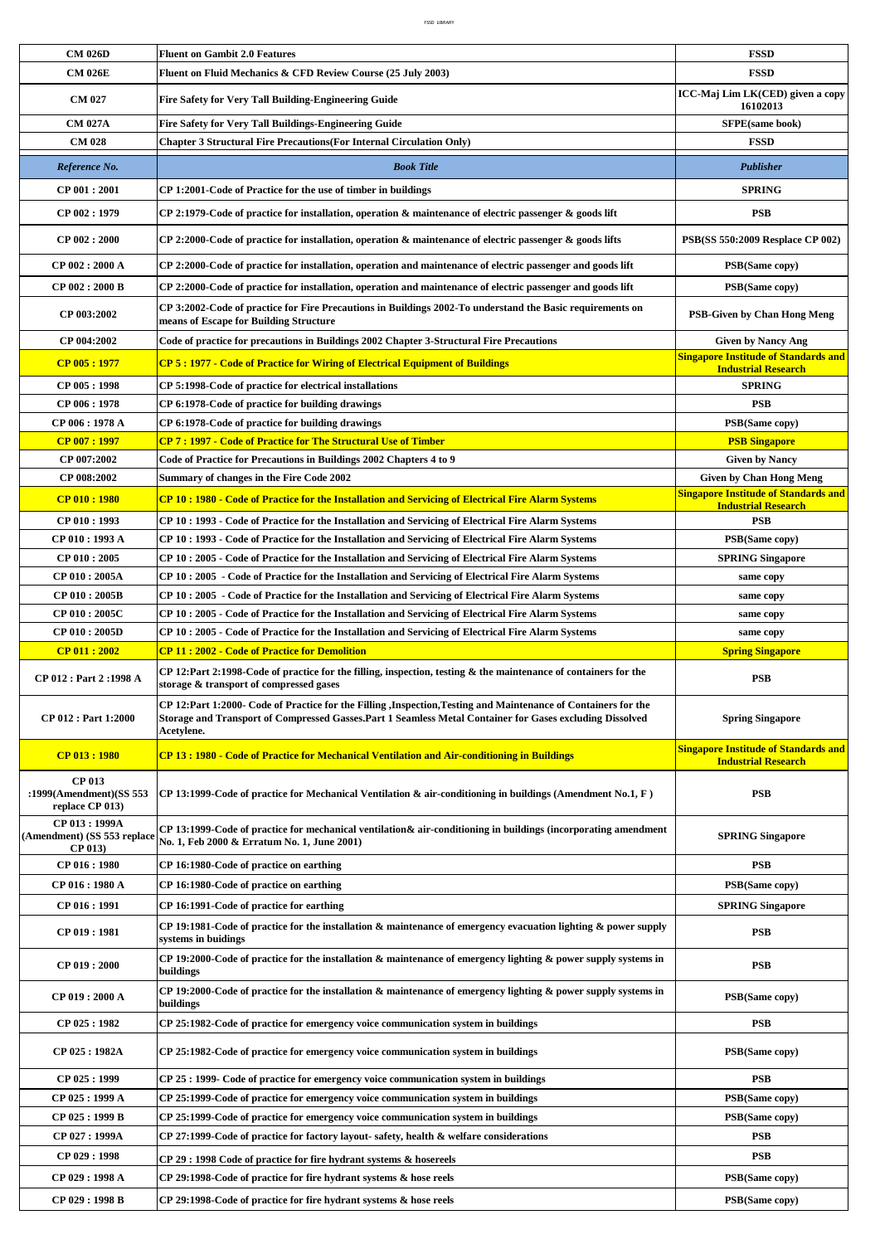| <b>CM 026D</b>                                              | <b>Fluent on Gambit 2.0 Features</b>                                                                                                                                                                                                    | <b>FSSD</b>                                                                   |
|-------------------------------------------------------------|-----------------------------------------------------------------------------------------------------------------------------------------------------------------------------------------------------------------------------------------|-------------------------------------------------------------------------------|
| <b>CM 026E</b>                                              | Fluent on Fluid Mechanics & CFD Review Course (25 July 2003)                                                                                                                                                                            | <b>FSSD</b>                                                                   |
| <b>CM 027</b>                                               | Fire Safety for Very Tall Building-Engineering Guide                                                                                                                                                                                    | ICC-Maj Lim LK(CED) given a copy<br>16102013                                  |
| CM 027A                                                     | Fire Safety for Very Tall Buildings-Engineering Guide                                                                                                                                                                                   | <b>SFPE</b> (same book)                                                       |
| <b>CM 028</b>                                               | <b>Chapter 3 Structural Fire Precautions (For Internal Circulation Only)</b>                                                                                                                                                            | <b>FSSD</b>                                                                   |
| Reference No.                                               | <b>Book Title</b>                                                                                                                                                                                                                       | <b>Publisher</b>                                                              |
|                                                             |                                                                                                                                                                                                                                         |                                                                               |
| CP 001:2001                                                 | CP 1:2001-Code of Practice for the use of timber in buildings                                                                                                                                                                           | <b>SPRING</b>                                                                 |
| CP 002:1979                                                 | CP 2:1979-Code of practice for installation, operation & maintenance of electric passenger & goods lift                                                                                                                                 | <b>PSB</b>                                                                    |
| CP 002:2000                                                 | CP 2:2000-Code of practice for installation, operation $\&$ maintenance of electric passenger $\&$ goods lifts                                                                                                                          | <b>PSB(SS 550:2009 Resplace CP 002)</b>                                       |
| CP 002: 2000 A                                              | CP 2:2000-Code of practice for installation, operation and maintenance of electric passenger and goods lift                                                                                                                             | PSB(Same copy)                                                                |
| CP 002:2000 B                                               | CP 2:2000-Code of practice for installation, operation and maintenance of electric passenger and goods lift                                                                                                                             | <b>PSB</b> (Same copy)                                                        |
| CP 003:2002                                                 | CP 3:2002-Code of practice for Fire Precautions in Buildings 2002-To understand the Basic requirements on<br>means of Escape for Building Structure                                                                                     | <b>PSB-Given by Chan Hong Meng</b>                                            |
| CP 004:2002                                                 | Code of practice for precautions in Buildings 2002 Chapter 3-Structural Fire Precautions                                                                                                                                                | <b>Given by Nancy Ang</b>                                                     |
| CP 005:1977                                                 | CP 5 : 1977 - Code of Practice for Wiring of Electrical Equipment of Buildings                                                                                                                                                          | <b>Singapore Institude of Standards and</b>                                   |
|                                                             |                                                                                                                                                                                                                                         | <b>Industrial Research</b>                                                    |
| CP 005:1998                                                 | CP 5:1998-Code of practice for electrical installations                                                                                                                                                                                 | <b>SPRING</b>                                                                 |
| CP 006:1978                                                 | CP 6:1978-Code of practice for building drawings                                                                                                                                                                                        | <b>PSB</b>                                                                    |
| CP 006 : 1978 A                                             | CP 6:1978-Code of practice for building drawings                                                                                                                                                                                        | <b>PSB</b> (Same copy)                                                        |
| CP 007:1997                                                 | CP 7 : 1997 - Code of Practice for The Structural Use of Timber                                                                                                                                                                         | <b>PSB Singapore</b>                                                          |
| CP 007:2002<br>CP 008:2002                                  | Code of Practice for Precautions in Buildings 2002 Chapters 4 to 9                                                                                                                                                                      | <b>Given by Nancy</b>                                                         |
| CP 010:1980                                                 | Summary of changes in the Fire Code 2002<br>CP 10 : 1980 - Code of Practice for the Installation and Servicing of Electrical Fire Alarm Systems                                                                                         | <b>Given by Chan Hong Meng</b><br><b>Singapore Institude of Standards and</b> |
| CP 010:1993                                                 | CP 10 : 1993 - Code of Practice for the Installation and Servicing of Electrical Fire Alarm Systems                                                                                                                                     | <b>Industrial Research</b><br><b>PSB</b>                                      |
| CP 010 : 1993 A                                             | CP 10 : 1993 - Code of Practice for the Installation and Servicing of Electrical Fire Alarm Systems                                                                                                                                     | PSB(Same copy)                                                                |
| CP 010 : 2005                                               | CP 10 : 2005 - Code of Practice for the Installation and Servicing of Electrical Fire Alarm Systems                                                                                                                                     | <b>SPRING Singapore</b>                                                       |
| CP 010: 2005A                                               | CP 10 : 2005 - Code of Practice for the Installation and Servicing of Electrical Fire Alarm Systems                                                                                                                                     | same copy                                                                     |
| CP 010:2005B                                                | CP 10 : 2005 - Code of Practice for the Installation and Servicing of Electrical Fire Alarm Systems                                                                                                                                     | same copy                                                                     |
| CP 010 : 2005C                                              | CP 10 : 2005 - Code of Practice for the Installation and Servicing of Electrical Fire Alarm Systems                                                                                                                                     | same copy                                                                     |
| CP 010:2005D                                                | CP 10 : 2005 - Code of Practice for the Installation and Servicing of Electrical Fire Alarm Systems                                                                                                                                     | same copy                                                                     |
| CP 011:2002                                                 | <b>CP 11 : 2002 - Code of Practice for Demolition</b>                                                                                                                                                                                   | <b>Spring Singapore</b>                                                       |
| CP 012 : Part 2:1998 A                                      | CP 12:Part 2:1998-Code of practice for the filling, inspection, testing $\&$ the maintenance of containers for the<br>storage & transport of compressed gases                                                                           | <b>PSB</b>                                                                    |
| CP 012 : Part 1:2000                                        | CP 12:Part 1:2000- Code of Practice for the Filling ,Inspection,Testing and Maintenance of Containers for the<br>Storage and Transport of Compressed Gasses.Part 1 Seamless Metal Container for Gases excluding Dissolved<br>Acetylene. | <b>Spring Singapore</b>                                                       |
| $CP$ 013 : 1980                                             | CP 13 : 1980 - Code of Practice for Mechanical Ventilation and Air-conditioning in Buildings                                                                                                                                            | <b>Singapore Institude of Standards and</b><br><b>Industrial Research</b>     |
| <b>CP 013</b><br>:1999(Amendment)(SS 553<br>replace CP 013) | CP 13:1999-Code of practice for Mechanical Ventilation & air-conditioning in buildings (Amendment No.1, F)                                                                                                                              | <b>PSB</b>                                                                    |
| CP 013:1999A<br>(Amendment) (SS 553 replace<br>$CP$ 013)    | CP 13:1999-Code of practice for mechanical ventilation & air-conditioning in buildings (incorporating amendment<br>No. 1, Feb 2000 & Erratum No. 1, June 2001)                                                                          | <b>SPRING Singapore</b>                                                       |
| CP 016:1980                                                 | CP 16:1980-Code of practice on earthing                                                                                                                                                                                                 | <b>PSB</b>                                                                    |
| CP 016 : 1980 A                                             | CP 16:1980-Code of practice on earthing                                                                                                                                                                                                 | <b>PSB</b> (Same copy)                                                        |
| CP 016:1991                                                 | CP 16:1991-Code of practice for earthing                                                                                                                                                                                                | <b>SPRING Singapore</b>                                                       |
| CP 019:1981                                                 | CP 19:1981-Code of practice for the installation & maintenance of emergency evacuation lighting & power supply<br>systems in buidings                                                                                                   | <b>PSB</b>                                                                    |
| CP 019:2000                                                 | CP 19:2000-Code of practice for the installation & maintenance of emergency lighting & power supply systems in<br>buildings                                                                                                             | <b>PSB</b>                                                                    |
| CP 019 : 2000 A                                             | CP 19:2000-Code of practice for the installation $\&$ maintenance of emergency lighting $\&$ power supply systems in<br>buildings                                                                                                       | <b>PSB</b> (Same copy)                                                        |
| CP 025:1982                                                 | CP 25:1982-Code of practice for emergency voice communication system in buildings                                                                                                                                                       | <b>PSB</b>                                                                    |
| CP 025 : 1982A                                              | CP 25:1982-Code of practice for emergency voice communication system in buildings                                                                                                                                                       | <b>PSB</b> (Same copy)                                                        |
| CP 025:1999                                                 | CP 25 : 1999- Code of practice for emergency voice communication system in buildings                                                                                                                                                    | <b>PSB</b>                                                                    |
| CP 025 : 1999 A                                             | CP 25:1999-Code of practice for emergency voice communication system in buildings                                                                                                                                                       | <b>PSB</b> (Same copy)                                                        |
| CP 025:1999 B                                               | CP 25:1999-Code of practice for emergency voice communication system in buildings                                                                                                                                                       | PSB(Same copy)                                                                |
| CP 027: 1999A                                               | CP 27:1999-Code of practice for factory layout-safety, health & welfare considerations                                                                                                                                                  | PSB                                                                           |
| CP 029:1998                                                 | CP 29:1998 Code of practice for fire hydrant systems & hosereels                                                                                                                                                                        | PSB                                                                           |
| CP 029:1998 A                                               | CP 29:1998-Code of practice for fire hydrant systems & hose reels                                                                                                                                                                       | <b>PSB</b> (Same copy)                                                        |
|                                                             |                                                                                                                                                                                                                                         |                                                                               |
| CP 029:1998 B                                               | CP 29:1998-Code of practice for fire hydrant systems & hose reels                                                                                                                                                                       | PSB(Same copy)                                                                |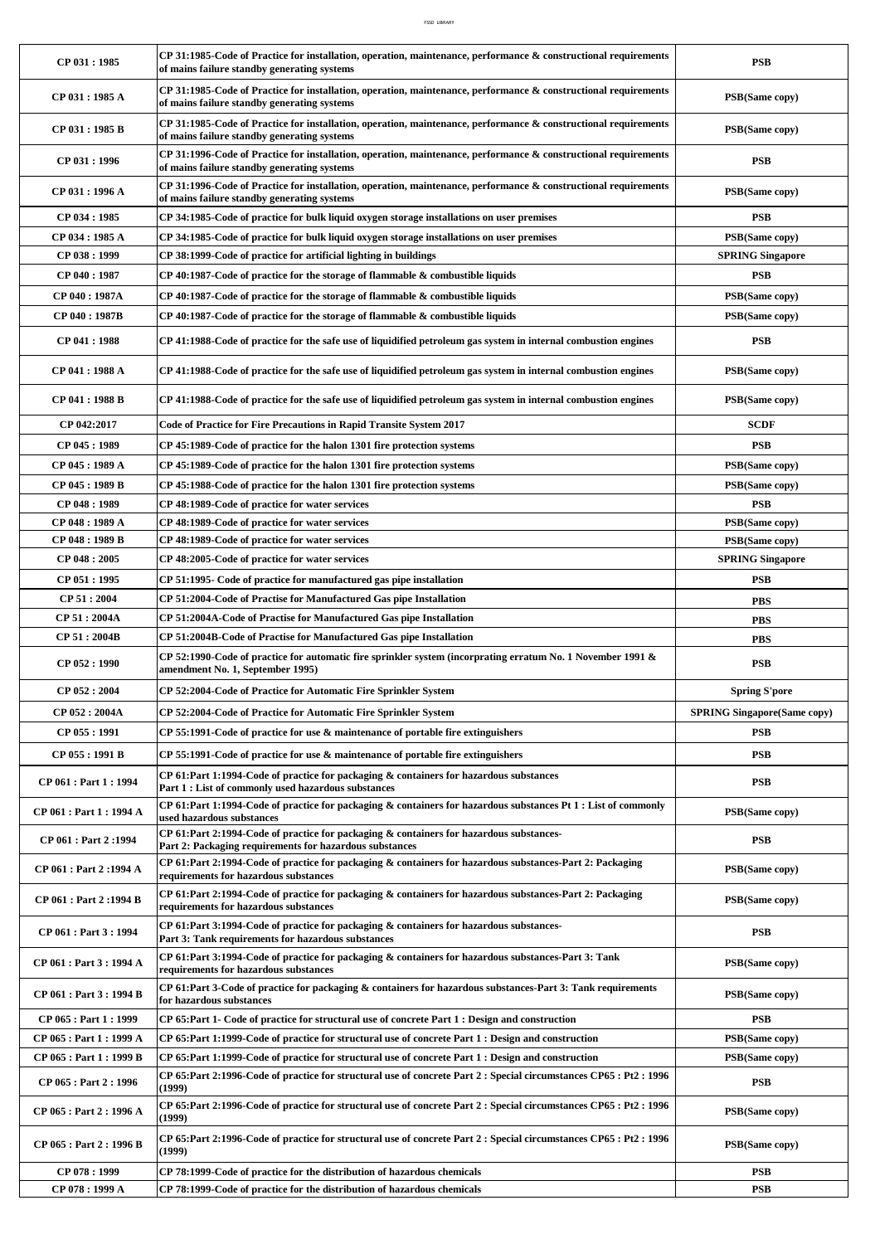| CP 031:1985              | CP 31:1985-Code of Practice for installation, operation, maintenance, performance & constructional requirements<br>of mains failure standby generating systems | <b>PSB</b>                         |
|--------------------------|----------------------------------------------------------------------------------------------------------------------------------------------------------------|------------------------------------|
| CP 031 : 1985 A          | CP 31:1985-Code of Practice for installation, operation, maintenance, performance & constructional requirements<br>of mains failure standby generating systems | <b>PSB</b> (Same copy)             |
| CP 031 : 1985 B          | CP 31:1985-Code of Practice for installation, operation, maintenance, performance & constructional requirements<br>of mains failure standby generating systems | PSB(Same copy)                     |
| CP 031 : 1996            | CP 31:1996-Code of Practice for installation, operation, maintenance, performance & constructional requirements<br>of mains failure standby generating systems | <b>PSB</b>                         |
| CP 031 : 1996 A          | CP 31:1996-Code of Practice for installation, operation, maintenance, performance & constructional requirements<br>of mains failure standby generating systems | <b>PSB</b> (Same copy)             |
| CP 034:1985              | CP 34:1985-Code of practice for bulk liquid oxygen storage installations on user premises                                                                      | PSB                                |
| CP 034 : 1985 A          | CP 34:1985-Code of practice for bulk liquid oxygen storage installations on user premises                                                                      | PSB(Same copy)                     |
| CP 038:1999              | CP 38:1999-Code of practice for artificial lighting in buildings                                                                                               | <b>SPRING Singapore</b>            |
| CP 040:1987              | CP 40:1987-Code of practice for the storage of flammable & combustible liquids                                                                                 | <b>PSB</b>                         |
| CP 040 : 1987A           | CP 40:1987-Code of practice for the storage of flammable & combustible liquids                                                                                 | <b>PSB</b> (Same copy)             |
| CP 040: 1987B            | CP 40:1987-Code of practice for the storage of flammable & combustible liquids                                                                                 | <b>PSB</b> (Same copy)             |
| CP 041:1988              | CP 41:1988-Code of practice for the safe use of liquidified petroleum gas system in internal combustion engines                                                | <b>PSB</b>                         |
| CP 041 : 1988 A          | CP 41:1988-Code of practice for the safe use of liquidified petroleum gas system in internal combustion engines                                                | PSB(Same copy)                     |
| CP 041:1988 B            | CP 41:1988-Code of practice for the safe use of liquidified petroleum gas system in internal combustion engines                                                | <b>PSB</b> (Same copy)             |
| CP 042:2017              | Code of Practice for Fire Precautions in Rapid Transite System 2017                                                                                            | <b>SCDF</b>                        |
| CP 045:1989              | CP 45:1989-Code of practice for the halon 1301 fire protection systems                                                                                         | <b>PSB</b>                         |
| CP 045 : 1989 A          | CP 45:1989-Code of practice for the halon 1301 fire protection systems                                                                                         | <b>PSB</b> (Same copy)             |
| CP 045 : 1989 B          | CP 45:1988-Code of practice for the halon 1301 fire protection systems                                                                                         | <b>PSB</b> (Same copy)             |
| CP 048:1989              | CP 48:1989-Code of practice for water services                                                                                                                 | PSB                                |
| CP 048:1989 A            | CP 48:1989-Code of practice for water services                                                                                                                 | PSB(Same copy)                     |
| CP 048:1989 B            | CP 48:1989-Code of practice for water services                                                                                                                 | <b>PSB</b> (Same copy)             |
| CP 048:2005              | CP 48:2005-Code of practice for water services                                                                                                                 | <b>SPRING Singapore</b>            |
| CP 051:1995              | CP 51:1995- Code of practice for manufactured gas pipe installation                                                                                            | <b>PSB</b>                         |
| CP 51:2004               | CP 51:2004-Code of Practise for Manufactured Gas pipe Installation                                                                                             | <b>PBS</b>                         |
| CP 51:2004A              | CP 51:2004A-Code of Practise for Manufactured Gas pipe Installation                                                                                            | <b>PBS</b>                         |
| CP 51:2004B              | CP 51:2004B-Code of Practise for Manufactured Gas pipe Installation                                                                                            | <b>PBS</b>                         |
| CP 052:1990              | CP 52:1990-Code of practice for automatic fire sprinkler system (incorprating erratum No. 1 November 1991 $\&$<br>amendment No. 1, September 1995)             | <b>PSB</b>                         |
| CP 052:2004              | CP 52:2004-Code of Practice for Automatic Fire Sprinkler System                                                                                                | <b>Spring S'pore</b>               |
| CP 052:2004A             | CP 52:2004-Code of Practice for Automatic Fire Sprinkler System                                                                                                | <b>SPRING Singapore(Same copy)</b> |
| CP 055 : 1991            | CP 55:1991-Code of practice for use $\&$ maintenance of portable fire extinguishers                                                                            | PSB                                |
| CP 055:1991B             | CP 55:1991-Code of practice for use & maintenance of portable fire extinguishers                                                                               | <b>PSB</b>                         |
| CP 061 : Part 1 : 1994   | CP 61:Part 1:1994-Code of practice for packaging $\&$ containers for hazardous substances<br>Part 1 : List of commonly used hazardous substances               | <b>PSB</b>                         |
| CP 061 : Part 1 : 1994 A | CP 61:Part 1:1994-Code of practice for packaging $\&$ containers for hazardous substances Pt 1 : List of commonly<br>used hazardous substances                 | <b>PSB</b> (Same copy)             |
| CP 061 : Part 2:1994     | CP 61:Part 2:1994-Code of practice for packaging $\&$ containers for hazardous substances-<br>Part 2: Packaging requirements for hazardous substances          | <b>PSB</b>                         |
| CP 061 : Part 2:1994 A   | CP 61:Part 2:1994-Code of practice for packaging & containers for hazardous substances-Part 2: Packaging<br>requirements for hazardous substances              | PSB(Same copy)                     |
| CP 061 : Part 2:1994 B   | CP 61:Part 2:1994-Code of practice for packaging & containers for hazardous substances-Part 2: Packaging<br>requirements for hazardous substances              | <b>PSB</b> (Same copy)             |
| CP 061 : Part 3 : 1994   | CP 61:Part 3:1994-Code of practice for packaging $\&$ containers for hazardous substances-<br>Part 3: Tank requirements for hazardous substances               | <b>PSB</b>                         |
| CP 061 : Part 3 : 1994 A | CP 61:Part 3:1994-Code of practice for packaging & containers for hazardous substances-Part 3: Tank<br>requirements for hazardous substances                   | <b>PSB</b> (Same copy)             |
| CP 061 : Part 3 : 1994 B | CP 61:Part 3-Code of practice for packaging & containers for hazardous substances-Part 3: Tank requirements<br>for hazardous substances                        | <b>PSB</b> (Same copy)             |
| CP 065 : Part 1 : 1999   | CP 65:Part 1- Code of practice for structural use of concrete Part 1 : Design and construction                                                                 | <b>PSB</b>                         |
| CP 065 : Part 1 : 1999 A | CP 65:Part 1:1999-Code of practice for structural use of concrete Part 1 : Design and construction                                                             | <b>PSB</b> (Same copy)             |
| CP 065 : Part 1 : 1999 B | CP 65:Part 1:1999-Code of practice for structural use of concrete Part 1 : Design and construction                                                             | <b>PSB</b> (Same copy)             |
| CP 065 : Part 2 : 1996   | OP 65:Part 2:1996-Code of practice for structural use of concrete Part 2 : Special circumstances CP65 : Pt2 : 1996<br>(1999)                                   | <b>PSB</b>                         |
| CP 065 : Part 2 : 1996 A | CP 65:Part 2:1996-Code of practice for structural use of concrete Part 2 : Special circumstances CP65 : Pt2 : 1996<br>(1999)                                   | <b>PSB</b> (Same copy)             |
| CP 065 : Part 2 : 1996 B | CP 65:Part 2:1996-Code of practice for structural use of concrete Part 2 : Special circumstances CP65 : Pt2 : 1996<br>(1999)                                   | <b>PSB</b> (Same copy)             |
| CP 078:1999              | CP 78:1999-Code of practice for the distribution of hazardous chemicals                                                                                        | <b>PSB</b>                         |
| CP 078:1999 A            | CP 78:1999-Code of practice for the distribution of hazardous chemicals                                                                                        | PSB                                |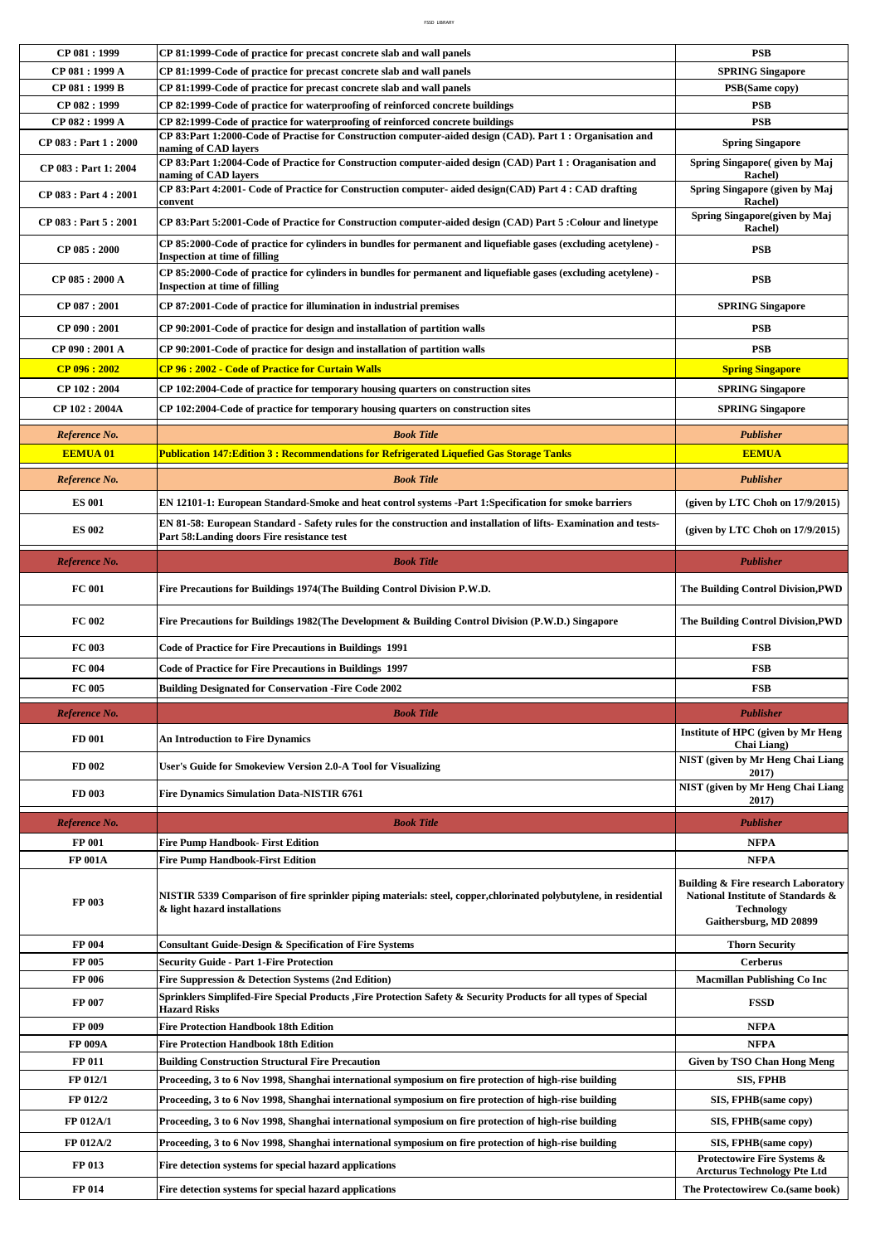| CP 081:1999            | CP 81:1999-Code of practice for precast concrete slab and wall panels                                                                                                                                                           | <b>PSB</b>                                                                                                                         |
|------------------------|---------------------------------------------------------------------------------------------------------------------------------------------------------------------------------------------------------------------------------|------------------------------------------------------------------------------------------------------------------------------------|
| CP 081:1999 A          | CP 81:1999-Code of practice for precast concrete slab and wall panels                                                                                                                                                           | <b>SPRING Singapore</b>                                                                                                            |
| CP 081:1999 B          | CP 81:1999-Code of practice for precast concrete slab and wall panels                                                                                                                                                           | <b>PSB</b> (Same copy)                                                                                                             |
| CP 082:1999            | CP 82:1999-Code of practice for waterproofing of reinforced concrete buildings                                                                                                                                                  | <b>PSB</b>                                                                                                                         |
| CP 082:1999 A          | CP 82:1999-Code of practice for waterproofing of reinforced concrete buildings                                                                                                                                                  | <b>PSB</b>                                                                                                                         |
| CP 083 : Part 1 : 2000 | CP 83:Part 1:2000-Code of Practise for Construction computer-aided design (CAD). Part 1: Organisation and                                                                                                                       |                                                                                                                                    |
| CP 083 : Part 1: 2004  | naming of CAD layers<br>CP 83:Part 1:2004-Code of Practice for Construction computer-aided design (CAD) Part 1 : Oraganisation and                                                                                              | <b>Spring Singapore</b><br>Spring Singapore( given by Maj                                                                          |
|                        | naming of CAD layers<br>CP 83:Part 4:2001- Code of Practice for Construction computer- aided design(CAD) Part 4: CAD drafting                                                                                                   | Rachel)<br>Spring Singapore (given by Maj                                                                                          |
| CP 083 : Part 4 : 2001 | convent                                                                                                                                                                                                                         | Rachel)<br>Spring Singapore(given by Maj                                                                                           |
| CP 083 : Part 5 : 2001 | CP 83:Part 5:2001-Code of Practice for Construction computer-aided design (CAD) Part 5: Colour and linetype<br>CP 85:2000-Code of practice for cylinders in bundles for permanent and liquefiable gases (excluding acetylene) - | <b>Rachel</b> )                                                                                                                    |
| CP 085:2000            | <b>Inspection at time of filling</b>                                                                                                                                                                                            | <b>PSB</b>                                                                                                                         |
| CP 085:2000 A          | CP 85:2000-Code of practice for cylinders in bundles for permanent and liquefiable gases (excluding acetylene) -<br><b>Inspection at time of filling</b>                                                                        | <b>PSB</b>                                                                                                                         |
| CP 087:2001            | CP 87:2001-Code of practice for illumination in industrial premises                                                                                                                                                             | <b>SPRING Singapore</b>                                                                                                            |
| CP 090:2001            | CP 90:2001-Code of practice for design and installation of partition walls                                                                                                                                                      | <b>PSB</b>                                                                                                                         |
| CP 090 : 2001 A        | CP 90:2001-Code of practice for design and installation of partition walls                                                                                                                                                      | <b>PSB</b>                                                                                                                         |
| CP 096: 2002           | <b>CP 96: 2002 - Code of Practice for Curtain Walls</b>                                                                                                                                                                         | <b>Spring Singapore</b>                                                                                                            |
| CP 102:2004            | CP 102:2004-Code of practice for temporary housing quarters on construction sites                                                                                                                                               | <b>SPRING Singapore</b>                                                                                                            |
| CP 102:2004A           | CP 102:2004-Code of practice for temporary housing quarters on construction sites                                                                                                                                               | <b>SPRING Singapore</b>                                                                                                            |
|                        | <b>Book Title</b>                                                                                                                                                                                                               | <b>Publisher</b>                                                                                                                   |
| Reference No.          | Publication 147: Edition 3 : Recommendations for Refrigerated Liquefied Gas Storage Tanks                                                                                                                                       |                                                                                                                                    |
| <b>EEMUA 01</b>        |                                                                                                                                                                                                                                 | <b>EEMUA</b>                                                                                                                       |
| Reference No.          | <b>Book Title</b>                                                                                                                                                                                                               | <b>Publisher</b>                                                                                                                   |
| <b>ES 001</b>          | EN 12101-1: European Standard-Smoke and heat control systems -Part 1: Specification for smoke barriers                                                                                                                          | (given by LTC Choh on 17/9/2015)                                                                                                   |
| <b>ES 002</b>          | EN 81-58: European Standard - Safety rules for the construction and installation of lifts- Examination and tests-<br>Part 58: Landing doors Fire resistance test                                                                | (given by LTC Choh on 17/9/2015)                                                                                                   |
| Reference No.          | <b>Book Title</b>                                                                                                                                                                                                               | <b>Publisher</b>                                                                                                                   |
| <b>FC 001</b>          | Fire Precautions for Buildings 1974(The Building Control Division P.W.D.                                                                                                                                                        | The Building Control Division, PWD                                                                                                 |
| <b>FC 002</b>          | Fire Precautions for Buildings 1982(The Development & Building Control Division (P.W.D.) Singapore                                                                                                                              | The Building Control Division, PWD                                                                                                 |
| FC 003                 | <b>Code of Practice for Fire Precautions in Buildings 1991</b>                                                                                                                                                                  | <b>FSB</b>                                                                                                                         |
| FC 004                 | <b>Code of Practice for Fire Precautions in Buildings 1997</b>                                                                                                                                                                  | FSB                                                                                                                                |
| <b>FC 005</b>          | <b>Building Designated for Conservation - Fire Code 2002</b>                                                                                                                                                                    | FSB                                                                                                                                |
| Reference No.          | <b>Book Title</b>                                                                                                                                                                                                               | <b>Publisher</b>                                                                                                                   |
| <b>FD</b> 001          | <b>An Introduction to Fire Dynamics</b>                                                                                                                                                                                         | Institute of HPC (given by Mr Heng                                                                                                 |
| FD 002                 | User's Guide for Smokeview Version 2.0-A Tool for Visualizing                                                                                                                                                                   | Chai Liang)<br>NIST (given by Mr Heng Chai Liang                                                                                   |
| FD 003                 | Fire Dynamics Simulation Data-NISTIR 6761                                                                                                                                                                                       | 2017)<br>NIST (given by Mr Heng Chai Liang                                                                                         |
|                        |                                                                                                                                                                                                                                 | 2017)                                                                                                                              |
| Reference No.          | <b>Book Title</b>                                                                                                                                                                                                               | <b>Publisher</b>                                                                                                                   |
| FP 001                 | <b>Fire Pump Handbook- First Edition</b>                                                                                                                                                                                        | <b>NFPA</b>                                                                                                                        |
| <b>FP 001A</b>         | <b>Fire Pump Handbook-First Edition</b>                                                                                                                                                                                         | <b>NFPA</b>                                                                                                                        |
| FP 003                 | NISTIR 5339 Comparison of fire sprinkler piping materials: steel, copper,chlorinated polybutylene, in residential<br>& light hazard installations                                                                               | <b>Building &amp; Fire research Laboratory</b><br>National Institute of Standards &<br><b>Technology</b><br>Gaithersburg, MD 20899 |
| FP 004                 | <b>Consultant Guide-Design &amp; Specification of Fire Systems</b>                                                                                                                                                              | <b>Thorn Security</b>                                                                                                              |
| FP 005                 | <b>Security Guide - Part 1-Fire Protection</b>                                                                                                                                                                                  | <b>Cerberus</b>                                                                                                                    |
| FP 006                 | Fire Suppression & Detection Systems (2nd Edition)                                                                                                                                                                              | <b>Macmillan Publishing Co Inc</b>                                                                                                 |
| FP 007                 | Sprinklers Simplifed-Fire Special Products ,Fire Protection Safety & Security Products for all types of Special<br>Hazard Risks                                                                                                 | <b>FSSD</b>                                                                                                                        |
| FP 009                 | <b>Fire Protection Handbook 18th Edition</b>                                                                                                                                                                                    | <b>NFPA</b>                                                                                                                        |
| <b>FP 009A</b>         | Fire Protection Handbook 18th Edition                                                                                                                                                                                           | <b>NFPA</b>                                                                                                                        |
| FP 011                 | <b>Building Construction Structural Fire Precaution</b>                                                                                                                                                                         | <b>Given by TSO Chan Hong Meng</b>                                                                                                 |
| FP 012/1               | Proceeding, 3 to 6 Nov 1998, Shanghai international symposium on fire protection of high-rise building                                                                                                                          | SIS, FPHB                                                                                                                          |
| FP 012/2               | Proceeding, 3 to 6 Nov 1998, Shanghai international symposium on fire protection of high-rise building                                                                                                                          | SIS, FPHB(same copy)                                                                                                               |
| FP 012A/1              | Proceeding, 3 to 6 Nov 1998, Shanghai international symposium on fire protection of high-rise building                                                                                                                          | SIS, FPHB(same copy)                                                                                                               |
| FP 012A/2              | Proceeding, 3 to 6 Nov 1998, Shanghai international symposium on fire protection of high-rise building                                                                                                                          | SIS, FPHB(same copy)                                                                                                               |
| FP 013                 | Fire detection systems for special hazard applications                                                                                                                                                                          | Protectowire Fire Systems &<br><b>Arcturus Technology Pte Ltd</b>                                                                  |
| FP 014                 | Fire detection systems for special hazard applications                                                                                                                                                                          | The Protectowirew Co.(same book)                                                                                                   |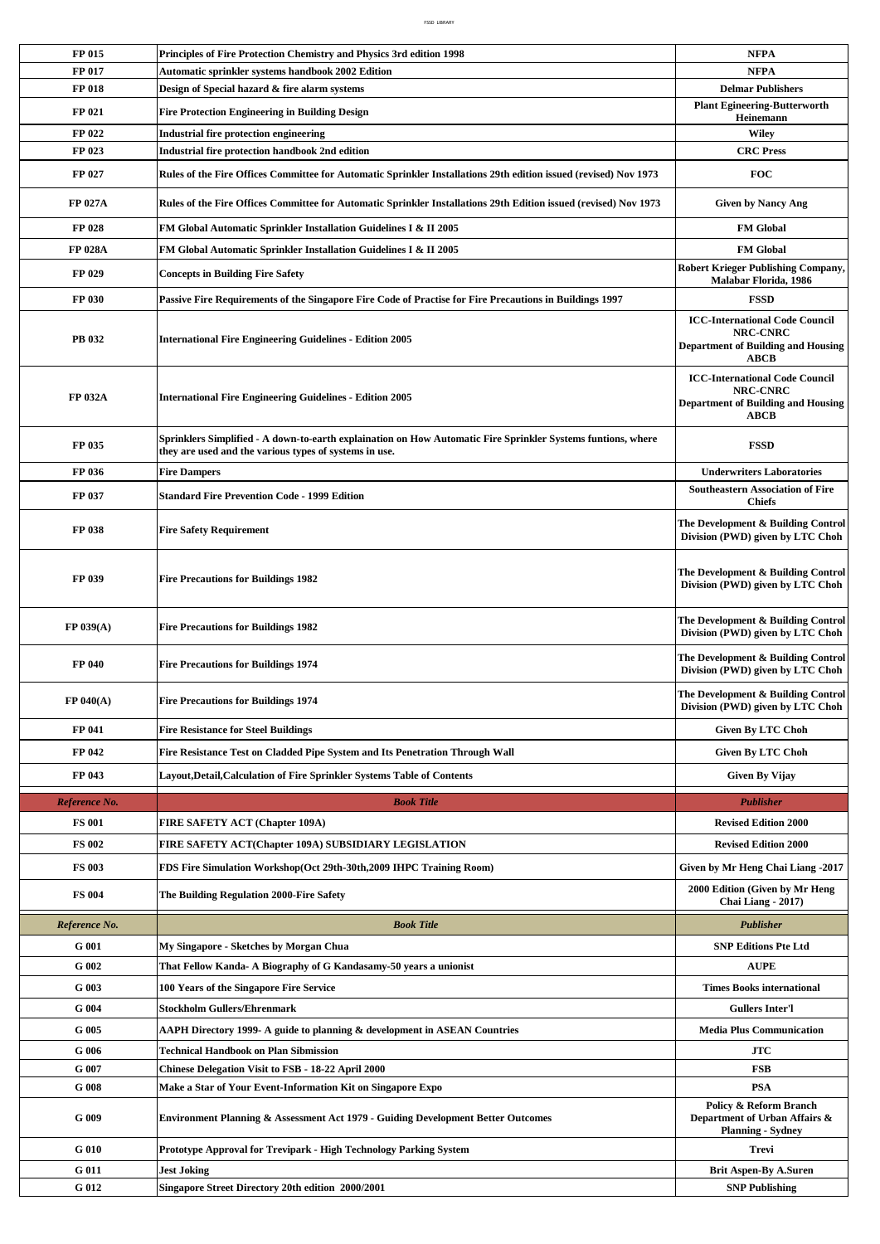| FP 015         | Principles of Fire Protection Chemistry and Physics 3rd edition 1998                                                                                                   | <b>NFPA</b>                                                                                                   |
|----------------|------------------------------------------------------------------------------------------------------------------------------------------------------------------------|---------------------------------------------------------------------------------------------------------------|
| FP 017         | <b>Automatic sprinkler systems handbook 2002 Edition</b>                                                                                                               | <b>NFPA</b>                                                                                                   |
| FP 018         | Design of Special hazard & fire alarm systems                                                                                                                          | <b>Delmar Publishers</b>                                                                                      |
| FP 021         | <b>Fire Protection Engineering in Building Design</b>                                                                                                                  | <b>Plant Egineering-Butterworth</b><br>Heinemann                                                              |
| FP 022         | <b>Industrial fire protection engineering</b>                                                                                                                          | Wiley                                                                                                         |
| FP 023         | <b>Industrial fire protection handbook 2nd edition</b>                                                                                                                 | <b>CRC</b> Press                                                                                              |
| FP 027         | Rules of the Fire Offices Committee for Automatic Sprinkler Installations 29th edition issued (revised) Nov 1973                                                       | <b>FOC</b>                                                                                                    |
| <b>FP 027A</b> | Rules of the Fire Offices Committee for Automatic Sprinkler Installations 29th Edition issued (revised) Nov 1973                                                       | <b>Given by Nancy Ang</b>                                                                                     |
| FP 028         | FM Global Automatic Sprinkler Installation Guidelines I & II 2005                                                                                                      | <b>FM Global</b>                                                                                              |
| FP 028A        | FM Global Automatic Sprinkler Installation Guidelines I & II 2005                                                                                                      | <b>FM Global</b>                                                                                              |
| FP 029         | <b>Concepts in Building Fire Safety</b>                                                                                                                                | <b>Robert Krieger Publishing Company,</b><br>Malabar Florida, 1986                                            |
| FP 030         | Passive Fire Requirements of the Singapore Fire Code of Practise for Fire Precautions in Buildings 1997                                                                | <b>FSSD</b>                                                                                                   |
| PB 032         | <b>International Fire Engineering Guidelines - Edition 2005</b>                                                                                                        | <b>ICC-International Code Council</b><br>NRC-CNRC<br><b>Department of Building and Housing</b><br>ABCB        |
| <b>FP 032A</b> | <b>International Fire Engineering Guidelines - Edition 2005</b>                                                                                                        | <b>ICC-International Code Council</b><br>NRC-CNRC<br><b>Department of Building and Housing</b><br><b>ABCB</b> |
| FP 035         | Sprinklers Simplified - A down-to-earth explaination on How Automatic Fire Sprinkler Systems funtions, where<br>they are used and the various types of systems in use. | <b>FSSD</b>                                                                                                   |
| FP 036         | <b>Fire Dampers</b>                                                                                                                                                    | <b>Underwriters Laboratories</b>                                                                              |
|                |                                                                                                                                                                        | <b>Southeastern Association of Fire</b>                                                                       |
|                |                                                                                                                                                                        | <b>Chiefs</b>                                                                                                 |
| FP 038         | <b>Fire Safety Requirement</b>                                                                                                                                         | The Development & Building Control<br>Division (PWD) given by LTC Choh                                        |
| FP 039         | <b>Fire Precautions for Buildings 1982</b>                                                                                                                             | The Development & Building Control<br>Division (PWD) given by LTC Choh                                        |
| FP 039(A)      | <b>Fire Precautions for Buildings 1982</b>                                                                                                                             | The Development & Building Control<br>Division (PWD) given by LTC Choh                                        |
| FP 040         | <b>Fire Precautions for Buildings 1974</b>                                                                                                                             | The Development & Building Control                                                                            |
|                |                                                                                                                                                                        | Division (PWD) given by LTC Choh                                                                              |
| FP 040(A)      | <b>Fire Precautions for Buildings 1974</b>                                                                                                                             | The Development & Building Control<br>Division (PWD) given by LTC Choh                                        |
| FP 041         | <b>Fire Resistance for Steel Buildings</b>                                                                                                                             | <b>Given By LTC Choh</b>                                                                                      |
| FP 042         | Fire Resistance Test on Cladded Pipe System and Its Penetration Through Wall                                                                                           | <b>Given By LTC Choh</b>                                                                                      |
|                |                                                                                                                                                                        |                                                                                                               |
| FP 043         | Layout, Detail, Calculation of Fire Sprinkler Systems Table of Contents                                                                                                | <b>Given By Vijay</b>                                                                                         |
| Reference No.  | <b>Book Title</b>                                                                                                                                                      | <b>Publisher</b>                                                                                              |
| <b>FS 001</b>  | <b>FIRE SAFETY ACT (Chapter 109A)</b>                                                                                                                                  | <b>Revised Edition 2000</b>                                                                                   |
| <b>FS 002</b>  | FIRE SAFETY ACT(Chapter 109A) SUBSIDIARY LEGISLATION                                                                                                                   | <b>Revised Edition 2000</b>                                                                                   |
| <b>FS 003</b>  | FDS Fire Simulation Workshop(Oct 29th-30th,2009 IHPC Training Room)                                                                                                    | Given by Mr Heng Chai Liang -2017                                                                             |
| <b>FS 004</b>  | <b>The Building Regulation 2000-Fire Safety</b>                                                                                                                        | 2000 Edition (Given by Mr Heng<br>Chai Liang - 2017)                                                          |
| Reference No.  | <b>Book Title</b>                                                                                                                                                      | <b>Publisher</b>                                                                                              |
| G 001          | My Singapore - Sketches by Morgan Chua                                                                                                                                 | <b>SNP Editions Pte Ltd</b>                                                                                   |
| G 002          | That Fellow Kanda- A Biography of G Kandasamy-50 years a unionist                                                                                                      | <b>AUPE</b>                                                                                                   |
| G 003          | 100 Years of the Singapore Fire Service                                                                                                                                | <b>Times Books international</b>                                                                              |
| G 004          | Stockholm Gullers/Ehrenmark                                                                                                                                            | <b>Gullers Inter'l</b>                                                                                        |
| G 005          | AAPH Directory 1999- A guide to planning & development in ASEAN Countries                                                                                              | <b>Media Plus Communication</b>                                                                               |
| G 006          | <b>Technical Handbook on Plan Sibmission</b>                                                                                                                           | <b>JTC</b>                                                                                                    |
| G 007          | Chinese Delegation Visit to FSB - 18-22 April 2000                                                                                                                     | <b>FSB</b>                                                                                                    |
| $G$ 008        | Make a Star of Your Event-Information Kit on Singapore Expo                                                                                                            | <b>PSA</b>                                                                                                    |
| G 009          | Environment Planning & Assessment Act 1979 - Guiding Development Better Outcomes                                                                                       | Policy & Reform Branch<br>Department of Urban Affairs &<br><b>Planning - Sydney</b>                           |
| G 010          | Prototype Approval for Trevipark - High Technology Parking System                                                                                                      | Trevi                                                                                                         |
| G 011          | <b>Jest Joking</b>                                                                                                                                                     | <b>Brit Aspen-By A.Suren</b>                                                                                  |
|                | FP 037                                                                                                                                                                 | <b>Standard Fire Prevention Code - 1999 Edition</b>                                                           |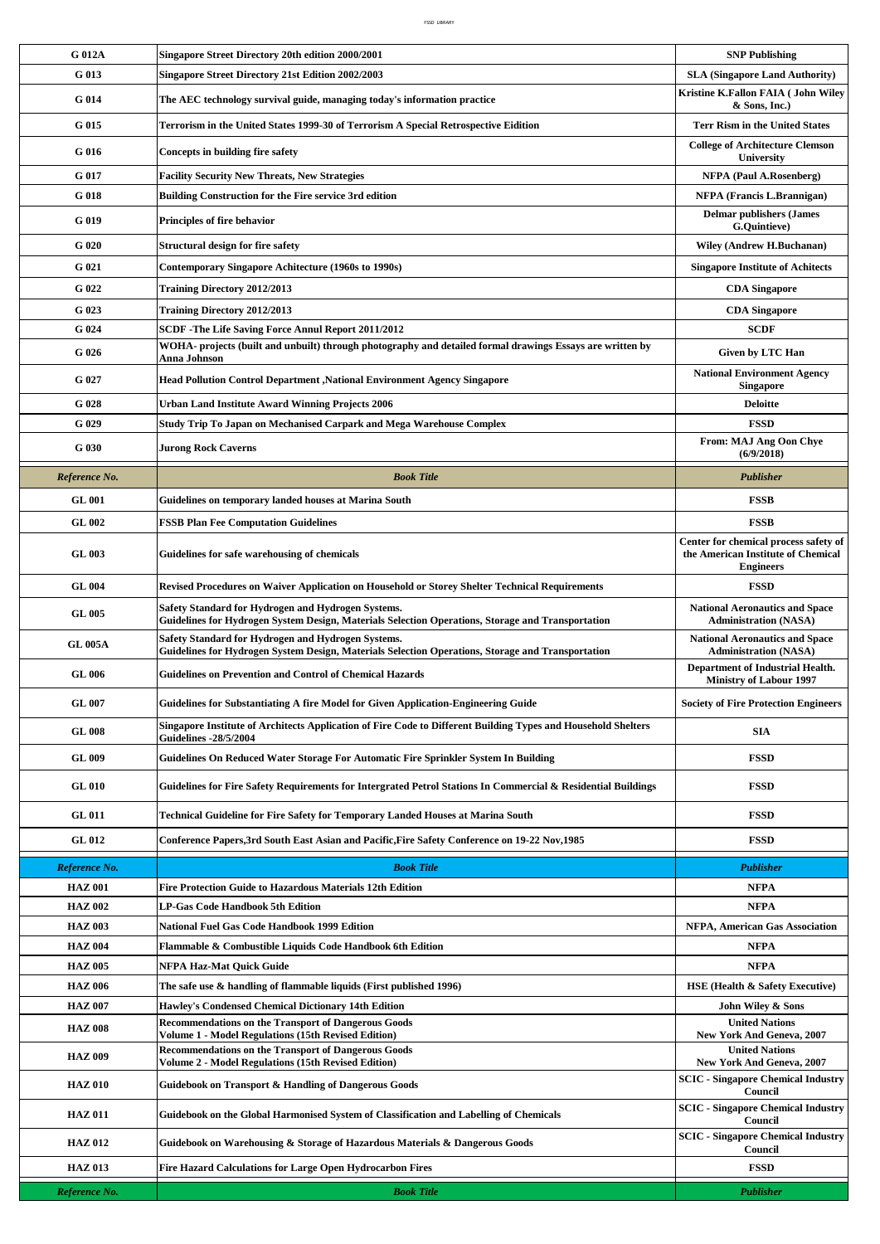| G 012A                           | Singapore Street Directory 20th edition 2000/2001                                                                                                       | <b>SNP Publishing</b>                                                                           |
|----------------------------------|---------------------------------------------------------------------------------------------------------------------------------------------------------|-------------------------------------------------------------------------------------------------|
| G 013                            | <b>Singapore Street Directory 21st Edition 2002/2003</b>                                                                                                | <b>SLA (Singapore Land Authority)</b>                                                           |
| G 014                            | The AEC technology survival guide, managing today's information practice                                                                                | Kristine K.Fallon FAIA (John Wiley<br>& Sons, Inc.)                                             |
| G 015                            | Terrorism in the United States 1999-30 of Terrorism A Special Retrospective Eidition                                                                    | <b>Terr Rism in the United States</b>                                                           |
| G 016                            | Concepts in building fire safety                                                                                                                        | <b>College of Architecture Clemson</b><br><b>University</b>                                     |
| G 017                            | <b>Facility Security New Threats, New Strategies</b>                                                                                                    | <b>NFPA</b> (Paul A.Rosenberg)                                                                  |
| G 018                            | <b>Building Construction for the Fire service 3rd edition</b>                                                                                           | <b>NFPA</b> (Francis L.Brannigan)                                                               |
| G 019                            | Principles of fire behavior                                                                                                                             | <b>Delmar publishers (James</b><br>G.Quintieve)                                                 |
| G 020                            | Structural design for fire safety                                                                                                                       | <b>Wiley (Andrew H.Buchanan)</b>                                                                |
| G 021                            | Contemporary Singapore Achitecture (1960s to 1990s)                                                                                                     | <b>Singapore Institute of Achitects</b>                                                         |
| G 022                            | <b>Training Directory 2012/2013</b>                                                                                                                     | <b>CDA</b> Singapore                                                                            |
| G 023                            | <b>Training Directory 2012/2013</b>                                                                                                                     | <b>CDA</b> Singapore                                                                            |
| G 024                            | SCDF - The Life Saving Force Annul Report 2011/2012                                                                                                     | <b>SCDF</b>                                                                                     |
| G 026                            | WOHA- projects (built and unbuilt) through photography and detailed formal drawings Essays are written by<br>Anna Johnson                               | <b>Given by LTC Han</b>                                                                         |
| G 027                            | Head Pollution Control Department , National Environment Agency Singapore                                                                               | <b>National Environment Agency</b><br><b>Singapore</b>                                          |
| G 028                            | Urban Land Institute Award Winning Projects 2006                                                                                                        | <b>Deloitte</b>                                                                                 |
| G 029                            | Study Trip To Japan on Mechanised Carpark and Mega Warehouse Complex                                                                                    | <b>FSSD</b>                                                                                     |
| G 030                            | <b>Jurong Rock Caverns</b>                                                                                                                              | From: MAJ Ang Oon Chye<br>(6/9/2018)                                                            |
| Reference No.                    | <b>Book Title</b>                                                                                                                                       | Publisher                                                                                       |
| <b>GL 001</b>                    | Guidelines on temporary landed houses at Marina South                                                                                                   | <b>FSSB</b>                                                                                     |
| <b>GL 002</b>                    | <b>FSSB Plan Fee Computation Guidelines</b>                                                                                                             | <b>FSSB</b>                                                                                     |
| <b>GL 003</b>                    | Guidelines for safe warehousing of chemicals                                                                                                            | Center for chemical process safety of<br>the American Institute of Chemical<br><b>Engineers</b> |
| <b>GL 004</b>                    | Revised Procedures on Waiver Application on Household or Storey Shelter Technical Requirements                                                          | <b>FSSD</b>                                                                                     |
| <b>GL 005</b>                    | Safety Standard for Hydrogen and Hydrogen Systems.<br>Guidelines for Hydrogen System Design, Materials Selection Operations, Storage and Transportation | <b>National Aeronautics and Space</b><br><b>Administration (NASA)</b>                           |
| <b>GL 005A</b>                   | Safety Standard for Hydrogen and Hydrogen Systems.<br>Guidelines for Hydrogen System Design, Materials Selection Operations, Storage and Transportation | <b>National Aeronautics and Space</b><br><b>Administration (NASA)</b>                           |
| <b>GL 006</b>                    | <b>Guidelines on Prevention and Control of Chemical Hazards</b>                                                                                         | <b>Department of Industrial Health.</b><br><b>Ministry of Labour 1997</b>                       |
| <b>GL 007</b>                    | Guidelines for Substantiating A fire Model for Given Application-Engineering Guide                                                                      | <b>Society of Fire Protection Engineers</b>                                                     |
| <b>GL 008</b>                    | Singapore Institute of Architects Application of Fire Code to Different Building Types and Household Shelters<br><b>Guidelines -28/5/2004</b>           | <b>SIA</b>                                                                                      |
| <b>GL 009</b>                    | Guidelines On Reduced Water Storage For Automatic Fire Sprinkler System In Building                                                                     | <b>FSSD</b>                                                                                     |
| <b>GL 010</b>                    | Guidelines for Fire Safety Requirements for Intergrated Petrol Stations In Commercial & Residential Buildings                                           | <b>FSSD</b>                                                                                     |
| <b>GL 011</b>                    | Technical Guideline for Fire Safety for Temporary Landed Houses at Marina South                                                                         | <b>FSSD</b>                                                                                     |
| <b>GL 012</b>                    | Conference Papers, 3rd South East Asian and Pacific, Fire Safety Conference on 19-22 Nov, 1985                                                          | <b>FSSD</b>                                                                                     |
| Reference No.                    | <b>Book Title</b>                                                                                                                                       | <b>Publisher</b>                                                                                |
| <b>HAZ 001</b>                   | <b>Fire Protection Guide to Hazardous Materials 12th Edition</b>                                                                                        | NFPA                                                                                            |
| <b>HAZ 002</b>                   | LP-Gas Code Handbook 5th Edition                                                                                                                        | <b>NFPA</b>                                                                                     |
| <b>HAZ 003</b>                   | <b>National Fuel Gas Code Handbook 1999 Edition</b>                                                                                                     | <b>NFPA, American Gas Association</b>                                                           |
| <b>HAZ 004</b>                   | Flammable & Combustible Liquids Code Handbook 6th Edition                                                                                               | <b>NFPA</b>                                                                                     |
| <b>HAZ 005</b>                   | NFPA Haz-Mat Quick Guide                                                                                                                                | <b>NFPA</b>                                                                                     |
| <b>HAZ 006</b><br><b>HAZ 007</b> | The safe use & handling of flammable liquids (First published 1996)                                                                                     | HSE (Health & Safety Executive)                                                                 |
|                                  | Hawley's Condensed Chemical Dictionary 14th Edition<br><b>Recommendations on the Transport of Dangerous Goods</b>                                       | John Wiley & Sons<br><b>United Nations</b>                                                      |
| <b>HAZ 008</b>                   | <b>Volume 1 - Model Regulations (15th Revised Edition)</b><br><b>Recommendations on the Transport of Dangerous Goods</b>                                | New York And Geneva, 2007<br><b>United Nations</b>                                              |
| <b>HAZ 009</b>                   | <b>Volume 2 - Model Regulations (15th Revised Edition)</b>                                                                                              | <b>New York And Geneva, 2007</b>                                                                |
| <b>HAZ 010</b>                   | <b>Guidebook on Transport &amp; Handling of Dangerous Goods</b>                                                                                         | <b>SCIC</b> - Singapore Chemical Industry<br>Council                                            |
| <b>HAZ 011</b>                   | Guidebook on the Global Harmonised System of Classification and Labelling of Chemicals                                                                  | <b>SCIC - Singapore Chemical Industry</b><br>Council                                            |
| <b>HAZ 012</b>                   | Guidebook on Warehousing & Storage of Hazardous Materials & Dangerous Goods                                                                             | <b>SCIC</b> - Singapore Chemical Industry<br>Council                                            |
| <b>HAZ 013</b>                   | Fire Hazard Calculations for Large Open Hydrocarbon Fires                                                                                               | <b>FSSD</b>                                                                                     |
| Reference No.                    | <b>Book Title</b>                                                                                                                                       | Publisher                                                                                       |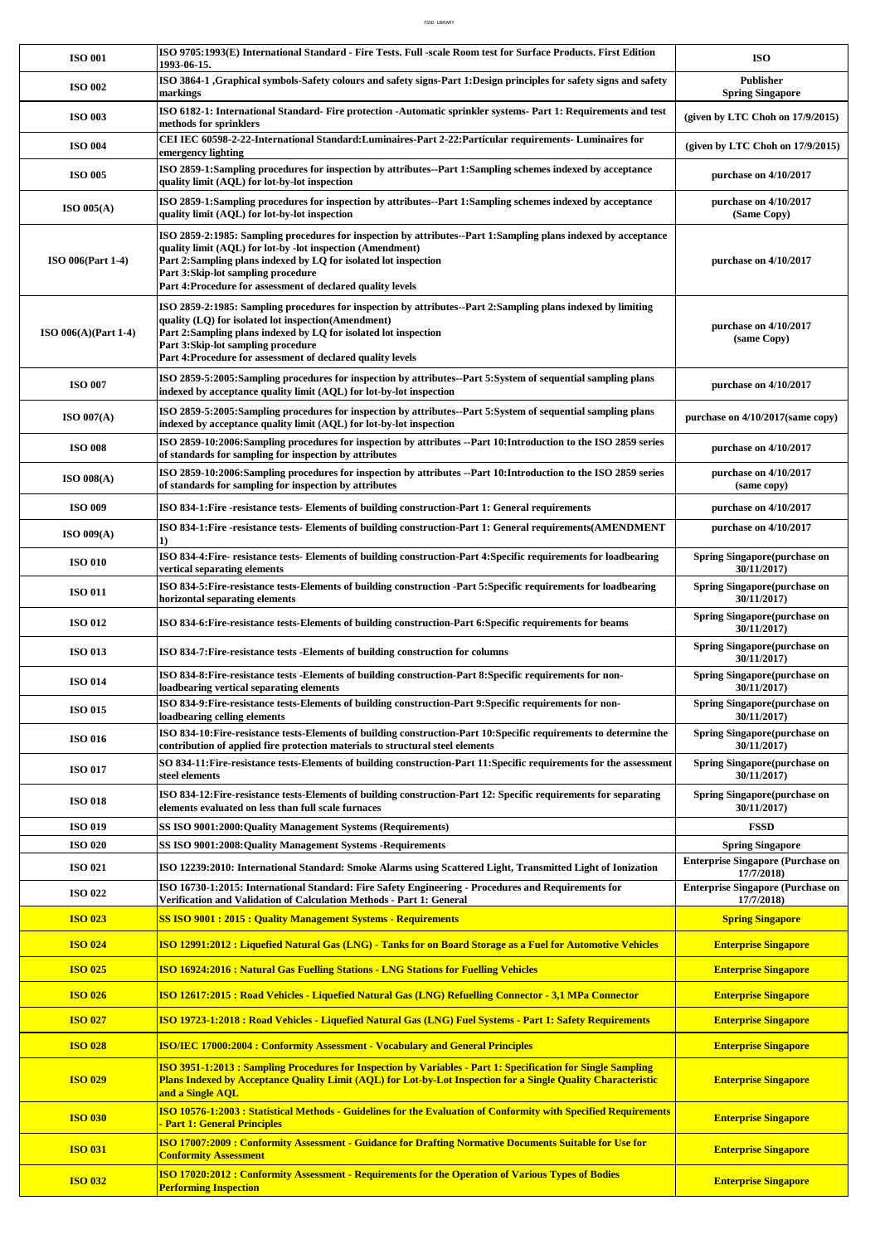| <b>ISO 001</b>         | ISO 9705:1993(E) International Standard - Fire Tests. Full -scale Room test for Surface Products. First Edition<br>1993-06-15.                                                                                                                                                                                                                      | <b>ISO</b>                                             |
|------------------------|-----------------------------------------------------------------------------------------------------------------------------------------------------------------------------------------------------------------------------------------------------------------------------------------------------------------------------------------------------|--------------------------------------------------------|
| <b>ISO 002</b>         | ISO 3864-1 ,Graphical symbols-Safety colours and safety signs-Part 1:Design principles for safety signs and safety<br>markings                                                                                                                                                                                                                      | <b>Publisher</b><br><b>Spring Singapore</b>            |
| <b>ISO 003</b>         | ISO 6182-1: International Standard- Fire protection -Automatic sprinkler systems- Part 1: Requirements and test<br>methods for sprinklers                                                                                                                                                                                                           | (given by LTC Choh on $17/9/2015$ )                    |
| <b>ISO 004</b>         | CEI IEC 60598-2-22-International Standard:Luminaires-Part 2-22:Particular requirements- Luminaires for<br>emergency lighting                                                                                                                                                                                                                        | (given by LTC Choh on $17/9/2015$ )                    |
| <b>ISO 005</b>         | ISO 2859-1:Sampling procedures for inspection by attributes--Part 1:Sampling schemes indexed by acceptance<br>quality limit (AQL) for lot-by-lot inspection                                                                                                                                                                                         | purchase on 4/10/2017                                  |
| $ISO$ 005(A)           | ISO 2859-1:Sampling procedures for inspection by attributes--Part 1:Sampling schemes indexed by acceptance<br>quality limit (AQL) for lot-by-lot inspection                                                                                                                                                                                         | purchase on 4/10/2017<br>(Same Copy)                   |
| ISO 006(Part 1-4)      | ISO 2859-2:1985: Sampling procedures for inspection by attributes--Part 1:Sampling plans indexed by acceptance<br>quality limit (AQL) for lot-by -lot inspection (Amendment)<br>Part 2:Sampling plans indexed by LQ for isolated lot inspection<br>Part 3:Skip-lot sampling procedure<br>Part 4:Procedure for assessment of declared quality levels | purchase on 4/10/2017                                  |
| $ISO 006(A)(Part 1-4)$ | ISO 2859-2:1985: Sampling procedures for inspection by attributes--Part 2:Sampling plans indexed by limiting<br>quality (LQ) for isolated lot inspection(Amendment)<br>Part 2:Sampling plans indexed by LQ for isolated lot inspection<br>Part 3:Skip-lot sampling procedure<br>Part 4:Procedure for assessment of declared quality levels          | purchase on 4/10/2017<br>(same Copy)                   |
| <b>ISO 007</b>         | ISO 2859-5:2005:Sampling procedures for inspection by attributes--Part 5:System of sequential sampling plans<br>indexed by acceptance quality limit (AQL) for lot-by-lot inspection                                                                                                                                                                 | purchase on 4/10/2017                                  |
| ISO $007(A)$           | ISO 2859-5:2005:Sampling procedures for inspection by attributes--Part 5:System of sequential sampling plans<br>indexed by acceptance quality limit (AQL) for lot-by-lot inspection                                                                                                                                                                 | purchase on 4/10/2017(same copy)                       |
| <b>ISO 008</b>         | ISO 2859-10:2006:Sampling procedures for inspection by attributes --Part 10:Introduction to the ISO 2859 series<br>of standards for sampling for inspection by attributes                                                                                                                                                                           | purchase on 4/10/2017                                  |
| $ISO$ $008(A)$         | ISO 2859-10:2006:Sampling procedures for inspection by attributes --Part 10:Introduction to the ISO 2859 series<br>of standards for sampling for inspection by attributes                                                                                                                                                                           | purchase on 4/10/2017<br>(same copy)                   |
| <b>ISO 009</b>         | ISO 834-1: Fire - resistance tests- Elements of building construction-Part 1: General requirements                                                                                                                                                                                                                                                  | purchase on 4/10/2017                                  |
| ISO $009(A)$           | ISO 834-1:Fire -resistance tests- Elements of building construction-Part 1: General requirements(AMENDMENT<br>1)                                                                                                                                                                                                                                    | purchase on 4/10/2017                                  |
| <b>ISO 010</b>         | ISO 834-4:Fire- resistance tests- Elements of building construction-Part 4:Specific requirements for loadbearing<br>vertical separating elements                                                                                                                                                                                                    | <b>Spring Singapore(purchase on</b><br>30/11/2017)     |
| <b>ISO 011</b>         | ISO 834-5:Fire-resistance tests-Elements of building construction -Part 5:Specific requirements for loadbearing<br>horizontal separating elements                                                                                                                                                                                                   | <b>Spring Singapore(purchase on</b><br>30/11/2017)     |
| <b>ISO 012</b>         | ISO 834-6:Fire-resistance tests-Elements of building construction-Part 6:Specific requirements for beams                                                                                                                                                                                                                                            | <b>Spring Singapore(purchase on</b><br>30/11/2017)     |
| <b>ISO 013</b>         | ISO 834-7: Fire-resistance tests - Elements of building construction for columns                                                                                                                                                                                                                                                                    | Spring Singapore(purchase on<br>30/11/2017)            |
| <b>ISO 014</b>         | ISO 834-8: Fire-resistance tests - Elements of building construction-Part 8: Specific requirements for non-<br>loadbearing vertical separating elements                                                                                                                                                                                             | <b>Spring Singapore(purchase on</b><br>30/11/2017)     |
| <b>ISO 015</b>         | -ISO 834-9:Fire-resistance tests-Elements of building construction-Part 9:Specific requirements for non<br>loadbearing celling elements                                                                                                                                                                                                             | Spring Singapore(purchase on<br>30/11/2017)            |
| <b>ISO 016</b>         | ISO 834-10:Fire-resistance tests-Elements of building construction-Part 10:Specific requirements to determine the<br>contribution of applied fire protection materials to structural steel elements                                                                                                                                                 | <b>Spring Singapore(purchase on</b><br>30/11/2017)     |
| <b>ISO 017</b>         | SO 834-11:Fire-resistance tests-Elements of building construction-Part 11:Specific requirements for the assessment<br>steel elements                                                                                                                                                                                                                | Spring Singapore(purchase on<br>30/11/2017)            |
| <b>ISO 018</b>         | ISO 834-12:Fire-resistance tests-Elements of building construction-Part 12: Specific requirements for separating<br>elements evaluated on less than full scale furnaces                                                                                                                                                                             | <b>Spring Singapore(purchase on</b><br>30/11/2017)     |
| <b>ISO 019</b>         | SS ISO 9001:2000: Quality Management Systems (Requirements)                                                                                                                                                                                                                                                                                         | <b>FSSD</b>                                            |
| <b>ISO 020</b>         | SS ISO 9001:2008: Quality Management Systems - Requirements                                                                                                                                                                                                                                                                                         | <b>Spring Singapore</b>                                |
| <b>ISO 021</b>         | ISO 12239:2010: International Standard: Smoke Alarms using Scattered Light, Transmitted Light of Ionization                                                                                                                                                                                                                                         | <b>Enterprise Singapore (Purchase on</b><br>17/7/2018) |
| <b>ISO 022</b>         | ISO 16730-1:2015: International Standard: Fire Safety Engineering - Procedures and Requirements for<br>Verification and Validation of Calculation Methods - Part 1: General                                                                                                                                                                         | <b>Enterprise Singapore (Purchase on</b><br>17/7/2018) |
| <b>ISO 023</b>         | <b>SS ISO 9001 : 2015 : Quality Management Systems - Requirements</b>                                                                                                                                                                                                                                                                               | <b>Spring Singapore</b>                                |
| <b>ISO 024</b>         | <u> ISO 12991:2012 : Liquefied Natural Gas (LNG) - Tanks for on Board Storage as a Fuel for Automotive Vehicles</u>                                                                                                                                                                                                                                 | <b>Enterprise Singapore</b>                            |
| <b>ISO 025</b>         | ISO 16924:2016 : Natural Gas Fuelling Stations - LNG Stations for Fuelling Vehicles                                                                                                                                                                                                                                                                 | <b>Enterprise Singapore</b>                            |
| <b>ISO 026</b>         | <u> ISO 12617:2015 : Road Vehicles - Liquefied Natural Gas (LNG) Refuelling Connector - 3,1 MPa Connector</u>                                                                                                                                                                                                                                       | <b>Enterprise Singapore</b>                            |
| <b>ISO 027</b>         | <u> ISO 19723-1:2018 : Road Vehicles - Liquefied Natural Gas (LNG) Fuel Systems - Part 1: Safety Requirements</u>                                                                                                                                                                                                                                   | <b>Enterprise Singapore</b>                            |
| <b>ISO 028</b>         | <b>ISO/IEC 17000:2004 : Conformity Assessment - Vocabulary and General Principles</b>                                                                                                                                                                                                                                                               | <b>Enterprise Singapore</b>                            |
| <b>ISO 029</b>         | ISO 3951-1:2013 : Sampling Procedures for Inspection by Variables - Part 1: Specification for Single Sampling<br><u>Plans Indexed by Acceptance Quality Limit (AQL) for Lot-by-Lot Inspection for a Single Quality Characteristic</u><br><mark>and a Single AQL</mark>                                                                              | <b>Enterprise Singapore</b>                            |
| <b>ISO 030</b>         | ISO 10576-1:2003 : Statistical Methods - Guidelines for the Evaluation of Conformity with Specified Requirements<br><u> Part 1: General Principles</u>                                                                                                                                                                                              | <b>Enterprise Singapore</b>                            |
| <b>ISO 031</b>         | <u> ISO 17007:2009 : Conformity Assessment - Guidance for Drafting Normative Documents Suitable for Use for</u><br><b>Conformity Assessment</b>                                                                                                                                                                                                     | <b>Enterprise Singapore</b>                            |
| <b>ISO 032</b>         | <u> ISO 17020:2012 : Conformity Assessment - Requirements for the Operation of Various Types of Bodies</u><br><b>Performing Inspection</b>                                                                                                                                                                                                          | <b>Enterprise Singapore</b>                            |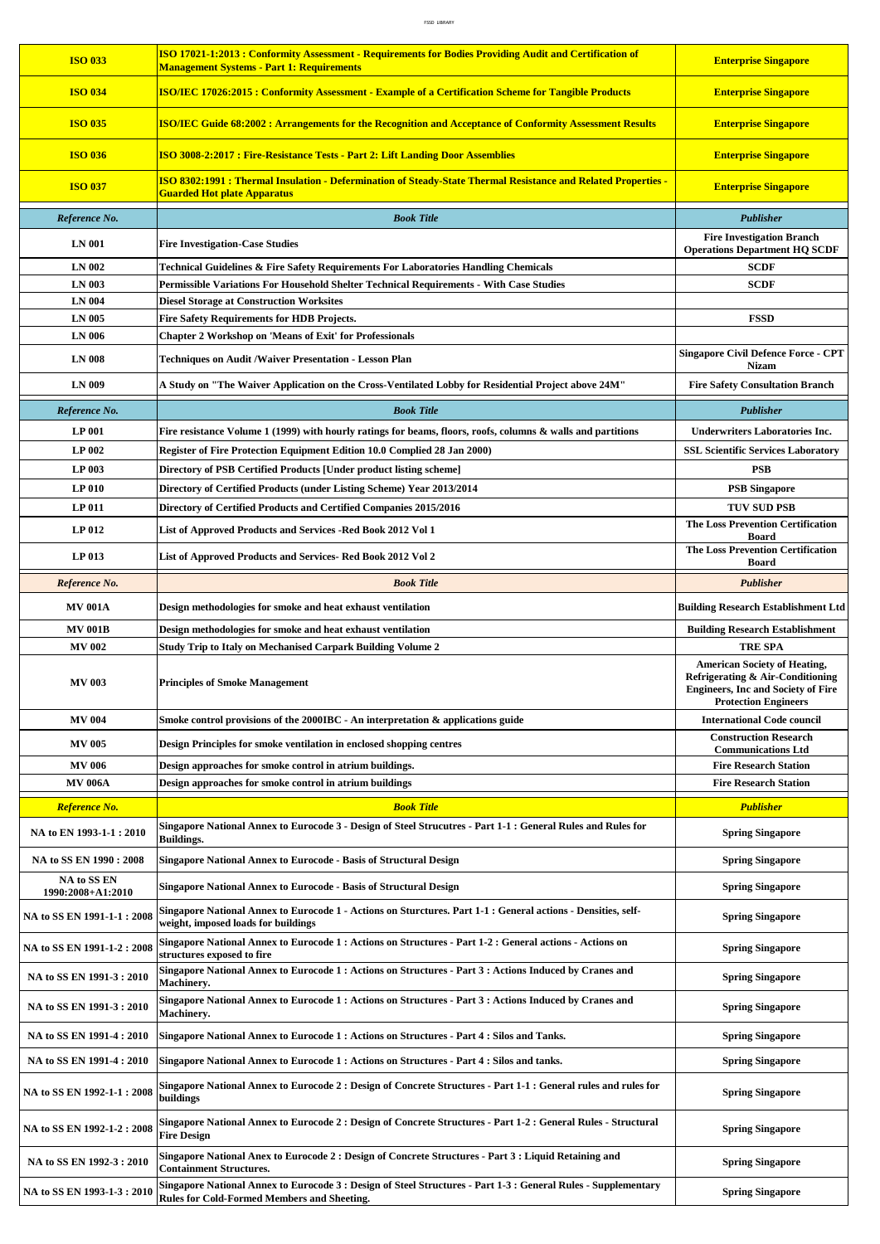| <b>ISO 033</b>                                   | <u> ISO 17021-1:2013 : Conformity Assessment - Requirements for Bodies Providing Audit and Certification of</u><br><b>Management Systems - Part 1: Requirements</b> | <b>Enterprise Singapore</b>                                                                                                                         |
|--------------------------------------------------|---------------------------------------------------------------------------------------------------------------------------------------------------------------------|-----------------------------------------------------------------------------------------------------------------------------------------------------|
| <b>ISO 034</b>                                   | <b>ISO/IEC 17026:2015 : Conformity Assessment - Example of a Certification Scheme for Tangible Products</b>                                                         | <b>Enterprise Singapore</b>                                                                                                                         |
| <b>ISO 035</b>                                   | ISO/IEC Guide 68:2002 : Arrangements for the Recognition and Acceptance of Conformity Assessment Results                                                            | <b>Enterprise Singapore</b>                                                                                                                         |
| <b>ISO 036</b>                                   | ISO 3008-2:2017 : Fire-Resistance Tests - Part 2: Lift Landing Door Assemblies                                                                                      | <b>Enterprise Singapore</b>                                                                                                                         |
| <b>ISO 037</b>                                   | <u> ISO 8302:1991 : Thermal Insulation - Defermination of Steady-State Thermal Resistance and Related Properties -</u><br><b>Guarded Hot plate Apparatus</b>        | <b>Enterprise Singapore</b>                                                                                                                         |
| Reference No.                                    | <b>Book Title</b>                                                                                                                                                   | Publisher                                                                                                                                           |
|                                                  |                                                                                                                                                                     | <b>Fire Investigation Branch</b>                                                                                                                    |
| <b>LN 001</b>                                    | <b>Fire Investigation-Case Studies</b>                                                                                                                              | <b>Operations Department HQ SCDF</b>                                                                                                                |
| LN 002                                           | Technical Guidelines & Fire Safety Requirements For Laboratories Handling Chemicals                                                                                 | <b>SCDF</b>                                                                                                                                         |
| LN 003                                           | Permissible Variations For Household Shelter Technical Requirements - With Case Studies                                                                             | <b>SCDF</b>                                                                                                                                         |
| LN 004<br>LN 005                                 | <b>Diesel Storage at Construction Worksites</b><br><b>Fire Safety Requirements for HDB Projects.</b>                                                                | <b>FSSD</b>                                                                                                                                         |
| LN 006                                           | <b>Chapter 2 Workshop on 'Means of Exit' for Professionals</b>                                                                                                      |                                                                                                                                                     |
|                                                  |                                                                                                                                                                     | <b>Singapore Civil Defence Force - CPT</b>                                                                                                          |
| <b>LN 008</b>                                    | Techniques on Audit /Waiver Presentation - Lesson Plan                                                                                                              | <b>Nizam</b>                                                                                                                                        |
| LN 009                                           | "A Study on ''The Waiver Application on the Cross-Ventilated Lobby for Residential Project above 24M                                                                | <b>Fire Safety Consultation Branch</b>                                                                                                              |
| Reference No.                                    | <b>Book Title</b>                                                                                                                                                   | Publisher                                                                                                                                           |
| <b>LP 001</b>                                    | Fire resistance Volume 1 (1999) with hourly ratings for beams, floors, roofs, columns & walls and partitions                                                        | <b>Underwriters Laboratories Inc.</b>                                                                                                               |
| LP 002                                           | Register of Fire Protection Equipment Edition 10.0 Complied 28 Jan 2000)                                                                                            | <b>SSL Scientific Services Laboratory</b>                                                                                                           |
| LP 003                                           | Directory of PSB Certified Products [Under product listing scheme]                                                                                                  | <b>PSB</b>                                                                                                                                          |
| <b>LP 010</b>                                    | <b>Directory of Certified Products (under Listing Scheme) Year 2013/2014</b>                                                                                        | <b>PSB Singapore</b>                                                                                                                                |
| <b>LP 011</b>                                    | Directory of Certified Products and Certified Companies 2015/2016                                                                                                   | <b>TUV SUD PSB</b>                                                                                                                                  |
|                                                  |                                                                                                                                                                     | <b>The Loss Prevention Certification</b>                                                                                                            |
| <b>LP 012</b>                                    | List of Approved Products and Services - Red Book 2012 Vol 1                                                                                                        | Board                                                                                                                                               |
| LP 013                                           | List of Approved Products and Services- Red Book 2012 Vol 2                                                                                                         | <b>The Loss Prevention Certification</b><br><b>Board</b>                                                                                            |
| Reference No.                                    | <b>Book Title</b>                                                                                                                                                   | Publisher                                                                                                                                           |
| <b>MV 001A</b>                                   | Design methodologies for smoke and heat exhaust ventilation                                                                                                         | <b>Building Research Establishment Ltd</b>                                                                                                          |
| <b>MV 001B</b>                                   | Design methodologies for smoke and heat exhaust ventilation                                                                                                         | <b>Building Research Establishment</b>                                                                                                              |
| <b>MV 002</b>                                    | <b>Study Trip to Italy on Mechanised Carpark Building Volume 2</b>                                                                                                  | <b>TRE SPA</b>                                                                                                                                      |
| <b>MV 003</b>                                    | <b>Principles of Smoke Management</b>                                                                                                                               | <b>American Society of Heating,</b><br>Refrigerating & Air-Conditioning<br><b>Engineers, Inc and Society of Fire</b><br><b>Protection Engineers</b> |
| <b>MV 004</b>                                    | Smoke control provisions of the $2000\text{IBC}$ - An interpretation $\&$ applications guide                                                                        | <b>International Code council</b>                                                                                                                   |
| <b>MV 005</b>                                    | Design Principles for smoke ventilation in enclosed shopping centres                                                                                                | <b>Construction Research</b><br><b>Communications Ltd</b>                                                                                           |
| <b>MV 006</b>                                    | Design approaches for smoke control in atrium buildings.                                                                                                            | <b>Fire Research Station</b>                                                                                                                        |
| <b>MV 006A</b>                                   | Design approaches for smoke control in atrium buildings                                                                                                             | <b>Fire Research Station</b>                                                                                                                        |
| Reference No.                                    | <b>Book Title</b>                                                                                                                                                   | <b>Publisher</b>                                                                                                                                    |
| NA to EN 1993-1-1: 2010                          | Singapore National Annex to Eurocode 3 - Design of Steel Strucutres - Part 1-1 : General Rules and Rules for                                                        | <b>Spring Singapore</b>                                                                                                                             |
| NA to SS EN 1990 : 2008                          | <b>Buildings.</b><br><b>Singapore National Annex to Eurocode - Basis of Structural Design</b>                                                                       | <b>Spring Singapore</b>                                                                                                                             |
| NA to SS EN                                      | <b>Singapore National Annex to Eurocode - Basis of Structural Design</b>                                                                                            | <b>Spring Singapore</b>                                                                                                                             |
| 1990:2008+A1:2010<br>NA to SS EN 1991-1-1 : 2008 | Singapore National Annex to Eurocode 1 - Actions on Sturctures. Part 1-1 : General actions - Densities, self-                                                       | <b>Spring Singapore</b>                                                                                                                             |
| NA to SS EN 1991-1-2 : 200                       | weight, imposed loads for buildings<br>Singapore National Annex to Eurocode 1 : Actions on Structures - Part 1-2 : General actions - Actions on                     | <b>Spring Singapore</b>                                                                                                                             |
| NA to SS EN 1991-3 : 2010                        | structures exposed to fire<br>Singapore National Annex to Eurocode 1 : Actions on Structures - Part 3 : Actions Induced by Cranes and<br><b>Machinery.</b>          | <b>Spring Singapore</b>                                                                                                                             |
| NA to SS EN 1991-3 : 2010                        | Singapore National Annex to Eurocode 1 : Actions on Structures - Part 3 : Actions Induced by Cranes and<br><b>Machinery.</b>                                        | <b>Spring Singapore</b>                                                                                                                             |
| NA to SS EN 1991-4 : 2010                        | Singapore National Annex to Eurocode 1 : Actions on Structures - Part 4 : Silos and Tanks.                                                                          | <b>Spring Singapore</b>                                                                                                                             |
| NA to SS EN 1991-4 : 2010                        | Singapore National Annex to Eurocode 1 : Actions on Structures - Part 4 : Silos and tanks.                                                                          | <b>Spring Singapore</b>                                                                                                                             |
| <b>NA to SS EN 1992-1-1 : 2008</b>               | Singapore National Annex to Eurocode 2 : Design of Concrete Structures - Part 1-1 : General rules and rules for<br>buildings                                        | <b>Spring Singapore</b>                                                                                                                             |
| NA to SS EN 1992-1-2 : 2008                      | Singapore National Annex to Eurocode 2 : Design of Concrete Structures - Part 1-2 : General Rules - Structural<br><b>Fire Design</b>                                | <b>Spring Singapore</b>                                                                                                                             |
| NA to SS EN 1992-3 : 2010                        | Singapore National Anex to Eurocode 2 : Design of Concrete Structures - Part 3 : Liquid Retaining and<br><b>Containment Structures.</b>                             | <b>Spring Singapore</b>                                                                                                                             |
| <b>NA to SS EN 1993-1-3 : 2010</b>               | Singapore National Annex to Eurocode 3 : Design of Steel Structures - Part 1-3 : General Rules - Supplementary                                                      | <b>Spring Singapore</b>                                                                                                                             |
|                                                  | Rules for Cold-Formed Members and Sheeting.                                                                                                                         |                                                                                                                                                     |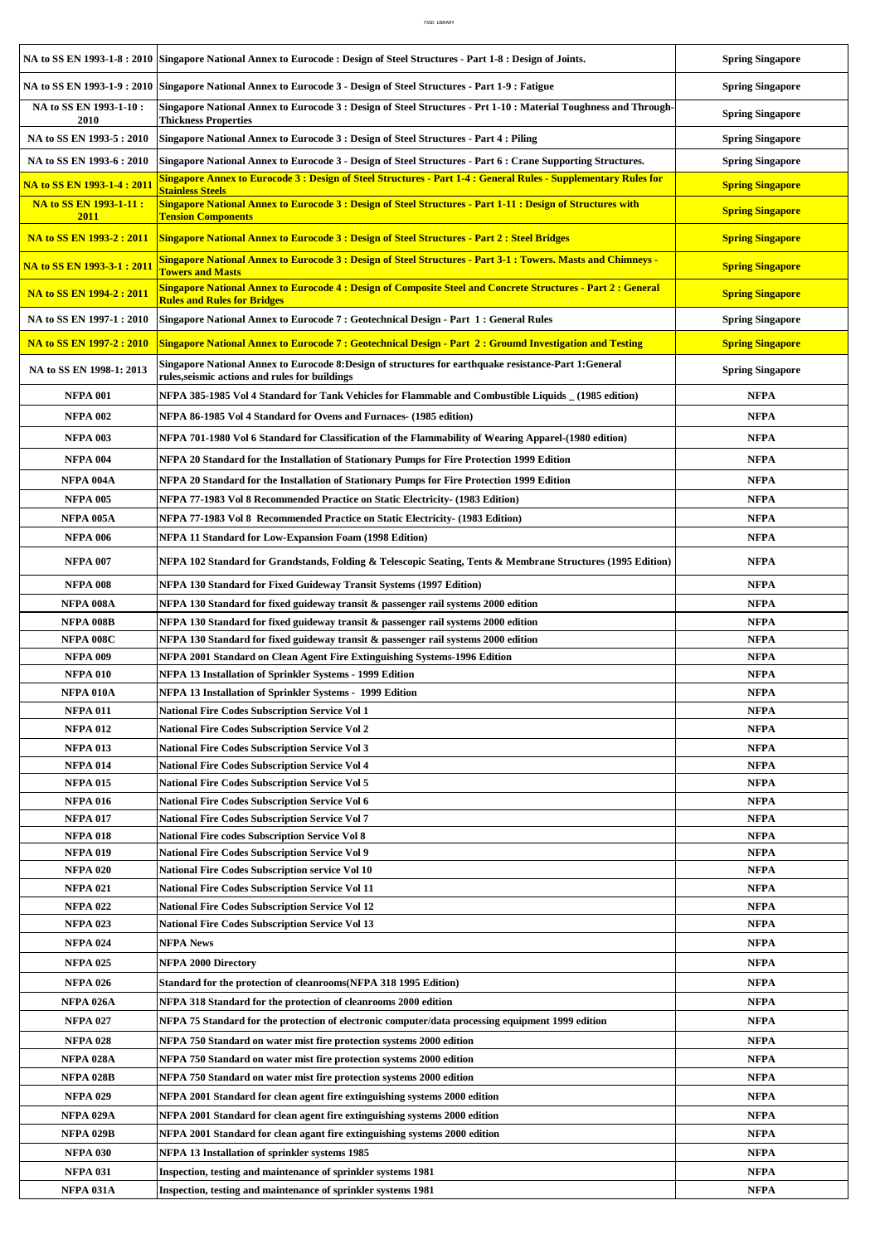|                                    | NA to SS EN 1993-1-8 : 2010 Singapore National Annex to Eurocode : Design of Steel Structures - Part 1-8 : Design of Joints.                                                                                  | <b>Spring Singapore</b> |
|------------------------------------|---------------------------------------------------------------------------------------------------------------------------------------------------------------------------------------------------------------|-------------------------|
|                                    | NA to SS EN 1993-1-9 : 2010 Singapore National Annex to Eurocode 3 - Design of Steel Structures - Part 1-9 : Fatigue                                                                                          | <b>Spring Singapore</b> |
| NA to SS EN 1993-1-10 :<br>2010    | Singapore National Annex to Eurocode 3 : Design of Steel Structures - Prt 1-10 : Material Toughness and Through-<br><b>Thickness Properties</b>                                                               | <b>Spring Singapore</b> |
| NA to SS EN 1993-5 : 2010          | Singapore National Annex to Eurocode 3 : Design of Steel Structures - Part 4 : Piling                                                                                                                         | <b>Spring Singapore</b> |
| NA to SS EN 1993-6 : 2010          | Singapore National Annex to Eurocode 3 - Design of Steel Structures - Part 6 : Crane Supporting Structures.                                                                                                   | <b>Spring Singapore</b> |
| <b>NA to SS EN 1993-1-4 : 2011</b> | Singapore Annex to Eurocode 3 : Design of Steel Structures - Part 1-4 : General Rules - Supplementary Rules for                                                                                               | <b>Spring Singapore</b> |
| NA to SS EN 1993-1-11:             | <b>Stainless Steels</b><br><u> Singapore National Annex to Eurocode 3 : Design of Steel Structures - Part 1-11 : Design of Structures with</u>                                                                |                         |
| 2011                               | <b>Tension Components</b>                                                                                                                                                                                     | <b>Spring Singapore</b> |
| NA to SS EN 1993-2 : 2011          | Singapore National Annex to Eurocode 3 : Design of Steel Structures - Part 2 : Steel Bridges<br>Singapore National Annex to Eurocode 3 : Design of Steel Structures - Part 3-1 : Towers. Masts and Chimneys - | <b>Spring Singapore</b> |
| NA to SS EN 1993-3-1 : 2011        | <b>Towers and Masts</b><br>Singapore National Annex to Eurocode 4 : Design of Composite Steel and Concrete Structures - Part 2 : General                                                                      | <b>Spring Singapore</b> |
| NA to SS EN 1994-2 : 2011          | <b>Rules and Rules for Bridges</b>                                                                                                                                                                            | <b>Spring Singapore</b> |
| NA to SS EN 1997-1 : 2010          | Singapore National Annex to Eurocode 7 : Geotechnical Design - Part 1 : General Rules                                                                                                                         | <b>Spring Singapore</b> |
| <b>NA to SS EN 1997-2 : 2010</b>   | Singapore National Annex to Eurocode 7 : Geotechnical Design - Part 2 : Groumd Investigation and Testing                                                                                                      | <b>Spring Singapore</b> |
| NA to SS EN 1998-1: 2013           | Singapore National Annex to Eurocode 8:Design of structures for earthquake resistance-Part 1:General<br>rules, seismic actions and rules for buildings                                                        | <b>Spring Singapore</b> |
| <b>NFPA 001</b>                    | NFPA 385-1985 Vol 4 Standard for Tank Vehicles for Flammable and Combustible Liquids _ (1985 edition)                                                                                                         | <b>NFPA</b>             |
| <b>NFPA 002</b>                    | NFPA 86-1985 Vol 4 Standard for Ovens and Furnaces- (1985 edition)                                                                                                                                            | <b>NFPA</b>             |
| <b>NFPA 003</b>                    | NFPA 701-1980 Vol 6 Standard for Classification of the Flammability of Wearing Apparel-(1980 edition)                                                                                                         | <b>NFPA</b>             |
| <b>NFPA 004</b>                    | NFPA 20 Standard for the Installation of Stationary Pumps for Fire Protection 1999 Edition                                                                                                                    | <b>NFPA</b>             |
| NFPA 004A                          | NFPA 20 Standard for the Installation of Stationary Pumps for Fire Protection 1999 Edition                                                                                                                    | <b>NFPA</b>             |
| <b>NFPA 005</b>                    | NFPA 77-1983 Vol 8 Recommended Practice on Static Electricity- (1983 Edition)                                                                                                                                 | <b>NFPA</b>             |
| <b>NFPA 005A</b>                   | NFPA 77-1983 Vol 8 Recommended Practice on Static Electricity- (1983 Edition)                                                                                                                                 | <b>NFPA</b>             |
| <b>NFPA 006</b>                    | NFPA 11 Standard for Low-Expansion Foam (1998 Edition)                                                                                                                                                        | <b>NFPA</b>             |
| <b>NFPA 007</b>                    | NFPA 102 Standard for Grandstands, Folding & Telescopic Seating, Tents & Membrane Structures (1995 Edition)                                                                                                   | <b>NFPA</b>             |
| <b>NFPA 008</b>                    | NFPA 130 Standard for Fixed Guideway Transit Systems (1997 Edition)                                                                                                                                           | <b>NFPA</b>             |
| NFPA 008A                          | NFPA 130 Standard for fixed guideway transit & passenger rail systems 2000 edition                                                                                                                            | <b>NFPA</b>             |
| <b>NFPA 008B</b>                   | NFPA 130 Standard for fixed guideway transit & passenger rail systems 2000 edition                                                                                                                            | <b>NFPA</b>             |
| <b>NFPA 008C</b>                   | NFPA 130 Standard for fixed guideway transit & passenger rail systems 2000 edition                                                                                                                            | <b>NFPA</b>             |
| <b>NFPA 009</b>                    | NFPA 2001 Standard on Clean Agent Fire Extinguishing Systems-1996 Edition                                                                                                                                     | <b>NFPA</b>             |
| <b>NFPA 010</b>                    | NFPA 13 Installation of Sprinkler Systems - 1999 Edition                                                                                                                                                      | <b>NFPA</b>             |
| NFPA 010A                          | NFPA 13 Installation of Sprinkler Systems - 1999 Edition                                                                                                                                                      | <b>NFPA</b>             |
| <b>NFPA 011</b>                    | <b>National Fire Codes Subscription Service Vol 1</b>                                                                                                                                                         | NFPA                    |
| <b>NFPA 012</b>                    | <b>National Fire Codes Subscription Service Vol 2</b>                                                                                                                                                         | NFPA                    |
| <b>NFPA 013</b>                    | <b>National Fire Codes Subscription Service Vol 3</b>                                                                                                                                                         | <b>NFPA</b>             |
| <b>NFPA 014</b>                    | National Fire Codes Subscription Service Vol 4                                                                                                                                                                | <b>NFPA</b>             |
| <b>NFPA 015</b>                    | <b>National Fire Codes Subscription Service Vol 5</b>                                                                                                                                                         | <b>NFPA</b>             |
| <b>NFPA 016</b>                    | <b>National Fire Codes Subscription Service Vol 6</b>                                                                                                                                                         | NFPA                    |
| <b>NFPA 017</b>                    | <b>National Fire Codes Subscription Service Vol 7</b>                                                                                                                                                         | <b>NFPA</b>             |
| <b>NFPA 018</b>                    | National Fire codes Subscription Service Vol 8                                                                                                                                                                | <b>NFPA</b>             |
| <b>NFPA 019</b>                    | <b>National Fire Codes Subscription Service Vol 9</b>                                                                                                                                                         | NFPA                    |
| <b>NFPA 020</b>                    | <b>National Fire Codes Subscription service Vol 10</b>                                                                                                                                                        | <b>NFPA</b>             |
| <b>NFPA 021</b>                    | <b>National Fire Codes Subscription Service Vol 11</b>                                                                                                                                                        | NFPA                    |
| <b>NFPA 022</b>                    | <b>National Fire Codes Subscription Service Vol 12</b>                                                                                                                                                        | <b>NFPA</b>             |
| <b>NFPA 023</b>                    | <b>National Fire Codes Subscription Service Vol 13</b>                                                                                                                                                        | <b>NFPA</b>             |
| <b>NFPA 024</b>                    | <b>NFPA News</b>                                                                                                                                                                                              | <b>NFPA</b>             |
| <b>NFPA 025</b>                    | <b>NFPA 2000 Directory</b>                                                                                                                                                                                    | NFPA                    |
| <b>NFPA 026</b>                    | Standard for the protection of cleanrooms(NFPA 318 1995 Edition)                                                                                                                                              | <b>NFPA</b>             |
| <b>NFPA 026A</b>                   | NFPA 318 Standard for the protection of cleanrooms 2000 edition                                                                                                                                               | <b>NFPA</b>             |
| <b>NFPA 027</b>                    | NFPA 75 Standard for the protection of electronic computer/data processing equipment 1999 edition                                                                                                             | NFPA                    |
| <b>NFPA 028</b>                    | NFPA 750 Standard on water mist fire protection systems 2000 edition                                                                                                                                          | <b>NFPA</b>             |
| <b>NFPA 028A</b>                   | NFPA 750 Standard on water mist fire protection systems 2000 edition                                                                                                                                          | NFPA                    |
| <b>NFPA 028B</b>                   | NFPA 750 Standard on water mist fire protection systems 2000 edition                                                                                                                                          | <b>NFPA</b>             |
| <b>NFPA 029</b>                    | NFPA 2001 Standard for clean agent fire extinguishing systems 2000 edition                                                                                                                                    | <b>NFPA</b>             |
| <b>NFPA 029A</b>                   | NFPA 2001 Standard for clean agent fire extinguishing systems 2000 edition                                                                                                                                    | <b>NFPA</b>             |
| <b>NFPA 029B</b>                   | NFPA 2001 Standard for clean agant fire extinguishing systems 2000 edition                                                                                                                                    | NFPA                    |
| <b>NFPA 030</b>                    | NFPA 13 Installation of sprinkler systems 1985                                                                                                                                                                | <b>NFPA</b>             |
| <b>NFPA 031</b>                    | Inspection, testing and maintenance of sprinkler systems 1981                                                                                                                                                 | <b>NFPA</b>             |
| <b>NFPA 031A</b>                   | Inspection, testing and maintenance of sprinkler systems 1981                                                                                                                                                 | <b>NFPA</b>             |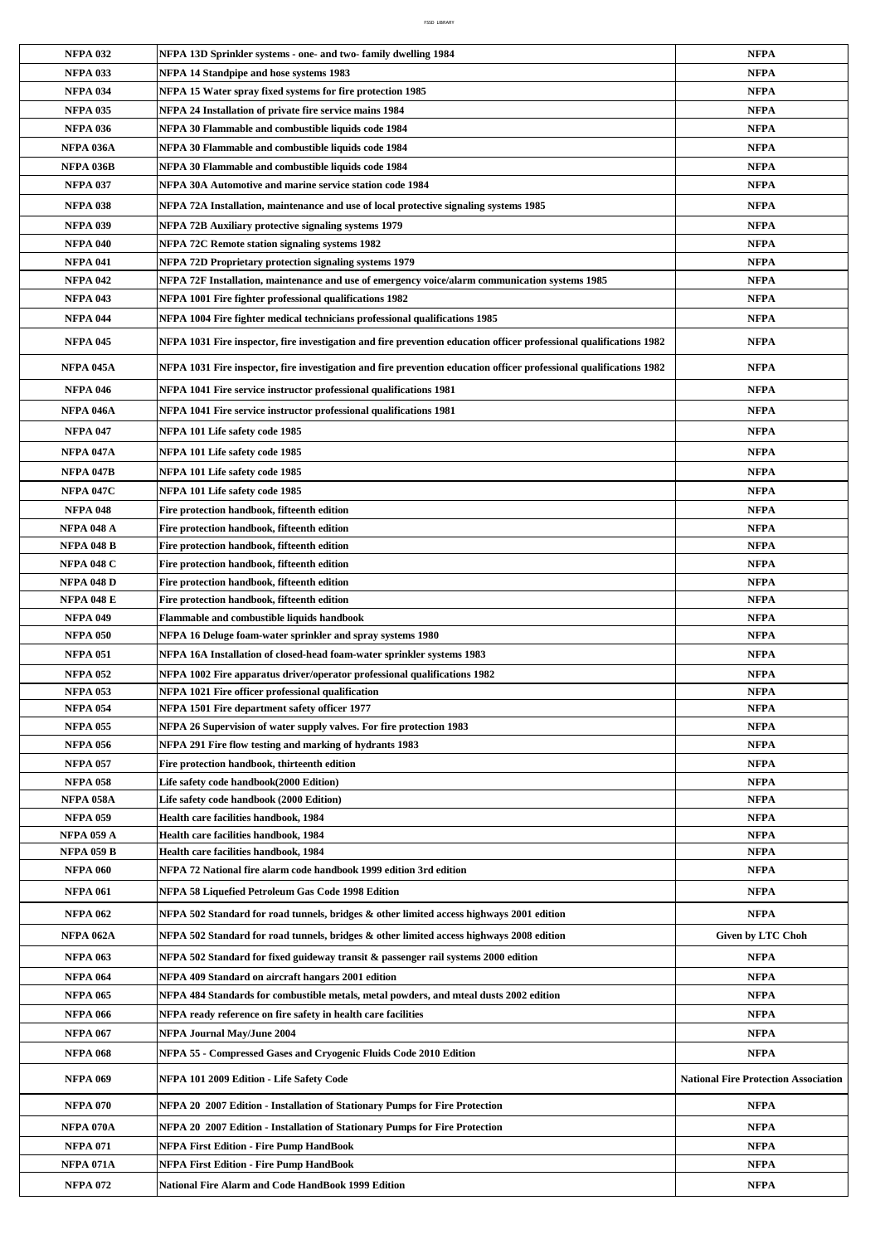| <b>NFPA 032</b>   | NFPA 13D Sprinkler systems - one- and two- family dwelling 1984                                                     | <b>NFPA</b>                                 |
|-------------------|---------------------------------------------------------------------------------------------------------------------|---------------------------------------------|
| <b>NFPA 033</b>   | NFPA 14 Standpipe and hose systems 1983                                                                             | <b>NFPA</b>                                 |
| <b>NFPA 034</b>   | NFPA 15 Water spray fixed systems for fire protection 1985                                                          | <b>NFPA</b>                                 |
| <b>NFPA 035</b>   | NFPA 24 Installation of private fire service mains 1984                                                             | <b>NFPA</b>                                 |
| <b>NFPA 036</b>   | NFPA 30 Flammable and combustible liquids code 1984                                                                 | <b>NFPA</b>                                 |
| <b>NFPA 036A</b>  | NFPA 30 Flammable and combustible liquids code 1984                                                                 | NFPA                                        |
| <b>NFPA 036B</b>  | NFPA 30 Flammable and combustible liquids code 1984                                                                 | <b>NFPA</b>                                 |
| <b>NFPA 037</b>   | NFPA 30A Automotive and marine service station code 1984                                                            | NFPA                                        |
| <b>NFPA 038</b>   | NFPA 72A Installation, maintenance and use of local protective signaling systems 1985                               | NFPA                                        |
| <b>NFPA 039</b>   | NFPA 72B Auxiliary protective signaling systems 1979                                                                |                                             |
|                   | NFPA 72C Remote station signaling systems 1982                                                                      | NFPA<br><b>NFPA</b>                         |
| <b>NFPA 040</b>   |                                                                                                                     |                                             |
| <b>NFPA 041</b>   | NFPA 72D Proprietary protection signaling systems 1979                                                              | <b>NFPA</b>                                 |
| <b>NFPA 042</b>   | NFPA 72F Installation, maintenance and use of emergency voice/alarm communication systems 1985                      | <b>NFPA</b>                                 |
| <b>NFPA 043</b>   | NFPA 1001 Fire fighter professional qualifications 1982                                                             | <b>NFPA</b>                                 |
| <b>NFPA 044</b>   | NFPA 1004 Fire fighter medical technicians professional qualifications 1985                                         | NFPA                                        |
| <b>NFPA 045</b>   | NFPA 1031 Fire inspector, fire investigation and fire prevention education officer professional qualifications 1982 | <b>NFPA</b>                                 |
| NFPA 045A         | NFPA 1031 Fire inspector, fire investigation and fire prevention education officer professional qualifications 1982 | NFPA                                        |
| <b>NFPA 046</b>   | NFPA 1041 Fire service instructor professional qualifications 1981                                                  | <b>NFPA</b>                                 |
| NFPA 046A         | NFPA 1041 Fire service instructor professional qualifications 1981                                                  | <b>NFPA</b>                                 |
| <b>NFPA 047</b>   | NFPA 101 Life safety code 1985                                                                                      | <b>NFPA</b>                                 |
| NFPA 047A         | NFPA 101 Life safety code 1985                                                                                      | <b>NFPA</b>                                 |
| <b>NFPA 047B</b>  | NFPA 101 Life safety code 1985                                                                                      | <b>NFPA</b>                                 |
|                   |                                                                                                                     |                                             |
| <b>NFPA 047C</b>  | NFPA 101 Life safety code 1985                                                                                      | <b>NFPA</b>                                 |
| <b>NFPA 048</b>   | Fire protection handbook, fifteenth edition                                                                         | <b>NFPA</b>                                 |
| <b>NFPA 048 A</b> | Fire protection handbook, fifteenth edition                                                                         | <b>NFPA</b>                                 |
| <b>NFPA 048 B</b> | Fire protection handbook, fifteenth edition                                                                         | NFPA                                        |
| <b>NFPA 048 C</b> | Fire protection handbook, fifteenth edition                                                                         | NFPA                                        |
| <b>NFPA 048 D</b> | Fire protection handbook, fifteenth edition                                                                         | <b>NFPA</b>                                 |
| <b>NFPA 048 E</b> | Fire protection handbook, fifteenth edition                                                                         | NFPA                                        |
| <b>NFPA 049</b>   | Flammable and combustible liquids handbook                                                                          | NFPA                                        |
| <b>NFPA 050</b>   | NFPA 16 Deluge foam-water sprinkler and spray systems 1980                                                          | NFPA                                        |
| <b>NFPA 051</b>   | NFPA 16A Installation of closed-head foam-water sprinkler systems 1983                                              | <b>NFPA</b>                                 |
| <b>NFPA 052</b>   | NFPA 1002 Fire apparatus driver/operator professional qualifications 1982                                           | <b>NFPA</b>                                 |
| <b>NFPA 053</b>   | NFPA 1021 Fire officer professional qualification                                                                   | <b>NFPA</b>                                 |
| <b>NFPA 054</b>   | NFPA 1501 Fire department safety officer 1977                                                                       | <b>NFPA</b>                                 |
| <b>NFPA 055</b>   | NFPA 26 Supervision of water supply valves. For fire protection 1983                                                | NFPA                                        |
| <b>NFPA 056</b>   | NFPA 291 Fire flow testing and marking of hydrants 1983                                                             | <b>NFPA</b>                                 |
| <b>NFPA 057</b>   | Fire protection handbook, thirteenth edition                                                                        | <b>NFPA</b>                                 |
| <b>NFPA 058</b>   | Life safety code handbook(2000 Edition)                                                                             | <b>NFPA</b>                                 |
| NFPA 058A         | Life safety code handbook (2000 Edition)                                                                            | <b>NFPA</b>                                 |
| <b>NFPA 059</b>   | Health care facilities handbook, 1984                                                                               | <b>NFPA</b>                                 |
| <b>NFPA 059 A</b> | Health care facilities handbook, 1984                                                                               | <b>NFPA</b>                                 |
| <b>NFPA 059 B</b> | Health care facilities handbook, 1984                                                                               | NFPA                                        |
| <b>NFPA 060</b>   | NFPA 72 National fire alarm code handbook 1999 edition 3rd edition                                                  | NFPA                                        |
| <b>NFPA 061</b>   | NFPA 58 Liquefied Petroleum Gas Code 1998 Edition                                                                   | NFPA                                        |
| <b>NFPA 062</b>   | NFPA 502 Standard for road tunnels, bridges & other limited access highways 2001 edition                            | NFPA                                        |
| NFPA 062A         | NFPA 502 Standard for road tunnels, bridges & other limited access highways 2008 edition                            | <b>Given by LTC Choh</b>                    |
|                   |                                                                                                                     |                                             |
| <b>NFPA 063</b>   | NFPA 502 Standard for fixed guideway transit & passenger rail systems 2000 edition                                  | NFPA                                        |
| <b>NFPA 064</b>   | NFPA 409 Standard on aircraft hangars 2001 edition                                                                  | NFPA                                        |
| <b>NFPA 065</b>   | NFPA 484 Standards for combustible metals, metal powders, and mteal dusts 2002 edition                              | <b>NFPA</b>                                 |
| <b>NFPA 066</b>   | NFPA ready reference on fire safety in health care facilities                                                       | NFPA                                        |
| <b>NFPA 067</b>   | NFPA Journal May/June 2004                                                                                          | NFPA                                        |
| <b>NFPA 068</b>   | NFPA 55 - Compressed Gases and Cryogenic Fluids Code 2010 Edition                                                   | <b>NFPA</b>                                 |
| <b>NFPA 069</b>   | NFPA 101 2009 Edition - Life Safety Code                                                                            | <b>National Fire Protection Association</b> |
| <b>NFPA 070</b>   | NFPA 20 2007 Edition - Installation of Stationary Pumps for Fire Protection                                         | <b>NFPA</b>                                 |
| NFPA 070A         | NFPA 20 2007 Edition - Installation of Stationary Pumps for Fire Protection                                         | <b>NFPA</b>                                 |
| <b>NFPA 071</b>   | NFPA First Edition - Fire Pump HandBook                                                                             | NFPA                                        |
| NFPA 071A         | NFPA First Edition - Fire Pump HandBook                                                                             | <b>NFPA</b>                                 |
|                   |                                                                                                                     |                                             |
| <b>NFPA 072</b>   | National Fire Alarm and Code HandBook 1999 Edition                                                                  | <b>NFPA</b>                                 |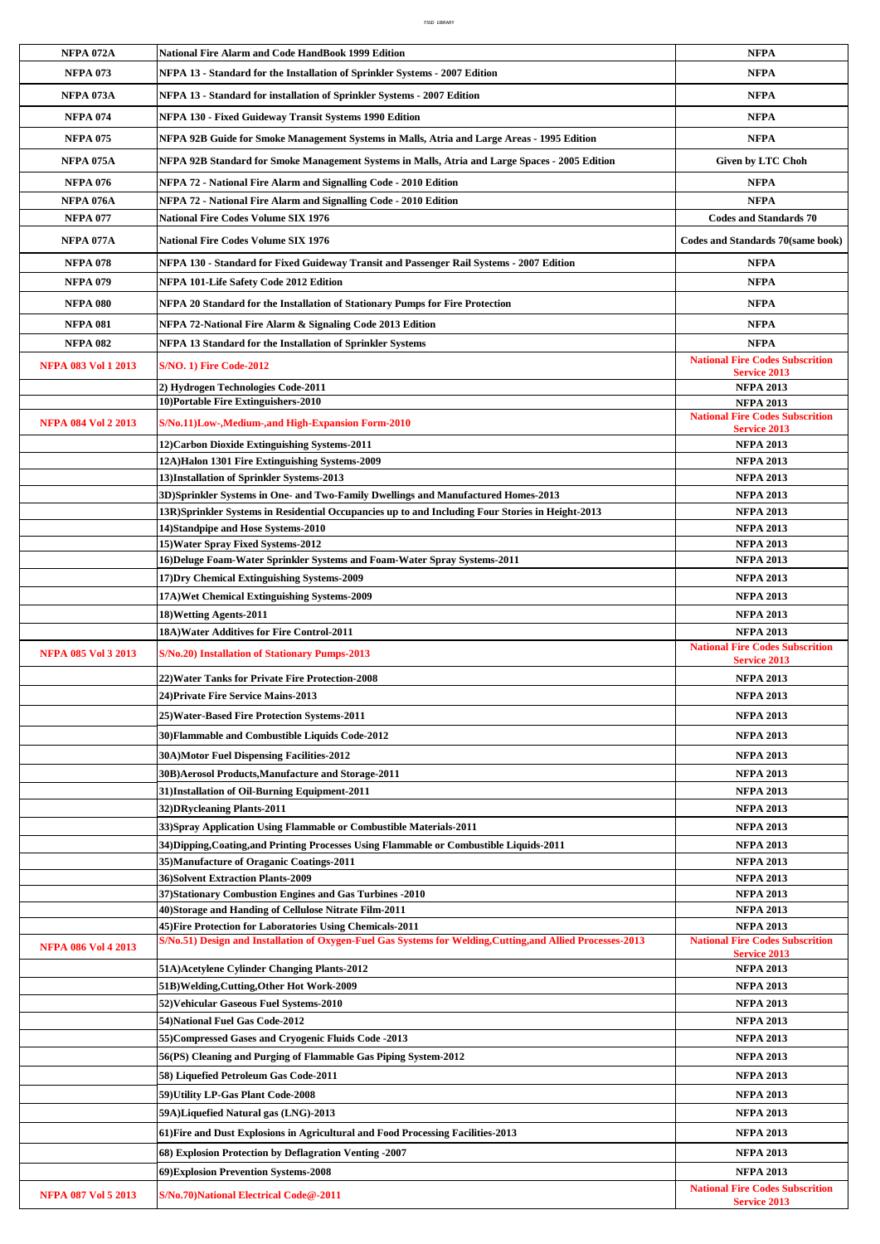| <b>NFPA 072A</b>           | <b>National Fire Alarm and Code HandBook 1999 Edition</b>                                                                                                                | <b>NFPA</b>                                                   |
|----------------------------|--------------------------------------------------------------------------------------------------------------------------------------------------------------------------|---------------------------------------------------------------|
| <b>NFPA 073</b>            | NFPA 13 - Standard for the Installation of Sprinkler Systems - 2007 Edition                                                                                              | NFPA                                                          |
| <b>NFPA 073A</b>           | NFPA 13 - Standard for installation of Sprinkler Systems - 2007 Edition                                                                                                  | <b>NFPA</b>                                                   |
| <b>NFPA 074</b>            | NFPA 130 - Fixed Guideway Transit Systems 1990 Edition                                                                                                                   | <b>NFPA</b>                                                   |
|                            |                                                                                                                                                                          |                                                               |
| <b>NFPA 075</b>            | NFPA 92B Guide for Smoke Management Systems in Malls, Atria and Large Areas - 1995 Edition                                                                               | <b>NFPA</b>                                                   |
| <b>NFPA 075A</b>           | NFPA 92B Standard for Smoke Management Systems in Malls, Atria and Large Spaces - 2005 Edition                                                                           | Given by LTC Choh                                             |
| <b>NFPA 076</b>            | NFPA 72 - National Fire Alarm and Signalling Code - 2010 Edition                                                                                                         | <b>NFPA</b>                                                   |
| <b>NFPA 076A</b>           | NFPA 72 - National Fire Alarm and Signalling Code - 2010 Edition                                                                                                         | NFPA                                                          |
| <b>NFPA 077</b>            | National Fire Codes Volume SIX 1976                                                                                                                                      | <b>Codes and Standards 70</b>                                 |
| <b>NFPA 077A</b>           | <b>National Fire Codes Volume SIX 1976</b>                                                                                                                               | Codes and Standards 70(same book)                             |
| <b>NFPA 078</b>            | NFPA 130 - Standard for Fixed Guideway Transit and Passenger Rail Systems - 2007 Edition                                                                                 | NFPA                                                          |
| <b>NFPA 079</b>            | NFPA 101-Life Safety Code 2012 Edition                                                                                                                                   | <b>NFPA</b>                                                   |
| <b>NFPA 080</b>            | NFPA 20 Standard for the Installation of Stationary Pumps for Fire Protection                                                                                            | <b>NFPA</b>                                                   |
| <b>NFPA 081</b>            | NFPA 72-National Fire Alarm & Signaling Code 2013 Edition                                                                                                                | <b>NFPA</b>                                                   |
| <b>NFPA 082</b>            | NFPA 13 Standard for the Installation of Sprinkler Systems                                                                                                               | NFPA                                                          |
| <b>NFPA 083 Vol 1 2013</b> | <b>S/NO. 1) Fire Code-2012</b>                                                                                                                                           | <b>National Fire Codes Subscrition</b>                        |
|                            |                                                                                                                                                                          | <b>Service 2013</b><br><b>NFPA 2013</b>                       |
|                            | 2) Hydrogen Technologies Code-2011<br>10) Portable Fire Extinguishers-2010                                                                                               | <b>NFPA 2013</b>                                              |
| <b>NFPA 084 Vol 2 2013</b> | S/No.11)Low-,Medium-,and High-Expansion Form-2010                                                                                                                        | <b>National Fire Codes Subscrition</b>                        |
|                            |                                                                                                                                                                          | <b>Service 2013</b><br><b>NFPA 2013</b>                       |
|                            | 12) Carbon Dioxide Extinguishing Systems-2011<br>12A)Halon 1301 Fire Extinguishing Systems-2009                                                                          | <b>NFPA 2013</b>                                              |
|                            | 13) Installation of Sprinkler Systems-2013                                                                                                                               | <b>NFPA 2013</b>                                              |
|                            | 3D)Sprinkler Systems in One- and Two-Family Dwellings and Manufactured Homes-2013                                                                                        | <b>NFPA 2013</b>                                              |
|                            | 13R)Sprinkler Systems in Residential Occupancies up to and Including Four Stories in Height-2013                                                                         | <b>NFPA 2013</b>                                              |
|                            | 14)Standpipe and Hose Systems-2010                                                                                                                                       | <b>NFPA 2013</b>                                              |
|                            | 15) Water Spray Fixed Systems-2012                                                                                                                                       | <b>NFPA 2013</b>                                              |
|                            | 16) Deluge Foam-Water Sprinkler Systems and Foam-Water Spray Systems-2011                                                                                                | <b>NFPA 2013</b>                                              |
|                            | 17) Dry Chemical Extinguishing Systems-2009                                                                                                                              | <b>NFPA 2013</b>                                              |
|                            | 17A) Wet Chemical Extinguishing Systems-2009                                                                                                                             | <b>NFPA 2013</b>                                              |
|                            | 18) Wetting Agents-2011                                                                                                                                                  | <b>NFPA 2013</b>                                              |
|                            | 18A)Water Additives for Fire Control-2011                                                                                                                                | <b>NFPA 2013</b>                                              |
| <b>NFPA 085 Vol 3 2013</b> | S/No.20) Installation of Stationary Pumps-2013                                                                                                                           | <b>National Fire Codes Subscrition</b><br><b>Service 2013</b> |
|                            | 22) Water Tanks for Private Fire Protection-2008                                                                                                                         | <b>NFPA 2013</b>                                              |
|                            | 24) Private Fire Service Mains-2013                                                                                                                                      | <b>NFPA 2013</b>                                              |
|                            | 25) Water-Based Fire Protection Systems-2011                                                                                                                             | <b>NFPA 2013</b>                                              |
|                            | 30) Flammable and Combustible Liquids Code-2012                                                                                                                          | <b>NFPA 2013</b>                                              |
|                            | 30A)Motor Fuel Dispensing Facilities-2012                                                                                                                                | <b>NFPA 2013</b>                                              |
|                            | 30B)Aerosol Products, Manufacture and Storage-2011                                                                                                                       | <b>NFPA 2013</b>                                              |
|                            | 31) Installation of Oil-Burning Equipment-2011                                                                                                                           | <b>NFPA 2013</b>                                              |
|                            | 32) DRycleaning Plants-2011                                                                                                                                              | <b>NFPA 2013</b>                                              |
|                            | 33) Spray Application Using Flammable or Combustible Materials-2011                                                                                                      | <b>NFPA 2013</b>                                              |
|                            | 34)Dipping,Coating,and Printing Processes Using Flammable or Combustible Liquids-2011                                                                                    | <b>NFPA 2013</b>                                              |
|                            | 35) Manufacture of Oraganic Coatings-2011                                                                                                                                | <b>NFPA 2013</b>                                              |
|                            | 36)Solvent Extraction Plants-2009                                                                                                                                        | <b>NFPA 2013</b>                                              |
|                            | 37) Stationary Combustion Engines and Gas Turbines -2010                                                                                                                 | <b>NFPA 2013</b>                                              |
|                            | 40) Storage and Handing of Cellulose Nitrate Film-2011                                                                                                                   | <b>NFPA 2013</b><br><b>NFPA 2013</b>                          |
|                            | 45) Fire Protection for Laboratories Using Chemicals-2011<br>S/No.51) Design and Installation of Oxygen-Fuel Gas Systems for Welding, Cutting, and Allied Processes-2013 | <b>National Fire Codes Subscrition</b>                        |
| <b>NFPA 086 Vol 4 2013</b> |                                                                                                                                                                          | <b>Service 2013</b>                                           |
|                            | 51A) Acetylene Cylinder Changing Plants-2012                                                                                                                             | <b>NFPA 2013</b>                                              |
|                            | 51B)Welding,Cutting,Other Hot Work-2009                                                                                                                                  | <b>NFPA 2013</b>                                              |
|                            | 52) Vehicular Gaseous Fuel Systems-2010                                                                                                                                  | <b>NFPA 2013</b>                                              |
|                            | 54) National Fuel Gas Code-2012                                                                                                                                          | <b>NFPA 2013</b>                                              |
|                            | 55) Compressed Gases and Cryogenic Fluids Code -2013                                                                                                                     | <b>NFPA 2013</b>                                              |
|                            | 56(PS) Cleaning and Purging of Flammable Gas Piping System-2012                                                                                                          | <b>NFPA 2013</b>                                              |
|                            | 58) Liquefied Petroleum Gas Code-2011                                                                                                                                    | <b>NFPA 2013</b>                                              |
|                            | 59) Utility LP-Gas Plant Code-2008                                                                                                                                       | <b>NFPA 2013</b>                                              |
|                            | 59A)Liquefied Natural gas (LNG)-2013                                                                                                                                     | <b>NFPA 2013</b>                                              |
|                            | 61) Fire and Dust Explosions in Agricultural and Food Processing Facilities-2013                                                                                         | <b>NFPA 2013</b>                                              |
|                            | 68) Explosion Protection by Deflagration Venting -2007                                                                                                                   | <b>NFPA 2013</b>                                              |
|                            | 69) Explosion Prevention Systems-2008                                                                                                                                    | <b>NFPA 2013</b>                                              |
| <b>NFPA 087 Vol 5 2013</b> | S/No.70)National Electrical Code@-2011                                                                                                                                   | <b>National Fire Codes Subscrition</b><br><b>Service 2013</b> |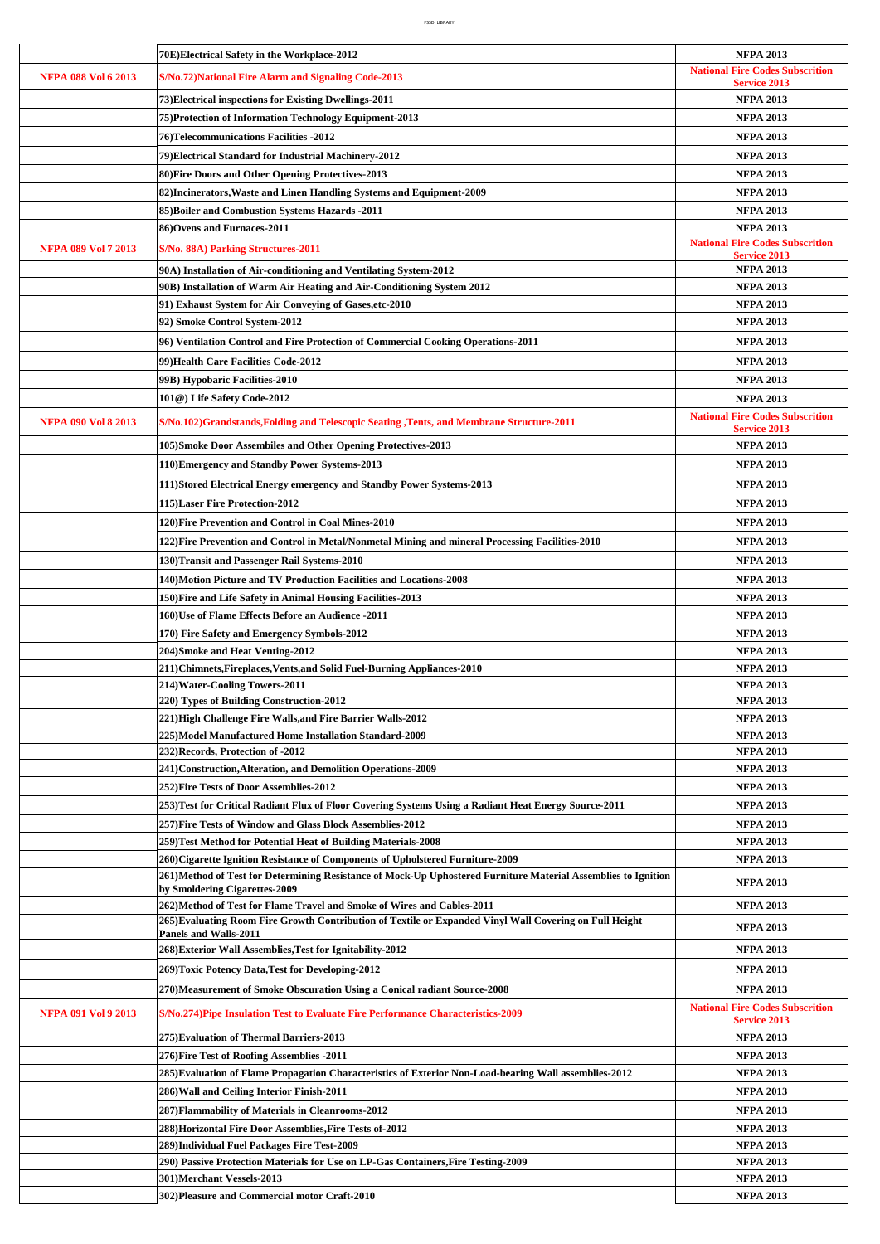|                            | 70E)Electrical Safety in the Workplace-2012                                                                                                     | <b>NFPA 2013</b><br><b>National Fire Codes Subscrition</b>    |
|----------------------------|-------------------------------------------------------------------------------------------------------------------------------------------------|---------------------------------------------------------------|
| <b>NFPA 088 Vol 6 2013</b> | S/No.72)National Fire Alarm and Signaling Code-2013                                                                                             | <b>Service 2013</b>                                           |
|                            | 73) Electrical inspections for Existing Dwellings-2011                                                                                          | <b>NFPA 2013</b>                                              |
|                            | 75) Protection of Information Technology Equipment-2013                                                                                         | <b>NFPA 2013</b>                                              |
|                            | <b>76)Telecommunications Facilities -2012</b>                                                                                                   | <b>NFPA 2013</b>                                              |
|                            | 79) Electrical Standard for Industrial Machinery-2012                                                                                           | <b>NFPA 2013</b>                                              |
|                            | 80) Fire Doors and Other Opening Protectives-2013                                                                                               | <b>NFPA 2013</b>                                              |
|                            | 82) Incinerators, Waste and Linen Handling Systems and Equipment-2009                                                                           | <b>NFPA 2013</b>                                              |
|                            | 85) Boiler and Combustion Systems Hazards -2011                                                                                                 | <b>NFPA 2013</b>                                              |
|                            | 86) Ovens and Furnaces-2011                                                                                                                     | <b>NFPA 2013</b>                                              |
| <b>NFPA 089 Vol 7 2013</b> | S/No. 88A) Parking Structures-2011                                                                                                              | <b>National Fire Codes Subscrition</b>                        |
|                            | 90A) Installation of Air-conditioning and Ventilating System-2012                                                                               | <b>Service 2013</b><br><b>NFPA 2013</b>                       |
|                            | 90B) Installation of Warm Air Heating and Air-Conditioning System 2012                                                                          | <b>NFPA 2013</b>                                              |
|                            | 91) Exhaust System for Air Conveying of Gases, etc-2010                                                                                         | <b>NFPA 2013</b>                                              |
|                            | 92) Smoke Control System-2012                                                                                                                   | <b>NFPA 2013</b>                                              |
|                            | 96) Ventilation Control and Fire Protection of Commercial Cooking Operations-2011                                                               | <b>NFPA 2013</b>                                              |
|                            | 99) Health Care Facilities Code-2012                                                                                                            | <b>NFPA 2013</b>                                              |
|                            |                                                                                                                                                 |                                                               |
|                            | 99B) Hypobaric Facilities-2010                                                                                                                  | <b>NFPA 2013</b>                                              |
|                            | 101@) Life Safety Code-2012                                                                                                                     | <b>NFPA 2013</b>                                              |
| <b>NFPA 090 Vol 8 2013</b> | S/No.102)Grandstands,Folding and Telescopic Seating ,Tents, and Membrane Structure-2011                                                         | <b>National Fire Codes Subscrition</b><br><b>Service 2013</b> |
|                            | 105)Smoke Door Assembiles and Other Opening Protectives-2013                                                                                    | <b>NFPA 2013</b>                                              |
|                            | 110) Emergency and Standby Power Systems-2013                                                                                                   | <b>NFPA 2013</b>                                              |
|                            | 111)Stored Electrical Energy emergency and Standby Power Systems-2013                                                                           | <b>NFPA 2013</b>                                              |
|                            | 115) Laser Fire Protection-2012                                                                                                                 | <b>NFPA 2013</b>                                              |
|                            | 120) Fire Prevention and Control in Coal Mines-2010                                                                                             | <b>NFPA 2013</b>                                              |
|                            | 122) Fire Prevention and Control in Metal/Nonmetal Mining and mineral Processing Facilities-2010                                                | <b>NFPA 2013</b>                                              |
|                            |                                                                                                                                                 |                                                               |
|                            | 130) Transit and Passenger Rail Systems-2010                                                                                                    | <b>NFPA 2013</b>                                              |
|                            | 140)Motion Picture and TV Production Facilities and Locations-2008                                                                              | <b>NFPA 2013</b>                                              |
|                            | 150)Fire and Life Safety in Animal Housing Facilities-2013                                                                                      | <b>NFPA 2013</b><br><b>NFPA 2013</b>                          |
|                            | 160)Use of Flame Effects Before an Audience -2011                                                                                               |                                                               |
|                            | 170) Fire Safety and Emergency Symbols-2012<br>204)Smoke and Heat Venting-2012                                                                  | <b>NFPA 2013</b><br><b>NFPA 2013</b>                          |
|                            | 211)Chimnets, Fireplaces, Vents, and Solid Fuel-Burning Appliances-2010                                                                         | <b>NFPA 2013</b>                                              |
|                            | 214) Water-Cooling Towers-2011                                                                                                                  | <b>NFPA 2013</b>                                              |
|                            | 220) Types of Building Construction-2012                                                                                                        | <b>NFPA 2013</b>                                              |
|                            | 221)High Challenge Fire Walls, and Fire Barrier Walls-2012                                                                                      | <b>NFPA 2013</b>                                              |
|                            | 225)Model Manufactured Home Installation Standard-2009                                                                                          | <b>NFPA 2013</b>                                              |
|                            | 232) Records, Protection of -2012                                                                                                               | <b>NFPA 2013</b>                                              |
|                            | 241) Construction, Alteration, and Demolition Operations-2009                                                                                   | <b>NFPA 2013</b>                                              |
|                            | 252) Fire Tests of Door Assemblies-2012                                                                                                         | <b>NFPA 2013</b>                                              |
|                            | 253) Test for Critical Radiant Flux of Floor Covering Systems Using a Radiant Heat Energy Source-2011                                           | <b>NFPA 2013</b>                                              |
|                            | 257) Fire Tests of Window and Glass Block Assemblies-2012                                                                                       | <b>NFPA 2013</b>                                              |
|                            | 259) Test Method for Potential Heat of Building Materials-2008                                                                                  | <b>NFPA 2013</b>                                              |
|                            | 260)Cigarette Ignition Resistance of Components of Upholstered Furniture-2009                                                                   | <b>NFPA 2013</b>                                              |
|                            | 261) Method of Test for Determining Resistance of Mock-Up Uphostered Furniture Material Assemblies to Ignition<br>by Smoldering Cigarettes-2009 | <b>NFPA 2013</b>                                              |
|                            | 262)Method of Test for Flame Travel and Smoke of Wires and Cables-2011                                                                          | <b>NFPA 2013</b>                                              |
|                            | 265) Evaluating Room Fire Growth Contribution of Textile or Expanded Vinyl Wall Covering on Full Height                                         | <b>NFPA 2013</b>                                              |
|                            | Panels and Walls-2011<br>268) Exterior Wall Assemblies, Test for Ignitability-2012                                                              | <b>NFPA 2013</b>                                              |
|                            |                                                                                                                                                 |                                                               |
|                            | 269) Toxic Potency Data, Test for Developing-2012                                                                                               | <b>NFPA 2013</b>                                              |
|                            | 270)Measurement of Smoke Obscuration Using a Conical radiant Source-2008                                                                        | <b>NFPA 2013</b><br><b>National Fire Codes Subscrition</b>    |
| <b>NFPA 091 Vol 9 2013</b> | S/No.274)Pipe Insulation Test to Evaluate Fire Performance Characteristics-2009                                                                 | <b>Service 2013</b>                                           |
|                            | 275) Evaluation of Thermal Barriers-2013                                                                                                        | <b>NFPA 2013</b>                                              |
|                            | 276) Fire Test of Roofing Assemblies - 2011                                                                                                     | <b>NFPA 2013</b>                                              |
|                            | 285) Evaluation of Flame Propagation Characteristics of Exterior Non-Load-bearing Wall assemblies-2012                                          | <b>NFPA 2013</b>                                              |
|                            | 286) Wall and Ceiling Interior Finish-2011                                                                                                      | <b>NFPA 2013</b>                                              |
|                            | 287) Flammability of Materials in Cleanrooms-2012                                                                                               | <b>NFPA 2013</b>                                              |
|                            | 288) Horizontal Fire Door Assemblies, Fire Tests of-2012                                                                                        | <b>NFPA 2013</b>                                              |
|                            | 289)Individual Fuel Packages Fire Test-2009                                                                                                     | <b>NFPA 2013</b>                                              |
|                            | 290) Passive Protection Materials for Use on LP-Gas Containers, Fire Testing-2009                                                               | <b>NFPA 2013</b>                                              |
|                            | 301)Merchant Vessels-2013                                                                                                                       | <b>NFPA 2013</b>                                              |
|                            | 302) Pleasure and Commercial motor Craft-2010                                                                                                   | <b>NFPA 2013</b>                                              |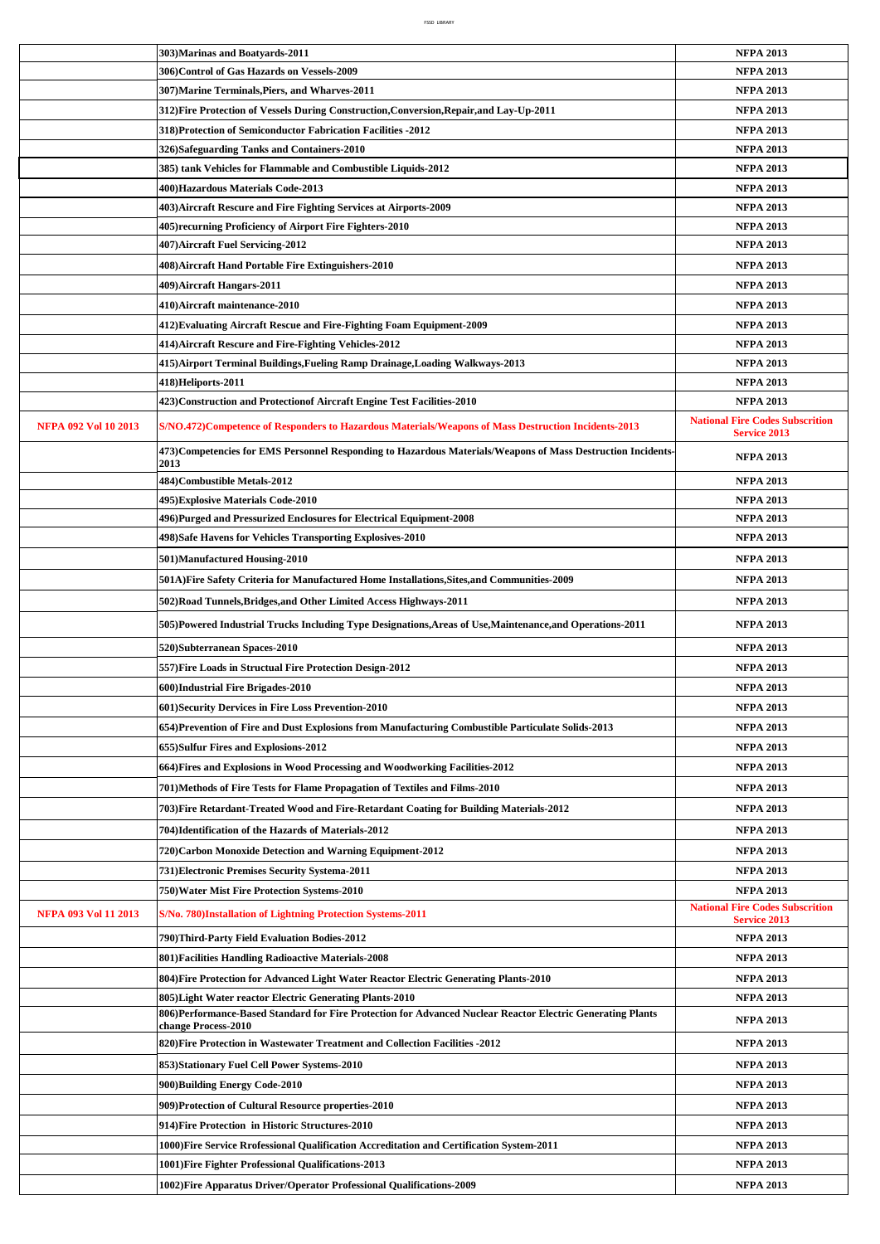|                             | 303)Marinas and Boatyards-2011                                                                                                    | <b>NFPA 2013</b>                                              |
|-----------------------------|-----------------------------------------------------------------------------------------------------------------------------------|---------------------------------------------------------------|
|                             | 306)Control of Gas Hazards on Vessels-2009                                                                                        | <b>NFPA 2013</b>                                              |
|                             | 307) Marine Terminals, Piers, and Wharves-2011                                                                                    | <b>NFPA 2013</b>                                              |
|                             | 312)Fire Protection of Vessels During Construction,Conversion,Repair,and Lay-Up-2011                                              | <b>NFPA 2013</b>                                              |
|                             | 318) Protection of Semiconductor Fabrication Facilities -2012                                                                     | <b>NFPA 2013</b>                                              |
|                             | 326)Safeguarding Tanks and Containers-2010                                                                                        | <b>NFPA 2013</b>                                              |
|                             | 385) tank Vehicles for Flammable and Combustible Liquids-2012                                                                     | <b>NFPA 2013</b>                                              |
|                             | 400)Hazardous Materials Code-2013                                                                                                 | <b>NFPA 2013</b>                                              |
|                             | 403) Aircraft Rescure and Fire Fighting Services at Airports-2009                                                                 | <b>NFPA 2013</b>                                              |
|                             | 405) recurning Proficiency of Airport Fire Fighters-2010                                                                          | <b>NFPA 2013</b>                                              |
|                             | 407)Aircraft Fuel Servicing-2012                                                                                                  | <b>NFPA 2013</b>                                              |
|                             | 408) Aircraft Hand Portable Fire Extinguishers-2010                                                                               | <b>NFPA 2013</b>                                              |
|                             | 409)Aircraft Hangars-2011                                                                                                         | <b>NFPA 2013</b>                                              |
|                             | 410)Aircraft maintenance-2010                                                                                                     | <b>NFPA 2013</b>                                              |
|                             | 412) Evaluating Aircraft Rescue and Fire-Fighting Foam Equipment-2009                                                             | <b>NFPA 2013</b>                                              |
|                             | 414) Aircraft Rescure and Fire-Fighting Vehicles-2012                                                                             | <b>NFPA 2013</b>                                              |
|                             | 415)Airport Terminal Buildings,Fueling Ramp Drainage,Loading Walkways-2013                                                        | <b>NFPA 2013</b>                                              |
|                             | 418)Heliports-2011                                                                                                                | <b>NFPA 2013</b>                                              |
|                             | 423)Construction and Protectionof Aircraft Engine Test Facilities-2010                                                            | <b>NFPA 2013</b>                                              |
| <b>NFPA 092 Vol 10 2013</b> | S/NO.472)Competence of Responders to Hazardous Materials/Weapons of Mass Destruction Incidents-2013                               | <b>National Fire Codes Subscrition</b><br><b>Service 2013</b> |
|                             | 473) Competencies for EMS Personnel Responding to Hazardous Materials/Weapons of Mass Destruction Incidents<br>2013               | <b>NFPA 2013</b>                                              |
|                             | 484)Combustible Metals-2012                                                                                                       | <b>NFPA 2013</b>                                              |
|                             | 495)Explosive Materials Code-2010                                                                                                 | <b>NFPA 2013</b>                                              |
|                             | 496)Purged and Pressurized Enclosures for Electrical Equipment-2008                                                               | <b>NFPA 2013</b>                                              |
|                             | 498)Safe Havens for Vehicles Transporting Explosives-2010                                                                         | <b>NFPA 2013</b>                                              |
|                             | 501)Manufactured Housing-2010                                                                                                     | <b>NFPA 2013</b>                                              |
|                             | 501A)Fire Safety Criteria for Manufactured Home Installations,Sites,and Communities-2009                                          | <b>NFPA 2013</b>                                              |
|                             | 502)Road Tunnels, Bridges, and Other Limited Access Highways-2011                                                                 | <b>NFPA 2013</b>                                              |
|                             | 505)Powered Industrial Trucks Including Type Designations,Areas of Use,Maintenance,and Operations-2011                            | <b>NFPA 2013</b>                                              |
|                             | 520)Subterranean Spaces-2010                                                                                                      | <b>NFPA 2013</b>                                              |
|                             | 557) Fire Loads in Structual Fire Protection Design-2012                                                                          | <b>NFPA 2013</b>                                              |
|                             | 600)Industrial Fire Brigades-2010                                                                                                 | <b>NFPA 2013</b>                                              |
|                             | 601) Security Dervices in Fire Loss Prevention-2010                                                                               | <b>NFPA 2013</b>                                              |
|                             | 654)Prevention of Fire and Dust Explosions from Manufacturing Combustible Particulate Solids-2013                                 | <b>NFPA 2013</b>                                              |
|                             | 655)Sulfur Fires and Explosions-2012                                                                                              | <b>NFPA 2013</b>                                              |
|                             | 664) Fires and Explosions in Wood Processing and Woodworking Facilities-2012                                                      | <b>NFPA 2013</b>                                              |
|                             | 701)Methods of Fire Tests for Flame Propagation of Textiles and Films-2010                                                        | <b>NFPA 2013</b>                                              |
|                             | 703)Fire Retardant-Treated Wood and Fire-Retardant Coating for Building Materials-2012                                            | NFPA 2013                                                     |
|                             | 704)Identification of the Hazards of Materials-2012                                                                               | <b>NFPA 2013</b>                                              |
|                             | 720)Carbon Monoxide Detection and Warning Equipment-2012                                                                          | <b>NFPA 2013</b>                                              |
|                             | 731) Electronic Premises Security Systema-2011                                                                                    | <b>NFPA 2013</b>                                              |
|                             | 750)Water Mist Fire Protection Systems-2010                                                                                       | <b>NFPA 2013</b>                                              |
| <b>NFPA 093 Vol 11 2013</b> | S/No. 780)Installation of Lightning Protection Systems-2011                                                                       | <b>National Fire Codes Subscrition</b><br><b>Service 2013</b> |
|                             | 790)Third-Party Field Evaluation Bodies-2012                                                                                      | <b>NFPA 2013</b>                                              |
|                             | 801) Facilities Handling Radioactive Materials-2008                                                                               | <b>NFPA 2013</b>                                              |
|                             | 804)Fire Protection for Advanced Light Water Reactor Electric Generating Plants-2010                                              | <b>NFPA 2013</b>                                              |
|                             | 805) Light Water reactor Electric Generating Plants-2010                                                                          | <b>NFPA 2013</b>                                              |
|                             | 806)Performance-Based Standard for Fire Protection for Advanced Nuclear Reactor Electric Generating Plants<br>change Process-2010 | <b>NFPA 2013</b>                                              |
|                             | 820) Fire Protection in Wastewater Treatment and Collection Facilities -2012                                                      | <b>NFPA 2013</b>                                              |
|                             | 853) Stationary Fuel Cell Power Systems-2010                                                                                      | <b>NFPA 2013</b>                                              |
|                             | 900)Building Energy Code-2010                                                                                                     | <b>NFPA 2013</b>                                              |
|                             | 909)Protection of Cultural Resource properties-2010                                                                               | <b>NFPA 2013</b>                                              |
|                             | 914)Fire Protection in Historic Structures-2010                                                                                   | <b>NFPA 2013</b>                                              |
|                             | 1000)Fire Service Rrofessional Qualification Accreditation and Certification System-2011                                          | <b>NFPA 2013</b>                                              |
|                             | 1001) Fire Fighter Professional Qualifications-2013                                                                               | <b>NFPA 2013</b>                                              |
|                             | 1002)Fire Apparatus Driver/Operator Professional Qualifications-2009                                                              | <b>NFPA 2013</b>                                              |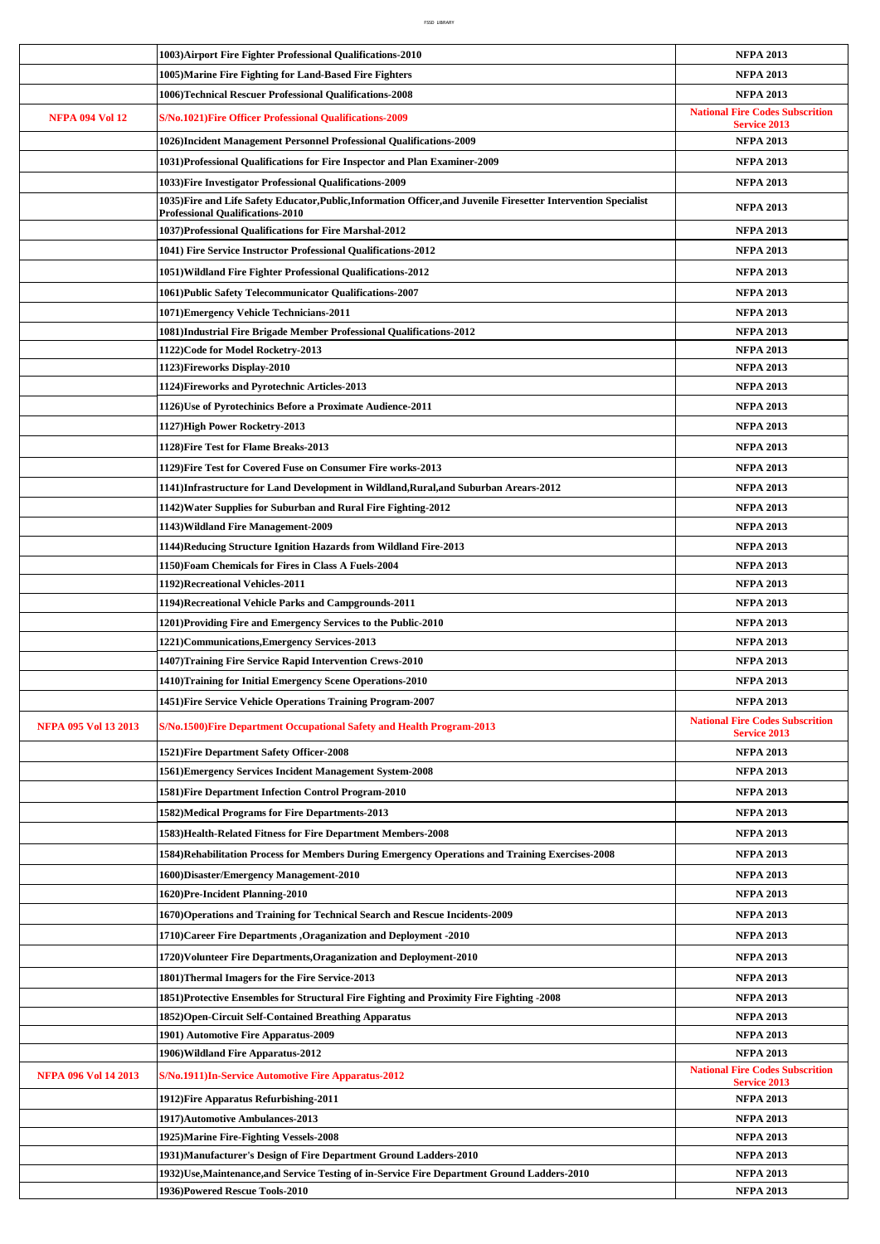|                             | 1003) Airport Fire Fighter Professional Qualifications-2010                                                                                                               | <b>NFPA 2013</b>                                              |
|-----------------------------|---------------------------------------------------------------------------------------------------------------------------------------------------------------------------|---------------------------------------------------------------|
|                             | 1005)Marine Fire Fighting for Land-Based Fire Fighters                                                                                                                    | <b>NFPA 2013</b>                                              |
|                             | 1006)Technical Rescuer Professional Qualifications-2008                                                                                                                   | <b>NFPA 2013</b>                                              |
| <b>NFPA 094 Vol 12</b>      | S/No.1021)Fire Officer Professional Qualifications-2009                                                                                                                   | <b>National Fire Codes Subscrition</b>                        |
|                             | 1026)Incident Management Personnel Professional Qualifications-2009                                                                                                       | <b>Service 2013</b><br><b>NFPA 2013</b>                       |
|                             |                                                                                                                                                                           |                                                               |
|                             | 1031)Professional Qualifications for Fire Inspector and Plan Examiner-2009                                                                                                | <b>NFPA 2013</b>                                              |
|                             | 1033) Fire Investigator Professional Qualifications-2009<br>1035)Fire and Life Safety Educator,Public,Information Officer,and Juvenile Firesetter Intervention Specialist | <b>NFPA 2013</b>                                              |
|                             | <b>Professional Qualifications-2010</b>                                                                                                                                   | <b>NFPA 2013</b>                                              |
|                             | 1037)Professional Qualifications for Fire Marshal-2012                                                                                                                    | <b>NFPA 2013</b>                                              |
|                             | 1041) Fire Service Instructor Professional Qualifications-2012                                                                                                            | <b>NFPA 2013</b>                                              |
|                             | 1051)Wildland Fire Fighter Professional Qualifications-2012                                                                                                               | <b>NFPA 2013</b>                                              |
|                             | 1061)Public Safety Telecommunicator Qualifications-2007                                                                                                                   | <b>NFPA 2013</b>                                              |
|                             | 1071)Emergency Vehicle Technicians-2011                                                                                                                                   | <b>NFPA 2013</b>                                              |
|                             | 1081)Industrial Fire Brigade Member Professional Qualifications-2012                                                                                                      | <b>NFPA 2013</b>                                              |
|                             | 1122)Code for Model Rocketry-2013                                                                                                                                         | <b>NFPA 2013</b>                                              |
|                             | 1123)Fireworks Display-2010                                                                                                                                               | <b>NFPA 2013</b>                                              |
|                             | 1124)Fireworks and Pyrotechnic Articles-2013                                                                                                                              | <b>NFPA 2013</b>                                              |
|                             | 1126)Use of Pyrotechinics Before a Proximate Audience-2011                                                                                                                | <b>NFPA 2013</b>                                              |
|                             | 1127)High Power Rocketry-2013                                                                                                                                             | <b>NFPA 2013</b>                                              |
|                             | 1128)Fire Test for Flame Breaks-2013                                                                                                                                      | <b>NFPA 2013</b>                                              |
|                             | 1129)Fire Test for Covered Fuse on Consumer Fire works-2013                                                                                                               | <b>NFPA 2013</b>                                              |
|                             | 1141)Infrastructure for Land Development in Wildland, Rural, and Suburban Arears-2012                                                                                     | <b>NFPA 2013</b>                                              |
|                             | 1142) Water Supplies for Suburban and Rural Fire Fighting-2012                                                                                                            | <b>NFPA 2013</b>                                              |
|                             | 1143)Wildland Fire Management-2009                                                                                                                                        | <b>NFPA 2013</b>                                              |
|                             | 1144)Reducing Structure Ignition Hazards from Wildland Fire-2013                                                                                                          | <b>NFPA 2013</b>                                              |
|                             | 1150) Foam Chemicals for Fires in Class A Fuels-2004                                                                                                                      | <b>NFPA 2013</b>                                              |
|                             | 1192)Recreational Vehicles-2011                                                                                                                                           | <b>NFPA 2013</b>                                              |
|                             | 1194) Recreational Vehicle Parks and Campgrounds-2011                                                                                                                     | <b>NFPA 2013</b>                                              |
|                             | 1201)Providing Fire and Emergency Services to the Public-2010                                                                                                             | <b>NFPA 2013</b>                                              |
|                             | 1221)Communications, Emergency Services-2013                                                                                                                              | <b>NFPA 2013</b>                                              |
|                             | 1407)Training Fire Service Rapid Intervention Crews-2010                                                                                                                  | <b>NFPA 2013</b>                                              |
|                             | 1410)Training for Initial Emergency Scene Operations-2010                                                                                                                 | <b>NFPA 2013</b>                                              |
|                             | 1451) Fire Service Vehicle Operations Training Program-2007                                                                                                               | <b>NFPA 2013</b>                                              |
| <b>NFPA 095 Vol 13 2013</b> | S/No.1500) Fire Department Occupational Safety and Health Program-2013                                                                                                    | <b>National Fire Codes Subscrition</b><br><b>Service 2013</b> |
|                             | 1521)Fire Department Safety Officer-2008                                                                                                                                  | <b>NFPA 2013</b>                                              |
|                             | 1561)Emergency Services Incident Management System-2008                                                                                                                   | <b>NFPA 2013</b>                                              |
|                             | 1581)Fire Department Infection Control Program-2010                                                                                                                       | <b>NFPA 2013</b>                                              |
|                             | 1582)Medical Programs for Fire Departments-2013                                                                                                                           | <b>NFPA 2013</b>                                              |
|                             | 1583)Health-Related Fitness for Fire Department Members-2008                                                                                                              | <b>NFPA 2013</b>                                              |
|                             | 1584) Rehabilitation Process for Members During Emergency Operations and Training Exercises-2008                                                                          | <b>NFPA 2013</b>                                              |
|                             | 1600)Disaster/Emergency Management-2010                                                                                                                                   | <b>NFPA 2013</b>                                              |
|                             | 1620)Pre-Incident Planning-2010                                                                                                                                           | <b>NFPA 2013</b>                                              |
|                             | 1670) Operations and Training for Technical Search and Rescue Incidents-2009                                                                                              | <b>NFPA 2013</b>                                              |
|                             | 1710)Career Fire Departments , Oraganization and Deployment -2010                                                                                                         | <b>NFPA 2013</b>                                              |
|                             | 1720) Volunteer Fire Departments, Oraganization and Deployment-2010                                                                                                       | <b>NFPA 2013</b>                                              |
|                             | 1801)Thermal Imagers for the Fire Service-2013                                                                                                                            | <b>NFPA 2013</b>                                              |
|                             | 1851)Protective Ensembles for Structural Fire Fighting and Proximity Fire Fighting -2008                                                                                  | <b>NFPA 2013</b>                                              |
|                             | 1852)Open-Circuit Self-Contained Breathing Apparatus                                                                                                                      | <b>NFPA 2013</b>                                              |
|                             | 1901) Automotive Fire Apparatus-2009                                                                                                                                      | <b>NFPA 2013</b>                                              |
|                             | 1906) Wildland Fire Apparatus-2012                                                                                                                                        | <b>NFPA 2013</b><br><b>National Fire Codes Subscrition</b>    |
| <b>NFPA 096 Vol 14 2013</b> | S/No.1911)In-Service Automotive Fire Apparatus-2012                                                                                                                       | <b>Service 2013</b>                                           |
|                             | 1912)Fire Apparatus Refurbishing-2011                                                                                                                                     | <b>NFPA 2013</b>                                              |
|                             | 1917)Automotive Ambulances-2013                                                                                                                                           | <b>NFPA 2013</b>                                              |
|                             | 1925)Marine Fire-Fighting Vessels-2008                                                                                                                                    | <b>NFPA 2013</b>                                              |
|                             | 1931)Manufacturer's Design of Fire Department Ground Ladders-2010                                                                                                         | <b>NFPA 2013</b>                                              |
|                             | 1932)Use,Maintenance,and Service Testing of in-Service Fire Department Ground Ladders-2010<br>1936)Powered Rescue Tools-2010                                              | <b>NFPA 2013</b><br><b>NFPA 2013</b>                          |
|                             |                                                                                                                                                                           |                                                               |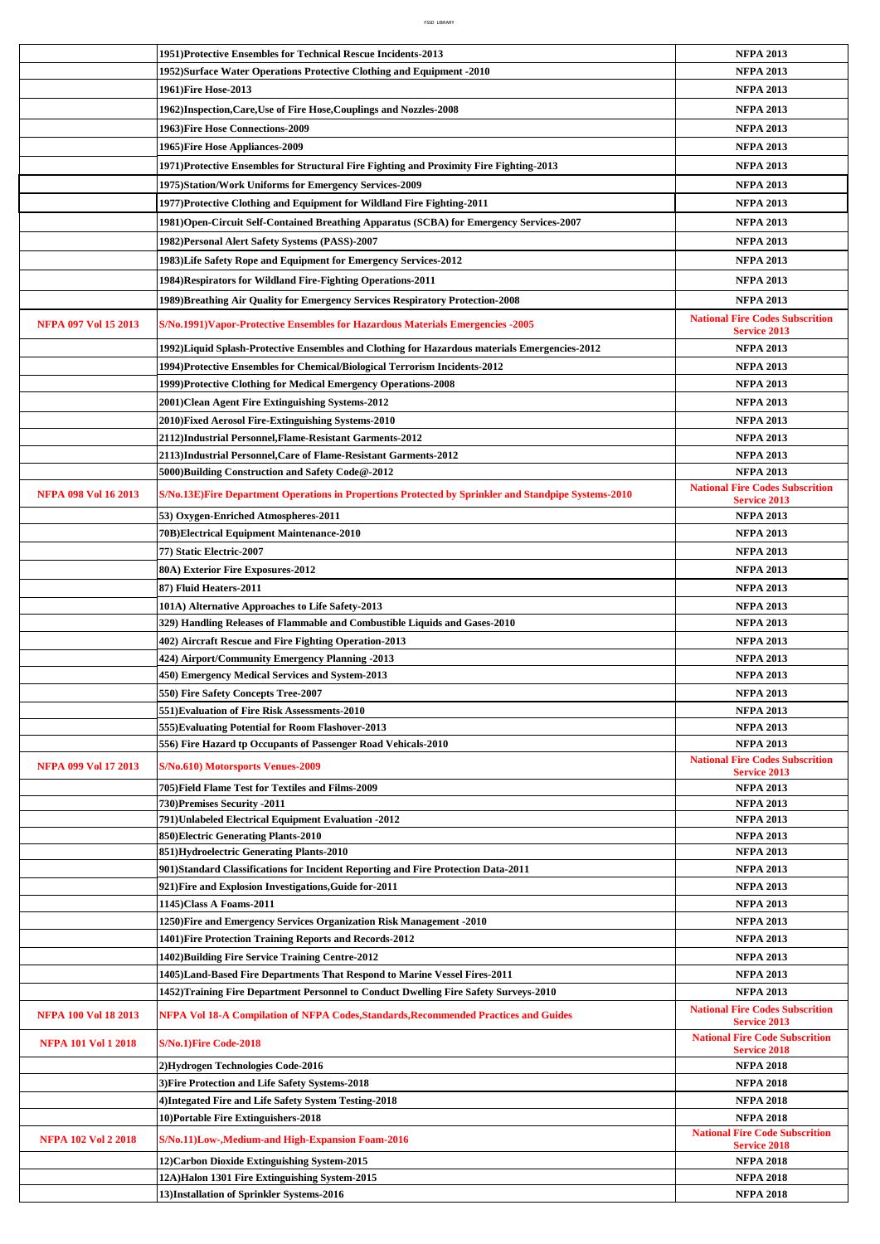|                             | 1951)Protective Ensembles for Technical Rescue Incidents-2013                                        | <b>NFPA 2013</b>                                              |
|-----------------------------|------------------------------------------------------------------------------------------------------|---------------------------------------------------------------|
|                             | 1952) Surface Water Operations Protective Clothing and Equipment -2010                               | <b>NFPA 2013</b>                                              |
|                             | 1961)Fire Hose-2013                                                                                  | <b>NFPA 2013</b>                                              |
|                             | 1962) Inspection, Care, Use of Fire Hose, Couplings and Nozzles-2008                                 | <b>NFPA 2013</b>                                              |
|                             | 1963)Fire Hose Connections-2009                                                                      | <b>NFPA 2013</b>                                              |
|                             | 1965)Fire Hose Appliances-2009                                                                       | <b>NFPA 2013</b>                                              |
|                             | 1971)Protective Ensembles for Structural Fire Fighting and Proximity Fire Fighting-2013              | <b>NFPA 2013</b>                                              |
|                             |                                                                                                      |                                                               |
|                             | 1975)Station/Work Uniforms for Emergency Services-2009                                               | <b>NFPA 2013</b>                                              |
|                             | 1977)Protective Clothing and Equipment for Wildland Fire Fighting-2011                               | <b>NFPA 2013</b>                                              |
|                             | 1981) Open-Circuit Self-Contained Breathing Apparatus (SCBA) for Emergency Services-2007             | <b>NFPA 2013</b>                                              |
|                             | 1982) Personal Alert Safety Systems (PASS)-2007                                                      | <b>NFPA 2013</b>                                              |
|                             | 1983) Life Safety Rope and Equipment for Emergency Services-2012                                     | <b>NFPA 2013</b>                                              |
|                             | 1984) Respirators for Wildland Fire-Fighting Operations-2011                                         | <b>NFPA 2013</b>                                              |
|                             | 1989) Breathing Air Quality for Emergency Services Respiratory Protection-2008                       | <b>NFPA 2013</b>                                              |
| <b>NFPA 097 Vol 15 2013</b> | S/No.1991)Vapor-Protective Ensembles for Hazardous Materials Emergencies -2005                       | <b>National Fire Codes Subscrition</b><br><b>Service 2013</b> |
|                             | 1992)Liquid Splash-Protective Ensembles and Clothing for Hazardous materials Emergencies-2012        | <b>NFPA 2013</b>                                              |
|                             | 1994)Protective Ensembles for Chemical/Biological Terrorism Incidents-2012                           | <b>NFPA 2013</b>                                              |
|                             | 1999)Protective Clothing for Medical Emergency Operations-2008                                       | <b>NFPA 2013</b>                                              |
|                             | 2001)Clean Agent Fire Extinguishing Systems-2012                                                     | <b>NFPA 2013</b>                                              |
|                             | 2010) Fixed Aerosol Fire-Extinguishing Systems-2010                                                  | <b>NFPA 2013</b>                                              |
|                             | 2112)Industrial Personnel,Flame-Resistant Garments-2012                                              | <b>NFPA 2013</b>                                              |
|                             | 2113)Industrial Personnel,Care of Flame-Resistant Garments-2012                                      | <b>NFPA 2013</b>                                              |
|                             | 5000)Building Construction and Safety Code@-2012                                                     | <b>NFPA 2013</b>                                              |
| <b>NFPA 098 Vol 16 2013</b> | S/No.13E)Fire Department Operations in Propertions Protected by Sprinkler and Standpipe Systems-2010 | <b>National Fire Codes Subscrition</b><br><b>Service 2013</b> |
|                             | 53) Oxygen-Enriched Atmospheres-2011                                                                 | <b>NFPA 2013</b>                                              |
|                             | 70B) Electrical Equipment Maintenance-2010                                                           | <b>NFPA 2013</b>                                              |
|                             | 77) Static Electric-2007                                                                             | <b>NFPA 2013</b>                                              |
|                             | 80A) Exterior Fire Exposures-2012                                                                    | <b>NFPA 2013</b>                                              |
|                             | 87) Fluid Heaters-2011                                                                               | <b>NFPA 2013</b>                                              |
|                             | 101A) Alternative Approaches to Life Safety-2013                                                     | <b>NFPA 2013</b>                                              |
|                             | 329) Handling Releases of Flammable and Combustible Liquids and Gases-2010                           | <b>NFPA 2013</b>                                              |
|                             | 402) Aircraft Rescue and Fire Fighting Operation-2013                                                | <b>NFPA 2013</b>                                              |
|                             | 424) Airport/Community Emergency Planning -2013                                                      | <b>NFPA 2013</b>                                              |
|                             | 450) Emergency Medical Services and System-2013                                                      | <b>NFPA 2013</b>                                              |
|                             | 550) Fire Safety Concepts Tree-2007                                                                  | <b>NFPA 2013</b>                                              |
|                             | 551) Evaluation of Fire Risk Assessments-2010                                                        | <b>NFPA 2013</b>                                              |
|                             | 555) Evaluating Potential for Room Flashover-2013                                                    | <b>NFPA 2013</b>                                              |
|                             | 556) Fire Hazard tp Occupants of Passenger Road Vehicals-2010                                        | <b>NFPA 2013</b>                                              |
|                             |                                                                                                      | <b>National Fire Codes Subscrition</b>                        |
| <b>NFPA 099 Vol 17 2013</b> | <b>S/No.610) Motorsports Venues-2009</b>                                                             | <b>Service 2013</b>                                           |
|                             | 705)Field Flame Test for Textiles and Films-2009                                                     | <b>NFPA 2013</b>                                              |
|                             | 730) Premises Security -2011                                                                         | <b>NFPA 2013</b>                                              |
|                             | 791) Unlabeled Electrical Equipment Evaluation -2012                                                 | <b>NFPA 2013</b>                                              |
|                             | 850) Electric Generating Plants-2010                                                                 | <b>NFPA 2013</b>                                              |
|                             | 851) Hydroelectric Generating Plants-2010                                                            | <b>NFPA 2013</b>                                              |
|                             | 901) Standard Classifications for Incident Reporting and Fire Protection Data-2011                   | <b>NFPA 2013</b>                                              |
|                             | 921)Fire and Explosion Investigations, Guide for-2011<br>1145)Class A Foams-2011                     | <b>NFPA 2013</b><br><b>NFPA 2013</b>                          |
|                             |                                                                                                      |                                                               |
|                             | 1250) Fire and Emergency Services Organization Risk Management -2010                                 | <b>NFPA 2013</b>                                              |
|                             | 1401) Fire Protection Training Reports and Records-2012                                              | <b>NFPA 2013</b>                                              |
|                             | 1402) Building Fire Service Training Centre-2012                                                     | <b>NFPA 2013</b>                                              |
|                             | 1405) Land-Based Fire Departments That Respond to Marine Vessel Fires-2011                           | <b>NFPA 2013</b>                                              |
|                             | 1452)Training Fire Department Personnel to Conduct Dwelling Fire Safety Surveys-2010                 | <b>NFPA 2013</b><br><b>National Fire Codes Subscrition</b>    |
| <b>NFPA 100 Vol 18 2013</b> | NFPA Vol 18-A Compilation of NFPA Codes, Standards, Recommended Practices and Guides                 | <b>Service 2013</b><br><b>National Fire Code Subscrition</b>  |
| <b>NFPA 101 Vol 1 2018</b>  | <b>S/No.1)Fire Code-2018</b>                                                                         | <b>Service 2018</b>                                           |
|                             | 2)Hydrogen Technologies Code-2016                                                                    | <b>NFPA 2018</b>                                              |
|                             | 3) Fire Protection and Life Safety Systems-2018                                                      | <b>NFPA 2018</b>                                              |
|                             | 4) Integated Fire and Life Safety System Testing-2018                                                | <b>NFPA 2018</b>                                              |
|                             | 10) Portable Fire Extinguishers-2018                                                                 | <b>NFPA 2018</b>                                              |
| <b>NFPA 102 Vol 2 2018</b>  | S/No.11)Low-,Medium-and High-Expansion Foam-2016                                                     | <b>National Fire Code Subscrition</b><br><b>Service 2018</b>  |
|                             | 12) Carbon Dioxide Extinguishing System-2015                                                         | <b>NFPA 2018</b>                                              |
|                             | 12A)Halon 1301 Fire Extinguishing System-2015                                                        | <b>NFPA 2018</b>                                              |
|                             | 13) Installation of Sprinkler Systems-2016                                                           | <b>NFPA 2018</b>                                              |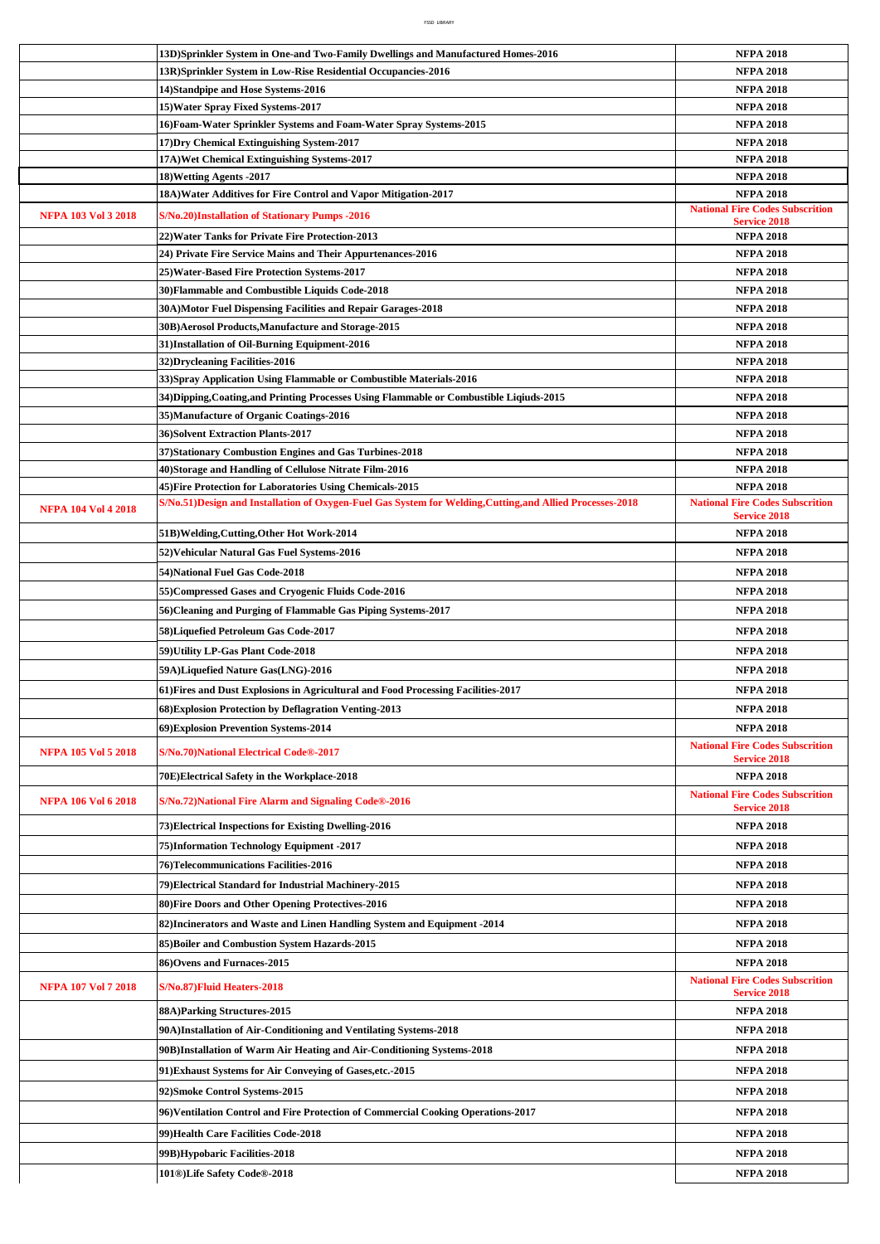|                            | 13D)Sprinkler System in One-and Two-Family Dwellings and Manufactured Homes-2016                          | <b>NFPA 2018</b>                                              |
|----------------------------|-----------------------------------------------------------------------------------------------------------|---------------------------------------------------------------|
|                            | 13R)Sprinkler System in Low-Rise Residential Occupancies-2016                                             | <b>NFPA 2018</b>                                              |
|                            | 14) Standpipe and Hose Systems-2016                                                                       | <b>NFPA 2018</b>                                              |
|                            | 15) Water Spray Fixed Systems-2017                                                                        | <b>NFPA 2018</b>                                              |
|                            | 16) Foam-Water Sprinkler Systems and Foam-Water Spray Systems-2015                                        | <b>NFPA 2018</b>                                              |
|                            | 17) Dry Chemical Extinguishing System-2017                                                                | <b>NFPA 2018</b>                                              |
|                            | 17A) Wet Chemical Extinguishing Systems-2017                                                              | <b>NFPA 2018</b>                                              |
|                            | 18) Wetting Agents -2017                                                                                  | <b>NFPA 2018</b>                                              |
|                            | 18A) Water Additives for Fire Control and Vapor Mitigation-2017                                           | <b>NFPA 2018</b><br><b>National Fire Codes Subscrition</b>    |
| <b>NFPA 103 Vol 3 2018</b> | S/No.20)Installation of Stationary Pumps -2016<br>22) Water Tanks for Private Fire Protection-2013        | <b>Service 2018</b><br><b>NFPA 2018</b>                       |
|                            | 24) Private Fire Service Mains and Their Appurtenances-2016                                               | <b>NFPA 2018</b>                                              |
|                            | 25) Water-Based Fire Protection Systems-2017                                                              | <b>NFPA 2018</b>                                              |
|                            | 30)Flammable and Combustible Liquids Code-2018                                                            | <b>NFPA 2018</b>                                              |
|                            | 30A)Motor Fuel Dispensing Facilities and Repair Garages-2018                                              | <b>NFPA 2018</b>                                              |
|                            | 30B)Aerosol Products, Manufacture and Storage-2015                                                        | <b>NFPA 2018</b>                                              |
|                            | 31) Installation of Oil-Burning Equipment-2016                                                            | <b>NFPA 2018</b>                                              |
|                            | 32)Drycleaning Facilities-2016                                                                            | <b>NFPA 2018</b>                                              |
|                            | 33) Spray Application Using Flammable or Combustible Materials-2016                                       | <b>NFPA 2018</b>                                              |
|                            | 34)Dipping,Coating,and Printing Processes Using Flammable or Combustible Liqiuds-2015                     | <b>NFPA 2018</b>                                              |
|                            | 35) Manufacture of Organic Coatings-2016                                                                  | <b>NFPA 2018</b>                                              |
|                            | 36)Solvent Extraction Plants-2017                                                                         | <b>NFPA 2018</b>                                              |
|                            | 37) Stationary Combustion Engines and Gas Turbines-2018                                                   | <b>NFPA 2018</b>                                              |
|                            | 40)Storage and Handling of Cellulose Nitrate Film-2016                                                    | <b>NFPA 2018</b>                                              |
|                            | 45) Fire Protection for Laboratories Using Chemicals-2015                                                 | <b>NFPA 2018</b>                                              |
| <b>NFPA 104 Vol 4 2018</b> | S/No.51)Design and Installation of Oxygen-Fuel Gas System for Welding, Cutting, and Allied Processes-2018 | <b>National Fire Codes Subscrition</b><br><b>Service 2018</b> |
|                            | 51B)Welding,Cutting,Other Hot Work-2014                                                                   | <b>NFPA 2018</b>                                              |
|                            | 52) Vehicular Natural Gas Fuel Systems-2016                                                               | <b>NFPA 2018</b>                                              |
|                            | 54) National Fuel Gas Code-2018                                                                           | <b>NFPA 2018</b>                                              |
|                            | 55) Compressed Gases and Cryogenic Fluids Code-2016                                                       | <b>NFPA 2018</b>                                              |
|                            | 56) Cleaning and Purging of Flammable Gas Piping Systems-2017                                             | <b>NFPA 2018</b>                                              |
|                            | 58)Liquefied Petroleum Gas Code-2017                                                                      | <b>NFPA 2018</b>                                              |
|                            | 59) Utility LP-Gas Plant Code-2018                                                                        | <b>NFPA 2018</b>                                              |
|                            | 59A)Liquefied Nature Gas(LNG)-2016                                                                        | <b>NFPA 2018</b>                                              |
|                            | 61) Fires and Dust Explosions in Agricultural and Food Processing Facilities-2017                         | <b>NFPA 2018</b>                                              |
|                            | 68) Explosion Protection by Deflagration Venting-2013                                                     | <b>NFPA 2018</b>                                              |
|                            | 69) Explosion Prevention Systems-2014                                                                     | <b>NFPA 2018</b>                                              |
| <b>NFPA 105 Vol 5 2018</b> | S/No.70)National Electrical Code®-2017                                                                    | <b>National Fire Codes Subscrition</b><br><b>Service 2018</b> |
|                            | 70E)Electrical Safety in the Workplace-2018                                                               | <b>NFPA 2018</b>                                              |
| <b>NFPA 106 Vol 6 2018</b> | S/No.72) National Fire Alarm and Signaling Code®-2016                                                     | <b>National Fire Codes Subscrition</b><br><b>Service 2018</b> |
|                            | 73) Electrical Inspections for Existing Dwelling-2016                                                     | <b>NFPA 2018</b>                                              |
|                            | 75) Information Technology Equipment -2017                                                                | <b>NFPA 2018</b>                                              |
|                            | 76) Telecommunications Facilities-2016                                                                    | <b>NFPA 2018</b>                                              |
|                            | 79) Electrical Standard for Industrial Machinery-2015                                                     | <b>NFPA 2018</b>                                              |
|                            | 80) Fire Doors and Other Opening Protectives-2016                                                         | <b>NFPA 2018</b>                                              |
|                            | 82) Incinerators and Waste and Linen Handling System and Equipment -2014                                  | <b>NFPA 2018</b>                                              |
|                            | 85) Boiler and Combustion System Hazards-2015                                                             | <b>NFPA 2018</b>                                              |
|                            |                                                                                                           | <b>NFPA 2018</b>                                              |
| <b>NFPA 107 Vol 7 2018</b> | 86) Ovens and Furnaces-2015<br>S/No.87)Fluid Heaters-2018                                                 | <b>National Fire Codes Subscrition</b>                        |
|                            | 88A)Parking Structures-2015                                                                               | <b>Service 2018</b><br><b>NFPA 2018</b>                       |
|                            | 90A)Installation of Air-Conditioning and Ventilating Systems-2018                                         | <b>NFPA 2018</b>                                              |
|                            | 90B)Installation of Warm Air Heating and Air-Conditioning Systems-2018                                    | <b>NFPA 2018</b>                                              |
|                            |                                                                                                           |                                                               |
|                            | 91) Exhaust Systems for Air Conveying of Gases, etc.-2015                                                 | <b>NFPA 2018</b>                                              |
|                            | 92)Smoke Control Systems-2015                                                                             | <b>NFPA 2018</b>                                              |
|                            | 96) Ventilation Control and Fire Protection of Commercial Cooking Operations-2017                         | <b>NFPA 2018</b>                                              |
|                            | 99) Health Care Facilities Code-2018                                                                      | <b>NFPA 2018</b>                                              |
|                            | 99B)Hypobaric Facilities-2018                                                                             | <b>NFPA 2018</b>                                              |
|                            | 101 <sup>®</sup> )Life Safety Code <sup>®</sup> -2018                                                     | <b>NFPA 2018</b>                                              |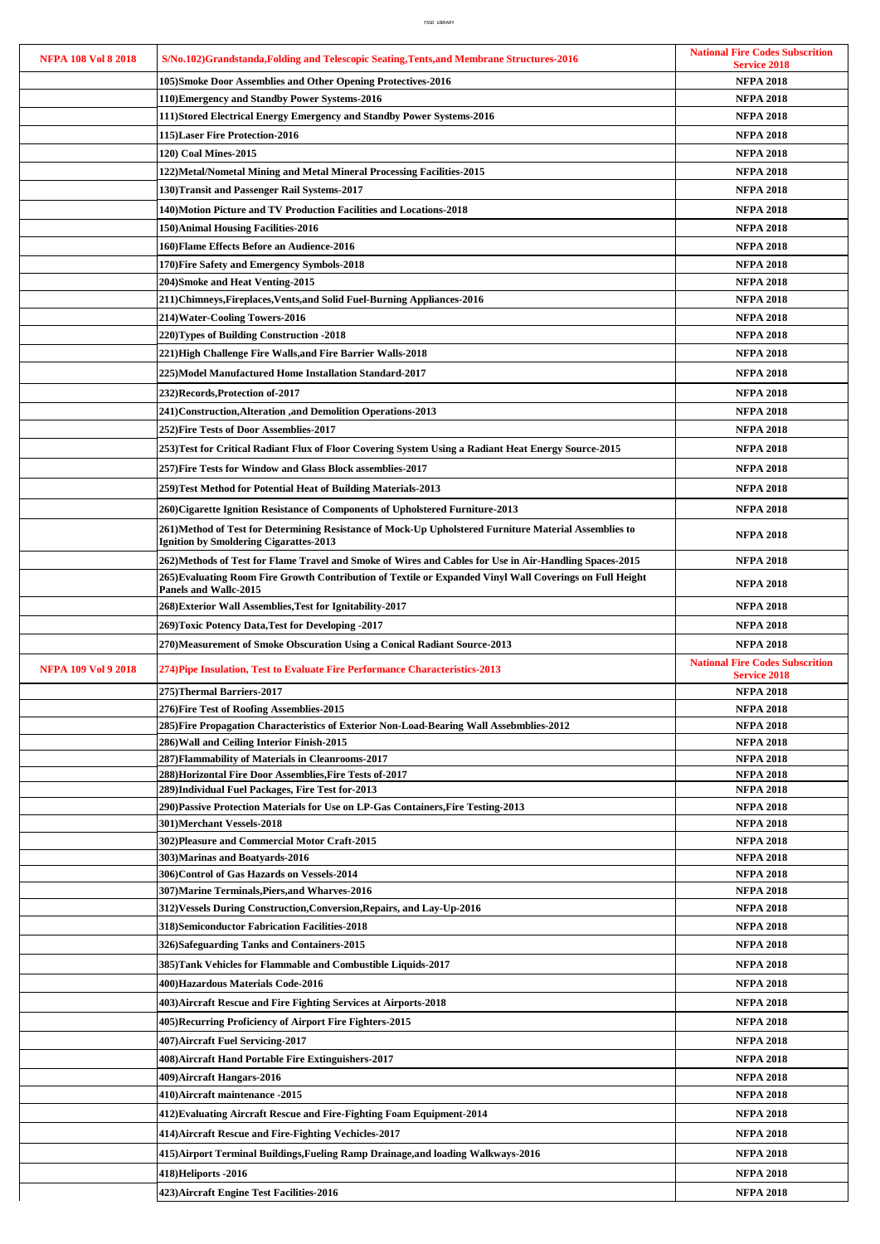| <b>NFPA 108 Vol 8 2018</b> | S/No.102)Grandstanda, Folding and Telescopic Seating, Tents, and Membrane Structures-2016                                                       | <b>National Fire Codes Subscrition</b><br><b>Service 2018</b> |
|----------------------------|-------------------------------------------------------------------------------------------------------------------------------------------------|---------------------------------------------------------------|
|                            | 105)Smoke Door Assemblies and Other Opening Protectives-2016                                                                                    | <b>NFPA 2018</b>                                              |
|                            | 110) Emergency and Standby Power Systems-2016                                                                                                   | <b>NFPA 2018</b>                                              |
|                            | 111)Stored Electrical Energy Emergency and Standby Power Systems-2016                                                                           | <b>NFPA 2018</b>                                              |
|                            | 115)Laser Fire Protection-2016                                                                                                                  | <b>NFPA 2018</b>                                              |
|                            | 120) Coal Mines-2015                                                                                                                            | <b>NFPA 2018</b>                                              |
|                            | 122)Metal/Nometal Mining and Metal Mineral Processing Facilities-2015                                                                           | <b>NFPA 2018</b>                                              |
|                            | 130) Transit and Passenger Rail Systems-2017                                                                                                    | <b>NFPA 2018</b>                                              |
|                            | 140)Motion Picture and TV Production Facilities and Locations-2018                                                                              | <b>NFPA 2018</b>                                              |
|                            | 150) Animal Housing Facilities-2016                                                                                                             | <b>NFPA 2018</b>                                              |
|                            | 160)Flame Effects Before an Audience-2016                                                                                                       | <b>NFPA 2018</b>                                              |
|                            | 170) Fire Safety and Emergency Symbols-2018                                                                                                     | <b>NFPA 2018</b>                                              |
|                            | 204)Smoke and Heat Venting-2015                                                                                                                 | <b>NFPA 2018</b>                                              |
|                            | 211)Chimneys,Fireplaces,Vents,and Solid Fuel-Burning Appliances-2016                                                                            | <b>NFPA 2018</b>                                              |
|                            | 214) Water-Cooling Towers-2016                                                                                                                  | <b>NFPA 2018</b>                                              |
|                            | 220) Types of Building Construction - 2018                                                                                                      | <b>NFPA 2018</b>                                              |
|                            | 221)High Challenge Fire Walls,and Fire Barrier Walls-2018                                                                                       | <b>NFPA 2018</b>                                              |
|                            | 225)Model Manufactured Home Installation Standard-2017                                                                                          | <b>NFPA 2018</b>                                              |
|                            | 232)Records,Protection of-2017                                                                                                                  | <b>NFPA 2018</b>                                              |
|                            | 241)Construction,Alteration ,and Demolition Operations-2013                                                                                     | <b>NFPA 2018</b>                                              |
|                            | 252) Fire Tests of Door Assemblies-2017                                                                                                         | <b>NFPA 2018</b>                                              |
|                            | 253)Test for Critical Radiant Flux of Floor Covering System Using a Radiant Heat Energy Source-2015                                             | <b>NFPA 2018</b>                                              |
|                            | 257)Fire Tests for Window and Glass Block assemblies-2017                                                                                       | <b>NFPA 2018</b>                                              |
|                            | 259)Test Method for Potential Heat of Building Materials-2013                                                                                   | <b>NFPA 2018</b>                                              |
|                            | 260)Cigarette Ignition Resistance of Components of Upholstered Furniture-2013                                                                   | <b>NFPA 2018</b>                                              |
|                            |                                                                                                                                                 |                                                               |
|                            | 261)Method of Test for Determining Resistance of Mock-Up Upholstered Furniture Material Assemblies to<br>Ignition by Smoldering Cigarattes-2013 | <b>NFPA 2018</b>                                              |
|                            | 262)Methods of Test for Flame Travel and Smoke of Wires and Cables for Use in Air-Handling Spaces-2015                                          | <b>NFPA 2018</b>                                              |
|                            | 265)Evaluating Room Fire Growth Contribution of Textile or Expanded Vinyl Wall Coverings on Full Height<br>Panels and Wallc-2015                | <b>NFPA 2018</b>                                              |
|                            | 268) Exterior Wall Assemblies, Test for Ignitability-2017                                                                                       | <b>NFPA 2018</b>                                              |
|                            | 269)Toxic Potency Data,Test for Developing -2017                                                                                                | <b>NFPA 2018</b>                                              |
|                            |                                                                                                                                                 |                                                               |
|                            | 270)Measurement of Smoke Obscuration Using a Conical Radiant Source-2013                                                                        | <b>NFPA 2018</b>                                              |
| <b>NFPA 109 Vol 9 2018</b> | 274) Pipe Insulation, Test to Evaluate Fire Performance Characteristics-2013                                                                    | <b>National Fire Codes Subscrition</b><br><b>Service 2018</b> |
|                            | 275)Thermal Barriers-2017                                                                                                                       | <b>NFPA 2018</b>                                              |
|                            | 276) Fire Test of Roofing Assemblies-2015                                                                                                       | <b>NFPA 2018</b>                                              |
|                            | 285)Fire Propagation Characteristics of Exterior Non-Load-Bearing Wall Assebmblies-2012                                                         | <b>NFPA 2018</b>                                              |
|                            | 286) Wall and Ceiling Interior Finish-2015                                                                                                      | <b>NFPA 2018</b>                                              |
|                            | 287) Flammability of Materials in Cleanrooms-2017                                                                                               | <b>NFPA 2018</b>                                              |
|                            | 288)Horizontal Fire Door Assemblies, Fire Tests of-2017                                                                                         | <b>NFPA 2018</b>                                              |
|                            | 289)Individual Fuel Packages, Fire Test for-2013                                                                                                | <b>NFPA 2018</b>                                              |
|                            | 290) Passive Protection Materials for Use on LP-Gas Containers, Fire Testing-2013<br>301)Merchant Vessels-2018                                  | <b>NFPA 2018</b><br><b>NFPA 2018</b>                          |
|                            | 302)Pleasure and Commercial Motor Craft-2015                                                                                                    | <b>NFPA 2018</b>                                              |
|                            | 303) Marinas and Boatyards-2016                                                                                                                 | <b>NFPA 2018</b>                                              |
|                            | 306)Control of Gas Hazards on Vessels-2014                                                                                                      | <b>NFPA 2018</b>                                              |
|                            | 307) Marine Terminals, Piers, and Wharves-2016                                                                                                  | <b>NFPA 2018</b>                                              |
|                            | 312) Vessels During Construction, Conversion, Repairs, and Lay-Up-2016                                                                          | <b>NFPA 2018</b>                                              |
|                            | 318)Semiconductor Fabrication Facilities-2018                                                                                                   | <b>NFPA 2018</b>                                              |
|                            | 326)Safeguarding Tanks and Containers-2015                                                                                                      | <b>NFPA 2018</b>                                              |
|                            | 385)Tank Vehicles for Flammable and Combustible Liquids-2017                                                                                    | <b>NFPA 2018</b>                                              |
|                            | 400)Hazardous Materials Code-2016                                                                                                               | <b>NFPA 2018</b>                                              |
|                            | 403) Aircraft Rescue and Fire Fighting Services at Airports-2018                                                                                | <b>NFPA 2018</b>                                              |
|                            | 405)Recurring Proficiency of Airport Fire Fighters-2015                                                                                         | <b>NFPA 2018</b>                                              |
|                            | 407)Aircraft Fuel Servicing-2017                                                                                                                | <b>NFPA 2018</b>                                              |
|                            | 408) Aircraft Hand Portable Fire Extinguishers-2017                                                                                             | <b>NFPA 2018</b>                                              |
|                            | 409)Aircraft Hangars-2016                                                                                                                       | <b>NFPA 2018</b>                                              |
|                            | 410) Aircraft maintenance -2015                                                                                                                 | <b>NFPA 2018</b>                                              |
|                            | 412) Evaluating Aircraft Rescue and Fire-Fighting Foam Equipment-2014                                                                           | <b>NFPA 2018</b>                                              |
|                            | 414) Aircraft Rescue and Fire-Fighting Vechicles-2017                                                                                           | <b>NFPA 2018</b>                                              |
|                            | 415)Airport Terminal Buildings,Fueling Ramp Drainage, and loading Walkways-2016                                                                 | <b>NFPA 2018</b>                                              |
|                            | 418)Heliports -2016                                                                                                                             | <b>NFPA 2018</b>                                              |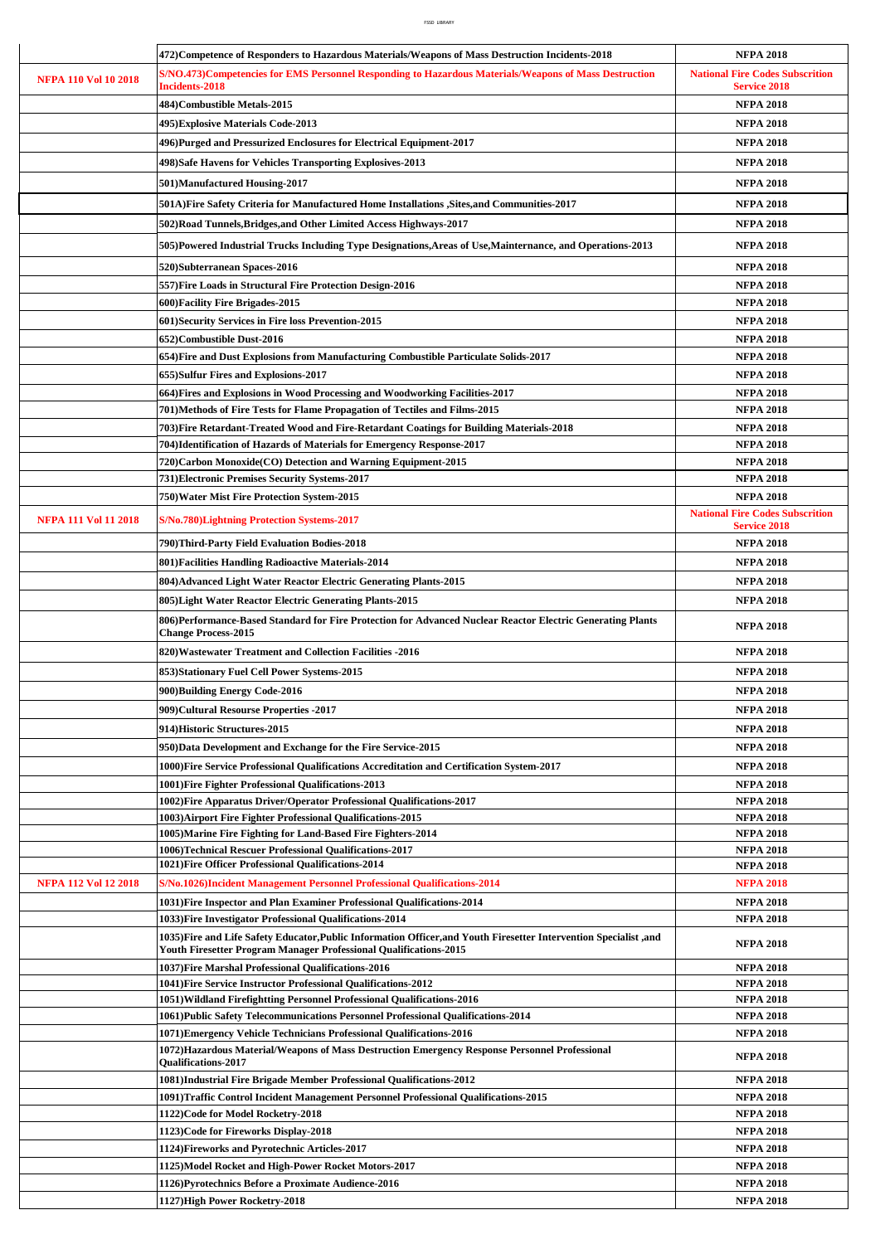|                             | 472) Competence of Responders to Hazardous Materials/Weapons of Mass Destruction Incidents-2018                                                                                         | <b>NFPA 2018</b>                                              |
|-----------------------------|-----------------------------------------------------------------------------------------------------------------------------------------------------------------------------------------|---------------------------------------------------------------|
| <b>NFPA 110 Vol 10 2018</b> | S/NO.473)Competencies for EMS Personnel Responding to Hazardous Materials/Weapons of Mass Destruction<br>Incidents-2018                                                                 | <b>National Fire Codes Subscrition</b><br><b>Service 2018</b> |
|                             | 484)Combustible Metals-2015                                                                                                                                                             | <b>NFPA 2018</b>                                              |
|                             | 495) Explosive Materials Code-2013                                                                                                                                                      | <b>NFPA 2018</b>                                              |
|                             | 496)Purged and Pressurized Enclosures for Electrical Equipment-2017                                                                                                                     | <b>NFPA 2018</b>                                              |
|                             | 498)Safe Havens for Vehicles Transporting Explosives-2013                                                                                                                               | <b>NFPA 2018</b>                                              |
|                             | 501) Manufactured Housing-2017                                                                                                                                                          | <b>NFPA 2018</b>                                              |
|                             | 501A)Fire Safety Criteria for Manufactured Home Installations , Sites, and Communities-2017                                                                                             | <b>NFPA 2018</b>                                              |
|                             | 502)Road Tunnels, Bridges, and Other Limited Access Highways-2017                                                                                                                       | <b>NFPA 2018</b>                                              |
|                             | 505)Powered Industrial Trucks Including Type Designations, Areas of Use, Mainternance, and Operations-2013                                                                              | <b>NFPA 2018</b>                                              |
|                             | 520)Subterranean Spaces-2016                                                                                                                                                            | <b>NFPA 2018</b>                                              |
|                             | 557) Fire Loads in Structural Fire Protection Design-2016                                                                                                                               | <b>NFPA 2018</b>                                              |
|                             | 600) Facility Fire Brigades-2015                                                                                                                                                        | <b>NFPA 2018</b>                                              |
|                             | 601) Security Services in Fire loss Prevention-2015                                                                                                                                     | <b>NFPA 2018</b>                                              |
|                             | 652)Combustible Dust-2016                                                                                                                                                               | <b>NFPA 2018</b>                                              |
|                             | 654) Fire and Dust Explosions from Manufacturing Combustible Particulate Solids-2017                                                                                                    | <b>NFPA 2018</b>                                              |
|                             | 655)Sulfur Fires and Explosions-2017                                                                                                                                                    | <b>NFPA 2018</b>                                              |
|                             | 664) Fires and Explosions in Wood Processing and Woodworking Facilities-2017                                                                                                            | <b>NFPA 2018</b>                                              |
|                             | 701)Methods of Fire Tests for Flame Propagation of Tectiles and Films-2015                                                                                                              | <b>NFPA 2018</b>                                              |
|                             | 703)Fire Retardant-Treated Wood and Fire-Retardant Coatings for Building Materials-2018                                                                                                 | <b>NFPA 2018</b>                                              |
|                             | 704) Identification of Hazards of Materials for Emergency Response-2017<br>720)Carbon Monoxide(CO) Detection and Warning Equipment-2015                                                 | <b>NFPA 2018</b><br><b>NFPA 2018</b>                          |
|                             | 731) Electronic Premises Security Systems-2017                                                                                                                                          | <b>NFPA 2018</b>                                              |
|                             | 750) Water Mist Fire Protection System-2015                                                                                                                                             | <b>NFPA 2018</b>                                              |
| <b>NFPA 111 Vol 11 2018</b> | S/No.780)Lightning Protection Systems-2017                                                                                                                                              | <b>National Fire Codes Subscrition</b><br><b>Service 2018</b> |
|                             | 790)Third-Party Field Evaluation Bodies-2018                                                                                                                                            | <b>NFPA 2018</b>                                              |
|                             | 801) Facilities Handling Radioactive Materials-2014                                                                                                                                     | <b>NFPA 2018</b>                                              |
|                             | 804) Advanced Light Water Reactor Electric Generating Plants-2015                                                                                                                       | <b>NFPA 2018</b>                                              |
|                             | 805) Light Water Reactor Electric Generating Plants-2015                                                                                                                                | <b>NFPA 2018</b>                                              |
|                             | 806)Performance-Based Standard for Fire Protection for Advanced Nuclear Reactor Electric Generating Plants<br><b>Change Process-2015</b>                                                | <b>NFPA 2018</b>                                              |
|                             | 820) Wastewater Treatment and Collection Facilities -2016                                                                                                                               | <b>NFPA 2018</b>                                              |
|                             | 853) Stationary Fuel Cell Power Systems-2015                                                                                                                                            | <b>NFPA 2018</b>                                              |
|                             | 900)Building Energy Code-2016                                                                                                                                                           | <b>NFPA 2018</b>                                              |
|                             | 909) Cultural Resourse Properties -2017                                                                                                                                                 | <b>NFPA 2018</b>                                              |
|                             | 914)Historic Structures-2015                                                                                                                                                            | <b>NFPA 2018</b>                                              |
|                             | 950)Data Development and Exchange for the Fire Service-2015                                                                                                                             | <b>NFPA 2018</b>                                              |
|                             | 1000)Fire Service Professional Qualifications Accreditation and Certification System-2017                                                                                               | <b>NFPA 2018</b>                                              |
|                             | 1001) Fire Fighter Professional Qualifications-2013                                                                                                                                     | <b>NFPA 2018</b>                                              |
|                             | 1002) Fire Apparatus Driver/Operator Professional Qualifications-2017                                                                                                                   | <b>NFPA 2018</b>                                              |
|                             | 1003) Airport Fire Fighter Professional Qualifications-2015<br>1005)Marine Fire Fighting for Land-Based Fire Fighters-2014                                                              | <b>NFPA 2018</b><br><b>NFPA 2018</b>                          |
|                             | 1006)Technical Rescuer Professional Qualifications-2017                                                                                                                                 | <b>NFPA 2018</b>                                              |
|                             | 1021)Fire Officer Professional Qualifications-2014                                                                                                                                      | <b>NFPA 2018</b>                                              |
| <b>NFPA 112 Vol 12 2018</b> | S/No.1026)Incident Management Personnel Professional Qualifications-2014                                                                                                                | <b>NFPA 2018</b>                                              |
|                             | 1031) Fire Inspector and Plan Examiner Professional Qualifications-2014                                                                                                                 | <b>NFPA 2018</b>                                              |
|                             | 1033) Fire Investigator Professional Qualifications-2014                                                                                                                                | <b>NFPA 2018</b>                                              |
|                             | 1035) Fire and Life Safety Educator, Public Information Officer, and Youth Firesetter Intervention Specialist, and<br>Youth Firesetter Program Manager Professional Qualifications-2015 | <b>NFPA 2018</b>                                              |
|                             | 1037) Fire Marshal Professional Qualifications-2016                                                                                                                                     | <b>NFPA 2018</b>                                              |
|                             | 1041) Fire Service Instructor Professional Qualifications-2012                                                                                                                          | <b>NFPA 2018</b><br><b>NFPA 2018</b>                          |
|                             | 1051) Wildland Firefightting Personnel Professional Qualifications-2016<br>1061)Public Safety Telecommunications Personnel Professional Qualifications-2014                             | <b>NFPA 2018</b>                                              |
|                             | 1071) Emergency Vehicle Technicians Professional Qualifications-2016                                                                                                                    | <b>NFPA 2018</b>                                              |
|                             | 1072)Hazardous Material/Weapons of Mass Destruction Emergency Response Personnel Professional<br>Qualifications-2017                                                                    | <b>NFPA 2018</b>                                              |
|                             | 1081)Industrial Fire Brigade Member Professional Qualifications-2012                                                                                                                    | <b>NFPA 2018</b>                                              |
|                             | 1091)Traffic Control Incident Management Personnel Professional Qualifications-2015                                                                                                     | <b>NFPA 2018</b>                                              |
|                             | 1122)Code for Model Rocketry-2018                                                                                                                                                       | <b>NFPA 2018</b>                                              |
|                             | 1123)Code for Fireworks Display-2018                                                                                                                                                    | <b>NFPA 2018</b>                                              |
|                             | 1124) Fireworks and Pyrotechnic Articles-2017                                                                                                                                           | <b>NFPA 2018</b>                                              |
|                             | 1125) Model Rocket and High-Power Rocket Motors-2017<br>1126) Pyrotechnics Before a Proximate Audience-2016                                                                             | <b>NFPA 2018</b><br><b>NFPA 2018</b>                          |
|                             | 1127)High Power Rocketry-2018                                                                                                                                                           | <b>NFPA 2018</b>                                              |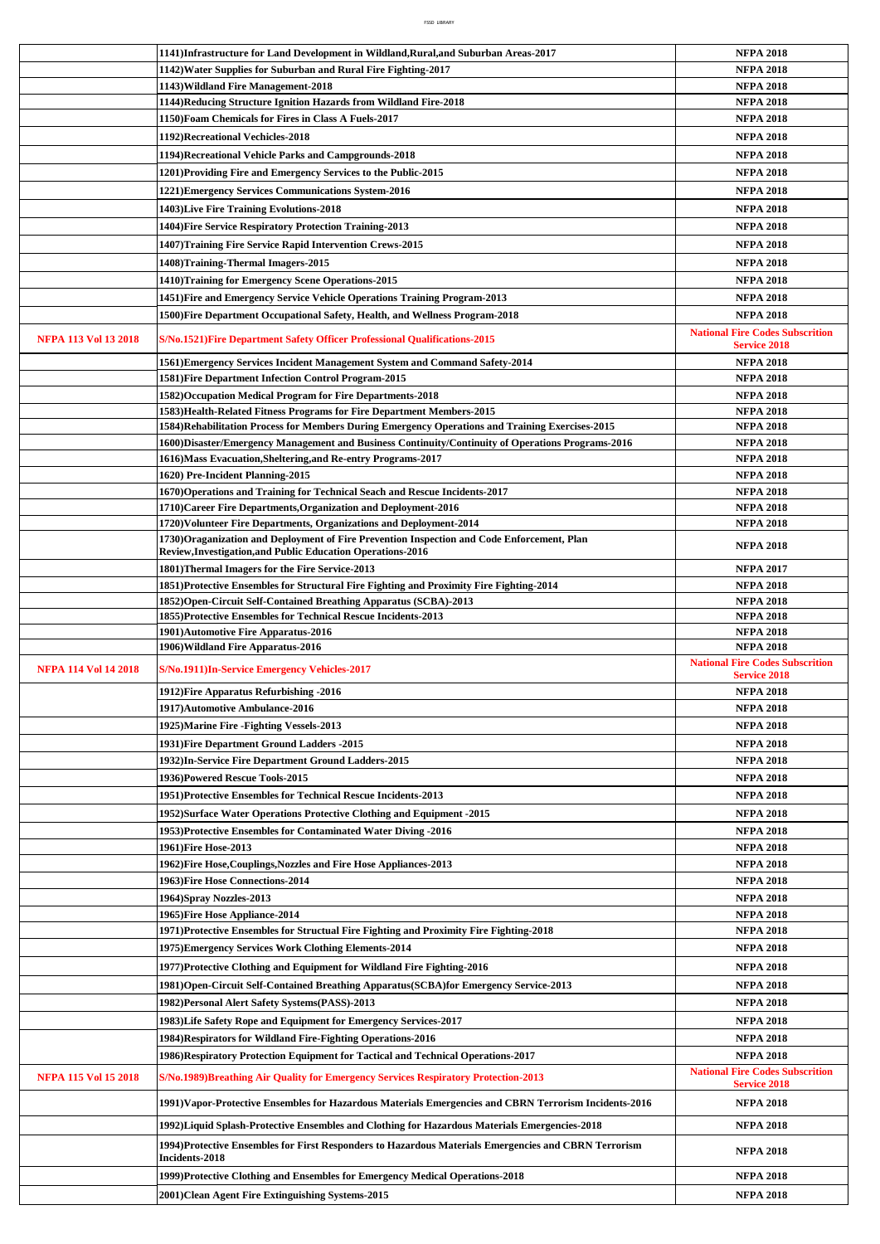|                             | 1141)Infrastructure for Land Development in Wildland, Rural, and Suburban Areas-2017                                                                      | <b>NFPA 2018</b>                                              |
|-----------------------------|-----------------------------------------------------------------------------------------------------------------------------------------------------------|---------------------------------------------------------------|
|                             | 1142) Water Supplies for Suburban and Rural Fire Fighting-2017                                                                                            | <b>NFPA 2018</b>                                              |
|                             | 1143) Wildland Fire Management-2018                                                                                                                       | <b>NFPA 2018</b>                                              |
|                             | 1144)Reducing Structure Ignition Hazards from Wildland Fire-2018                                                                                          | <b>NFPA 2018</b>                                              |
|                             | 1150) Foam Chemicals for Fires in Class A Fuels-2017                                                                                                      | <b>NFPA 2018</b>                                              |
|                             | 1192)Recreational Vechicles-2018                                                                                                                          | <b>NFPA 2018</b>                                              |
|                             | 1194)Recreational Vehicle Parks and Campgrounds-2018                                                                                                      | <b>NFPA 2018</b>                                              |
|                             | 1201) Providing Fire and Emergency Services to the Public-2015                                                                                            | <b>NFPA 2018</b>                                              |
|                             | 1221) Emergency Services Communications System-2016                                                                                                       | <b>NFPA 2018</b>                                              |
|                             | 1403)Live Fire Training Evolutions-2018                                                                                                                   | <b>NFPA 2018</b>                                              |
|                             | 1404) Fire Service Respiratory Protection Training-2013                                                                                                   | <b>NFPA 2018</b>                                              |
|                             | 1407)Training Fire Service Rapid Intervention Crews-2015                                                                                                  | <b>NFPA 2018</b>                                              |
|                             | 1408)Training-Thermal Imagers-2015                                                                                                                        | <b>NFPA 2018</b>                                              |
|                             | 1410) Training for Emergency Scene Operations-2015                                                                                                        | <b>NFPA 2018</b>                                              |
|                             | 1451) Fire and Emergency Service Vehicle Operations Training Program-2013                                                                                 | <b>NFPA 2018</b>                                              |
|                             | 1500)Fire Department Occupational Safety, Health, and Wellness Program-2018                                                                               | <b>NFPA 2018</b>                                              |
|                             |                                                                                                                                                           | <b>National Fire Codes Subscrition</b>                        |
| <b>NFPA 113 Vol 13 2018</b> | S/No.1521) Fire Department Safety Officer Professional Qualifications-2015                                                                                | <b>Service 2018</b>                                           |
|                             | 1561)Emergency Services Incident Management System and Command Safety-2014                                                                                | <b>NFPA 2018</b>                                              |
|                             | 1581) Fire Department Infection Control Program-2015                                                                                                      | <b>NFPA 2018</b>                                              |
|                             | 1582) Occupation Medical Program for Fire Departments-2018<br>1583)Health-Related Fitness Programs for Fire Department Members-2015                       | <b>NFPA 2018</b><br><b>NFPA 2018</b>                          |
|                             | 1584)Rehabilitation Process for Members During Emergency Operations and Training Exercises-2015                                                           | <b>NFPA 2018</b>                                              |
|                             | 1600)Disaster/Emergency Management and Business Continuity/Continuity of Operations Programs-2016                                                         | <b>NFPA 2018</b>                                              |
|                             | 1616) Mass Evacuation, Sheltering, and Re-entry Programs-2017                                                                                             | <b>NFPA 2018</b>                                              |
|                             | 1620) Pre-Incident Planning-2015                                                                                                                          | <b>NFPA 2018</b>                                              |
|                             | 1670) Operations and Training for Technical Seach and Rescue Incidents-2017                                                                               | <b>NFPA 2018</b>                                              |
|                             | 1710) Career Fire Departments, Organization and Deployment-2016                                                                                           | <b>NFPA 2018</b>                                              |
|                             | 1720) Volunteer Fire Departments, Organizations and Deployment-2014                                                                                       | <b>NFPA 2018</b>                                              |
|                             | 1730)Oraganization and Deployment of Fire Prevention Inspection and Code Enforcement, Plan<br>Review, Investigation, and Public Education Operations-2016 | <b>NFPA 2018</b>                                              |
|                             | 1801)Thermal Imagers for the Fire Service-2013                                                                                                            | <b>NFPA 2017</b>                                              |
|                             | 1851)Protective Ensembles for Structural Fire Fighting and Proximity Fire Fighting-2014                                                                   | <b>NFPA 2018</b>                                              |
|                             | 1852) Open-Circuit Self-Contained Breathing Apparatus (SCBA)-2013                                                                                         | <b>NFPA 2018</b>                                              |
|                             | 1855)Protective Ensembles for Technical Rescue Incidents-2013                                                                                             | <b>NFPA 2018</b>                                              |
|                             | 1901)Automotive Fire Apparatus-2016                                                                                                                       | <b>NFPA 2018</b>                                              |
|                             | 1906) Wildland Fire Apparatus-2016                                                                                                                        | <b>NFPA 2018</b>                                              |
| <b>NFPA 114 Vol 14 2018</b> | S/No.1911)In-Service Emergency Vehicles-2017                                                                                                              | <b>National Fire Codes Subscrition</b><br><b>Service 2018</b> |
|                             | 1912) Fire Apparatus Refurbishing -2016                                                                                                                   | <b>NFPA 2018</b>                                              |
|                             | 1917) Automotive Ambulance-2016                                                                                                                           | <b>NFPA 2018</b>                                              |
|                             | 1925)Marine Fire -Fighting Vessels-2013                                                                                                                   | <b>NFPA 2018</b>                                              |
|                             | 1931)Fire Department Ground Ladders -2015                                                                                                                 | <b>NFPA 2018</b>                                              |
|                             | 1932)In-Service Fire Department Ground Ladders-2015                                                                                                       | <b>NFPA 2018</b>                                              |
|                             | 1936)Powered Rescue Tools-2015                                                                                                                            | <b>NFPA 2018</b>                                              |
|                             | 1951)Protective Ensembles for Technical Rescue Incidents-2013                                                                                             | <b>NFPA 2018</b>                                              |
|                             | 1952) Surface Water Operations Protective Clothing and Equipment -2015                                                                                    | <b>NFPA 2018</b>                                              |
|                             | 1953)Protective Ensembles for Contaminated Water Diving -2016                                                                                             | <b>NFPA 2018</b>                                              |
|                             | 1961)Fire Hose-2013                                                                                                                                       | <b>NFPA 2018</b>                                              |
|                             |                                                                                                                                                           |                                                               |
|                             | 1962)Fire Hose,Couplings,Nozzles and Fire Hose Appliances-2013                                                                                            | <b>NFPA 2018</b>                                              |
|                             | 1963)Fire Hose Connections-2014                                                                                                                           | <b>NFPA 2018</b>                                              |
|                             | 1964)Spray Nozzles-2013                                                                                                                                   | <b>NFPA 2018</b>                                              |
|                             | 1965)Fire Hose Appliance-2014                                                                                                                             | <b>NFPA 2018</b>                                              |
|                             | 1971)Protective Ensembles for Structual Fire Fighting and Proximity Fire Fighting-2018                                                                    | <b>NFPA 2018</b>                                              |
|                             | 1975)Emergency Services Work Clothing Elements-2014                                                                                                       | <b>NFPA 2018</b>                                              |
|                             | 1977)Protective Clothing and Equipment for Wildland Fire Fighting-2016                                                                                    | <b>NFPA 2018</b>                                              |
|                             | 1981)Open-Circuit Self-Contained Breathing Apparatus(SCBA)for Emergency Service-2013                                                                      | <b>NFPA 2018</b>                                              |
|                             | 1982)Personal Alert Safety Systems(PASS)-2013                                                                                                             | <b>NFPA 2018</b>                                              |
|                             | 1983)Life Safety Rope and Equipment for Emergency Services-2017                                                                                           | <b>NFPA 2018</b>                                              |
|                             | 1984)Respirators for Wildland Fire-Fighting Operations-2016                                                                                               | <b>NFPA 2018</b>                                              |
|                             | 1986)Respiratory Protection Equipment for Tactical and Technical Operations-2017                                                                          | <b>NFPA 2018</b>                                              |
| <b>NFPA 115 Vol 15 2018</b> | S/No.1989) Breathing Air Quality for Emergency Services Respiratory Protection-2013                                                                       | <b>National Fire Codes Subscrition</b><br><b>Service 2018</b> |
|                             | 1991)Vapor-Protective Ensembles for Hazardous Materials Emergencies and CBRN Terrorism Incidents-2016                                                     | <b>NFPA 2018</b>                                              |
|                             | 1992)Liquid Splash-Protective Ensembles and Clothing for Hazardous Materials Emergencies-2018                                                             | <b>NFPA 2018</b>                                              |
|                             | 1994)Protective Ensembles for First Responders to Hazardous Materials Emergencies and CBRN Terrorism                                                      | <b>NFPA 2018</b>                                              |
|                             | Incidents-2018                                                                                                                                            |                                                               |
|                             | 1999)Protective Clothing and Ensembles for Emergency Medical Operations-2018<br>2001)Clean Agent Fire Extinguishing Systems-2015                          | <b>NFPA 2018</b><br><b>NFPA 2018</b>                          |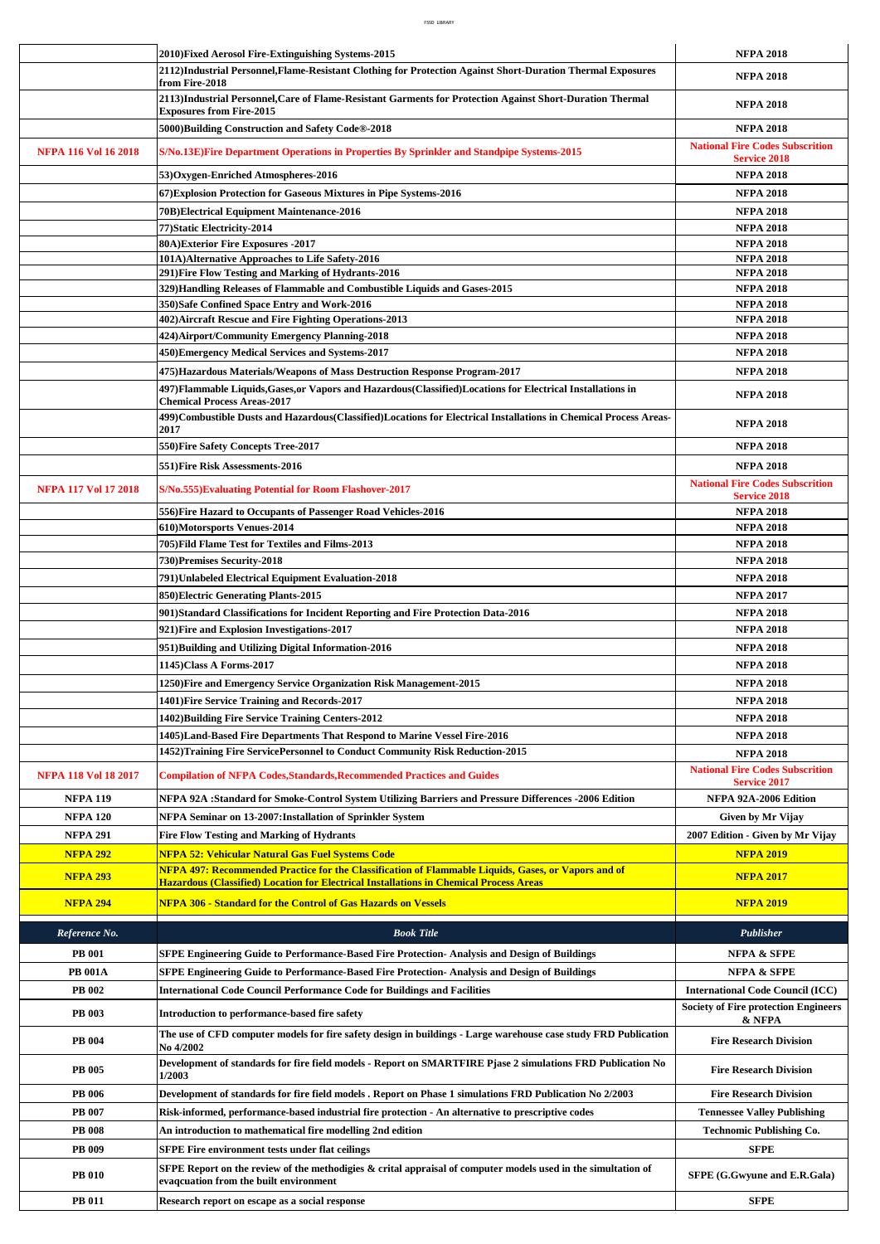|                             | 2010) Fixed Aerosol Fire-Extinguishing Systems-2015                                                                                                                                           | <b>NFPA 2018</b>                                              |
|-----------------------------|-----------------------------------------------------------------------------------------------------------------------------------------------------------------------------------------------|---------------------------------------------------------------|
|                             | 2112)Industrial Personnel,Flame-Resistant Clothing for Protection Against Short-Duration Thermal Exposures<br>from Fire-2018                                                                  | <b>NFPA 2018</b>                                              |
|                             | 2113)Industrial Personnel, Care of Flame-Resistant Garments for Protection Against Short-Duration Thermal                                                                                     | <b>NFPA 2018</b>                                              |
|                             | <b>Exposures from Fire-2015</b><br>5000)Building Construction and Safety Code®-2018                                                                                                           | <b>NFPA 2018</b>                                              |
|                             |                                                                                                                                                                                               | <b>National Fire Codes Subscrition</b>                        |
| <b>NFPA 116 Vol 16 2018</b> | S/No.13E) Fire Department Operations in Properties By Sprinkler and Standpipe Systems-2015                                                                                                    | <b>Service 2018</b>                                           |
|                             | 53) Oxygen-Enriched Atmospheres-2016                                                                                                                                                          | <b>NFPA 2018</b>                                              |
|                             | 67) Explosion Protection for Gaseous Mixtures in Pipe Systems-2016                                                                                                                            | <b>NFPA 2018</b>                                              |
|                             | 70B)Electrical Equipment Maintenance-2016                                                                                                                                                     | <b>NFPA 2018</b>                                              |
|                             | 77) Static Electricity-2014                                                                                                                                                                   | <b>NFPA 2018</b>                                              |
|                             | 80A) Exterior Fire Exposures -2017<br>101A) Alternative Approaches to Life Safety-2016                                                                                                        | <b>NFPA 2018</b><br><b>NFPA 2018</b>                          |
|                             | 291) Fire Flow Testing and Marking of Hydrants-2016                                                                                                                                           | <b>NFPA 2018</b>                                              |
|                             | 329) Handling Releases of Flammable and Combustible Liquids and Gases-2015                                                                                                                    | <b>NFPA 2018</b>                                              |
|                             | 350)Safe Confined Space Entry and Work-2016                                                                                                                                                   | <b>NFPA 2018</b>                                              |
|                             | 402) Aircraft Rescue and Fire Fighting Operations-2013                                                                                                                                        | <b>NFPA 2018</b>                                              |
|                             | 424) Airport/Community Emergency Planning-2018                                                                                                                                                | <b>NFPA 2018</b>                                              |
|                             | 450) Emergency Medical Services and Systems-2017                                                                                                                                              | <b>NFPA 2018</b>                                              |
|                             | 475) Hazardous Materials/Weapons of Mass Destruction Response Program-2017                                                                                                                    | <b>NFPA 2018</b>                                              |
|                             | 497)Flammable Liquids,Gases,or Vapors and Hazardous(Classified)Locations for Electrical Installations in<br><b>Chemical Process Areas-2017</b>                                                | <b>NFPA 2018</b>                                              |
|                             | 499)Combustible Dusts and Hazardous(Classified)Locations for Electrical Installations in Chemical Process Areas-<br>2017                                                                      | <b>NFPA 2018</b>                                              |
|                             | 550) Fire Safety Concepts Tree-2017                                                                                                                                                           | <b>NFPA 2018</b>                                              |
|                             | 551)Fire Risk Assessments-2016                                                                                                                                                                | <b>NFPA 2018</b>                                              |
| <b>NFPA 117 Vol 17 2018</b> | S/No.555) Evaluating Potential for Room Flashover-2017                                                                                                                                        | <b>National Fire Codes Subscrition</b><br><b>Service 2018</b> |
|                             | 556) Fire Hazard to Occupants of Passenger Road Vehicles-2016                                                                                                                                 | <b>NFPA 2018</b>                                              |
|                             | 610)Motorsports Venues-2014                                                                                                                                                                   | <b>NFPA 2018</b>                                              |
|                             | 705) Fild Flame Test for Textiles and Films-2013                                                                                                                                              | <b>NFPA 2018</b>                                              |
|                             | 730)Premises Security-2018                                                                                                                                                                    | <b>NFPA 2018</b>                                              |
|                             | 791) Unlabeled Electrical Equipment Evaluation-2018                                                                                                                                           | <b>NFPA 2018</b>                                              |
|                             | 850) Electric Generating Plants-2015                                                                                                                                                          | <b>NFPA 2017</b>                                              |
|                             | 901)Standard Classifications for Incident Reporting and Fire Protection Data-2016                                                                                                             | <b>NFPA 2018</b>                                              |
|                             | 921) Fire and Explosion Investigations-2017                                                                                                                                                   | <b>NFPA 2018</b>                                              |
|                             | 951) Building and Utilizing Digital Information-2016                                                                                                                                          | <b>NFPA 2018</b>                                              |
|                             | 1145)Class A Forms-2017                                                                                                                                                                       | <b>NFPA 2018</b>                                              |
|                             | 1250) Fire and Emergency Service Organization Risk Management-2015                                                                                                                            | <b>NFPA 2018</b>                                              |
|                             | 1401) Fire Service Training and Records-2017                                                                                                                                                  | <b>NFPA 2018</b>                                              |
|                             | 1402)Building Fire Service Training Centers-2012                                                                                                                                              | <b>NFPA 2018</b>                                              |
|                             | 1405)Land-Based Fire Departments That Respond to Marine Vessel Fire-2016                                                                                                                      | <b>NFPA 2018</b>                                              |
|                             | 1452)Training Fire ServicePersonnel to Conduct Community Risk Reduction-2015                                                                                                                  | <b>NFPA 2018</b>                                              |
| <b>NFPA 118 Vol 18 2017</b> | <b>Compilation of NFPA Codes, Standards, Recommended Practices and Guides</b>                                                                                                                 | <b>National Fire Codes Subscrition</b><br><b>Service 2017</b> |
| <b>NFPA 119</b>             | NFPA 92A :Standard for Smoke-Control System Utilizing Barriers and Pressure Differences -2006 Edition                                                                                         | NFPA 92A-2006 Edition                                         |
| <b>NFPA 120</b>             | NFPA Seminar on 13-2007: Installation of Sprinkler System                                                                                                                                     | Given by Mr Vijay                                             |
| <b>NFPA 291</b>             | Fire Flow Testing and Marking of Hydrants                                                                                                                                                     | 2007 Edition - Given by Mr Vijay                              |
| <b>NFPA 292</b>             | NFPA 52: Vehicular Natural Gas Fuel Systems Code                                                                                                                                              | <b>NFPA 2019</b>                                              |
| <b>NFPA 293</b>             | NFPA 497: Recommended Practice for the Classification of Flammable Liquids, Gases, or Vapors and of<br>Hazardous (Classified) Location for Electrical Installations in Chemical Process Areas | <b>NFPA 2017</b>                                              |
| <b>NFPA 294</b>             | <b>NFPA 306 - Standard for the Control of Gas Hazards on Vessels</b>                                                                                                                          | <b>NFPA 2019</b>                                              |
| Reference No.               | <b>Book Title</b>                                                                                                                                                                             | Publisher                                                     |
| <b>PB 001</b>               | SFPE Engineering Guide to Performance-Based Fire Protection- Analysis and Design of Buildings                                                                                                 | <b>NFPA &amp; SFPE</b>                                        |
| <b>PB 001A</b>              | SFPE Engineering Guide to Performance-Based Fire Protection- Analysis and Design of Buildings                                                                                                 | <b>NFPA &amp; SFPE</b>                                        |
| <b>PB 002</b>               | <b>International Code Council Performance Code for Buildings and Facilities</b>                                                                                                               | <b>International Code Council (ICC)</b>                       |
| <b>PB 003</b>               | Introduction to performance-based fire safety                                                                                                                                                 | <b>Society of Fire protection Engineers</b>                   |
| <b>PB 004</b>               | The use of CFD computer models for fire safety design in buildings - Large warehouse case study FRD Publication<br>No 4/2002                                                                  | & NFPA<br><b>Fire Research Division</b>                       |
| <b>PB 005</b>               | Development of standards for fire field models - Report on SMARTFIRE Pjase 2 simulations FRD Publication No<br>1/2003                                                                         | <b>Fire Research Division</b>                                 |
| <b>PB 006</b>               | Development of standards for fire field models . Report on Phase 1 simulations FRD Publication No 2/2003                                                                                      | <b>Fire Research Division</b>                                 |
| <b>PB 007</b>               | Risk-informed, performance-based industrial fire protection - An alternative to prescriptive codes                                                                                            | <b>Tennessee Valley Publishing</b>                            |
| <b>PB 008</b>               | An introduction to mathematical fire modelling 2nd edition                                                                                                                                    | <b>Technomic Publishing Co.</b>                               |
| <b>PB 009</b>               | <b>SFPE Fire environment tests under flat ceilings</b>                                                                                                                                        | <b>SFPE</b>                                                   |
|                             |                                                                                                                                                                                               |                                                               |
| <b>PB 010</b>               | SFPE Report on the review of the methodigies & crital appraisal of computer models used in the simultation of<br>evaqcuation from the built environment                                       | SFPE (G.Gwyune and E.R.Gala)                                  |
| <b>PB 011</b>               | Research report on escape as a social response                                                                                                                                                | <b>SFPE</b>                                                   |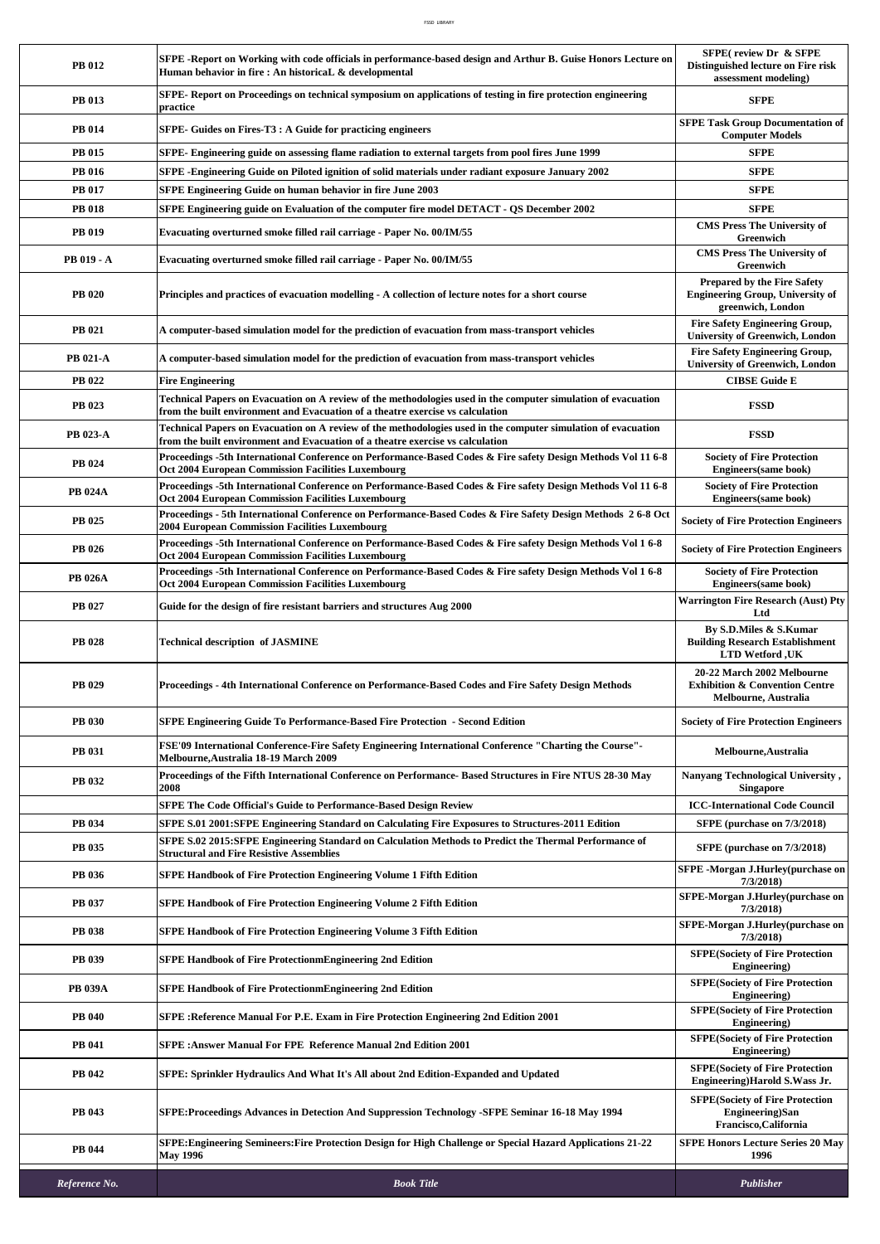| <b>PB 012</b>   | SFPE -Report on Working with code officials in performance-based design and Arthur B. Guise Honors Lecture on<br>Human behavior in fire : An historicaL & developmental                         | SFPE(review Dr & SFPE<br>Distinguished lecture on Fire risk<br>assessment modeling)                |
|-----------------|-------------------------------------------------------------------------------------------------------------------------------------------------------------------------------------------------|----------------------------------------------------------------------------------------------------|
| <b>PB 013</b>   | SFPE- Report on Proceedings on technical symposium on applications of testing in fire protection engineering<br>practice                                                                        | <b>SFPE</b>                                                                                        |
| <b>PB 014</b>   | SFPE- Guides on Fires-T3: A Guide for practicing engineers                                                                                                                                      | <b>SFPE Task Group Documentation of</b><br><b>Computer Models</b>                                  |
| <b>PB 015</b>   | SFPE- Engineering guide on assessing flame radiation to external targets from pool fires June 1999                                                                                              | <b>SFPE</b>                                                                                        |
| <b>PB 016</b>   | SFPE -Engineering Guide on Piloted ignition of solid materials under radiant exposure January 2002                                                                                              | <b>SFPE</b>                                                                                        |
| <b>PB 017</b>   | SFPE Engineering Guide on human behavior in fire June 2003                                                                                                                                      | <b>SFPE</b>                                                                                        |
| <b>PB 018</b>   | SFPE Engineering guide on Evaluation of the computer fire model DETACT - QS December 2002                                                                                                       | <b>SFPE</b>                                                                                        |
| <b>PB 019</b>   | Evacuating overturned smoke filled rail carriage - Paper No. 00/IM/55                                                                                                                           | <b>CMS Press The University of</b><br>Greenwich                                                    |
| PB 019 - A      | Evacuating overturned smoke filled rail carriage - Paper No. 00/IM/55                                                                                                                           | <b>CMS Press The University of</b><br>Greenwich                                                    |
| <b>PB 020</b>   | Principles and practices of evacuation modelling - A collection of lecture notes for a short course                                                                                             | <b>Prepared by the Fire Safety</b><br><b>Engineering Group, University of</b><br>greenwich, London |
| <b>PB 021</b>   | A computer-based simulation model for the prediction of evacuation from mass-transport vehicles                                                                                                 | <b>Fire Safety Engineering Group,</b><br><b>University of Greenwich, London</b>                    |
| <b>PB 021-A</b> | A computer-based simulation model for the prediction of evacuation from mass-transport vehicles                                                                                                 | <b>Fire Safety Engineering Group,</b><br><b>University of Greenwich, London</b>                    |
| <b>PB 022</b>   | <b>Fire Engineering</b>                                                                                                                                                                         | <b>CIBSE Guide E</b>                                                                               |
| PB 023          | Technical Papers on Evacuation on A review of the methodologies used in the computer simulation of evacuation<br>from the built environment and Evacuation of a theatre exercise vs calculation | <b>FSSD</b>                                                                                        |
| PB 023-A        | Technical Papers on Evacuation on A review of the methodologies used in the computer simulation of evacuation<br>from the built environment and Evacuation of a theatre exercise vs calculation | <b>FSSD</b>                                                                                        |
| PB 024          | 8-6 Proceedings -5th International Conference on Performance-Based Codes & Fire safety Design Methods Vol 11<br>Oct 2004 European Commission Facilities Luxembourg                              | <b>Society of Fire Protection</b><br><b>Engineers</b> (same book)                                  |
| <b>PB 024A</b>  | Proceedings -5th International Conference on Performance-Based Codes & Fire safety Design Methods Vol 11 6-8<br>Oct 2004 European Commission Facilities Luxembourg                              | <b>Society of Fire Protection</b><br>Engineers(same book)                                          |
| PB 025          | Proceedings - 5th International Conference on Performance-Based Codes & Fire Safety Design Methods 2 6-8 Oct<br>2004 European Commission Facilities Luxembourg                                  | <b>Society of Fire Protection Engineers</b>                                                        |
| <b>PB 026</b>   | Proceedings -5th International Conference on Performance-Based Codes & Fire safety Design Methods Vol 1 6-8<br>Oct 2004 European Commission Facilities Luxembourg                               | <b>Society of Fire Protection Engineers</b>                                                        |
| <b>PB 026A</b>  | Proceedings -5th International Conference on Performance-Based Codes & Fire safety Design Methods Vol 1 6-8<br>Oct 2004 European Commission Facilities Luxembourg                               | <b>Society of Fire Protection</b><br><b>Engineers</b> (same book)                                  |
| PB 027          | Guide for the design of fire resistant barriers and structures Aug 2000                                                                                                                         | <b>Warrington Fire Research (Aust) Pty</b><br>Ltd                                                  |
| <b>PB 028</b>   | <b>Technical description of JASMINE</b>                                                                                                                                                         | By S.D. Miles & S. Kumar<br><b>Building Research Establishment</b><br><b>LTD</b> Wetford, UK       |
| <b>PB 029</b>   | Proceedings - 4th International Conference on Performance-Based Codes and Fire Safety Design Methods                                                                                            | 20-22 March 2002 Melbourne<br><b>Exhibition &amp; Convention Centre</b><br>Melbourne, Australia    |
| <b>PB 030</b>   | <b>SFPE Engineering Guide To Performance-Based Fire Protection - Second Edition</b>                                                                                                             | <b>Society of Fire Protection Engineers</b>                                                        |
| <b>PB 031</b>   | FSE'09 International Conference-Fire Safety Engineering International Conference "Charting the Course"-<br>Melbourne, Australia 18-19 March 2009                                                | Melbourne, Australia                                                                               |
| PB 032          | Proceedings of the Fifth International Conference on Performance- Based Structures in Fire NTUS 28-30 May<br>2008                                                                               | Nanyang Technological University,<br><b>Singapore</b>                                              |
|                 | SFPE The Code Official's Guide to Performance-Based Design Review                                                                                                                               | <b>ICC-International Code Council</b>                                                              |
| PB 034          | SFPE S.01 2001:SFPE Engineering Standard on Calculating Fire Exposures to Structures-2011 Edition                                                                                               | SFPE (purchase on 7/3/2018)                                                                        |
| PB 035          | SFPE S.02 2015:SFPE Engineering Standard on Calculation Methods to Predict the Thermal Performance of<br><b>Structural and Fire Resistive Assemblies</b>                                        | SFPE (purchase on 7/3/2018)                                                                        |
| PB 036          | <b>SFPE Handbook of Fire Protection Engineering Volume 1 Fifth Edition</b>                                                                                                                      | <b>SFPE</b> -Morgan J.Hurley(purchase on<br>7/3/2018                                               |
| <b>PB 037</b>   | <b>SFPE Handbook of Fire Protection Engineering Volume 2 Fifth Edition</b>                                                                                                                      | SFPE-Morgan J.Hurley(purchase on<br>7/3/2018                                                       |
| <b>PB 038</b>   | <b>SFPE Handbook of Fire Protection Engineering Volume 3 Fifth Edition</b>                                                                                                                      | <b>SFPE-Morgan J.Hurley(purchase on</b><br>7/3/2018                                                |
| PB 039          | <b>SFPE Handbook of Fire ProtectionmEngineering 2nd Edition</b>                                                                                                                                 | <b>SFPE(Society of Fire Protection</b><br>Engineering)                                             |
| <b>PB 039A</b>  | <b>SFPE Handbook of Fire ProtectionmEngineering 2nd Edition</b>                                                                                                                                 | <b>SFPE(Society of Fire Protection</b><br>Engineering)                                             |
| <b>PB 040</b>   | SFPE :Reference Manual For P.E. Exam in Fire Protection Engineering 2nd Edition 2001                                                                                                            | <b>SFPE(Society of Fire Protection</b><br>Engineering)                                             |
| <b>PB 041</b>   | <b>SFPE: Answer Manual For FPE Reference Manual 2nd Edition 2001</b>                                                                                                                            | <b>SFPE(Society of Fire Protection</b><br>Engineering)                                             |
| <b>PB 042</b>   | SFPE: Sprinkler Hydraulics And What It's All about 2nd Edition-Expanded and Updated                                                                                                             | <b>SFPE(Society of Fire Protection</b><br>Engineering)Harold S.Wass Jr.                            |
| <b>PB 043</b>   | SFPE: Proceedings Advances in Detection And Suppression Technology -SFPE Seminar 16-18 May 1994                                                                                                 | <b>SFPE(Society of Fire Protection</b><br><b>Engineering</b> )San<br>Francisco, California         |
| PB 044          | SFPE: Engineering Semineers: Fire Protection Design for High Challenge or Special Hazard Applications 21-22<br><b>May 1996</b>                                                                  | <b>SFPE Honors Lecture Series 20 May</b><br>1996                                                   |
| Reference No.   | <b>Book Title</b>                                                                                                                                                                               | Publisher                                                                                          |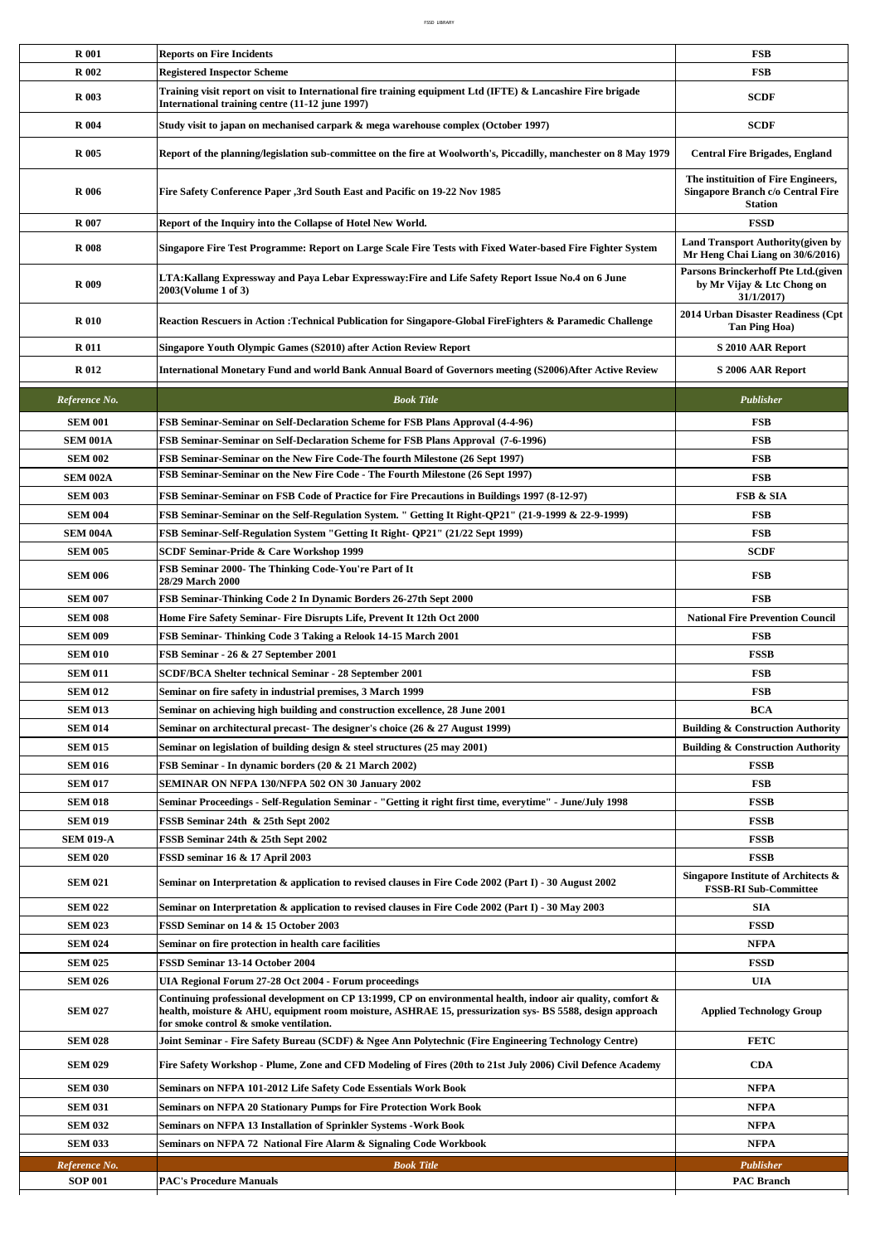| <b>R</b> 001     | <b>Reports on Fire Incidents</b>                                                                                                                                                                                                                                         | FSB                                                                                               |
|------------------|--------------------------------------------------------------------------------------------------------------------------------------------------------------------------------------------------------------------------------------------------------------------------|---------------------------------------------------------------------------------------------------|
| <b>R</b> 002     | <b>Registered Inspector Scheme</b>                                                                                                                                                                                                                                       | <b>FSB</b>                                                                                        |
| <b>R</b> 003     | Training visit report on visit to International fire training equipment Ltd (IFTE) & Lancashire Fire brigade<br>International training centre (11-12 june 1997)                                                                                                          | <b>SCDF</b>                                                                                       |
| <b>R</b> 004     | Study visit to japan on mechanised carpark & mega warehouse complex (October 1997)                                                                                                                                                                                       | <b>SCDF</b>                                                                                       |
| <b>R</b> 005     | Report of the planning/legislation sub-committee on the fire at Woolworth's, Piccadilly, manchester on 8 May 1979                                                                                                                                                        | <b>Central Fire Brigades, England</b>                                                             |
| <b>R</b> 006     | Fire Safety Conference Paper , 3rd South East and Pacific on 19-22 Nov 1985                                                                                                                                                                                              | The instituition of Fire Engineers,<br><b>Singapore Branch c/o Central Fire</b><br><b>Station</b> |
| <b>R</b> 007     | Report of the Inquiry into the Collapse of Hotel New World.                                                                                                                                                                                                              | <b>FSSD</b>                                                                                       |
| <b>R</b> 008     | Singapore Fire Test Programme: Report on Large Scale Fire Tests with Fixed Water-based Fire Fighter System                                                                                                                                                               | <b>Land Transport Authority (given by</b><br>Mr Heng Chai Liang on 30/6/2016)                     |
| <b>R</b> 009     | LTA:Kallang Expressway and Paya Lebar Expressway:Fire and Life Safety Report Issue No.4 on 6 June<br>2003(Volume 1 of 3)                                                                                                                                                 | Parsons Brinckerhoff Pte Ltd.(given<br>by Mr Vijay & Ltc Chong on<br>31/1/2017)                   |
| <b>R</b> 010     | Reaction Rescuers in Action :Technical Publication for Singapore-Global FireFighters & Paramedic Challenge                                                                                                                                                               | 2014 Urban Disaster Readiness (Cpt<br>Tan Ping Hoa)                                               |
| <b>R</b> 011     | Singapore Youth Olympic Games (S2010) after Action Review Report                                                                                                                                                                                                         | S 2010 AAR Report                                                                                 |
| <b>R</b> 012     | International Monetary Fund and world Bank Annual Board of Governors meeting (S2006)After Active Review                                                                                                                                                                  | S 2006 AAR Report                                                                                 |
| Reference No.    | <b>Book Title</b>                                                                                                                                                                                                                                                        | Publisher                                                                                         |
| <b>SEM 001</b>   | FSB Seminar-Seminar on Self-Declaration Scheme for FSB Plans Approval (4-4-96)                                                                                                                                                                                           | FSB                                                                                               |
| <b>SEM 001A</b>  | FSB Seminar-Seminar on Self-Declaration Scheme for FSB Plans Approval (7-6-1996)                                                                                                                                                                                         | FSB                                                                                               |
| <b>SEM 002</b>   | FSB Seminar-Seminar on the New Fire Code-The fourth Milestone (26 Sept 1997)                                                                                                                                                                                             | <b>FSB</b>                                                                                        |
| <b>SEM 002A</b>  | FSB Seminar-Seminar on the New Fire Code - The Fourth Milestone (26 Sept 1997)                                                                                                                                                                                           | FSB                                                                                               |
| <b>SEM 003</b>   | FSB Seminar-Seminar on FSB Code of Practice for Fire Precautions in Buildings 1997 (8-12-97)                                                                                                                                                                             | <b>FSB &amp; SIA</b>                                                                              |
| <b>SEM 004</b>   | (21-9-1999 32-9-1999) FSB Seminar on the Self-Regulation System. " Getting It Right-QP21" (21-9-1999 4 22-9-199                                                                                                                                                          | <b>FSB</b>                                                                                        |
| SEM 004A         | FSB Seminar-Self-Regulation System "Getting It Right- QP21" (21/22 Sept 1999)                                                                                                                                                                                            | FSB                                                                                               |
| <b>SEM 005</b>   | SCDF Seminar-Pride & Care Workshop 1999                                                                                                                                                                                                                                  | <b>SCDF</b>                                                                                       |
| <b>SEM 006</b>   | FSB Seminar 2000- The Thinking Code-You're Part of It<br>28/29 March 2000                                                                                                                                                                                                | FSB                                                                                               |
| <b>SEM 007</b>   | FSB Seminar-Thinking Code 2 In Dynamic Borders 26-27th Sept 2000                                                                                                                                                                                                         | <b>FSB</b>                                                                                        |
| <b>SEM 008</b>   | Home Fire Safety Seminar- Fire Disrupts Life, Prevent It 12th Oct 2000                                                                                                                                                                                                   | <b>National Fire Prevention Council</b>                                                           |
| <b>SEM 009</b>   | FSB Seminar-Thinking Code 3 Taking a Relook 14-15 March 2001                                                                                                                                                                                                             | FSB                                                                                               |
| <b>SEM 010</b>   | FSB Seminar - 26 & 27 September 2001                                                                                                                                                                                                                                     | <b>FSSB</b>                                                                                       |
| <b>SEM 011</b>   | <b>SCDF/BCA Shelter technical Seminar - 28 September 2001</b>                                                                                                                                                                                                            | FSB                                                                                               |
| <b>SEM 012</b>   | Seminar on fire safety in industrial premises, 3 March 1999                                                                                                                                                                                                              | <b>FSB</b>                                                                                        |
| <b>SEM 013</b>   | Seminar on achieving high building and construction excellence, 28 June 2001                                                                                                                                                                                             | <b>BCA</b>                                                                                        |
| <b>SEM 014</b>   | Seminar on architectural precast- The designer's choice (26 & 27 August 1999)                                                                                                                                                                                            | <b>Building &amp; Construction Authority</b>                                                      |
| <b>SEM 015</b>   | Seminar on legislation of building design & steel structures (25 may 2001)                                                                                                                                                                                               | <b>Building &amp; Construction Authority</b>                                                      |
| <b>SEM 016</b>   | FSB Seminar - In dynamic borders (20 & 21 March 2002)                                                                                                                                                                                                                    | <b>FSSB</b>                                                                                       |
| <b>SEM 017</b>   | SEMINAR ON NFPA 130/NFPA 502 ON 30 January 2002                                                                                                                                                                                                                          | FSB                                                                                               |
| <b>SEM 018</b>   | Seminar Proceedings - Self-Regulation Seminar - "Getting it right first time, everytime" - June/July 1998                                                                                                                                                                | <b>FSSB</b>                                                                                       |
| <b>SEM 019</b>   | FSSB Seminar 24th & 25th Sept 2002                                                                                                                                                                                                                                       | <b>FSSB</b>                                                                                       |
| <b>SEM 019-A</b> | FSSB Seminar 24th & 25th Sept 2002                                                                                                                                                                                                                                       | <b>FSSB</b>                                                                                       |
| <b>SEM 020</b>   | FSSD seminar 16 & 17 April 2003                                                                                                                                                                                                                                          | <b>FSSB</b>                                                                                       |
| <b>SEM 021</b>   | Seminar on Interpretation & application to revised clauses in Fire Code 2002 (Part I) - 30 August 2002                                                                                                                                                                   | Singapore Institute of Architects &<br><b>FSSB-RI Sub-Committee</b>                               |
| <b>SEM 022</b>   | Seminar on Interpretation & application to revised clauses in Fire Code 2002 (Part I) - 30 May 2003                                                                                                                                                                      | <b>SIA</b>                                                                                        |
| <b>SEM 023</b>   | FSSD Seminar on 14 & 15 October 2003                                                                                                                                                                                                                                     | <b>FSSD</b>                                                                                       |
| <b>SEM 024</b>   | Seminar on fire protection in health care facilities                                                                                                                                                                                                                     | <b>NFPA</b>                                                                                       |
| <b>SEM 025</b>   | FSSD Seminar 13-14 October 2004                                                                                                                                                                                                                                          | <b>FSSD</b>                                                                                       |
| <b>SEM 026</b>   | UIA Regional Forum 27-28 Oct 2004 - Forum proceedings                                                                                                                                                                                                                    | <b>UIA</b>                                                                                        |
| <b>SEM 027</b>   | Continuing professional development on CP 13:1999, CP on environmental health, indoor air quality, comfort $\&$<br>health, moisture & AHU, equipment room moisture, ASHRAE 15, pressurization sys- BS 5588, design approach<br>for smoke control $\&$ smoke ventilation. | <b>Applied Technology Group</b>                                                                   |
| <b>SEM 028</b>   | (Fire Engineering Technology Centre) Joseph Loire (Fire Engineering Technology Centre                                                                                                                                                                                    | <b>FETC</b>                                                                                       |
| <b>SEM 029</b>   | Fire Safety Workshop - Plume, Zone and CFD Modeling of Fires (20th to 21st July 2006) Civil Defence Academy                                                                                                                                                              | <b>CDA</b>                                                                                        |
| <b>SEM 030</b>   | Seminars on NFPA 101-2012 Life Safety Code Essentials Work Book                                                                                                                                                                                                          | <b>NFPA</b>                                                                                       |
| <b>SEM 031</b>   | Seminars on NFPA 20 Stationary Pumps for Fire Protection Work Book                                                                                                                                                                                                       | <b>NFPA</b>                                                                                       |
| <b>SEM 032</b>   | Seminars on NFPA 13 Installation of Sprinkler Systems - Work Book                                                                                                                                                                                                        | <b>NFPA</b>                                                                                       |
| <b>SEM 033</b>   | Seminars on NFPA 72 National Fire Alarm & Signaling Code Workbook                                                                                                                                                                                                        | <b>NFPA</b>                                                                                       |
| Reference No.    | <b>Book Title</b>                                                                                                                                                                                                                                                        | Publisher                                                                                         |
| <b>SOP 001</b>   | <b>PAC's Procedure Manuals</b>                                                                                                                                                                                                                                           | <b>PAC Branch</b>                                                                                 |
|                  |                                                                                                                                                                                                                                                                          |                                                                                                   |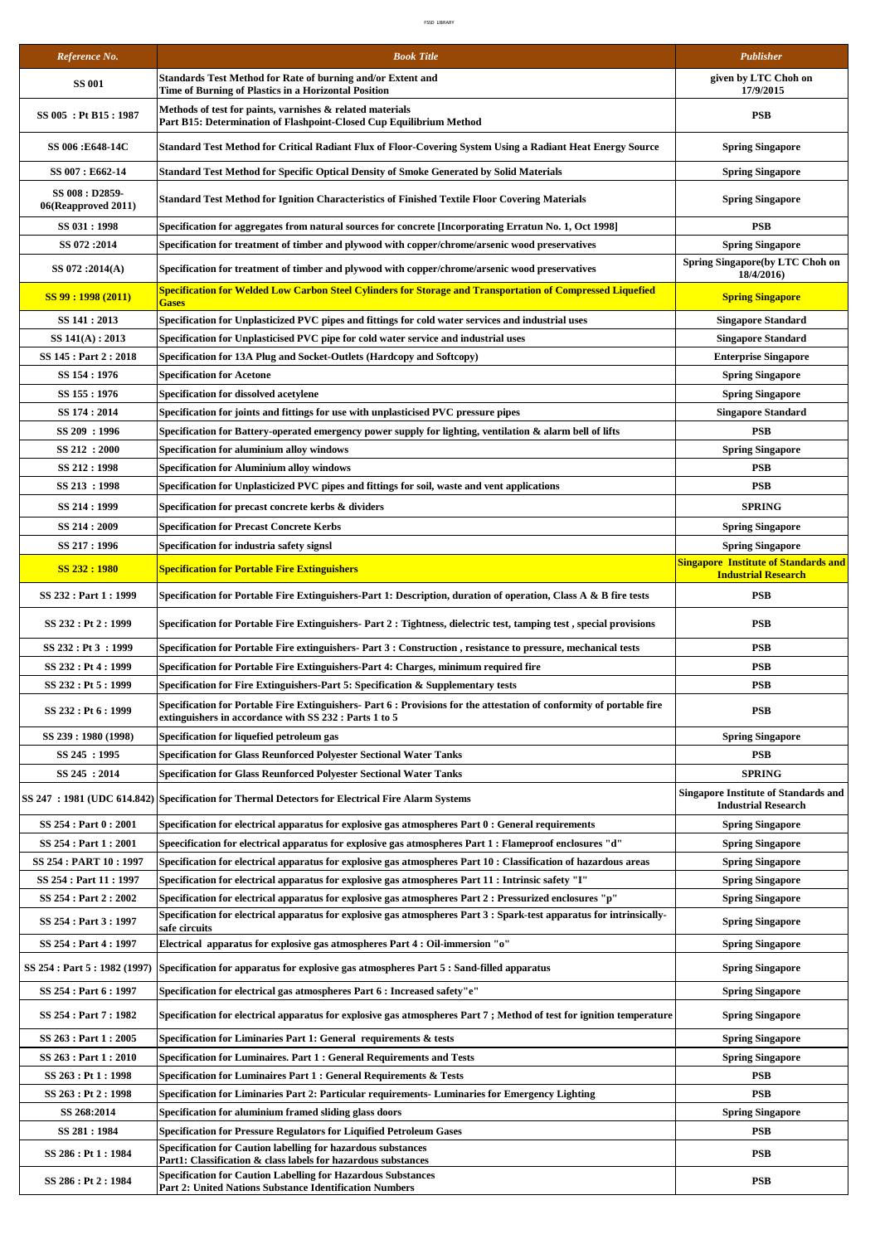| Reference No.                          | <b>Book Title</b>                                                                                                                                                              | Publisher                                                                 |
|----------------------------------------|--------------------------------------------------------------------------------------------------------------------------------------------------------------------------------|---------------------------------------------------------------------------|
| <b>SS 001</b>                          | Standards Test Method for Rate of burning and/or Extent and<br>Time of Burning of Plastics in a Horizontal Position                                                            | given by LTC Choh on<br>17/9/2015                                         |
| SS 005 : Pt B15 : 1987                 | Methods of test for paints, varnishes & related materials<br>Part B15: Determination of Flashpoint-Closed Cup Equilibrium Method                                               | <b>PSB</b>                                                                |
| SS 006 : E648-14C                      | Standard Test Method for Critical Radiant Flux of Floor-Covering System Using a Radiant Heat Energy Source                                                                     | <b>Spring Singapore</b>                                                   |
| SS 007: E662-14                        | Standard Test Method for Specific Optical Density of Smoke Generated by Solid Materials                                                                                        | <b>Spring Singapore</b>                                                   |
| SS 008 : D2859-<br>06(Reapproved 2011) | Standard Test Method for Ignition Characteristics of Finished Textile Floor Covering Materials                                                                                 | <b>Spring Singapore</b>                                                   |
| SS 031:1998                            | [998] Specification for aggregates from natural sources for concrete [Incorporating Erratun No. 1, Oct                                                                         | <b>PSB</b>                                                                |
| SS 072:2014                            | Specification for treatment of timber and plywood with copper/chrome/arsenic wood preservatives                                                                                | <b>Spring Singapore</b>                                                   |
| SS 072 :2014(A)                        | Specification for treatment of timber and plywood with copper/chrome/arsenic wood preservatives                                                                                | Spring Singapore(by LTC Choh on<br>18/4/2016)                             |
| SS 99:1998 (2011)                      | <b>Specification for Welded Low Carbon Steel Cylinders for Storage and Transportation of Compressed Liquefied</b><br><b>Gases</b>                                              | <b>Spring Singapore</b>                                                   |
| SS 141:2013                            | Specification for Unplasticized PVC pipes and fittings for cold water services and industrial uses                                                                             | <b>Singapore Standard</b>                                                 |
| SS 141(A): 2013                        | Specification for Unplasticised PVC pipe for cold water service and industrial uses                                                                                            | <b>Singapore Standard</b>                                                 |
| SS 145 : Part 2 : 2018                 | Specification for 13A Plug and Socket-Outlets (Hardcopy and Softcopy)                                                                                                          | <b>Enterprise Singapore</b>                                               |
| SS 154 : 1976                          | <b>Specification for Acetone</b>                                                                                                                                               | <b>Spring Singapore</b>                                                   |
| SS 155:1976                            | Specification for dissolved acetylene                                                                                                                                          | <b>Spring Singapore</b>                                                   |
| SS 174 : 2014                          | Specification for joints and fittings for use with unplasticised PVC pressure pipes                                                                                            | <b>Singapore Standard</b>                                                 |
| SS 209:1996                            | Specification for Battery-operated emergency power supply for lighting, ventilation $\&$ alarm bell of lifts                                                                   | PSB                                                                       |
| SS 212 : 2000                          | Specification for aluminium alloy windows                                                                                                                                      | <b>Spring Singapore</b>                                                   |
| SS 212:1998                            | <b>Specification for Aluminium alloy windows</b>                                                                                                                               | <b>PSB</b>                                                                |
| SS 213:1998                            | Specification for Unplasticized PVC pipes and fittings for soil, waste and vent applications $\,$                                                                              | <b>PSB</b>                                                                |
| SS 214:1999                            | Specification for precast concrete kerbs & dividers                                                                                                                            | <b>SPRING</b>                                                             |
|                                        |                                                                                                                                                                                |                                                                           |
| SS 214 : 2009                          | <b>Specification for Precast Concrete Kerbs</b>                                                                                                                                | <b>Spring Singapore</b>                                                   |
| SS 217:1996                            | Specification for industria safety signsl                                                                                                                                      | <b>Spring Singapore</b><br><b>Singapore Institute of Standards and</b>    |
| SS 232 : 1980                          | <b>Specification for Portable Fire Extinguishers</b>                                                                                                                           | <b>Industrial Research</b>                                                |
| SS 232 : Part 1 : 1999                 | Specification for Portable Fire Extinguishers-Part 1: Description, duration of operation, Class A & B fire tests                                                               | <b>PSB</b>                                                                |
| SS 232 : Pt 2 : 1999                   | Specification for Portable Fire Extinguishers- Part 2 : Tightness, dielectric test, tamping test , special provisions                                                          | <b>PSB</b>                                                                |
| SS 232 : Pt 3 : 1999                   | Specification for Portable Fire extinguishers- Part 3 : Construction , resistance to pressure, mechanical tests                                                                | <b>PSB</b>                                                                |
| SS 232: Pt 4: 1999                     | Specification for Portable Fire Extinguishers-Part 4: Charges, minimum required fire                                                                                           | <b>PSB</b>                                                                |
| SS 232 : Pt 5 : 1999                   | Specification for Fire Extinguishers-Part 5: Specification & Supplementary tests                                                                                               | <b>PSB</b>                                                                |
| SS 232: Pt 6: 1999                     | Specification for Portable Fire Extinguishers- Part 6: Provisions for the attestation of conformity of portable fire<br>extinguishers in accordance with SS 232 : Parts 1 to 5 | <b>PSB</b>                                                                |
| SS 239 : 1980 (1998)                   | Specification for liquefied petroleum gas                                                                                                                                      | <b>Spring Singapore</b>                                                   |
| SS 245 : 1995                          | <b>Specification for Glass Reunforced Polyester Sectional Water Tanks</b>                                                                                                      | PSB                                                                       |
| SS 245 : 2014                          | Specification for Glass Reunforced Polyester Sectional Water Tanks                                                                                                             | <b>SPRING</b>                                                             |
|                                        | SS 247: 1981 (UDC 614.842) Specification for Thermal Detectors for Electrical Fire Alarm Systems                                                                               | <b>Singapore Institute of Standards and</b><br><b>Industrial Research</b> |
| SS 254 : Part 0 : 2001                 | Specification for electrical apparatus for explosive gas atmospheres Part 0 : General requirements                                                                             | <b>Spring Singapore</b>                                                   |
| SS 254 : Part 1 : 2001                 | "Speecification for electrical apparatus for explosive gas atmospheres Part 1 : Flameproof enclosures "d                                                                       | <b>Spring Singapore</b>                                                   |
| SS 254 : PART 10 : 1997                | Specification for electrical apparatus for explosive gas atmospheres Part 10 : Classification of hazardous areas                                                               | <b>Spring Singapore</b>                                                   |
| SS 254 : Part 11 : 1997                | "Specification for electrical apparatus for explosive gas atmospheres Part 11 : Intrinsic safety "I                                                                            | <b>Spring Singapore</b>                                                   |
| SS 254 : Part 2 : 2002                 | "Specification for electrical apparatus for explosive gas atmospheres Part 2 : Pressurized enclosures "p                                                                       | <b>Spring Singapore</b>                                                   |
| SS 254 : Part 3 : 1997                 | Specification for electrical apparatus for explosive gas atmospheres Part 3 : Spark-test apparatus for intrinsically-<br>safe circuits                                         | <b>Spring Singapore</b>                                                   |
| SS 254 : Part 4 : 1997                 | Electrical apparatus for explosive gas atmospheres Part 4 : Oil-immersion "o"                                                                                                  | <b>Spring Singapore</b>                                                   |
| SS 254 : Part 5 : 1982 (1997)          | Specification for apparatus for explosive gas atmospheres Part 5 : Sand-filled apparatus                                                                                       | <b>Spring Singapore</b>                                                   |
| SS 254 : Part 6 : 1997                 | Specification for electrical gas atmospheres Part 6 : Increased safety''e''                                                                                                    | <b>Spring Singapore</b>                                                   |
| SS 254 : Part 7 : 1982                 | Specification for electrical apparatus for explosive gas atmospheres Part 7 ; Method of test for ignition temperature                                                          | <b>Spring Singapore</b>                                                   |
| SS 263 : Part 1 : 2005                 | Specification for Liminaries Part 1: General requirements & tests                                                                                                              | <b>Spring Singapore</b>                                                   |
| SS 263 : Part 1 : 2010                 | Specification for Luminaires. Part 1 : General Requirements and Tests                                                                                                          | <b>Spring Singapore</b>                                                   |
| SS 263 : Pt 1 : 1998                   | Specification for Luminaires Part 1 : General Requirements & Tests                                                                                                             | <b>PSB</b>                                                                |
| SS 263 : Pt 2 : 1998                   | Specification for Liminaries Part 2: Particular requirements- Luminaries for Emergency Lighting                                                                                | <b>PSB</b>                                                                |
| SS 268:2014                            | Specification for aluminium framed sliding glass doors                                                                                                                         | <b>Spring Singapore</b>                                                   |
| SS 281:1984                            | Specification for Pressure Regulators for Liquified Petroleum Gases                                                                                                            | PSB                                                                       |
|                                        | Specification for Caution labelling for hazardous substances                                                                                                                   |                                                                           |
| SS 286 : Pt 1 : 1984                   | Part1: Classification & class labels for hazardous substances<br><b>Specification for Caution Labelling for Hazardous Substances</b>                                           | <b>PSB</b>                                                                |
| SS 286 : Pt 2 : 1984                   | Part 2: United Nations Substance Identification Numbers                                                                                                                        | <b>PSB</b>                                                                |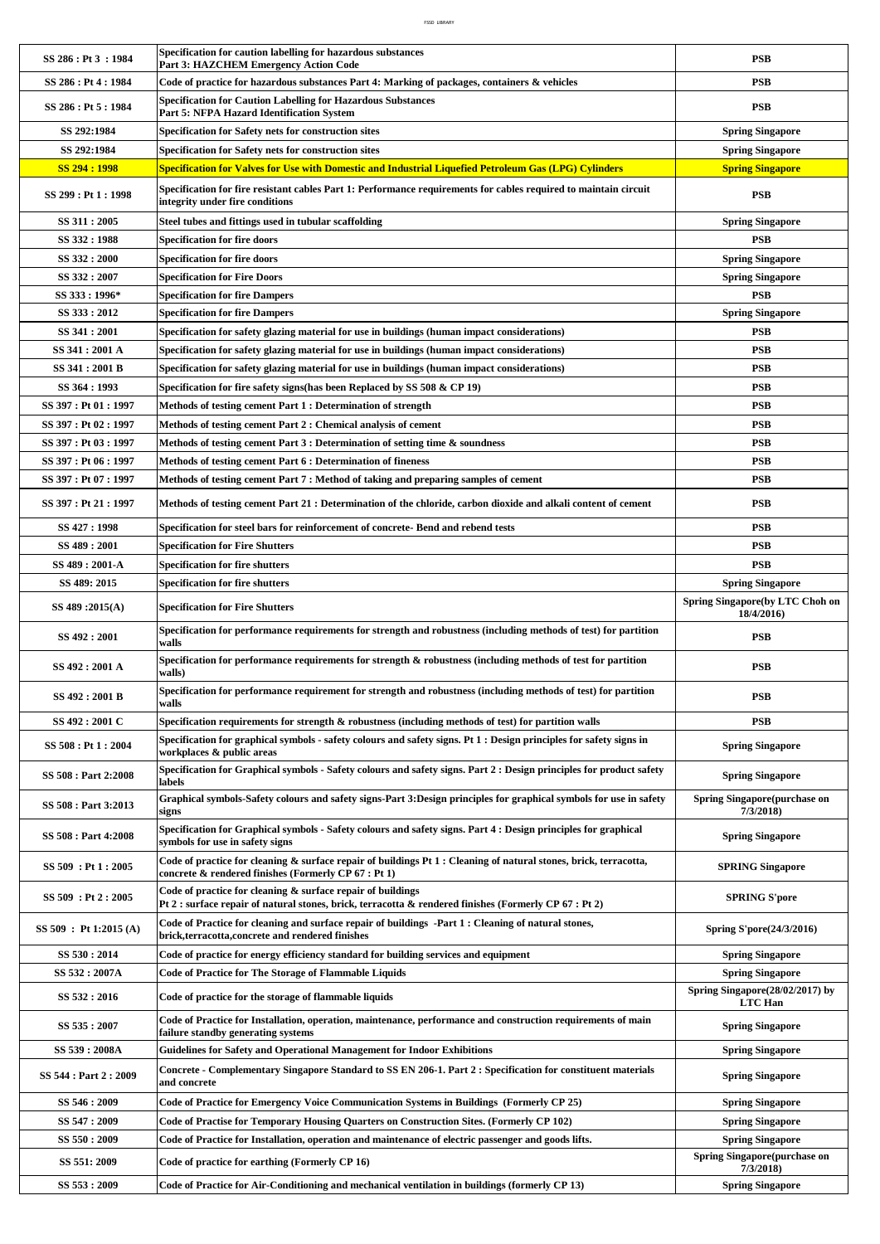| SS 286 : Pt 3 : 1984   | Specification for caution labelling for hazardous substances<br>Part 3: HAZCHEM Emergency Action Code                                                                     | <b>PSB</b>                                        |
|------------------------|---------------------------------------------------------------------------------------------------------------------------------------------------------------------------|---------------------------------------------------|
| SS 286 : Pt 4 : 1984   | Code of practice for hazardous substances Part 4: Marking of packages, containers & vehicles                                                                              | <b>PSB</b>                                        |
| SS 286 : Pt 5 : 1984   | <b>Specification for Caution Labelling for Hazardous Substances</b><br>Part 5: NFPA Hazard Identification System                                                          | <b>PSB</b>                                        |
| SS 292:1984            | Specification for Safety nets for construction sites                                                                                                                      | <b>Spring Singapore</b>                           |
| SS 292:1984            | Specification for Safety nets for construction sites                                                                                                                      | <b>Spring Singapore</b>                           |
| SS 294 : 1998          | <u>Specification for Valves for Use with Domestic and Industrial Liquefied Petroleum Gas (LPG) Cylinders</u>                                                              | <b>Spring Singapore</b>                           |
| SS 299 : Pt 1 : 1998   | Specification for fire resistant cables Part 1: Performance requirements for cables required to maintain circuit<br>integrity under fire conditions                       | <b>PSB</b>                                        |
| SS 311 : 2005          | Steel tubes and fittings used in tubular scaffolding                                                                                                                      | <b>Spring Singapore</b>                           |
| SS 332 : 1988          | <b>Specification for fire doors</b>                                                                                                                                       | <b>PSB</b>                                        |
| SS 332 : 2000          | <b>Specification for fire doors</b>                                                                                                                                       | <b>Spring Singapore</b>                           |
| SS 332 : 2007          | <b>Specification for Fire Doors</b>                                                                                                                                       | <b>Spring Singapore</b>                           |
| SS 333:1996*           | <b>Specification for fire Dampers</b>                                                                                                                                     | <b>PSB</b>                                        |
| SS 333 : 2012          | Specification for fire Dampers                                                                                                                                            | <b>Spring Singapore</b>                           |
| SS 341 : 2001          | Specification for safety glazing material for use in buildings (human impact considerations)                                                                              | <b>PSB</b>                                        |
| SS 341:2001 A          | Specification for safety glazing material for use in buildings (human impact considerations)                                                                              | <b>PSB</b>                                        |
| SS 341:2001 B          | Specification for safety glazing material for use in buildings (human impact considerations)                                                                              | <b>PSB</b>                                        |
| SS 364 : 1993          | Specification for fire safety signs (has been Replaced by SS 508 & CP 19)                                                                                                 | <b>PSB</b>                                        |
| SS 397: Pt 01:1997     | Methods of testing cement Part 1 : Determination of strength                                                                                                              | <b>PSB</b>                                        |
| SS 397 : Pt 02 : 1997  | Methods of testing cement Part 2 : Chemical analysis of cement                                                                                                            | <b>PSB</b>                                        |
| SS 397 : Pt 03 : 1997  | Methods of testing cement Part 3 : Determination of setting time $\&$ soundness                                                                                           | <b>PSB</b>                                        |
| SS 397 : Pt 06 : 1997  | Methods of testing cement Part 6 : Determination of fineness                                                                                                              | <b>PSB</b>                                        |
| SS 397 : Pt 07 : 1997  | Methods of testing cement Part 7 : Method of taking and preparing samples of cement                                                                                       | <b>PSB</b>                                        |
| SS 397 : Pt 21 : 1997  | Methods of testing cement Part 21 : Determination of the chloride, carbon dioxide and alkali content of cement                                                            | <b>PSB</b>                                        |
| SS 427:1998            | Specification for steel bars for reinforcement of concrete- Bend and rebend tests                                                                                         | <b>PSB</b>                                        |
| SS 489:2001            | <b>Specification for Fire Shutters</b>                                                                                                                                    | <b>PSB</b>                                        |
| SS 489: 2001-A         | <b>Specification for fire shutters</b>                                                                                                                                    | <b>PSB</b>                                        |
| SS 489: 2015           | <b>Specification for fire shutters</b>                                                                                                                                    | <b>Spring Singapore</b>                           |
| SS 489 :2015(A)        | <b>Specification for Fire Shutters</b>                                                                                                                                    | Spring Singapore(by LTC Choh on<br>18/4/2016)     |
| SS 492:2001            | Specification for performance requirements for strength and robustness (including methods of test) for partition<br>walls                                                 | <b>PSB</b>                                        |
| SS 492 : 2001 A        | Specification for performance requirements for strength $\&$ robustness (including methods of test for partition<br>walls)                                                | <b>PSB</b>                                        |
| SS 492:2001 B          | Specification for performance requirement for strength and robustness (including methods of test) for partition<br>walls                                                  | PSB                                               |
| SS 492:2001 C          | Specification requirements for strength $\&$ robustness (including methods of test) for partition walls                                                                   | <b>PSB</b>                                        |
| SS 508 : Pt 1 : 2004   | Specification for graphical symbols - safety colours and safety signs. Pt 1 : Design principles for safety signs in<br>workplaces & public areas                          |                                                   |
| SS 508 : Part 2:2008   |                                                                                                                                                                           | <b>Spring Singapore</b>                           |
|                        | Specification for Graphical symbols - Safety colours and safety signs. Part 2 : Design principles for product safety<br>labels                                            | <b>Spring Singapore</b>                           |
| SS 508 : Part 3:2013   | Graphical symbols-Safety colours and safety signs-Part 3:Design principles for graphical symbols for use in safety<br>signs                                               | <b>Spring Singapore(purchase on</b><br>7/3/2018   |
| SS 508 : Part 4:2008   | Specification for Graphical symbols - Safety colours and safety signs. Part 4 : Design principles for graphical<br>symbols for use in safety signs                        | <b>Spring Singapore</b>                           |
| SS 509: Pt 1:2005      | Code of practice for cleaning & surface repair of buildings Pt 1 : Cleaning of natural stones, brick, terracotta,<br>concrete & rendered finishes (Formerly CP 67 : Pt 1) | <b>SPRING Singapore</b>                           |
| SS 509 : Pt 2 : 2005   | Code of practice for cleaning & surface repair of buildings<br>Pt 2 : surface repair of natural stones, brick, terracotta & rendered finishes (Formerly CP 67 : Pt 2)     | <b>SPRING S'pore</b>                              |
| SS 509 : Pt 1:2015 (A) | Code of Practice for cleaning and surface repair of buildings -Part 1: Cleaning of natural stones,<br>brick,terracotta,concrete and rendered finishes                     | Spring S'pore(24/3/2016)                          |
| SS 530:2014            | Code of practice for energy efficiency standard for building services and equipment                                                                                       | <b>Spring Singapore</b>                           |
| SS 532: 2007A          | <b>Code of Practice for The Storage of Flammable Liquids</b>                                                                                                              | <b>Spring Singapore</b>                           |
| SS 532:2016            | Code of practice for the storage of flammable liquids                                                                                                                     | Spring Singapore(28/02/2017) by<br><b>LTC Han</b> |
| SS 535:2007            | Code of Practice for Installation, operation, maintenance, performance and construction requirements of main<br>failure standby generating systems                        | <b>Spring Singapore</b>                           |
| SS 539:2008A           | <b>Guidelines for Safety and Operational Management for Indoor Exhibitions</b>                                                                                            | <b>Spring Singapore</b>                           |
| SS 544 : Part 2 : 2009 | Concrete - Complementary Singapore Standard to SS EN 206-1. Part 2 : Specification for constituent materials<br>and concrete                                              | <b>Spring Singapore</b>                           |
| SS 546 : 2009          | Code of Practice for Emergency Voice Communication Systems in Buildings (Formerly CP 25)                                                                                  | <b>Spring Singapore</b>                           |
| SS 547:2009            | Code of Practise for Temporary Housing Quarters on Construction Sites. (Formerly CP 102)                                                                                  | <b>Spring Singapore</b>                           |
| SS 550:2009            | Code of Practice for Installation, operation and maintenance of electric passenger and goods lifts.                                                                       | <b>Spring Singapore</b>                           |
| SS 551: 2009           | Code of practice for earthing (Formerly CP 16)                                                                                                                            | <b>Spring Singapore(purchase on</b><br>7/3/2018   |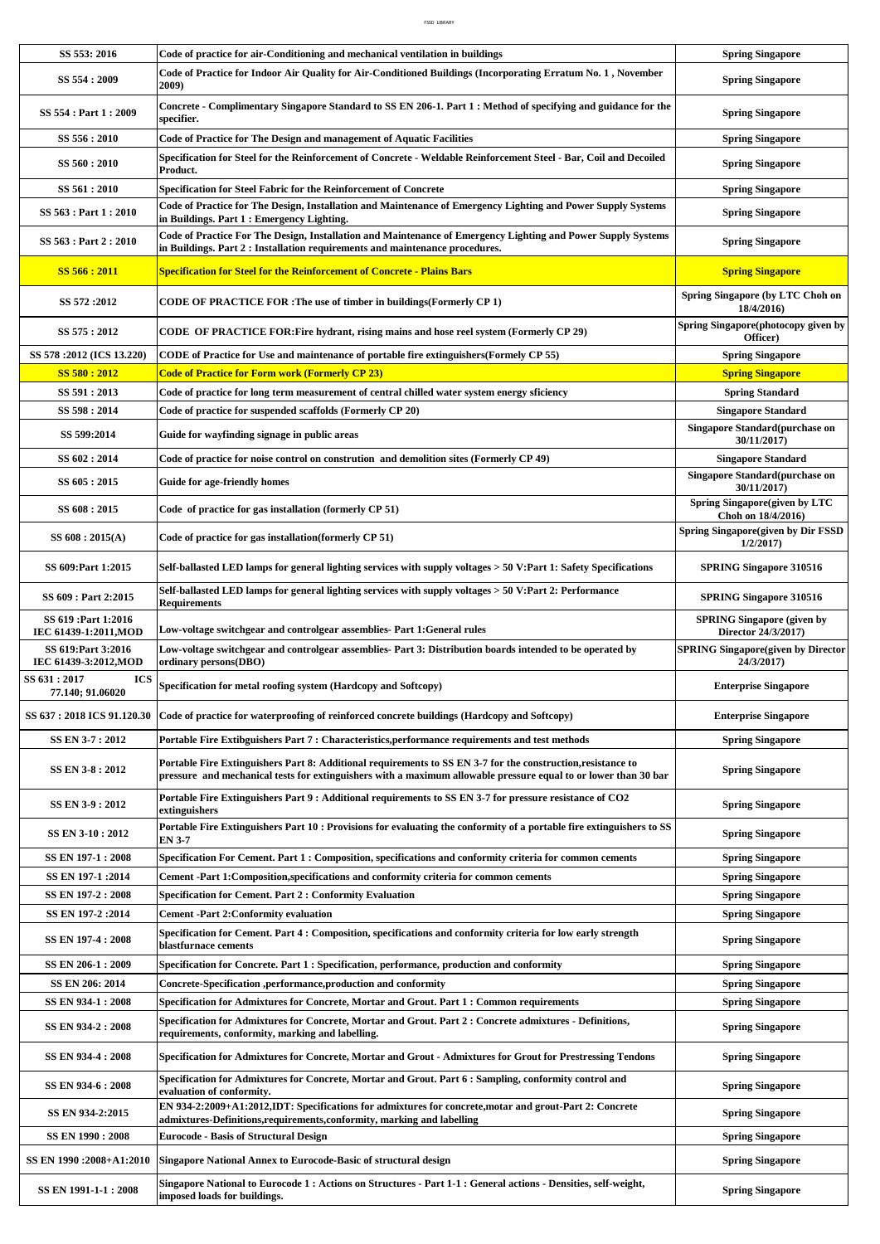| SS 553: 2016                                  | Code of practice for air-Conditioning and mechanical ventilation in buildings                                                                                                                                                   | <b>Spring Singapore</b>                                  |
|-----------------------------------------------|---------------------------------------------------------------------------------------------------------------------------------------------------------------------------------------------------------------------------------|----------------------------------------------------------|
| SS 554:2009                                   | Code of Practice for Indoor Air Quality for Air-Conditioned Buildings (Incorporating Erratum No. 1, November<br>2009)                                                                                                           | <b>Spring Singapore</b>                                  |
| SS 554 : Part 1 : 2009                        | Concrete - Complimentary Singapore Standard to SS EN 206-1. Part 1: Method of specifying and guidance for the<br>specifier.                                                                                                     | <b>Spring Singapore</b>                                  |
| SS 556 : 2010                                 | Code of Practice for The Design and management of Aquatic Facilities                                                                                                                                                            | <b>Spring Singapore</b>                                  |
| SS 560:2010                                   | Specification for Steel for the Reinforcement of Concrete - Weldable Reinforcement Steel - Bar, Coil and Decoiled<br>Product.                                                                                                   | <b>Spring Singapore</b>                                  |
| SS 561:2010                                   | <b>Specification for Steel Fabric for the Reinforcement of Concrete</b>                                                                                                                                                         | <b>Spring Singapore</b>                                  |
| SS 563 : Part 1 : 2010                        | Code of Practice for The Design, Installation and Maintenance of Emergency Lighting and Power Supply Systems<br>in Buildings. Part 1: Emergency Lighting.                                                                       | <b>Spring Singapore</b>                                  |
| SS 563 : Part 2 : 2010                        | Code of Practice For The Design, Installation and Maintenance of Emergency Lighting and Power Supply Systems<br>in Buildings. Part 2: Installation requirements and maintenance procedures.                                     | <b>Spring Singapore</b>                                  |
| SS 566 : 2011                                 | <b>Specification for Steel for the Reinforcement of Concrete - Plains Bars</b>                                                                                                                                                  | <b>Spring Singapore</b>                                  |
| SS 572:2012                                   | CODE OF PRACTICE FOR : The use of timber in buildings (Formerly CP 1)                                                                                                                                                           | Spring Singapore (by LTC Choh on<br>18/4/2016)           |
| SS 575:2012                                   | CODE OF PRACTICE FOR: Fire hydrant, rising mains and hose reel system (Formerly CP 29)                                                                                                                                          | Spring Singapore(photocopy given by<br>Officer)          |
| SS 578 :2012 (ICS 13.220)                     | CODE of Practice for Use and maintenance of portable fire extinguishers (Formely CP 55)                                                                                                                                         | <b>Spring Singapore</b>                                  |
| SS 580 : 2012                                 | <u> Code of Practice for Form work (Formerly CP 23)</u>                                                                                                                                                                         | <b>Spring Singapore</b>                                  |
| SS 591:2013                                   | Code of practice for long term measurement of central chilled water system energy sficiency                                                                                                                                     | <b>Spring Standard</b>                                   |
| SS 598:2014                                   | Code of practice for suspended scaffolds (Formerly CP 20)                                                                                                                                                                       | <b>Singapore Standard</b>                                |
| SS 599:2014                                   | Guide for wayfinding signage in public areas                                                                                                                                                                                    | <b>Singapore Standard</b> (purchase on<br>30/11/2017)    |
| SS 602:2014                                   | Code of practice for noise control on constrution and demolition sites (Formerly CP 49)                                                                                                                                         | <b>Singapore Standard</b>                                |
| SS 605:2015                                   | <b>Guide for age-friendly homes</b>                                                                                                                                                                                             | Singapore Standard (purchase on<br>30/11/2017)           |
| SS 608 : 2015                                 | Code of practice for gas installation (formerly CP 51)                                                                                                                                                                          | Spring Singapore(given by LTC<br>Choh on 18/4/2016)      |
| SS 608 : 2015(A)                              | Code of practice for gas installation (formerly CP 51)                                                                                                                                                                          | <b>Spring Singapore(given by Dir FSSD</b><br>1/2/2017    |
| SS 609:Part 1:2015                            | Self-ballasted LED lamps for general lighting services with supply voltages > 50 V:Part 1: Safety Specifications                                                                                                                | <b>SPRING Singapore 310516</b>                           |
| SS 609 : Part 2:2015                          | Self-ballasted LED lamps for general lighting services with supply voltages > 50 V:Part 2: Performance<br><b>Requirements</b>                                                                                                   | <b>SPRING Singapore 310516</b>                           |
| SS 619 : Part 1:2016<br>IEC 61439-1:2011, MOD | Low-voltage switchgear and controlgear assemblies- Part 1: General rules                                                                                                                                                        | <b>SPRING Singapore (given by</b><br>Director 24/3/2017) |
| SS 619: Part 3:2016<br>IEC 61439-3:2012, MOD  | Low-voltage switchgear and controlgear assemblies- Part 3: Distribution boards intended to be operated by<br>ordinary persons(DBO)                                                                                              | <b>SPRING Singapore(given by Director</b><br>24/3/2017)  |
| SS 631:2017<br><b>ICS</b><br>77.140; 91.06020 | Specification for metal roofing system (Hardcopy and Softcopy)                                                                                                                                                                  | <b>Enterprise Singapore</b>                              |
| SS 637: 2018 ICS 91.120.30                    | Code of practice for waterproofing of reinforced concrete buildings (Hardcopy and Softcopy)                                                                                                                                     | <b>Enterprise Singapore</b>                              |
| SS EN 3-7 : 2012                              | Portable Fire Extibguishers Part 7: Characteristics, performance requirements and test methods                                                                                                                                  | <b>Spring Singapore</b>                                  |
| SS EN 3-8 : 2012                              | Portable Fire Extinguishers Part 8: Additional requirements to SS EN 3-7 for the construction, resistance to<br>pressure and mechanical tests for extinguishers with a maximum allowable pressure equal to or lower than 30 bar | <b>Spring Singapore</b>                                  |
| SS EN 3-9 : 2012                              | Portable Fire Extinguishers Part 9: Additional requirements to SS EN 3-7 for pressure resistance of CO2<br>extinguishers                                                                                                        | <b>Spring Singapore</b>                                  |
| SS EN 3-10 : 2012                             | Portable Fire Extinguishers Part 10: Provisions for evaluating the conformity of a portable fire extinguishers to SS<br><b>EN 3-7</b>                                                                                           | <b>Spring Singapore</b>                                  |
| SS EN 197-1 : 2008                            | Specification For Cement. Part 1: Composition, specifications and conformity criteria for common cements                                                                                                                        | <b>Spring Singapore</b>                                  |
| SS EN 197-1 :2014                             | Cement -Part 1: Composition, specifications and conformity criteria for common cements                                                                                                                                          | <b>Spring Singapore</b>                                  |
| SS EN 197-2 : 2008                            | <b>Specification for Cement. Part 2 : Conformity Evaluation</b>                                                                                                                                                                 | <b>Spring Singapore</b>                                  |
| SS EN 197-2 :2014                             | <b>Cement -Part 2:Conformity evaluation</b>                                                                                                                                                                                     | <b>Spring Singapore</b>                                  |
| SS EN 197-4 : 2008                            | Specification for Cement. Part 4 : Composition, specifications and conformity criteria for low early strength<br>blastfurnace cements                                                                                           | <b>Spring Singapore</b>                                  |
| SS EN 206-1:2009                              | Specification for Concrete. Part 1 : Specification, performance, production and conformity                                                                                                                                      | <b>Spring Singapore</b>                                  |
| SS EN 206: 2014                               | Concrete-Specification ,performance,production and conformity                                                                                                                                                                   | <b>Spring Singapore</b>                                  |
| SS EN 934-1:2008                              | Specification for Admixtures for Concrete, Mortar and Grout. Part 1: Common requirements                                                                                                                                        | <b>Spring Singapore</b>                                  |
| SS EN 934-2 : 2008                            | Specification for Admixtures for Concrete, Mortar and Grout. Part 2 : Concrete admixtures - Definitions,<br>requirements, conformity, marking and labelling.                                                                    | <b>Spring Singapore</b>                                  |
| SS EN 934-4 : 2008                            | Specification for Admixtures for Concrete, Mortar and Grout - Admixtures for Grout for Prestressing Tendons                                                                                                                     | <b>Spring Singapore</b>                                  |
| SS EN 934-6 : 2008                            | Specification for Admixtures for Concrete, Mortar and Grout. Part 6 : Sampling, conformity control and<br>evaluation of conformity.                                                                                             | <b>Spring Singapore</b>                                  |
| SS EN 934-2:2015                              | EN 934-2:2009+A1:2012,IDT: Specifications for admixtures for concrete, motar and grout-Part 2: Concrete<br>admixtures-Definitions, requirements, conformity, marking and labelling                                              | <b>Spring Singapore</b>                                  |
| SS EN 1990 : 2008                             | <b>Eurocode - Basis of Structural Design</b>                                                                                                                                                                                    | <b>Spring Singapore</b>                                  |
|                                               |                                                                                                                                                                                                                                 |                                                          |
| SS EN 1990 :2008+A1:2010                      | <b>Singapore National Annex to Eurocode-Basic of structural design</b><br>Singapore National to Eurocode 1 : Actions on Structures - Part 1-1 : General actions - Densities, self-weight,                                       | <b>Spring Singapore</b>                                  |
| SS EN 1991-1-1 : 2008                         | imposed loads for buildings.                                                                                                                                                                                                    | <b>Spring Singapore</b>                                  |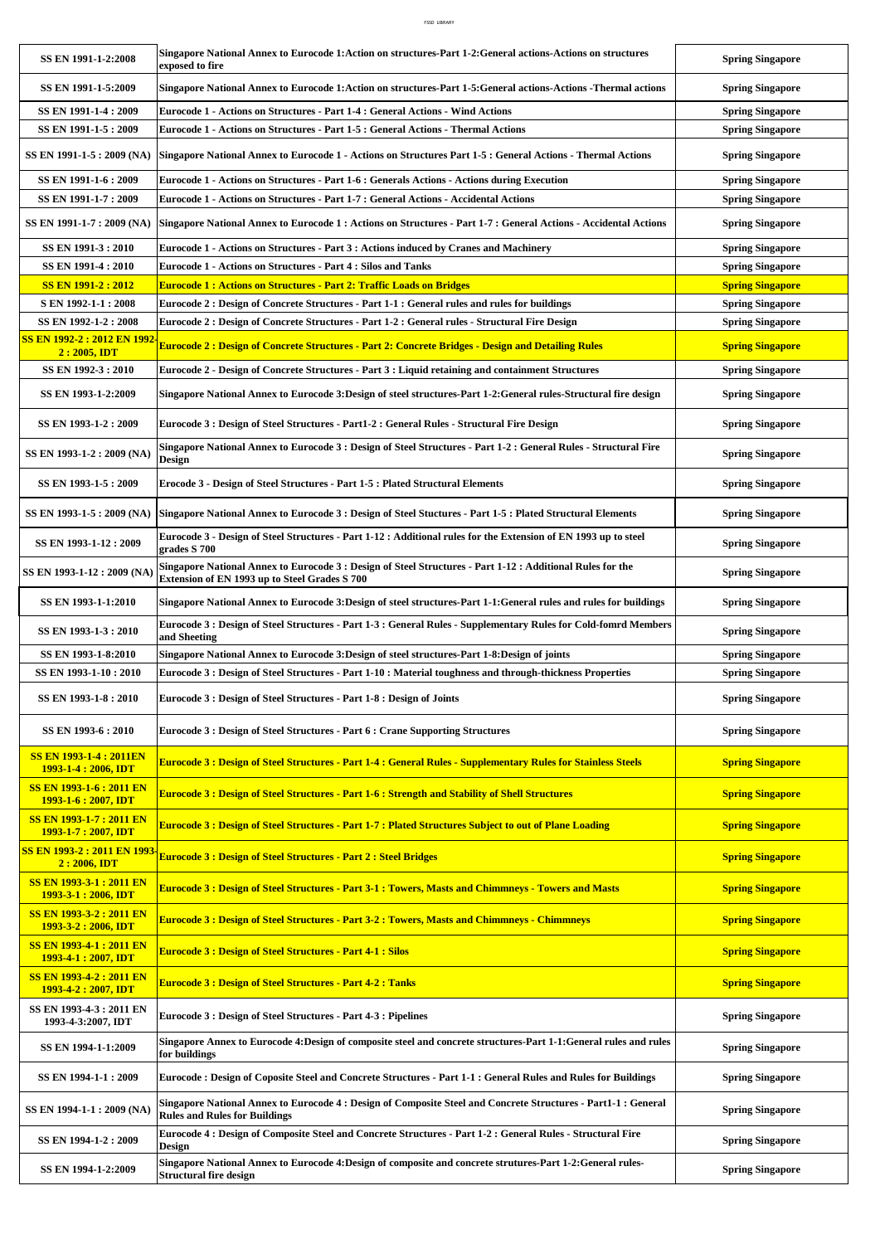|  | ٧ |  |
|--|---|--|
|  |   |  |

| SS EN 1991-1-2:2008                                      | Singapore National Annex to Eurocode 1:Action on structures-Part 1-2:General actions-Actions on structures<br>exposed to fire                               | <b>Spring Singapore</b> |
|----------------------------------------------------------|-------------------------------------------------------------------------------------------------------------------------------------------------------------|-------------------------|
| SS EN 1991-1-5:2009                                      | Singapore National Annex to Eurocode 1:Action on structures-Part 1-5:General actions-Actions -Thermal actions                                               | <b>Spring Singapore</b> |
| SS EN 1991-1-4 : 2009                                    | Eurocode 1 - Actions on Structures - Part 1-4 : General Actions - Wind Actions                                                                              | <b>Spring Singapore</b> |
| SS EN 1991-1-5 : 2009                                    | Eurocode 1 - Actions on Structures - Part 1-5 : General Actions - Thermal Actions                                                                           | <b>Spring Singapore</b> |
| SS EN 1991-1-5 : 2009 (NA)                               | Singapore National Annex to Eurocode 1 - Actions on Structures Part 1-5 : General Actions - Thermal Actions                                                 | <b>Spring Singapore</b> |
| SS EN 1991-1-6 : 2009                                    | Eurocode 1 - Actions on Structures - Part 1-6 : Generals Actions - Actions during Execution                                                                 | <b>Spring Singapore</b> |
| SS EN 1991-1-7 : 2009                                    | Eurocode 1 - Actions on Structures - Part 1-7 : General Actions - Accidental Actions                                                                        | <b>Spring Singapore</b> |
| SS EN 1991-1-7 : 2009 (NA)                               | Singapore National Annex to Eurocode 1: Actions on Structures - Part 1-7: General Actions - Accidental Actions                                              | <b>Spring Singapore</b> |
| SS EN 1991-3 : 2010                                      | Eurocode 1 - Actions on Structures - Part 3 : Actions induced by Cranes and Machinery                                                                       | <b>Spring Singapore</b> |
| SS EN 1991-4 : 2010                                      | Eurocode 1 - Actions on Structures - Part 4 : Silos and Tanks                                                                                               | <b>Spring Singapore</b> |
| <b>SS EN 1991-2 : 2012</b>                               | <b>Eurocode 1 : Actions on Structures - Part 2: Traffic Loads on Bridges</b>                                                                                | <b>Spring Singapore</b> |
| S EN 1992-1-1 : 2008                                     | Eurocode 2 : Design of Concrete Structures - Part 1-1 : General rules and rules for buildings                                                               | <b>Spring Singapore</b> |
| SS EN 1992-1-2:2008                                      | Eurocode 2 : Design of Concrete Structures - Part 1-2 : General rules - Structural Fire Design                                                              | <b>Spring Singapore</b> |
| <mark>SS EN 1992-2 : 2012 EN 1992</mark><br>2: 2005, IDT | <u> Eurocode 2 : Design of Concrete Structures - Part 2: Concrete Bridges - Design and Detailing Rules</u>                                                  | <b>Spring Singapore</b> |
| SS EN 1992-3 : 2010                                      | Eurocode 2 - Design of Concrete Structures - Part 3 : Liquid retaining and containment Structures                                                           | <b>Spring Singapore</b> |
| SS EN 1993-1-2:2009                                      | Singapore National Annex to Eurocode 3:Design of steel structures-Part 1-2:General rules-Structural fire design                                             | <b>Spring Singapore</b> |
| SS EN 1993-1-2 : 2009                                    | Eurocode 3 : Design of Steel Structures - Part1-2 : General Rules - Structural Fire Design                                                                  | <b>Spring Singapore</b> |
| SS EN 1993-1-2 : 2009 (NA)                               | Singapore National Annex to Eurocode 3 : Design of Steel Structures - Part 1-2 : General Rules - Structural Fire<br>Design                                  | <b>Spring Singapore</b> |
| SS EN 1993-1-5 : 2009                                    | Erocode 3 - Design of Steel Structures - Part 1-5 : Plated Structural Elements                                                                              | <b>Spring Singapore</b> |
| SS EN 1993-1-5 : 2009 (NA)                               | Singapore National Annex to Eurocode 3 : Design of Steel Stuctures - Part 1-5 : Plated Structural Elements                                                  | <b>Spring Singapore</b> |
| SS EN 1993-1-12 : 2009                                   | Eurocode 3 - Design of Steel Structures - Part 1-12 : Additional rules for the Extension of EN 1993 up to steel<br>grades S 700                             | <b>Spring Singapore</b> |
| SS EN 1993-1-12 : 2009 (NA)                              | Singapore National Annex to Eurocode 3 : Design of Steel Structures - Part 1-12 : Additional Rules for the<br>Extension of EN 1993 up to Steel Grades S 700 | <b>Spring Singapore</b> |
| SS EN 1993-1-1:2010                                      | Singapore National Annex to Eurocode 3:Design of steel structures-Part 1-1:General rules and rules for buildings                                            | <b>Spring Singapore</b> |
| SS EN 1993-1-3 : 2010                                    | Eurocode 3 : Design of Steel Structures - Part 1-3 : General Rules - Supplementary Rules for Cold-fomrd Members<br>and Sheeting                             | <b>Spring Singapore</b> |
| SS EN 1993-1-8:2010                                      | Singapore National Annex to Eurocode 3:Design of steel structures-Part 1-8:Design of joints                                                                 | <b>Spring Singapore</b> |
| SS EN 1993-1-10 : 2010                                   | Eurocode 3 : Design of Steel Structures - Part 1-10 : Material toughness and through-thickness Properties                                                   | <b>Spring Singapore</b> |
| SS EN 1993-1-8 : 2010                                    | Eurocode 3 : Design of Steel Structures - Part 1-8 : Design of Joints                                                                                       | <b>Spring Singapore</b> |
| SS EN 1993-6 : 2010                                      | Eurocode 3 : Design of Steel Structures - Part 6 : Crane Supporting Structures                                                                              | <b>Spring Singapore</b> |
| <b>SS EN 1993-1-4 : 2011EN</b><br>1993-1-4 : 2006, IDT   | <u> Eurocode 3 : Design of Steel Structures - Part 1-4 : General Rules - Supplementary Rules for Stainless Steels</u>                                       | <b>Spring Singapore</b> |
| <u>SS EN 1993-1-6 : 2011 EN</u><br>1993-1-6 : 2007, IDT  | Eurocode 3 : Design of Steel Structures - Part 1-6 : Strength and Stability of Shell Structures                                                             | <b>Spring Singapore</b> |
| <b>SS EN 1993-1-7 : 2011 EN</b><br>1993-1-7: 2007, IDT   | Eurocode 3 : Design of Steel Structures - Part 1-7 : Plated Structures Subject to out of Plane Loading                                                      | <b>Spring Singapore</b> |
| <mark>SS EN 1993-2 : 2011 EN 1993</mark><br>2:2006, IDT  | <b>Eurocode 3 : Design of Steel Structures - Part 2 : Steel Bridges</b>                                                                                     | <b>Spring Singapore</b> |
| <b>SS EN 1993-3-1 : 2011 EN</b><br>1993-3-1: 2006, IDT   | Eurocode 3 : Design of Steel Structures - Part 3-1 : Towers, Masts and Chimmneys - Towers and Masts                                                         | <b>Spring Singapore</b> |
| <b>SS EN 1993-3-2 : 2011 EN</b><br>1993-3-2: 2006, IDT   | Eurocode 3 : Design of Steel Structures - Part 3-2 : Towers, Masts and Chimmneys - Chimmneys                                                                | <b>Spring Singapore</b> |
| <b>SS EN 1993-4-1 : 2011 EN</b><br>1993-4-1: 2007, IDT   | <b>Eurocode 3 : Design of Steel Structures - Part 4-1 : Silos</b>                                                                                           | <b>Spring Singapore</b> |
| <b>SS EN 1993-4-2 : 2011 EN</b><br>1993-4-2: 2007, IDT   | <b>Eurocode 3 : Design of Steel Structures - Part 4-2 : Tanks</b>                                                                                           | <b>Spring Singapore</b> |
| SS EN 1993-4-3 : 2011 EN<br>1993-4-3:2007, IDT           | <b>Eurocode 3 : Design of Steel Structures - Part 4-3 : Pipelines</b>                                                                                       | <b>Spring Singapore</b> |
| SS EN 1994-1-1:2009                                      | Singapore Annex to Eurocode 4:Design of composite steel and concrete structures-Part 1-1:General rules and rules<br>for buildings                           | <b>Spring Singapore</b> |
| SS EN 1994-1-1 : 2009                                    | Eurocode : Design of Coposite Steel and Concrete Structures - Part 1-1 : General Rules and Rules for Buildings                                              | <b>Spring Singapore</b> |
| SS EN 1994-1-1 : 2009 (NA)                               | Singapore National Annex to Eurocode 4 : Design of Composite Steel and Concrete Structures - Part1-1 : General<br><b>Rules and Rules for Buildings</b>      | <b>Spring Singapore</b> |
| SS EN 1994-1-2: 2009                                     | Eurocode 4 : Design of Composite Steel and Concrete Structures - Part 1-2 : General Rules - Structural Fire<br>Design                                       | <b>Spring Singapore</b> |
| SS EN 1994-1-2:2009                                      | Singapore National Annex to Eurocode 4:Design of composite and concrete strutures-Part 1-2:General rules-<br>Structural fire design                         | <b>Spring Singapore</b> |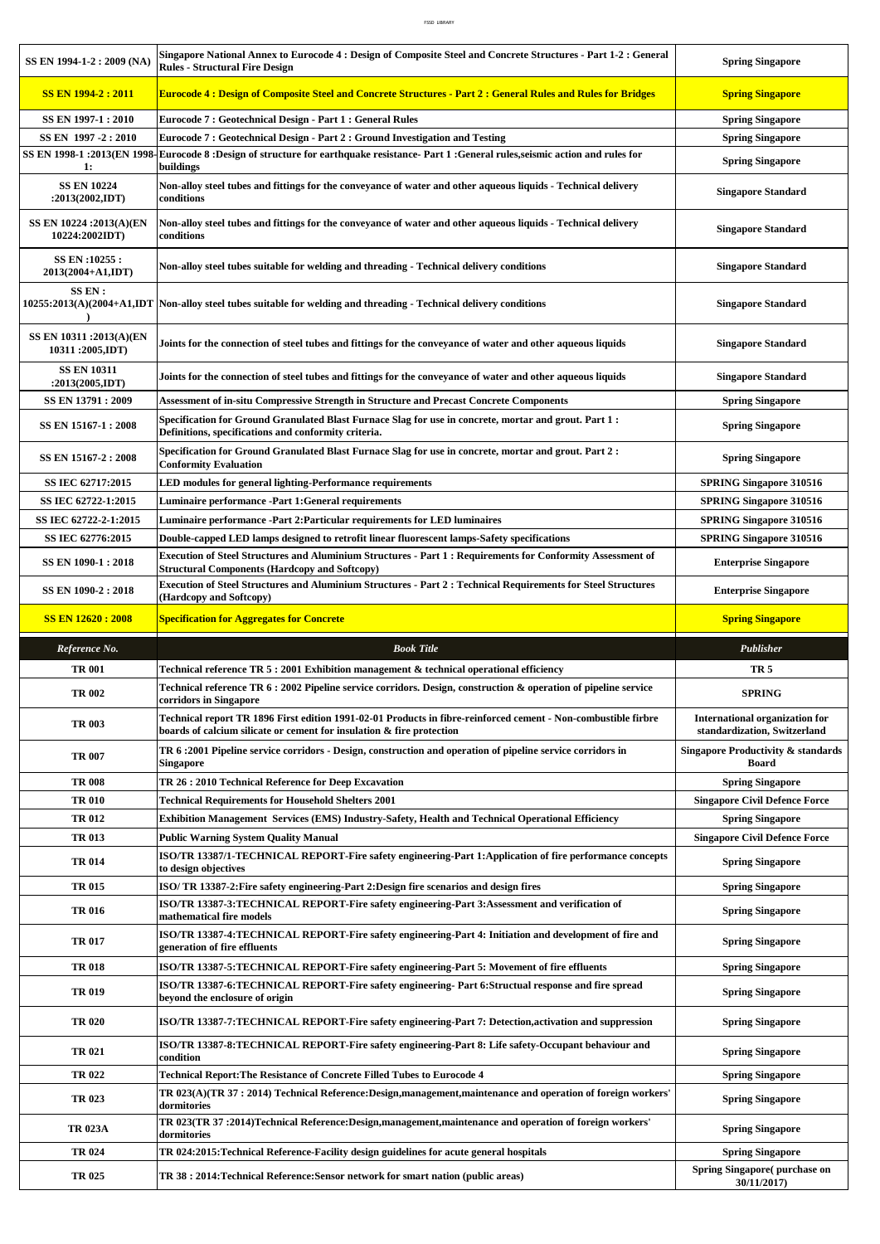$\overline{1}$ 

| SS EN 1994-1-2 : 2009 (NA)                        | Singapore National Annex to Eurocode 4 : Design of Composite Steel and Concrete Structures - Part 1-2 : General<br><b>Rules - Structural Fire Design</b>                                   | <b>Spring Singapore</b>                                               |
|---------------------------------------------------|--------------------------------------------------------------------------------------------------------------------------------------------------------------------------------------------|-----------------------------------------------------------------------|
| <b>SS EN 1994-2 : 2011</b>                        | Eurocode 4 : Design of Composite Steel and Concrete Structures - Part 2 : General Rules and Rules for Bridges                                                                              | <b>Spring Singapore</b>                                               |
| SS EN 1997-1:2010                                 | Eurocode 7 : Geotechnical Design - Part 1 : General Rules                                                                                                                                  | <b>Spring Singapore</b>                                               |
| SS EN 1997 -2:2010                                | Eurocode 7 : Geotechnical Design - Part 2 : Ground Investigation and Testing                                                                                                               | <b>Spring Singapore</b>                                               |
| SS EN 1998-1 :2013(EN 1998-<br>1:                 | Eurocode 8 : Design of structure for earthquake resistance- Part 1 : General rules, seismic action and rules for<br>buildings                                                              | <b>Spring Singapore</b>                                               |
| <b>SS EN 10224</b><br>: $2013(2002,\mathrm{IDT})$ | Non-alloy steel tubes and fittings for the conveyance of water and other aqueous liquids - Technical delivery<br>conditions                                                                | <b>Singapore Standard</b>                                             |
| SS EN 10224 :2013(A)(EN<br>10224:2002IDT)         | Non-alloy steel tubes and fittings for the conveyance of water and other aqueous liquids - Technical delivery<br>conditions                                                                | <b>Singapore Standard</b>                                             |
| SS EN :10255 :<br>2013(2004+A1,IDT)               | Non-alloy steel tubes suitable for welding and threading - Technical delivery conditions                                                                                                   | <b>Singapore Standard</b>                                             |
| SS EN:<br>10255:2013(A)(2004+A1,IDT               | Non-alloy steel tubes suitable for welding and threading - Technical delivery conditions                                                                                                   | <b>Singapore Standard</b>                                             |
| SS EN 10311 :2013(A)(EN<br>10311 :2005,IDT)       | Joints for the connection of steel tubes and fittings for the conveyance of water and other aqueous liquids                                                                                | <b>Singapore Standard</b>                                             |
| <b>SS EN 10311</b><br>: $2013(2005,\mathrm{IDT})$ | Joints for the connection of steel tubes and fittings for the conveyance of water and other aqueous liquids                                                                                | <b>Singapore Standard</b>                                             |
| SS EN 13791 : 2009                                | Assessment of in-situ Compressive Strength in Structure and Precast Concrete Components                                                                                                    | <b>Spring Singapore</b>                                               |
| SS EN 15167-1:2008                                | : Specification for Ground Granulated Blast Furnace Slag for use in concrete, mortar and grout. Part 1<br>Definitions, specifications and conformity criteria.                             | <b>Spring Singapore</b>                                               |
| SS EN 15167-2: 2008                               | : Specification for Ground Granulated Blast Furnace Slag for use in concrete, mortar and grout. Part 2<br><b>Conformity Evaluation</b>                                                     | <b>Spring Singapore</b>                                               |
| <b>SS IEC 62717:2015</b>                          | LED modules for general lighting-Performance requirements                                                                                                                                  | <b>SPRING Singapore 310516</b>                                        |
| SS IEC 62722-1:2015                               | Luminaire performance -Part 1:General requirements                                                                                                                                         | <b>SPRING Singapore 310516</b>                                        |
| <b>SS IEC 62722-2-1:2015</b>                      | Luminaire performance -Part 2:Particular requirements for LED luminaires                                                                                                                   | <b>SPRING Singapore 310516</b>                                        |
| SS IEC 62776:2015                                 | Double-capped LED lamps designed to retrofit linear fluorescent lamps-Safety specifications                                                                                                | <b>SPRING Singapore 310516</b>                                        |
| SS EN 1090-1:2018                                 | Execution of Steel Structures and Aluminium Structures - Part 1 : Requirements for Conformity Assessment of<br>Structural Components (Hardcopy and Softcopy)                               | <b>Enterprise Singapore</b>                                           |
| SS EN 1090-2:2018                                 | Execution of Steel Structures and Aluminium Structures - Part 2 : Technical Requirements for Steel Structures<br>(Hardcopy and Softcopy)                                                   | <b>Enterprise Singapore</b>                                           |
| <b>SS EN 12620 : 2008</b>                         | <b>Specification for Aggregates for Concrete</b>                                                                                                                                           | <b>Spring Singapore</b>                                               |
|                                                   |                                                                                                                                                                                            |                                                                       |
| Reference No.                                     | <b>Book Title</b>                                                                                                                                                                          | Publisher                                                             |
| <b>TR 001</b>                                     | Technical reference TR 5 : 2001 Exhibition management & technical operational efficiency                                                                                                   | TR <sub>5</sub>                                                       |
| <b>TR 002</b>                                     | Technical reference TR 6: 2002 Pipeline service corridors. Design, construction & operation of pipeline service<br>corridors in Singapore                                                  | <b>SPRING</b>                                                         |
| <b>TR 003</b>                                     | Technical report TR 1896 First edition 1991-02-01 Products in fibre-reinforced cement - Non-combustible firbre<br>boards of calcium silicate or cement for insulation $\&$ fire protection | <b>International organization for</b><br>standardization, Switzerland |
| <b>TR 007</b>                                     | TR 6:2001 Pipeline service corridors - Design, construction and operation of pipeline service corridors in<br>Singapore                                                                    | Singapore Productivity & standards<br>Board                           |
| <b>TR 008</b>                                     | TR 26 : 2010 Technical Reference for Deep Excavation                                                                                                                                       | <b>Spring Singapore</b>                                               |
| <b>TR 010</b>                                     | <b>Technical Requirements for Household Shelters 2001</b>                                                                                                                                  | <b>Singapore Civil Defence Force</b>                                  |
| <b>TR 012</b>                                     | Exhibition Management Services (EMS) Industry-Safety, Health and Technical Operational Efficiency                                                                                          | <b>Spring Singapore</b>                                               |
| TR 013                                            | <b>Public Warning System Quality Manual</b>                                                                                                                                                | <b>Singapore Civil Defence Force</b>                                  |
| TR 014                                            | ISO/TR 13387/1-TECHNICAL REPORT-Fire safety engineering-Part 1:Application of fire performance concepts<br>to design objectives                                                            | <b>Spring Singapore</b>                                               |
| TR 015                                            | ISO/ TR 13387-2: Fire safety engineering-Part 2: Design fire scenarios and design fires                                                                                                    | <b>Spring Singapore</b>                                               |
| TR 016                                            | ISO/TR 13387-3:TECHNICAL REPORT-Fire safety engineering-Part 3:Assessment and verification of<br>mathematical fire models                                                                  | <b>Spring Singapore</b>                                               |
| TR 017                                            | ISO/TR 13387-4:TECHNICAL REPORT-Fire safety engineering-Part 4: Initiation and development of fire and<br>generation of fire effluents                                                     | <b>Spring Singapore</b>                                               |
| TR 018                                            | ISO/TR 13387-5:TECHNICAL REPORT-Fire safety engineering-Part 5: Movement of fire effluents                                                                                                 | <b>Spring Singapore</b>                                               |
| TR 019                                            | ISO/TR 13387-6:TECHNICAL REPORT-Fire safety engineering- Part 6:Structual response and fire spread<br>beyond the enclosure of origin                                                       | <b>Spring Singapore</b>                                               |
| <b>TR 020</b>                                     | ISO/TR 13387-7:TECHNICAL REPORT-Fire safety engineering-Part 7: Detection, activation and suppression                                                                                      | <b>Spring Singapore</b>                                               |
| TR 021                                            | ISO/TR 13387-8:TECHNICAL REPORT-Fire safety engineering-Part 8: Life safety-Occupant behaviour and<br>condition                                                                            | <b>Spring Singapore</b>                                               |
| <b>TR 022</b>                                     | Technical Report:The Resistance of Concrete Filled Tubes to Eurocode 4                                                                                                                     | <b>Spring Singapore</b>                                               |
| TR 023                                            | TR 023(A)(TR 37:2014) Technical Reference: Design, management, maintenance and operation of foreign workers'<br>dormitories                                                                | <b>Spring Singapore</b>                                               |
| <b>TR 023A</b>                                    | TR 023(TR 37:2014)Technical Reference:Design,management,maintenance and operation of foreign workers'<br>dormitories                                                                       | <b>Spring Singapore</b>                                               |
| TR 024                                            | TR 024:2015: Technical Reference-Facility design guidelines for acute general hospitals                                                                                                    | <b>Spring Singapore</b>                                               |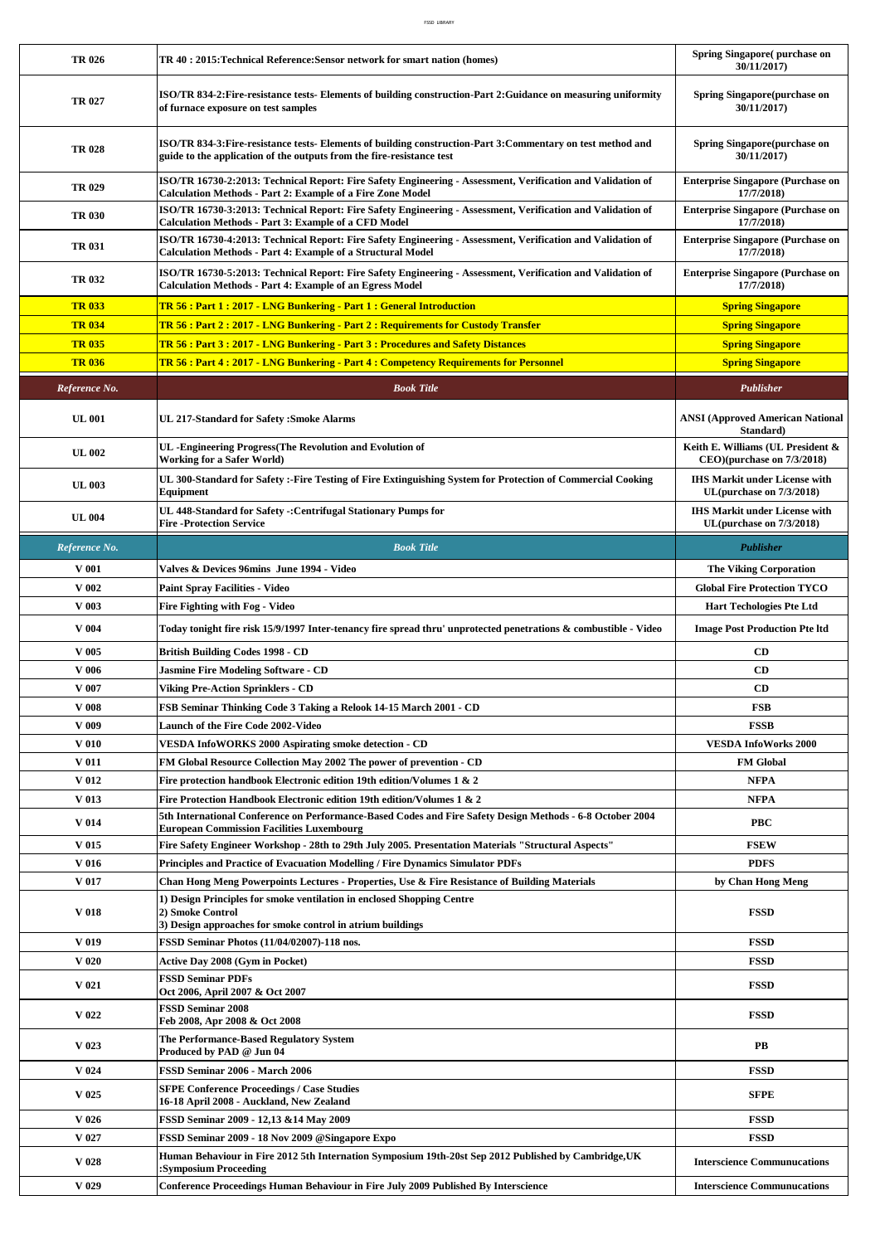$\overline{\phantom{a}}$ 

| <b>TR 026</b> | TR 40: 2015: Technical Reference: Sensor network for smart nation (homes)                                                                                                             | Spring Singapore(purchase on<br>30/11/2017)                         |
|---------------|---------------------------------------------------------------------------------------------------------------------------------------------------------------------------------------|---------------------------------------------------------------------|
| <b>TR 027</b> | ISO/TR 834-2:Fire-resistance tests- Elements of building construction-Part 2:Guidance on measuring uniformity<br>of furnace exposure on test samples                                  | Spring Singapore(purchase on<br>30/11/2017)                         |
| <b>TR 028</b> | ISO/TR 834-3: Fire-resistance tests- Elements of building construction-Part 3: Commentary on test method and<br>guide to the application of the outputs from the fire-resistance test | Spring Singapore(purchase on<br>30/11/2017)                         |
| <b>TR 029</b> | ISO/TR 16730-2:2013: Technical Report: Fire Safety Engineering - Assessment, Verification and Validation of<br><b>Calculation Methods - Part 2: Example of a Fire Zone Model</b>      | <b>Enterprise Singapore (Purchase on</b><br>17/7/2018)              |
| <b>TR 030</b> | ISO/TR 16730-3:2013: Technical Report: Fire Safety Engineering - Assessment, Verification and Validation of<br><b>Calculation Methods - Part 3: Example of a CFD Model</b>            | <b>Enterprise Singapore (Purchase on</b><br>17/7/2018)              |
| <b>TR 031</b> | ISO/TR 16730-4:2013: Technical Report: Fire Safety Engineering - Assessment, Verification and Validation of<br><b>Calculation Methods - Part 4: Example of a Structural Model</b>     | <b>Enterprise Singapore (Purchase on</b><br>17/7/2018)              |
| <b>TR 032</b> | ISO/TR 16730-5:2013: Technical Report: Fire Safety Engineering - Assessment, Verification and Validation of<br><b>Calculation Methods - Part 4: Example of an Egress Model</b>        | <b>Enterprise Singapore (Purchase on</b><br>17/7/2018)              |
| <b>TR 033</b> | TR 56 : Part 1 : 2017 - LNG Bunkering - Part 1 : General Introduction                                                                                                                 | <b>Spring Singapore</b>                                             |
| <b>TR 034</b> | <u> TR 56 : Part 2 : 2017 - LNG Bunkering - Part 2 : Requirements for Custody Transfer</u>                                                                                            | <b>Spring Singapore</b>                                             |
| <b>TR 035</b> | TR 56 : Part 3 : 2017 - LNG Bunkering - Part 3 : Procedures and Safety Distances                                                                                                      | <b>Spring Singapore</b>                                             |
| <b>TR 036</b> | TR 56 : Part 4 : 2017 - LNG Bunkering - Part 4 : Competency Requirements for Personnel                                                                                                | <b>Spring Singapore</b>                                             |
| Reference No. | <b>Book Title</b>                                                                                                                                                                     | Publisher                                                           |
|               |                                                                                                                                                                                       |                                                                     |
| <b>UL 001</b> | <b>UL 217-Standard for Safety : Smoke Alarms</b>                                                                                                                                      | <b>ANSI</b> (Approved American National<br>Standard)                |
| <b>UL 002</b> | UL -Engineering Progress(The Revolution and Evolution of<br><b>Working for a Safer World)</b>                                                                                         | Keith E. Williams (UL President &<br>CEO)(purchase on 7/3/2018)     |
| <b>UL 003</b> | UL 300-Standard for Safety :-Fire Testing of Fire Extinguishing System for Protection of Commercial Cooking<br>Equipment                                                              | <b>IHS Markit under License with</b><br>UL(purchase on $7/3/2018$ ) |
| <b>UL 004</b> | UL 448-Standard for Safety -: Centrifugal Stationary Pumps for<br><b>Fire -Protection Service</b>                                                                                     | <b>IHS Markit under License with</b><br>UL(purchase on 7/3/2018)    |
| Reference No. | <b>Book Title</b>                                                                                                                                                                     | Publisher                                                           |
| <b>V</b> 001  | Valves & Devices 96mins June 1994 - Video                                                                                                                                             | <b>The Viking Corporation</b>                                       |
| V 002         | <b>Paint Spray Facilities - Video</b>                                                                                                                                                 | <b>Global Fire Protection TYCO</b>                                  |
| V 003         | Fire Fighting with Fog - Video                                                                                                                                                        | <b>Hart Techologies Pte Ltd</b>                                     |
| V 004         | Today tonight fire risk 15/9/1997 Inter-tenancy fire spread thru' unprotected penetrations & combustible - Video                                                                      | <b>Image Post Production Pte Itd</b>                                |
| V 005         | <b>British Building Codes 1998 - CD</b>                                                                                                                                               | CD                                                                  |
| <b>V</b> 006  | <b>Jasmine Fire Modeling Software - CD</b>                                                                                                                                            | CD                                                                  |
| V 007         | Viking Pre-Action Sprinklers - CD                                                                                                                                                     | CD                                                                  |
| V 008         | FSB Seminar Thinking Code 3 Taking a Relook 14-15 March 2001 - CD                                                                                                                     | FSB                                                                 |
| V 009         | <b>Launch of the Fire Code 2002-Video</b>                                                                                                                                             | <b>FSSB</b>                                                         |
| <b>V</b> 010  | <b>VESDA InfoWORKS 2000 Aspirating smoke detection - CD</b>                                                                                                                           | <b>VESDA InfoWorks 2000</b>                                         |
| <b>V</b> 011  | FM Global Resource Collection May 2002 The power of prevention - CD                                                                                                                   | <b>FM Global</b>                                                    |
| <b>V</b> 012  | Fire protection handbook Electronic edition 19th edition/Volumes 1 & 2                                                                                                                | <b>NFPA</b>                                                         |
| V 013         | Fire Protection Handbook Electronic edition 19th edition/Volumes 1 & 2                                                                                                                | <b>NFPA</b>                                                         |
| <b>V</b> 014  | 5th International Conference on Performance-Based Codes and Fire Safety Design Methods - 6-8 October 2004<br><b>European Commission Facilities Luxembourg</b>                         | <b>PBC</b>                                                          |
| V 015         | Fire Safety Engineer Workshop - 28th to 29th July 2005. Presentation Materials "Structural Aspects"                                                                                   | <b>FSEW</b>                                                         |
| <b>V</b> 016  | Principles and Practice of Evacuation Modelling / Fire Dynamics Simulator PDFs                                                                                                        | <b>PDFS</b>                                                         |
| <b>V</b> 017  | Chan Hong Meng Powerpoints Lectures - Properties, Use & Fire Resistance of Building Materials                                                                                         | by Chan Hong Meng                                                   |
| V 018         | 1) Design Principles for smoke ventilation in enclosed Shopping Centre<br>2) Smoke Control<br>3) Design approaches for smoke control in atrium buildings                              | <b>FSSD</b>                                                         |
| V 019         | FSSD Seminar Photos (11/04/02007)-118 nos.                                                                                                                                            | <b>FSSD</b>                                                         |
| <b>V</b> 020  | <b>Active Day 2008 (Gym in Pocket)</b>                                                                                                                                                | <b>FSSD</b>                                                         |
| <b>V</b> 021  | <b>FSSD Seminar PDFs</b><br>Oct 2006, April 2007 & Oct 2007                                                                                                                           | <b>FSSD</b>                                                         |
| V 022         | <b>FSSD Seminar 2008</b><br>Feb 2008, Apr 2008 & Oct 2008                                                                                                                             | <b>FSSD</b>                                                         |
| V 023         | The Performance-Based Regulatory System<br>Produced by PAD @ Jun 04                                                                                                                   | PB                                                                  |
| V 024         | FSSD Seminar 2006 - March 2006                                                                                                                                                        | <b>FSSD</b>                                                         |
| V 025         | <b>SFPE Conference Proceedings / Case Studies</b><br>16-18 April 2008 - Auckland, New Zealand                                                                                         | <b>SFPE</b>                                                         |
| V 026         | FSSD Seminar 2009 - 12,13 & 14 May 2009                                                                                                                                               | <b>FSSD</b>                                                         |
| V 027         | FSSD Seminar 2009 - 18 Nov 2009 @Singapore Expo                                                                                                                                       | <b>FSSD</b>                                                         |
| V 028         | Human Behaviour in Fire 2012 5th Internation Symposium 19th-20st Sep 2012 Published by Cambridge,UK<br>:Symposium Proceeding                                                          | <b>Interscience Communucations</b>                                  |
| V 029         | Conference Proceedings Human Behaviour in Fire July 2009 Published By Interscience                                                                                                    | <b>Interscience Communucations</b>                                  |